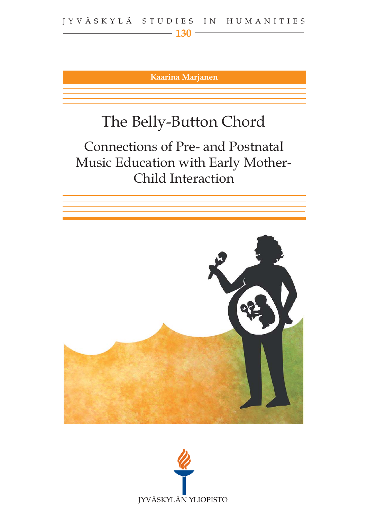**Kaarina Marjanen**

# The Belly-Button Chord

Connections of Pre- and Postnatal Music Education with Early Mother-Child Interaction



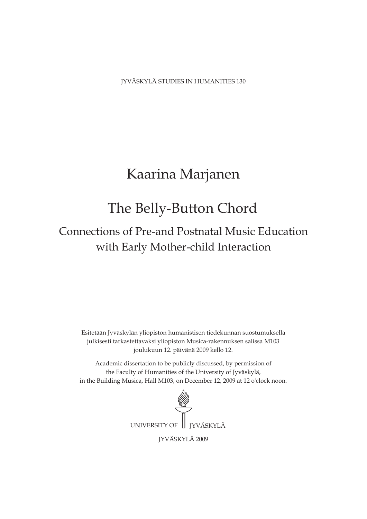JYVÄSKYLÄ STUDIES IN HUMANITIES 130

## Kaarina Marjanen

## The Belly-Button Chord

## with Early Mother-child Interaction Connections of Pre-and Postnatal Music Education

Esitetään Jyväskylän yliopiston humanistisen tiedekunnan suostumuksella julkisesti tarkastettavaksi yliopiston Musica-rakennuksen salissa M103 joulukuun 12. päivänä 2009 kello 12.

Academic dissertation to be publicly discussed, by permission of the Faculty of Humanities of the University of Jyväskylä, in the Building Musica, Hall M103, on December 12, 2009 at 12 o'clock noon.

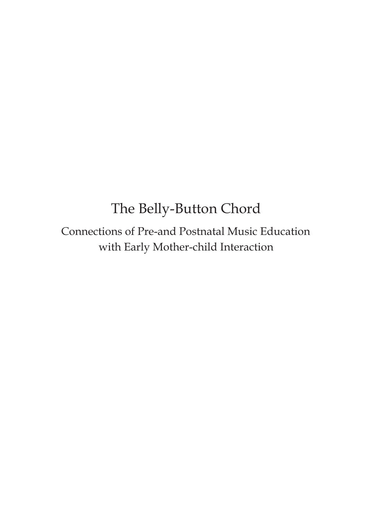# The Belly-Button Chord

Connections of Pre-and Postnatal Music Education with Early Mother-child Interaction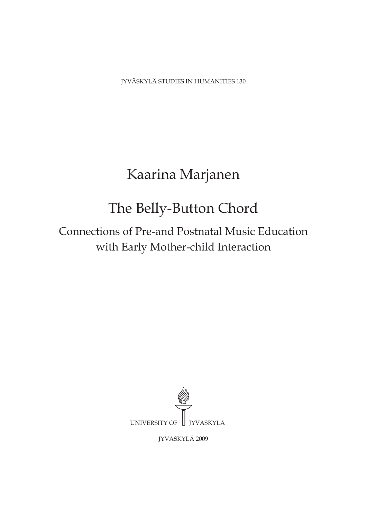JYVÄSKYLÄ STUDIES IN HUMANITIES 130

# Kaarina Marjanen

# The Belly-Button Chord

Connections of Pre-and Postnatal Music Education with Early Mother-child Interaction



JYVÄSKYLÄ 2009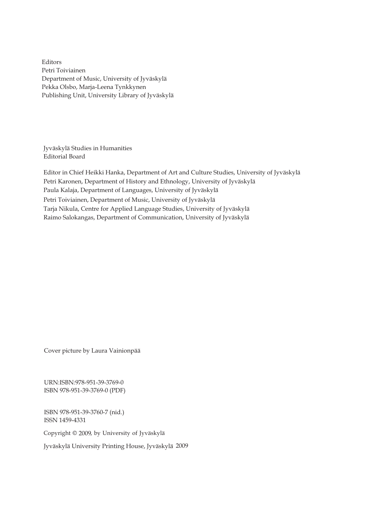Editors Petri Toiviainen Department of Music, University of Jyväskylä Pekka Olsbo, Marja-Leena Tynkkynen Publishing Unit, University Library of Jyväskylä

Jyväskylä Studies in Humanities Editorial Board

Petri Karonen, Department of History and Ethnology, University of Jyväskylä Editor in Chief Heikki Hanka, Department of Art and Culture Studies, University of Jyväskylä Paula Kalaja, Department of Languages, University of Jyväskylä Petri Toiviainen, Department of Music, University of Jyväskylä Tarja Nikula, Centre for Applied Language Studies, University of Jyväskylä Raimo Salokangas, Department of Communication, University of Jyväskylä

Cover picture by Laura Vainionpää

URN:ISBN:978-951-39-3769-0 ISBN 978-951-39-3769-0 (PDF)

ISBN 978-951-39-3760-7 (nid.) ISSN 1459-4331

Copyright © 2009, by University of Jyväskylä

Jyväskylä University Printing House, Jyväskylä 2009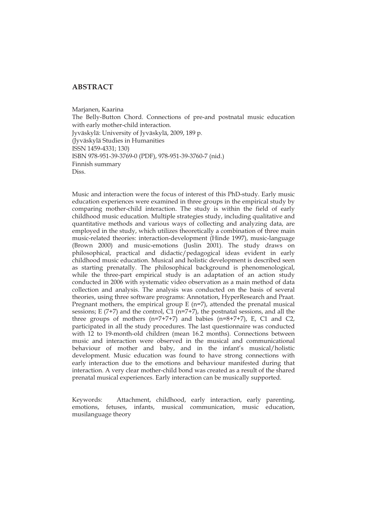## **ABSTRACT**

Marjanen, Kaarina The Belly-Button Chord. Connections of pre-and postnatal music education with early mother-child interaction. Jyväskylä: University of Jyväskylä, 2009, 189 p. (Jyväskylä Studies in Humanities ISSN 1459-4331; 130) ISBN 978-951-39-3769-0 (PDF), 978-951-39-3760-7 (nid.) Finnish summary Diss.

Music and interaction were the focus of interest of this PhD-study. Early music education experiences were examined in three groups in the empirical study by comparing mother-child interaction. The study is within the field of early childhood music education. Multiple strategies study, including qualitative and quantitative methods and various ways of collecting and analyzing data, are employed in the study, which utilizes theoretically a combination of three main music-related theories: interaction-development (Hinde 1997), music-language (Brown 2000) and music-emotions (Juslin 2001). The study draws on philosophical, practical and didactic/pedagogical ideas evident in early childhood music education. Musical and holistic development is described seen as starting prenatally. The philosophical background is phenomenological, while the three-part empirical study is an adaptation of an action study conducted in 2006 with systematic video observation as a main method of data collection and analysis. The analysis was conducted on the basis of several theories, using three software programs: Annotation, HyperResearch and Praat. Pregnant mothers, the empirical group  $E$  (n=7), attended the prenatal musical sessions; E (7+7) and the control, C1 (n=7+7), the postnatal sessions, and all the three groups of mothers (n=7+7+7) and babies (n=8+7+7), E, C1 and C2, participated in all the study procedures. The last questionnaire was conducted with 12 to 19-month-old children (mean 16.2 months). Connections between music and interaction were observed in the musical and communicational behaviour of mother and baby, and in the infant's musical/holistic development. Music education was found to have strong connections with early interaction due to the emotions and behaviour manifested during that interaction. A very clear mother-child bond was created as a result of the shared prenatal musical experiences. Early interaction can be musically supported.

Keywords: Attachment, childhood, early interaction, early parenting, emotions, fetuses, infants, musical communication, music education, musilanguage theory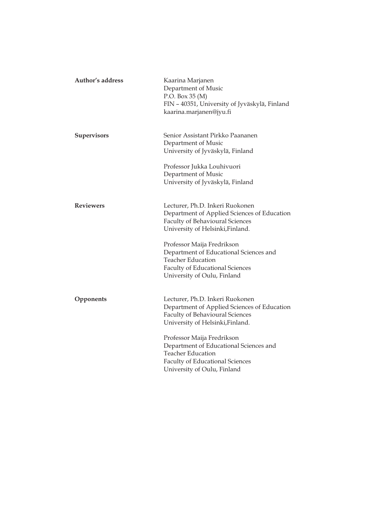| Author's address   | Kaarina Marjanen<br>Department of Music<br>P.O. Box 35 (M)<br>FIN - 40351, University of Jyväskylä, Finland<br>kaarina.marjanen@jyu.fi                                    |
|--------------------|---------------------------------------------------------------------------------------------------------------------------------------------------------------------------|
| <b>Supervisors</b> | Senior Assistant Pirkko Paananen<br>Department of Music<br>University of Jyväskylä, Finland                                                                               |
|                    | Professor Jukka Louhivuori<br>Department of Music<br>University of Jyväskylä, Finland                                                                                     |
| <b>Reviewers</b>   | Lecturer, Ph.D. Inkeri Ruokonen<br>Department of Applied Sciences of Education<br><b>Faculty of Behavioural Sciences</b><br>University of Helsinki, Finland.              |
|                    | Professor Maija Fredrikson<br>Department of Educational Sciences and<br><b>Teacher Education</b><br><b>Faculty of Educational Sciences</b><br>University of Oulu, Finland |
| Opponents          | Lecturer, Ph.D. Inkeri Ruokonen<br>Department of Applied Sciences of Education<br><b>Faculty of Behavioural Sciences</b><br>University of Helsinki, Finland.              |
|                    | Professor Maija Fredrikson<br>Department of Educational Sciences and<br><b>Teacher Education</b><br><b>Faculty of Educational Sciences</b><br>University of Oulu, Finland |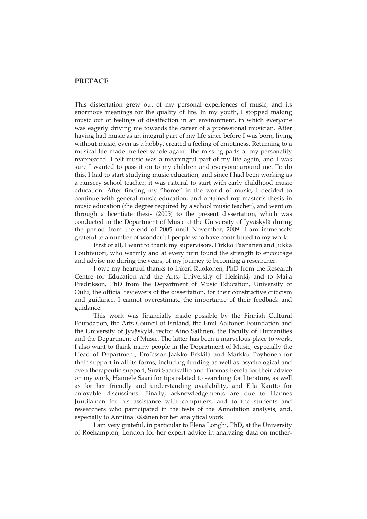## **PREFACE**

This dissertation grew out of my personal experiences of music, and its enormous meanings for the quality of life. In my youth, I stopped making music out of feelings of disaffection in an environment, in which everyone was eagerly driving me towards the career of a professional musician. After having had music as an integral part of my life since before I was born, living without music, even as a hobby, created a feeling of emptiness. Returning to a musical life made me feel whole again: the missing parts of my personality reappeared. I felt music was a meaningful part of my life again, and I was sure I wanted to pass it on to my children and everyone around me. To do this, I had to start studying music education, and since I had been working as a nursery school teacher, it was natural to start with early childhood music education. After finding my "home" in the world of music, I decided to continue with general music education, and obtained my master's thesis in music education (the degree required by a school music teacher), and went on through a licentiate thesis (2005) to the present dissertation, which was conducted in the Department of Music at the University of Jyväskylä during the period from the end of 2005 until November, 2009. I am immensely grateful to a number of wonderful people who have contributed to my work.

First of all, I want to thank my supervisors, Pirkko Paananen and Jukka Louhivuori, who warmly and at every turn found the strength to encourage and advise me during the years, of my journey to becoming a researcher.

I owe my heartful thanks to Inkeri Ruokonen, PhD from the Research Centre for Education and the Arts, University of Helsinki, and to Maija Fredrikson, PhD from the Department of Music Education, University of Oulu, the official reviewers of the dissertation, for their constructive criticism and guidance. I cannot overestimate the importance of their feedback and guidance.

This work was financially made possible by the Finnish Cultural Foundation, the Arts Council of Finland, the Emil Aaltonen Foundation and the University of Jyväskylä, rector Aino Sallinen, the Faculty of Humanities and the Department of Music. The latter has been a marvelous place to work. I also want to thank many people in the Department of Music, especially the Head of Department, Professor Jaakko Erkkilä and Markku Pöyhönen for their support in all its forms, including funding as well as psychological and even therapeutic support, Suvi Saarikallio and Tuomas Eerola for their advice on my work, Hannele Saari for tips related to searching for literature, as well as for her friendly and understanding availability, and Eila Kautto for enjoyable discussions. Finally, acknowledgements are due to Hannes Juutilainen for his assistance with computers, and to the students and researchers who participated in the tests of the Annotation analysis, and, especially to Anniina Räsänen for her analytical work.

 I am very grateful, in particular to Elena Longhi, PhD, at the University of Roehampton, London for her expert advice in analyzing data on mother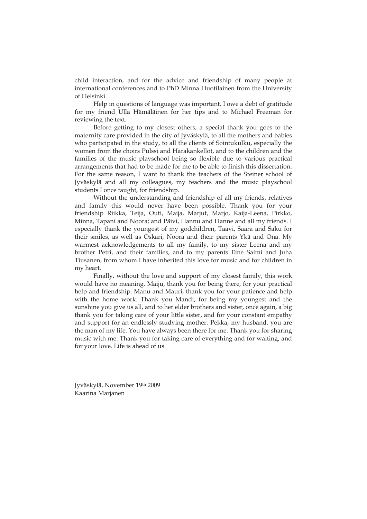child interaction, and for the advice and friendship of many people at international conferences and to PhD Minna Huotilainen from the University of Helsinki.

 Help in questions of language was important. I owe a debt of gratitude for my friend Ulla Hämäläinen for her tips and to Michael Freeman for reviewing the text.

 Before getting to my closest others, a special thank you goes to the maternity care provided in the city of Jyväskylä, to all the mothers and babies who participated in the study, to all the clients of Sointukulku, especially the women from the choirs Pulssi and Harakankellot, and to the children and the families of the music playschool being so flexible due to various practical arrangements that had to be made for me to be able to finish this dissertation. For the same reason, I want to thank the teachers of the Steiner school of Jyväskylä and all my colleagues, my teachers and the music playschool students I once taught, for friendship.

 Without the understanding and friendship of all my friends, relatives and family this would never have been possible. Thank you for your friendship Riikka, Teija, Outi, Maija, Marjut, Marjo, Kaija-Leena, Pirkko, Minna, Tapani and Noora; and Päivi, Hannu and Hanne and all my friends. I especially thank the youngest of my godchildren, Taavi, Saara and Saku for their smiles, as well as Oskari, Noora and their parents Ykä and Ona. My warmest acknowledgements to all my family, to my sister Leena and my brother Petri, and their families, and to my parents Eine Salmi and Juha Tiusanen, from whom I have inherited this love for music and for children in my heart.

 Finally, without the love and support of my closest family, this work would have no meaning. Maiju, thank you for being there, for your practical help and friendship. Manu and Mauri, thank you for your patience and help with the home work. Thank you Mandi, for being my youngest and the sunshine you give us all, and to her elder brothers and sister, once again, a big thank you for taking care of your little sister, and for your constant empathy and support for an endlessly studying mother. Pekka, my husband, you are the man of my life. You have always been there for me. Thank you for sharing music with me. Thank you for taking care of everything and for waiting, and for your love. Life is ahead of us.

Jyväskylä, November 19th 2009 Kaarina Marjanen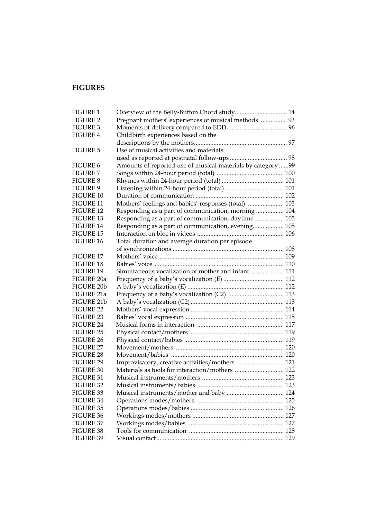## **FIGURES**

| <b>FIGURE 1</b>  |                                                             |  |
|------------------|-------------------------------------------------------------|--|
| <b>FIGURE 2</b>  | Pregnant mothers' experiences of musical methods  93        |  |
| FIGURE 3         |                                                             |  |
| <b>FIGURE 4</b>  | Childbirth experiences based on the                         |  |
|                  |                                                             |  |
| <b>FIGURE 5</b>  | Use of musical activities and materials                     |  |
|                  |                                                             |  |
| FIGURE 6         | Amounts of reported use of musical materials by category 99 |  |
| <b>FIGURE 7</b>  |                                                             |  |
| <b>FIGURE 8</b>  |                                                             |  |
| FIGURE 9         | Listening within 24-hour period (total)  101                |  |
| FIGURE 10        |                                                             |  |
| FIGURE 11        | Mothers' feelings and babies' responses (total)  103        |  |
| <b>FIGURE 12</b> | Responding as a part of communication, morning  104         |  |
| <b>FIGURE 13</b> | Responding as a part of communication, daytime 105          |  |
| FIGURE 14        | Responding as a part of communication, evening 105          |  |
| FIGURE 15        |                                                             |  |
| FIGURE 16        | Total duration and average duration per episode             |  |
|                  |                                                             |  |
| <b>FIGURE 17</b> |                                                             |  |
| FIGURE 18        |                                                             |  |
| <b>FIGURE 19</b> | Simultaneous vocalization of mother and infant  111         |  |
| FIGURE 20a       |                                                             |  |
| FIGURE 20b       |                                                             |  |
| FIGURE 21a       | Frequency of a baby's vocalization (C2)  113                |  |
| FIGURE 21b       |                                                             |  |
| FIGURE 22        |                                                             |  |
| FIGURE 23        |                                                             |  |
| FIGURE 24        |                                                             |  |
| FIGURE 25        |                                                             |  |
| FIGURE 26        |                                                             |  |
| FIGURE 27        |                                                             |  |
| FIGURE 28        |                                                             |  |
| FIGURE 29        | Improvisatory, creative activities/mothers  121             |  |
| FIGURE 30        | Materials as tools for interaction/mothers  122             |  |
| <b>FIGURE 31</b> |                                                             |  |
| FIGURE 32        |                                                             |  |
| FIGURE 33        |                                                             |  |
| <b>FIGURE 34</b> |                                                             |  |
| <b>FIGURE 35</b> |                                                             |  |
| FIGURE 36        |                                                             |  |
| FIGURE 37        |                                                             |  |
| FIGURE 38        |                                                             |  |
| FIGURE 39        |                                                             |  |
|                  |                                                             |  |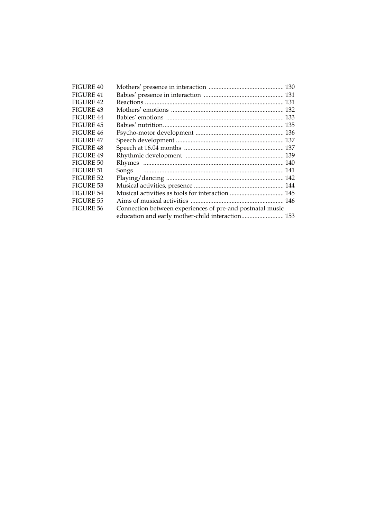| FIGURE 40        |                                                           |
|------------------|-----------------------------------------------------------|
| FIGURE 41        |                                                           |
| <b>FIGURE 42</b> |                                                           |
| FIGURE 43        |                                                           |
| <b>FIGURE 44</b> |                                                           |
| FIGURE 45        |                                                           |
| FIGURE 46        |                                                           |
| <b>FIGURE 47</b> |                                                           |
| <b>FIGURE 48</b> |                                                           |
| FIGURE 49        |                                                           |
| FIGURE 50        |                                                           |
| FIGURE 51        |                                                           |
| FIGURE 52        |                                                           |
| FIGURE 53        |                                                           |
| <b>FIGURE 54</b> |                                                           |
| <b>FIGURE 55</b> |                                                           |
| FIGURE 56        | Connection between experiences of pre-and postnatal music |
|                  | education and early mother-child interaction 153          |
|                  |                                                           |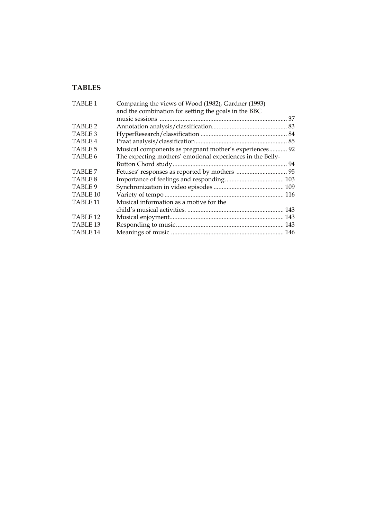## **TABLES**

| Comparing the views of Wood (1982), Gardner (1993)         |  |
|------------------------------------------------------------|--|
| and the combination for setting the goals in the BBC       |  |
|                                                            |  |
|                                                            |  |
|                                                            |  |
|                                                            |  |
| Musical components as pregnant mother's experiences 92     |  |
| The expecting mothers' emotional experiences in the Belly- |  |
|                                                            |  |
|                                                            |  |
|                                                            |  |
|                                                            |  |
|                                                            |  |
| Musical information as a motive for the                    |  |
|                                                            |  |
|                                                            |  |
|                                                            |  |
|                                                            |  |
|                                                            |  |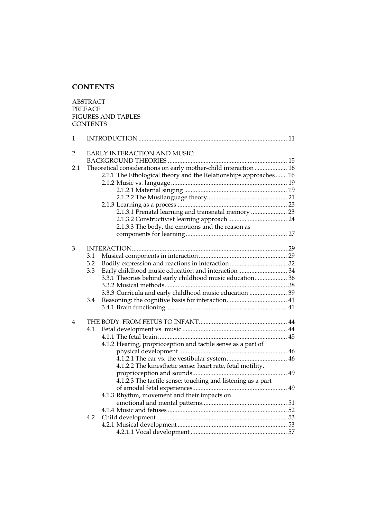## **CONTENTS**

ABSTRACT PREFACE FIGURES AND TABLES **CONTENTS** 1 INTRODUCTION ........................................................................................... 11 2 EARLY INTERACTION AND MUSIC: BACKGROUND THEORIES ......................................................................... 15 2.1 Theoretical considerations on early mother-child interaction .................... 16 2.1.1 The Ethological theory and the Relationships approaches ....... 16 2.1.2 Music vs. language ....................................................................... 19 2.1.2.1 Maternal singing ............................................................... 19 2.1.2.2 The Musilanguage theory................................................. 21 2.1.3 Learning as a process ................................................................... 23 2.1.3.1 Prenatal learning and transnatal memory ...................... 23 2.1.3.2 Constructivist learning approach .................................... 24 2.1.3.3 The body, the emotions and the reason as components for learning .............................................................. 27 3 INTERACTION............................................................................................... 29 3.1 Musical components in interaction ...................................................... 29 3.2 Bodily expression and reactions in interaction ................................... 32 Early childhood music education and interaction................................. 34 3.3.1 Theories behind early childhood music education.................... 36 3.3.2 Musical methods........................................................................... 38 3.3.3 Curricula and early childhood music education ....................... 39 3.4 Reasoning: the cognitive basis for interaction..................................... 41 3.4.1 Brain functioning.......................................................................... 41 4 THE BODY: FROM FETUS TO INFANT...................................................... 4 4.1 Fetal development vs. music ................................................................ 4 4.1.1 The fetal brain ............................................................................... 4 4.1.2 Hearing, proprioception and tactile sense as a part of physical development .................................................................. 4 4.1.2.1 The ear vs. the vestibular system..................................... 4 4.1.2.2 The kinesthetic sense: heart rate, fetal motility, proprioception and sounds.......................................................... 4.1.2.3 The tactile sense: touching and listening as a part of amodal fetal experiences.......................................................... 4.1.3 Rhythm, movement and their impacts on emotional and mental patterns.................................................... 5 4.1.4 Music and fetuses ......................................................................... 5 4.2 Child development................................................................................ 5- 4.2.1 Musical development ................................................................... 5- 4.2.1.1 Vocal development ........................................................... 5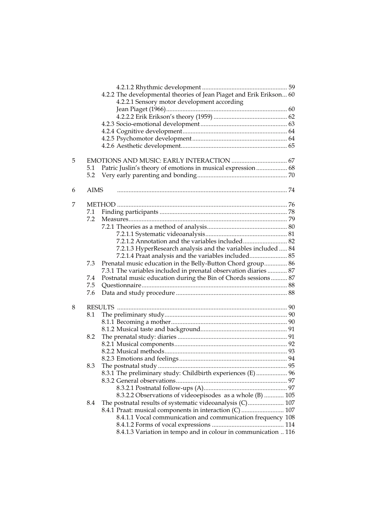|   |             | 4.2.2 The developmental theories of Jean Piaget and Erik Erikson 60 |  |
|---|-------------|---------------------------------------------------------------------|--|
|   |             | 4.2.2.1 Sensory motor development according                         |  |
|   |             |                                                                     |  |
|   |             |                                                                     |  |
|   |             |                                                                     |  |
|   |             |                                                                     |  |
|   |             |                                                                     |  |
|   |             |                                                                     |  |
| 5 |             |                                                                     |  |
|   | 5.1         | Patric Juslin's theory of emotions in musical expression 68         |  |
|   | 5.2         |                                                                     |  |
| 6 | <b>AIMS</b> |                                                                     |  |
| 7 |             |                                                                     |  |
|   | 7.1         |                                                                     |  |
|   | 7.2         |                                                                     |  |
|   |             |                                                                     |  |
|   |             |                                                                     |  |
|   |             | 7.2.1.2 Annotation and the variables included 82                    |  |
|   |             | 7.2.1.3 HyperResearch analysis and the variables included  84       |  |
|   |             | 7.2.1.4 Praat analysis and the variables included 85                |  |
|   | 7.3         | Prenatal music education in the Belly-Button Chord group 86         |  |
|   |             | 7.3.1 The variables included in prenatal observation diaries  87    |  |
|   | 7.4         | Postnatal music education during the Bin of Chords sessions 87      |  |
|   | 7.5         |                                                                     |  |
|   | 7.6         |                                                                     |  |
| 8 |             |                                                                     |  |
|   | 8.1         |                                                                     |  |
|   |             |                                                                     |  |
|   |             |                                                                     |  |
|   | 8.2         |                                                                     |  |
|   |             |                                                                     |  |
|   |             |                                                                     |  |
|   |             |                                                                     |  |
|   | 8.3         |                                                                     |  |
|   |             | 8.3.1 The preliminary study: Childbirth experiences (E)  96         |  |
|   |             |                                                                     |  |
|   |             |                                                                     |  |
|   |             | 8.3.2.2 Observations of videoepisodes as a whole (B)  105           |  |
|   | 8.4         | The postnatal results of systematic videoanalysis (C) 107           |  |
|   |             | 8.4.1 Praat: musical components in interaction (C)  107             |  |
|   |             | 8.4.1.1 Vocal communication and communication frequency 108         |  |
|   |             |                                                                     |  |
|   |             | 8.4.1.3 Variation in tempo and in colour in communication  116      |  |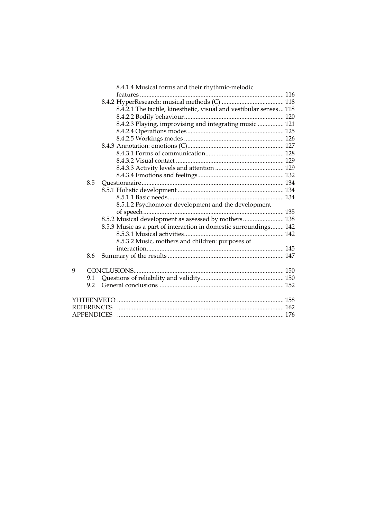|                   |     | 8.4.1.4 Musical forms and their rhythmic-melodic                   |  |
|-------------------|-----|--------------------------------------------------------------------|--|
|                   |     |                                                                    |  |
|                   |     |                                                                    |  |
|                   |     | 8.4.2.1 The tactile, kinesthetic, visual and vestibular senses 118 |  |
|                   |     |                                                                    |  |
|                   |     | 8.4.2.3 Playing, improvising and integrating music  121            |  |
|                   |     |                                                                    |  |
|                   |     |                                                                    |  |
|                   |     |                                                                    |  |
|                   |     |                                                                    |  |
|                   |     |                                                                    |  |
|                   |     |                                                                    |  |
|                   |     |                                                                    |  |
|                   | 8.5 |                                                                    |  |
|                   |     |                                                                    |  |
|                   |     |                                                                    |  |
|                   |     | 8.5.1.2 Psychomotor development and the development                |  |
|                   |     |                                                                    |  |
|                   |     | 8.5.2 Musical development as assessed by mothers 138               |  |
|                   |     | 8.5.3 Music as a part of interaction in domestic surroundings 142  |  |
|                   |     |                                                                    |  |
|                   |     | 8.5.3.2 Music, mothers and children: purposes of                   |  |
|                   |     |                                                                    |  |
|                   | 8.6 |                                                                    |  |
|                   |     |                                                                    |  |
| 9                 |     |                                                                    |  |
|                   | 9.1 |                                                                    |  |
|                   | 9.2 |                                                                    |  |
|                   |     |                                                                    |  |
| <b>REFERENCES</b> |     |                                                                    |  |
|                   |     |                                                                    |  |
|                   |     |                                                                    |  |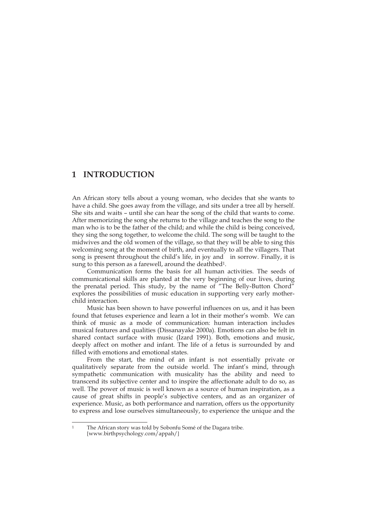## **1 INTRODUCTION**

An African story tells about a young woman, who decides that she wants to have a child. She goes away from the village, and sits under a tree all by herself. She sits and waits – until she can hear the song of the child that wants to come. After memorizing the song she returns to the village and teaches the song to the man who is to be the father of the child; and while the child is being conceived, they sing the song together, to welcome the child. The song will be taught to the midwives and the old women of the village, so that they will be able to sing this welcoming song at the moment of birth, and eventually to all the villagers. That song is present throughout the child's life, in joy and in sorrow. Finally, it is sung to this person as a farewell, around the deathbed<sup>1</sup>.

 Communication forms the basis for all human activities. The seeds of communicational skills are planted at the very beginning of our lives, during the prenatal period. This study, by the name of "The Belly-Button Chord" explores the possibilities of music education in supporting very early motherchild interaction.

 Music has been shown to have powerful influences on us, and it has been found that fetuses experience and learn a lot in their mother's womb. We can think of music as a mode of communication: human interaction includes musical features and qualities (Dissanayake 2000a). Emotions can also be felt in shared contact surface with music (Izard 1991). Both, emotions and music, deeply affect on mother and infant. The life of a fetus is surrounded by and filled with emotions and emotional states.

 From the start, the mind of an infant is not essentially private or qualitatively separate from the outside world. The infant's mind, through sympathetic communication with musicality has the ability and need to transcend its subjective center and to inspire the affectionate adult to do so, as well. The power of music is well known as a source of human inspiration, as a cause of great shifts in people's subjective centers, and as an organizer of experience. Music, as both performance and narration, offers us the opportunity to express and lose ourselves simultaneously, to experience the unique and the

<sup>-</sup>The African story was told by Sobonfu Somé of the Dagara tribe. [www.birthpsychology.com/appah/]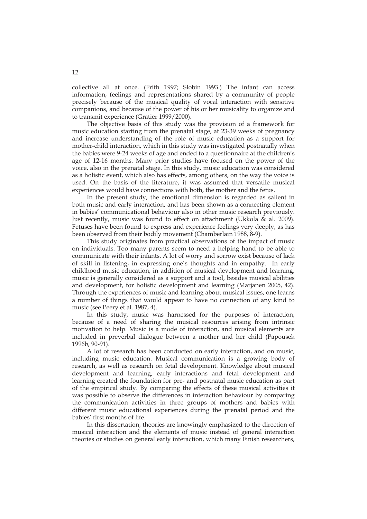collective all at once. (Frith 1997; Slobin 1993.) The infant can access information, feelings and representations shared by a community of people precisely because of the musical quality of vocal interaction with sensitive companions, and because of the power of his or her musicality to organize and to transmit experience (Gratier 1999/2000).

 The objective basis of this study was the provision of a framework for music education starting from the prenatal stage, at 23-39 weeks of pregnancy and increase understanding of the role of music education as a support for mother-child interaction, which in this study was investigated postnatally when the babies were 9-24 weeks of age and ended to a questionnaire at the children's age of 12-16 months. Many prior studies have focused on the power of the voice, also in the prenatal stage. In this study, music education was considered as a holistic event, which also has effects, among others, on the way the voice is used. On the basis of the literature, it was assumed that versatile musical experiences would have connections with both, the mother and the fetus.

 In the present study, the emotional dimension is regarded as salient in both music and early interaction, and has been shown as a connecting element in babies' communicational behaviour also in other music research previously. Just recently, music was found to effect on attachment (Ukkola & al. 2009). Fetuses have been found to express and experience feelings very deeply, as has been observed from their bodily movement (Chamberlain 1988, 8-9).

This study originates from practical observations of the impact of music on individuals. Too many parents seem to need a helping hand to be able to communicate with their infants. A lot of worry and sorrow exist because of lack of skill in listening, in expressing one's thoughts and in empathy. In early childhood music education, in addition of musical development and learning, music is generally considered as a support and a tool, besides musical abilities and development, for holistic development and learning (Marjanen 2005, 42). Through the experiences of music and learning about musical issues, one learns a number of things that would appear to have no connection of any kind to music (see Peery et al. 1987, 4).

 In this study, music was harnessed for the purposes of interaction, because of a need of sharing the musical resources arising from intrinsic motivation to help. Music is a mode of interaction, and musical elements are included in preverbal dialogue between a mother and her child (Papousek 1996b, 90-91).

 A lot of research has been conducted on early interaction, and on music, including music education. Musical communication is a growing body of research, as well as research on fetal development. Knowledge about musical development and learning, early interactions and fetal development and learning created the foundation for pre- and postnatal music education as part of the empirical study. By comparing the effects of these musical activities it was possible to observe the differences in interaction behaviour by comparing the communication activities in three groups of mothers and babies with different music educational experiences during the prenatal period and the babies' first months of life.

 In this dissertation, theories are knowingly emphasized to the direction of musical interaction and the elements of music instead of general interaction theories or studies on general early interaction, which many Finish researchers,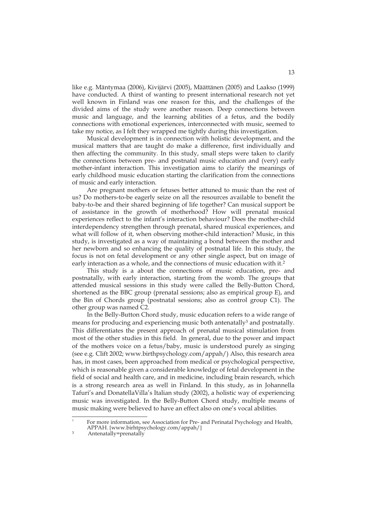like e.g. Mäntymaa (2006), Kivijärvi (2005), Määttänen (2005) and Laakso (1999) have conducted. A thirst of wanting to present international research not yet well known in Finland was one reason for this, and the challenges of the divided aims of the study were another reason. Deep connections between music and language, and the learning abilities of a fetus, and the bodily connections with emotional experiences, interconnected with music, seemed to take my notice, as I felt they wrapped me tightly during this investigation.

 Musical development is in connection with holistic development, and the musical matters that are taught do make a difference, first individually and then affecting the community. In this study, small steps were taken to clarify the connections between pre- and postnatal music education and (very) early mother-infant interaction. This investigation aims to clarify the meanings of early childhood music education starting the clarification from the connections of music and early interaction.

 Are pregnant mothers or fetuses better attuned to music than the rest of us? Do mothers-to-be eagerly seize on all the resources available to benefit the baby-to-be and their shared beginning of life together? Can musical support be of assistance in the growth of motherhood? How will prenatal musical experiences reflect to the infant's interaction behaviour? Does the mother-child interdependency strengthen through prenatal, shared musical experiences, and what will follow of it, when observing mother-child interaction? Music, in this study, is investigated as a way of maintaining a bond between the mother and her newborn and so enhancing the quality of postnatal life. In this study, the focus is not on fetal development or any other single aspect, but on image of early interaction as a whole, and the connections of music education with it.<sup>2</sup>

 This study is a about the connections of music education, pre- and postnatally, with early interaction, starting from the womb. The groups that attended musical sessions in this study were called the Belly-Button Chord, shortened as the BBC group (prenatal sessions; also as empirical group E), and the Bin of Chords group (postnatal sessions; also as control group C1). The other group was named C2.

In the Belly-Button Chord study, music education refers to a wide range of means for producing and experiencing music both antenatally<sup>3</sup> and postnatally. This differentiates the present approach of prenatal musical stimulation from most of the other studies in this field. In general, due to the power and impact of the mothers voice on a fetus/baby, music is understood purely as singing (see e.g. Clift 2002; www.birthpsychology.com/appah/) Also, this research area has, in most cases, been approached from medical or psychological perspective, which is reasonable given a considerable knowledge of fetal development in the field of social and health care, and in medicine, including brain research, which is a strong research area as well in Finland. In this study, as in Johannella Tafuri's and DonatellaVilla's Italian study (2002), a holistic way of experiencing music was investigated. In the Belly-Button Chord study, multiple means of music making were believed to have an effect also on one's vocal abilities.

<sup>-</sup>2 For more information, see Association for Pre- and Perinatal Psychology and Health, APPAH. [www.birhtpsychology.com/appah/]<br>Antenatally=prenatally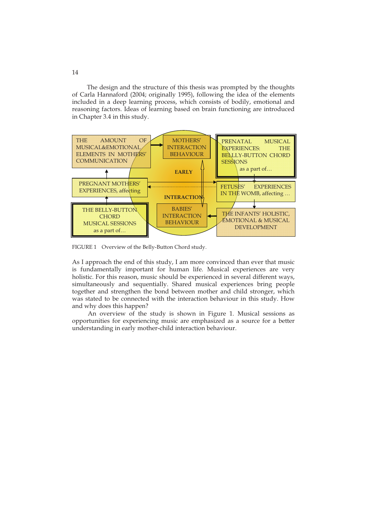The design and the structure of this thesis was prompted by the thoughts of Carla Hannaford (2004; originally 1995), following the idea of the elements included in a deep learning process, which consists of bodily, emotional and reasoning factors. Ideas of learning based on brain functioning are introduced in Chapter 3.4 in this study.



FIGURE 1 Overview of the Belly-Button Chord study.

As I approach the end of this study, I am more convinced than ever that music is fundamentally important for human life. Musical experiences are very holistic. For this reason, music should be experienced in several different ways, simultaneously and sequentially. Shared musical experiences bring people together and strengthen the bond between mother and child stronger, which was stated to be connected with the interaction behaviour in this study. How and why does this happen?

An overview of the study is shown in Figure 1. Musical sessions as opportunities for experiencing music are emphasized as a source for a better understanding in early mother-child interaction behaviour.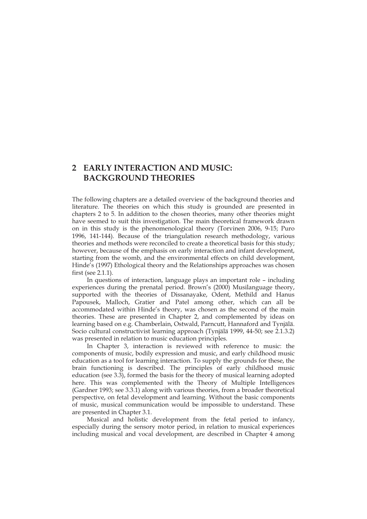## **2 EARLY INTERACTION AND MUSIC: BACKGROUND THEORIES**

The following chapters are a detailed overview of the background theories and literature. The theories on which this study is grounded are presented in chapters 2 to 5. In addition to the chosen theories, many other theories might have seemed to suit this investigation. The main theoretical framework drawn on in this study is the phenomenological theory (Torvinen 2006, 9-15; Puro 1996, 141-144). Because of the triangulation research methodology, various theories and methods were reconciled to create a theoretical basis for this study; however, because of the emphasis on early interaction and infant development, starting from the womb, and the environmental effects on child development, Hinde's (1997) Ethological theory and the Relationships approaches was chosen first (see 2.1.1).

 In questions of interaction, language plays an important role – including experiences during the prenatal period. Brown's (2000) Musilanguage theory, supported with the theories of Dissanayake, Odent, Methild and Hanus Papousek, Malloch, Gratier and Patel among other, which can all be accommodated within Hinde's theory, was chosen as the second of the main theories. These are presented in Chapter 2, and complemented by ideas on learning based on e.g. Chamberlain, Ostwald, Parncutt, Hannaford and Tynjälä. Socio cultural constructivist learning approach (Tynjälä 1999, 44-50; see 2.1.3.2) was presented in relation to music education principles.

 In Chapter 3, interaction is reviewed with reference to music: the components of music, bodily expression and music, and early childhood music education as a tool for learning interaction. To supply the grounds for these, the brain functioning is described. The principles of early childhood music education (see 3.3), formed the basis for the theory of musical learning adopted here. This was complemented with the Theory of Multiple Intelligences (Gardner 1993; see 3.3.1) along with various theories, from a broader theoretical perspective, on fetal development and learning. Without the basic components of music, musical communication would be impossible to understand. These are presented in Chapter 3.1.

Musical and holistic development from the fetal period to infancy, especially during the sensory motor period, in relation to musical experiences including musical and vocal development, are described in Chapter 4 among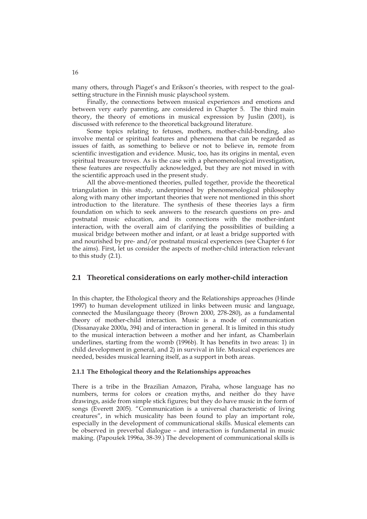many others, through Piaget's and Erikson's theories, with respect to the goalsetting structure in the Finnish music playschool system.

 Finally, the connections between musical experiences and emotions and between very early parenting, are considered in Chapter 5. The third main theory, the theory of emotions in musical expression by Juslin (2001), is discussed with reference to the theoretical background literature.

Some topics relating to fetuses, mothers, mother-child-bonding, also involve mental or spiritual features and phenomena that can be regarded as issues of faith, as something to believe or not to believe in, remote from scientific investigation and evidence. Music, too, has its origins in mental, even spiritual treasure troves. As is the case with a phenomenological investigation, these features are respectfully acknowledged, but they are not mixed in with the scientific approach used in the present study.

All the above-mentioned theories, pulled together, provide the theoretical triangulation in this study, underpinned by phenomenological philosophy along with many other important theories that were not mentioned in this short introduction to the literature. The synthesis of these theories lays a firm foundation on which to seek answers to the research questions on pre- and postnatal music education, and its connections with the mother-infant interaction, with the overall aim of clarifying the possibilities of building a musical bridge between mother and infant, or at least a bridge supported with and nourished by pre- and/or postnatal musical experiences (see Chapter 6 for the aims). First, let us consider the aspects of mother-child interaction relevant to this study (2.1).

### **2.1 Theoretical considerations on early mother-child interaction**

In this chapter, the Ethological theory and the Relationships approaches (Hinde 1997) to human development utilized in links between music and language, connected the Musilanguage theory (Brown 2000, 278-280), as a fundamental theory of mother-child interaction. Music is a mode of communication (Dissanayake 2000a, 394) and of interaction in general. It is limited in this study to the musical interaction between a mother and her infant, as Chamberlain underlines, starting from the womb (1996b). It has benefits in two areas: 1) in child development in general, and 2) in survival in life. Musical experiences are needed, besides musical learning itself, as a support in both areas.

#### **2.1.1 The Ethological theory and the Relationships approaches**

There is a tribe in the Brazilian Amazon, Piraha, whose language has no numbers, terms for colors or creation myths, and neither do they have drawings, aside from simple stick figures; but they do have music in the form of songs (Everett 2005). "Communication is a universal characteristic of living creatures", in which musicality has been found to play an important role, especially in the development of communicational skills. Musical elements can be observed in preverbal dialogue – and interaction is fundamental in music making. (Papoušek 1996a, 38-39.) The development of communicational skills is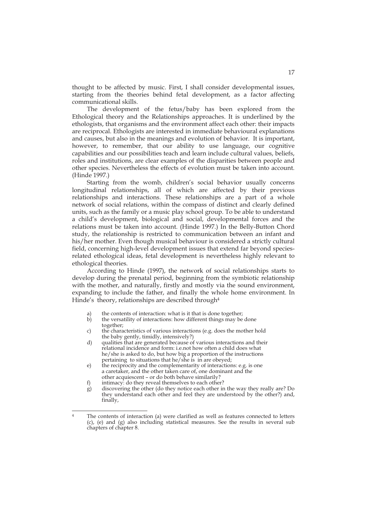thought to be affected by music. First, I shall consider developmental issues, starting from the theories behind fetal development, as a factor affecting communicational skills.

 The development of the fetus/baby has been explored from the Ethological theory and the Relationships approaches. It is underlined by the ethologists, that organisms and the environment affect each other: their impacts are reciprocal. Ethologists are interested in immediate behavioural explanations and causes, but also in the meanings and evolution of behavior. It is important, however, to remember, that our ability to use language, our cognitive capabilities and our possibilities teach and learn include cultural values, beliefs, roles and institutions, are clear examples of the disparities between people and other species. Nevertheless the effects of evolution must be taken into account. (Hinde 1997.)

Starting from the womb, children's social behavior usually concerns longitudinal relationships, all of which are affected by their previous relationships and interactions. These relationships are a part of a whole network of social relations, within the compass of distinct and clearly defined units, such as the family or a music play school group. To be able to understand a child's development, biological and social, developmental forces and the relations must be taken into account. (Hinde 1997.) In the Belly-Button Chord study, the relationship is restricted to communication between an infant and his/her mother. Even though musical behaviour is considered a strictly cultural field, concerning high-level development issues that extend far beyond speciesrelated ethological ideas, fetal development is nevertheless highly relevant to ethological theories.

According to Hinde (1997), the network of social relationships starts to develop during the prenatal period, beginning from the symbiotic relationship with the mother, and naturally, firstly and mostly via the sound environment, expanding to include the father, and finally the whole home environment. In Hinde's theory, relationships are described through<sup>4</sup>

- a) the contents of interaction: what is it that is done together;<br>b) the versatility of interactions: how different things may be
- the versatility of interactions: how different things may be done together;
- c) the characteristics of various interactions (e.g. does the mother hold the baby gently, timidly, intensively?)
- d) qualities that are generated because of various interactions and their relational incidence and form: i.e.not how often a child does what he/she is asked to do, but how big a proportion of the instructions pertaining to situations that he/she is in are obeyed;
- e) the reciprocity and the complementarity of interactions: e.g. is one a caretaker, and the other taken care of, one dominant and the other acquiescent – or do both behave similarily?<br>f) intimacy: do they reveal themselves to each other
- intimacy: do they reveal themselves to each other?

-

g) discovering the other (do they notice each other in the way they really are? Do they understand each other and feel they are understood by the other?) and, finally,

The contents of interaction (a) were clarified as well as features connected to letters (c), (e) and (g) also including statistical measures. See the results in several sub chapters of chapter 8.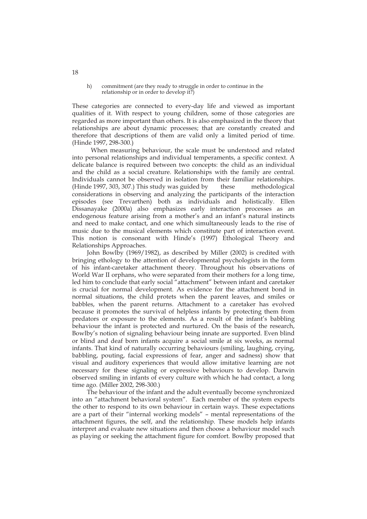h) commitment (are they ready to struggle in order to continue in the relationship or in order to develop it?)

These categories are connected to every-day life and viewed as important qualities of it. With respect to young children, some of those categories are regarded as more important than others. It is also emphasized in the theory that relationships are about dynamic processes; that are constantly created and therefore that descriptions of them are valid only a limited period of time. (Hinde 1997, 298-300.)

When measuring behaviour, the scale must be understood and related into personal relationships and individual temperaments, a specific context. A delicate balance is required between two concepts: the child as an individual and the child as a social creature. Relationships with the family are central. Individuals cannot be observed in isolation from their familiar relationships. (Hinde 1997, 303, 307.) This study was guided by these methodological considerations in observing and analyzing the participants of the interaction episodes (see Trevarthen) both as individuals and holistically. Ellen Dissanayake (2000a) also emphasizes early interaction processes as an endogenous feature arising from a mother's and an infant's natural instincts and need to make contact, and one which simultaneously leads to the rise of music due to the musical elements which constitute part of interaction event. This notion is consonant with Hinde's (1997) Ethological Theory and Relationships Approaches.

John Bowlby (1969/1982), as described by Miller (2002) is credited with bringing ethology to the attention of developmental psychologists in the form of his infant-caretaker attachment theory. Throughout his observations of World War II orphans, who were separated from their mothers for a long time, led him to conclude that early social "attachment" between infant and caretaker is crucial for normal development. As evidence for the attachment bond in normal situations, the child protets when the parent leaves, and smiles or babbles, when the parent returns. Attachment to a caretaker has evolved because it promotes the survival of helpless infants by protecting them from predators or exposure to the elements. As a result of the infant's babbling behaviour the infant is protected and nurtured. On the basis of the research, Bowlby's notion of signaling behaviour being innate are supported. Even blind or blind and deaf born infants acquire a social smile at six weeks, as normal infants. That kind of naturally occurring behaviours (smiling, laughing, crying, babbling, pouting, facial expressions of fear, anger and sadness) show that visual and auditory experiences that would allow imitative learning are not necessary for these signaling or expressive behaviours to develop. Darwin observed smiling in infants of every culture with which he had contact, a long time ago. (Miller 2002, 298-300.)

The behaviour of the infant and the adult eventually become synchronized into an "attachment behavioral system". Each member of the system expects the other to respond to its own behaviour in certain ways. These expectations are a part of their "internal working models" – mental representations of the attachment figures, the self, and the relationship. These models help infants interpret and evaluate new situations and then choose a behaviour model such as playing or seeking the attachment figure for comfort. Bowlby proposed that

18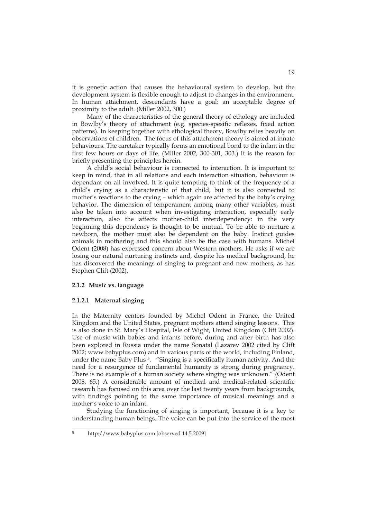it is genetic action that causes the behavioural system to develop, but the development system is flexible enough to adjust to changes in the environment. In human attachment, descendants have a goal: an acceptable degree of proximity to the adult. (Miller 2002, 300.)

Many of the characteristics of the general theory of ethology are included in Bowlby's theory of attachment (e.g. species-spesific reflexes, fixed action patterns). In keeping together with ethological theory, Bowlby relies heavily on observations of children. The focus of this attachment theory is aimed at innate behaviours. The caretaker typically forms an emotional bond to the infant in the first few hours or days of life. (Miller 2002, 300-301, 303.) It is the reason for briefly presenting the principles herein.

A child's social behaviour is connected to interaction. It is important to keep in mind, that in all relations and each interaction situation, behaviour is dependant on all involved. It is quite tempting to think of the frequency of a child's crying as a characteristic of that child, but it is also connected to mother's reactions to the crying – which again are affected by the baby's crying behavior. The dimension of temperament among many other variables, must also be taken into account when investigating interaction, especially early interaction, also the affects mother-child interdependency: in the very beginning this dependency is thought to be mutual. To be able to nurture a newborn, the mother must also be dependent on the baby. Instinct guides animals in mothering and this should also be the case with humans. Michel Odent (2008) has expressed concern about Western mothers. He asks if we are losing our natural nurturing instincts and, despite his medical background, he has discovered the meanings of singing to pregnant and new mothers, as has Stephen Clift (2002).

#### **2.1.2 Music vs. language**

#### **2.1.2.1 Maternal singing**

In the Maternity centers founded by Michel Odent in France, the United Kingdom and the United States, pregnant mothers attend singing lessons. This is also done in St. Mary's Hospital, Isle of Wight, United Kingdom (Clift 2002). Use of music with babies and infants before, during and after birth has also been explored in Russia under the name Sonatal (Lazarev 2002 cited by Clift 2002; www.babyplus.com) and in various parts of the world, including Finland, under the name Baby Plus 5. "Singing is a specifically human activity. And the need for a resurgence of fundamental humanity is strong during pregnancy. There is no example of a human society where singing was unknown." (Odent 2008, 65.) A considerable amount of medical and medical-related scientific research has focused on this area over the last twenty years from backgrounds, with findings pointing to the same importance of musical meanings and a mother's voice to an infant.

 Studying the functioning of singing is important, because it is a key to understanding human beings. The voice can be put into the service of the most

<sup>-</sup>5 http://www.babyplus.com [observed 14.5.2009]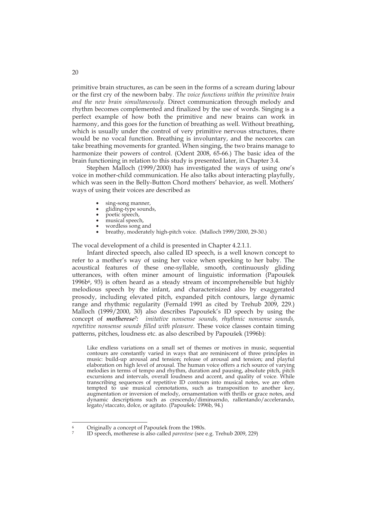primitive brain structures, as can be seen in the forms of a scream during labour or the first cry of the newborn baby. *The voice functions within the primitive brain and the new brain simultaneously*. Direct communication through melody and rhythm becomes complemented and finalized by the use of words. Singing is a perfect example of how both the primitive and new brains can work in harmony, and this goes for the function of breathing as well. Without breathing, which is usually under the control of very primitive nervous structures, there would be no vocal function. Breathing is involuntary, and the neocortex can take breathing movements for granted. When singing, the two brains manage to harmonize their powers of control. (Odent 2008, 65-66.) The basic idea of the brain functioning in relation to this study is presented later, in Chapter 3.4.

Stephen Malloch (1999/2000) has investigated the ways of using one's voice in mother-child communication. He also talks about interacting playfully, which was seen in the Belly-Button Chord mothers' behavior, as well. Mothers' ways of using their voices are described as

- sing-song manner,
- gliding-type sounds,
- poetic speech,
- musical speech,
- wordless song and
- breathy, moderately high-pitch voice. (Malloch 1999/2000, 29-30.)

The vocal development of a child is presented in Chapter 4.2.1.1.

 Infant directed speech, also called ID speech, is a well known concept to refer to a mother's way of using her voice when speeking to her baby. The acoustical features of these one-syllable, smooth, continuously gliding utterances, with often miner amount of linguistic information (Papoušek  $1996b<sup>6</sup>$ , 93) is often heard as a steady stream of incomprehensible but highly melodious speech by the infant, and characterisized also by exaggerated prosody, including elevated pitch, expanded pitch contours, large dynamic range and rhythmic regularity (Fernald 1991 as cited by Trehub 2009, 229.) Malloch (1999/2000, 30) also describes Papoušek's ID speech by using the concept of *motherese7: imitative nonsense sounds, rhythmic nonsense sounds, repetitive nonsense sounds filled with pleasure.* These voice classes contain timing patterns, pitches, loudness etc. as also described by Papoušek (1996b):

 Like endless variations on a small set of themes or motives in music, sequential contours are constantly varied in ways that are reminiscent of three principles in music: build-up arousal and tension; release of arousal and tension; and playful elaboration on high level of arousal. The human voice offers a rich source of varying melodies in terms of tempo and rhythm, duration and pausing, absolute pitch, pitch excursions and intervals, overall loudness and accent, and quality of voice. While transcribing sequences of repetitive ID contours into musical notes, we are often tempted to use musical connotations, such as transposition to another key, augmentation or inversion of melody, ornamentation with thrills or grace notes, and dynamic descriptions such as crescendo/diminuendo, rallentando/accelerando, legato/staccato, dolce, or agitato. (Papoušek: 1996b, 94.)

<sup>-</sup>6 Originally a concept of Papoušek from the 1980s.

<sup>7</sup> ID speech, motherese is also called *parentese* (see e.g. Trehub 2009, 229)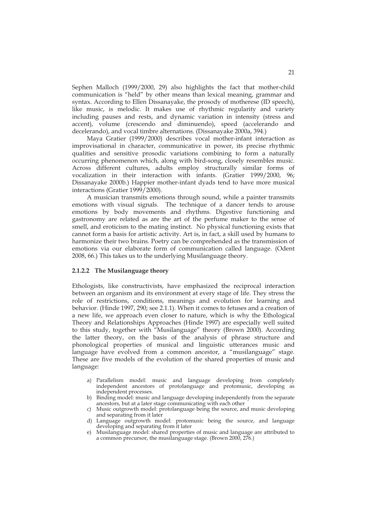Sephen Malloch (1999/2000, 29) also highlights the fact that mother-child communication is "held" by other means than lexical meaning, grammar and syntax. According to Ellen Dissanayake, the prosody of motherese (ID speech), like music, is melodic. It makes use of rhythmic regularity and variety including pauses and rests, and dynamic variation in intensity (stress and accent), volume (crescendo and diminuendo), speed (accelerando and decelerando), and vocal timbre alternations. (Dissanayake 2000a, 394.)

Maya Gratier (1999/2000) describes vocal mother-infant interaction as improvisational in character, communicative in power, its precise rhythmic qualities and sensitive prosodic variations combining to form a naturally occurring phenomenon which, along with bird-song, closely resembles music. Across different cultures, adults employ structurally similar forms of vocalization in their interaction with infants. (Gratier 1999/2000, 96; Dissanayake 2000b.) Happier mother-infant dyads tend to have more musical interactions (Gratier 1999/2000).

 A musician transmits emotions through sound, while a painter transmits emotions with visual signals. The technique of a dancer tends to arouse emotions by body movements and rhythms. Digestive functioning and gastronomy are related as are the art of the perfume maker to the sense of smell, and eroticism to the mating instinct. No physical functioning exists that cannot form a basis for artistic activity. Art is, in fact, a skill used by humans to harmonize their two brains. Poetry can be comprehended as the transmission of emotions via our elaborate form of communication called language. (Odent 2008, 66.) This takes us to the underlying Musilanguage theory.

#### **2.1.2.2 The Musilanguage theory**

Ethologists, like constructivists, have emphasized the reciprocal interaction between an organism and its environment at every stage of life. They stress the role of restrictions, conditions, meanings and evolution for learning and behavior. (Hinde 1997, 290; see 2.1.1). When it comes to fetuses and a creation of a new life, we approach even closer to nature, which is why the Ethological Theory and Relationships Approaches (Hinde 1997) are especially well suited to this study, together with "Musilanguage" theory (Brown 2000). According the latter theory, on the basis of the analysis of phrase structure and phonological properties of musical and linguistic utterances music and language have evolved from a common ancestor, a "musilanguage" stage. These are five models of the evolution of the shared properties of music and language:

- a) Parallelism model: music and language developing from completely independent ancestors of protolanguage and protomusic, developing as independent processes.
- b) Binding model: music and language developing independently from the separate ancestors, but at a later stage communicating with each other
- c) Music outgrowth model: protolanguage being the source, and music developing and separating from it later
- d) Language outgrowth model: protomusic being the source, and language developing and separating from it later
- e) Musilanguage model: shared properties of music and language are attributed to a common precursor, the musilanguage stage. (Brown 2000, 276.)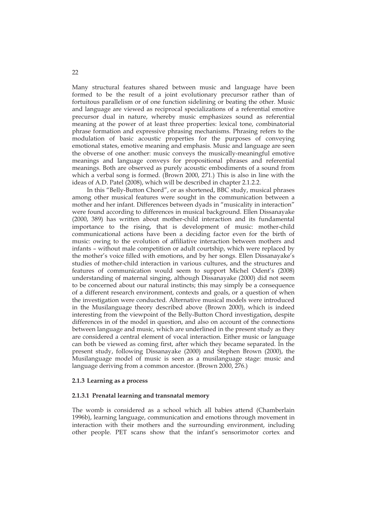Many structural features shared between music and language have been formed to be the result of a joint evolutionary precursor rather than of fortuitous parallelism or of one function sidelining or beating the other. Music and language are viewed as reciprocal specializations of a referential emotive precursor dual in nature, whereby music emphasizes sound as referential meaning at the power of at least three properties: lexical tone, combinatorial phrase formation and expressive phrasing mechanisms. Phrasing refers to the modulation of basic acoustic properties for the purposes of conveying emotional states, emotive meaning and emphasis. Music and language are seen the obverse of one another: music conveys the musically-meaningful emotive meanings and language conveys for propositional phrases and referential meanings. Both are observed as purely acoustic embodiments of a sound from which a verbal song is formed. (Brown 2000, 271.) This is also in line with the ideas of A.D. Patel (2008), which will be described in chapter 2.1.2.2.

 In this "Belly-Button Chord", or as shortened, BBC study, musical phrases among other musical features were sought in the communication between a mother and her infant. Differences between dyads in "musicality in interaction" were found according to differences in musical background. Ellen Dissanayake (2000, 389) has written about mother-child interaction and its fundamental importance to the rising, that is development of music: mother-child communicational actions have been a deciding factor even for the birth of music: owing to the evolution of affiliative interaction between mothers and infants – without male competition or adult courtship, which were replaced by the mother's voice filled with emotions, and by her songs. Ellen Dissanayake's studies of mother-child interaction in various cultures, and the structures and features of communication would seem to support Michel Odent's (2008) understanding of maternal singing, although Dissanayake (2000) did not seem to be concerned about our natural instincts; this may simply be a consequence of a different research environment, contexts and goals, or a question of when the investigation were conducted. Alternative musical models were introduced in the Musilanguage theory described above (Brown 2000), which is indeed interesting from the viewpoint of the Belly-Button Chord investigation, despite differences in of the model in question, and also on account of the connections between language and music, which are underlined in the present study as they are considered a central element of vocal interaction. Either music or language can both be viewed as coming first, after which they became separated. In the present study, following Dissanayake (2000) and Stephen Brown (2000), the Musilanguage model of music is seen as a musilanguage stage: music and language deriving from a common ancestor. (Brown 2000, 276.)

### **2.1.3 Learning as a process**

#### **2.1.3.1 Prenatal learning and transnatal memory**

The womb is considered as a school which all babies attend (Chamberlain 1996b), learning language, communication and emotions through movement in interaction with their mothers and the surrounding environment, including other people. PET scans show that the infant's sensorimotor cortex and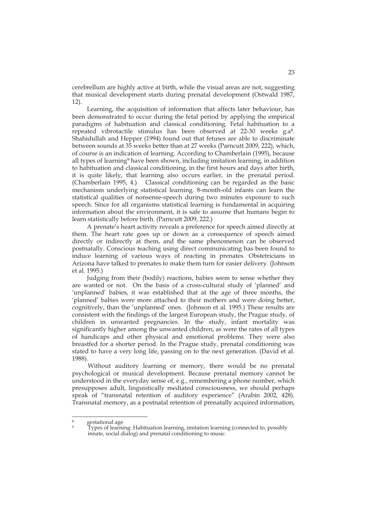cerebrellum are highly active at birth, while the visual areas are not, suggesting that musical development starts during prenatal development (Ostwald 1987, 12).

Learning, the acquisition of information that affects later behaviour, has been demonstrated to occur during the fetal period by applying the empirical paradigms of habituation and classical conditioning. Fetal habituation to a repeated vibrotactile stimulus has been observed at 22-30 weeks g.a<sup>8</sup>. Shahidullah and Hepper (1994) found out that fetuses are able to discriminate between sounds at 35 weeks better than at 27 weeks (Parncutt 2009, 222), which, of course is an indication of learning. According to Chamberlain (1995), because all types of learning<sup>9</sup> have been shown, including imitation learning, in addition to habituation and classical conditioning, in the first hours and days after birth, it is quite likely, that learning also occurs earlier, in the prenatal period. (Chamberlain 1995, 4.) Classical conditioning can be regarded as the basic mechanism underlying statistical learning. 8-month-old infants can learn the statistical qualities of nonsense-speech during two minutes exposure to such speech. Since for all organisms statistical learning is fundamental in acquiring information about the environment, it is safe to assume that humans begin to learn statistically before birth. (Parncutt 2009, 222.)

 A prenate's heart activity reveals a preference for speech aimed directly at them. The heart rate goes up or down as a consequence of speech aimed directly or indirectly at them, and the same phenomenon can be observed postnatally. Conscious teaching using direct communicating has been found to induce learning of various ways of reacting in prenates. Obstetricians in Arizona have talked to prenates to make them turn for easier delivery. (Johnson et al. 1995.)

Judging from their (bodily) reactions, babies seem to sense whether they are wanted or not. On the basis of a cross-cultural study of 'planned' and 'unplanned' babies, it was established that at the age of three months, the 'planned' babies were more attached to their mothers and were doing better, cognitively, than the 'unplanned' ones. (Johnson et al. 1995.) These results are consistent with the findings of the largest European study, the Prague study, of children in unwanted pregnancies. In the study, infant mortality was significantly higher among the unwanted children, as were the rates of all types of handicaps and other physical and emotional problems. They were also breastfed for a shorter period. In the Prague study, prenatal conditioning was stated to have a very long life, passing on to the next generation. (David et al. 1988).

Without auditory learning or memory, there would be no prenatal psychological or musical development. Because prenatal memory cannot be understood in the everyday sense of, e.g., remembering a phone number, which presupposes adult, linguistically mediated consciousness, we should perhaps speak of "transnatal retention of auditory experience" (Arabin 2002, 428). Transnatal memory, as a postnatal retention of prenatally acquired information,

-

gestational age

<sup>9</sup> Types of learning: Habituation learning, imitation learning (connected to, possibly innate, social dialog) and prenatal conditioning to music.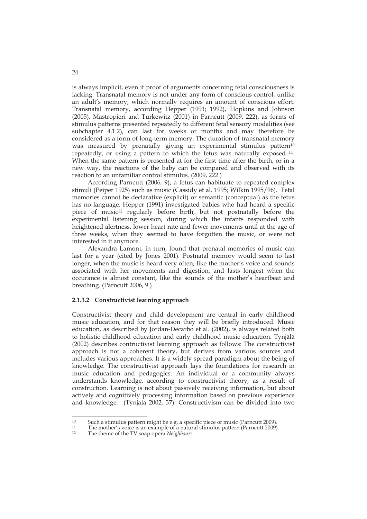is always implicit, even if proof of arguments concerning fetal consciousness is lacking. Transnatal memory is not under any form of conscious control, unlike an adult's memory, which normally requires an amount of conscious effort. Transnatal memory, according Hepper (1991; 1992), Hopkins and Johnson (2005), Mastropieri and Turkewitz (2001) in Parncutt (2009, 222), as forms of stimulus patterns presented repeatedly to different fetal sensory modalities (see subchapter 4.1.2), can last for weeks or months and may therefore be considered as a form of long-term memory. The duration of transnatal memory was measured by prenatally giving an experimental stimulus pattern<sup>10</sup> repeatedly, or using a pattern to which the fetus was naturally exposed 11. When the same pattern is presented at for the first time after the birth, or in a new way, the reactions of the baby can be compared and observed with its reaction to an unfamiliar control stimulus. (2009, 222.)

 According Parncutt (2006, 9), a fetus can habituate to repeated complex stimuli (Peiper 1925) such as music (Cassidy et al. 1995; Wilkin 1995/96). Fetal memories cannot be declarative (explicit) or semantic (conceptual) as the fetus has no language. Hepper (1991) investigated babies who had heard a specific piece of music<sup>12</sup> regularly before birth, but not postnatally before the experimental listening session, during which the infants responded with heightened alertness, lower heart rate and fewer movements until at the age of three weeks, when they seemed to have forgotten the music, or were not interested in it anymore.

 Alexandra Lamont, in turn, found that prenatal memories of music can last for a year (cited by Jones 2001). Postnatal memory would seem to last longer, when the music is heard very often, like the mother's voice and sounds associated with her movements and digestion, and lasts longest when the occurance is almost constant, like the sounds of the mother's heartbeat and breathing. (Parncutt 2006, 9.)

### **2.1.3.2 Constructivist learning approach**

Constructivist theory and child development are central in early childhood music education, and for that reason they will be briefly introduced. Music education, as described by Jordan-Decarbo et al. (2002), is always related both to holistic childhood education and early childhood music education. Tynjälä (2002) describes contructivist learning approach as follows: The constructivist approach is not a coherent theory, but derives from various sources and includes various approaches. It is a widely spread paradigm about the being of knowledge. The constructivist approach lays the foundations for research in music education and pedagogics. An individual or a community always understands knowledge, according to constructivist theory, as a result of construction. Learning is not about passively receiving information, but about actively and cognitively processing information based on previous experience and knowledge. (Tynjälä 2002, 37). Constructivism can be divided into two

 $10$ 

<sup>&</sup>lt;sup>10</sup> Such a stimulus pattern might be e.g. a specific piece of music (Parncutt 2009).<br><sup>11</sup> The mother's voice is an example of a natural stimulus pattern (Parncutt 2009).<br><sup>12</sup> The theme of the TV coap opens *Neighbour* 

The theme of the TV soap opera *Neighbours*.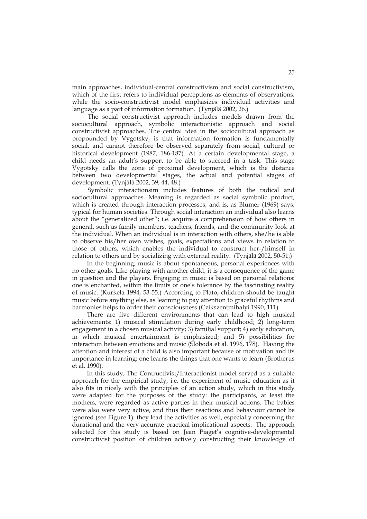main approaches, individual-central constructivism and social constructivism, which of the first refers to individual perceptions as elements of observations, while the socio-constructivist model emphasizes individual activities and language as a part of information formation. (Tynjälä 2002, 26.)

The social constructivist approach includes models drawn from the sociocultural approach, symbolic interactionistic approach and social constructivist approaches. The central idea in the sociocultural approach as propounded by Vygotsky, is that information formation is fundamentally social, and cannot therefore be observed separately from social, cultural or historical development (1987, 186-187). At a certain developmental stage, a child needs an adult's support to be able to succeed in a task. This stage Vygotsky calls the zone of proximal development, which is the distance between two developmental stages, the actual and potential stages of development. (Tynjälä 2002, 39, 44, 48.)

Symbolic interactionsim includes features of both the radical and sociocultural approaches. Meaning is regarded as social symbolic product, which is created through interaction processes, and is, as Blumer (1969) says, typical for human societies. Through social interaction an individual also learns about the "generalized other"; i.e. acquire a comprehension of how others in general, such as family members, teachers, friends, and the community look at the individual. When an individual is in interaction with others, she/he is able to observe his/her own wishes, goals, expectations and views in relation to those of others, which enables the individual to construct her-/himself in relation to others and by socializing with external reality. (Tynjälä 2002, 50-51.)

 In the beginning, music is about spontaneous, personal experiences with no other goals. Like playing with another child, it is a consequence of the game in question and the players. Engaging in music is based on personal relations: one is enchanted, within the limits of one's tolerance by the fascinating reality of music. (Kurkela 1994, 53-55.) According to Plato, children should be taught music before anything else, as learning to pay attention to graceful rhythms and harmonies helps to order their consciousness (Czikszentmihalyi 1990, 111).

There are five different environments that can lead to high musical achievements: 1) musical stimulation during early childhood; 2) long-term engagement in a chosen musical activity; 3) familial support; 4) early education, in which musical entertainment is emphasized; and 5) possibilities for interaction between emotions and music (Sloboda et al. 1996, 178). Having the attention and interest of a child is also important because of motivation and its importance in learning: one learns the things that one wants to learn (Brotherus et al. 1990).

In this study, The Contructivist/Interactionist model served as a suitable approach for the empirical study, i.e. the experiment of music education as it also fits in nicely with the principles of an action study, which in this study were adapted for the purposes of the study: the participants, at least the mothers, were regarded as active parties in their musical actions. The babies were also were very active, and thus their reactions and behaviour cannot be ignored (see Figure 1): they lead the activities as well, especially concerning the durational and the very accurate practical implicational aspects. The approach selected for this study is based on Jean Piaget's cognitive-developmental constructivist position of children actively constructing their knowledge of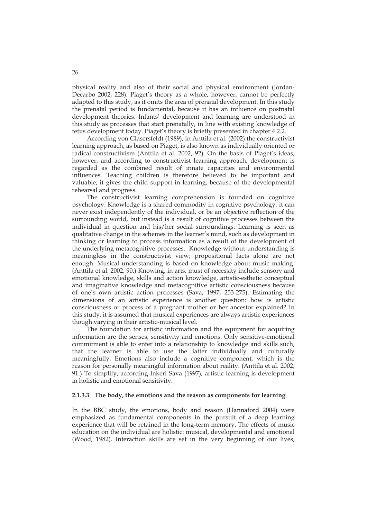physical reality and also of their social and physical environment (Jordan-Decarbo 2002, 228). Piaget's theory as a whole, however, cannot be perfectly adapted to this study, as it omits the area of prenatal development. In this study the prenatal period is fundamental, because it has an influence on postnatal development theories. Infants' development and learning are understood in this study as processes that start prenatally, in line with existing knowledge of fetus development today. Piaget's theory is briefly presented in chapter 4.2.2.

According von Glasersfeldt (1989), in Anttila et al. (2002) the constructivist learning approach, as based on Piaget, is also known as individually oriented or radical constructivism (Anttila et al. 2002, 92). On the basis of Piaget's ideas, however, and according to constructivist learning approach, development is regarded as the combined result of innate capacities and environmental influences. Teaching children is therefore believed to be important and valuable; it gives the child support in learning, because of the developmental rehearsal and progress.

The constructivist learning comprehension is founded on cognitive psychology. Knowledge is a shared commodity in cognitive psychology: it can never exist independently of the individual, or be an objective reflection of the surrounding world, but instead is a result of cognitive processes between the individual in question and his/her social surroundings. Learning is seen as qualitative change in the schemes in the learner's mind, such as development in thinking or learning to process information as a result of the development of the underlying metacognitive processes. Knowledge without understanding is meaningless in the constructivist view; propositional facts alone are not enough. Musical understanding is based on knowledge about music making. (Anttila et al. 2002, 90.) Knowing, in arts, must of necessity include sensory and emotional knowledge, skills and action knowledge, artistic-esthetic conceptual and imaginative knowledge and metacognitive artistic consciousness because of one's own artistic action processes (Sava, 1997, 253-275). Estimating the dimensions of an artistic experience is another question: how is artistic consciousness or process of a pregnant mother or her ancestor explained? In this study, it is assumed that musical experiences are always artistic experiences though varying in their artistic-musical level.

The foundation for artistic information and the equipment for acquiring information are the senses, sensitivity and emotions. Only sensitive-emotional commitment is able to enter into a relationship to knowledge and skills such, that the learner is able to use the latter individually and culturally meaningfully. Emotions also include a cognitive component, which is the reason for personally meaningful information about reality. (Anttila et al. 2002, 91.) To simplify, according Inkeri Sava (1997), artistic learning is development in holistic and emotional sensitivity.

### **2.1.3.3 The body, the emotions and the reason as components for learning**

In the BBC study, the emotions, body and reason (Hannaford 2004) were emphasized as fundamental components in the pursuit of a deep learning experience that will be retained in the long-term memory. The effects of music education on the individual are holistic: musical, developmental and emotional (Wood, 1982). Interaction skills are set in the very beginning of our lives,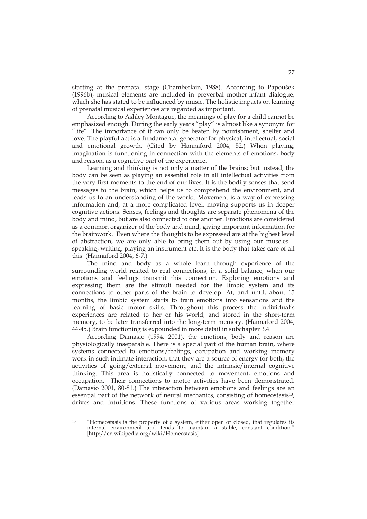starting at the prenatal stage (Chamberlain, 1988). According to Papoušek (1996b), musical elements are included in preverbal mother-infant dialogue, which she has stated to be influenced by music. The holistic impacts on learning of prenatal musical experiences are regarded as important.

 According to Ashley Montague, the meanings of play for a child cannot be emphasized enough. During the early years "play" is almost like a synonym for "life". The importance of it can only be beaten by nourishment, shelter and love. The playful act is a fundamental generator for physical, intellectual, social and emotional growth. (Cited by Hannaford 2004, 52.) When playing, imagination is functioning in connection with the elements of emotions, body and reason, as a cognitive part of the experience.

 Learning and thinking is not only a matter of the brains; but instead, the body can be seen as playing an essential role in all intellectual activities from the very first moments to the end of our lives. It is the bodily senses that send messages to the brain, which helps us to comprehend the environment, and leads us to an understanding of the world. Movement is a way of expressing information and, at a more complicated level, moving supports us in deeper cognitive actions. Senses, feelings and thoughts are separate phenomena of the body and mind, but are also connected to one another. Emotions are considered as a common organizer of the body and mind, giving important information for the brainwork. Even where the thoughts to be expressed are at the highest level of abstraction, we are only able to bring them out by using our muscles – speaking, writing, playing an instrument etc. It is the body that takes care of all this. (Hannaford 2004, 6-7.)

 The mind and body as a whole learn through experience of the surrounding world related to real connections, in a solid balance, when our emotions and feelings transmit this connection. Exploring emotions and expressing them are the stimuli needed for the limbic system and its connections to other parts of the brain to develop. At, and until, about 15 months, the limbic system starts to train emotions into sensations and the learning of basic motor skills. Throughout this process the individual's experiences are related to her or his world, and stored in the short-term memory, to be later transferred into the long-term memory. (Hannaford 2004, 44-45.) Brain functioning is expounded in more detail in subchapter 3.4.

According Damasio (1994, 2001), the emotions, body and reason are physiologically inseparable. There is a special part of the human brain, where systems connected to emotions/feelings, occupation and working memory work in such intimate interaction, that they are a source of energy for both, the activities of going/external movement, and the intrinsic/internal cognitive thinking. This area is holistically connected to movement, emotions and occupation. Their connections to motor activities have been demonstrated. (Damasio 2001, 80-81.) The interaction between emotions and feelings are an essential part of the network of neural mechanics, consisting of homeostasis<sup>13</sup>, drives and intuitions. These functions of various areas working together

 $13$ 13 "Homeostasis is the property of a system, either open or closed, that regulates its internal environment and tends to maintain a stable, constant condition." [http://en.wikipedia.org/wiki/Homeostasis]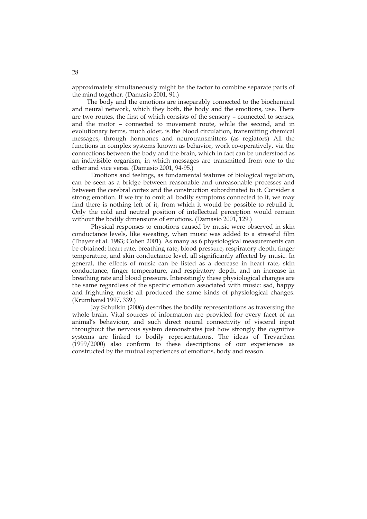approximately simultaneously might be the factor to combine separate parts of the mind together. (Damasio 2001, 91.)

 The body and the emotions are inseparably connected to the biochemical and neural network, which they both, the body and the emotions, use. There are two routes, the first of which consists of the sensory – connected to senses, and the motor – connected to movement route, while the second, and in evolutionary terms, much older, is the blood circulation, transmitting chemical messages, through hormones and neurotransmitters (as regiators) All the functions in complex systems known as behavior, work co-operatively, via the connections between the body and the brain, which in fact can be understood as an indivisible organism, in which messages are transmitted from one to the other and vice versa. (Damasio 2001, 94-95.)

Emotions and feelings, as fundamental features of biological regulation, can be seen as a bridge between reasonable and unreasonable processes and between the cerebral cortex and the construction subordinated to it. Consider a strong emotion. If we try to omit all bodily symptoms connected to it, we may find there is nothing left of it, from which it would be possible to rebuild it. Only the cold and neutral position of intellectual perception would remain without the bodily dimensions of emotions. (Damasio 2001, 129.)

Physical responses to emotions caused by music were observed in skin conductance levels, like sweating, when music was added to a stressful film (Thayer et al. 1983; Cohen 2001). As many as 6 physiological measurements can be obtained: heart rate, breathing rate, blood pressure, respiratory depth, finger temperature, and skin conductance level, all significantly affected by music. In general, the effects of music can be listed as a decrease in heart rate, skin conductance, finger temperature, and respiratory depth, and an increase in breathing rate and blood pressure. Interestingly these physiological changes are the same regardless of the specific emotion associated with music: sad, happy and frightning music all produced the same kinds of physiological changes. (Krumhansl 1997, 339.)

Jay Schulkin (2006) describes the bodily representations as traversing the whole brain. Vital sources of information are provided for every facet of an animal's behaviour, and such direct neural connectivity of visceral input throughout the nervous system demonstrates just how strongly the cognitive systems are linked to bodily representations. The ideas of Trevarthen (1999/2000) also conform to these descriptions of our experiences as constructed by the mutual experiences of emotions, body and reason.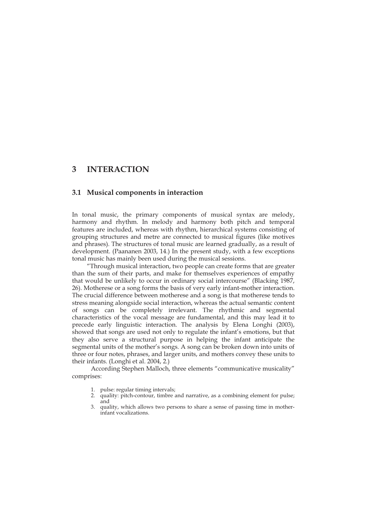## **3 INTERACTION**

## **3.1 Musical components in interaction**

In tonal music, the primary components of musical syntax are melody, harmony and rhythm. In melody and harmony both pitch and temporal features are included, whereas with rhythm, hierarchical systems consisting of grouping structures and metre are connected to musical figures (like motives and phrases). The structures of tonal music are learned gradually, as a result of development. (Paananen 2003, 14.) In the present study, with a few exceptions tonal music has mainly been used during the musical sessions.

"Through musical interaction, two people can create forms that are greater than the sum of their parts, and make for themselves experiences of empathy that would be unlikely to occur in ordinary social intercourse" (Blacking 1987, 26). Motherese or a song forms the basis of very early infant-mother interaction. The crucial difference between motherese and a song is that motherese tends to stress meaning alongside social interaction, whereas the actual semantic content of songs can be completely irrelevant. The rhythmic and segmental characteristics of the vocal message are fundamental, and this may lead it to precede early linguistic interaction. The analysis by Elena Longhi (2003), showed that songs are used not only to regulate the infant's emotions, but that they also serve a structural purpose in helping the infant anticipate the segmental units of the mother's songs. A song can be broken down into units of three or four notes, phrases, and larger units, and mothers convey these units to their infants. (Longhi et al. 2004, 2.)

According Stephen Malloch, three elements "communicative musicality" comprises:

- 1. pulse: regular timing intervals;
- 2. quality: pitch-contour, timbre and narrative, as a combining element for pulse; and
- 3. quality, which allows two persons to share a sense of passing time in motherinfant vocalizations.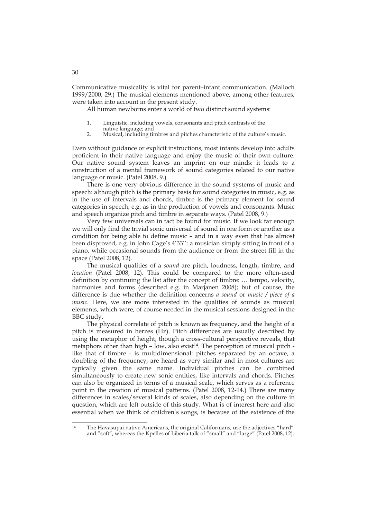Communicative musicality is vital for parent–infant communication. (Malloch 1999/2000, 29.) The musical elements mentioned above, among other features, were taken into account in the present study.

All human newborns enter a world of two distinct sound systems:

- 1. Linguistic, including vowels, consonants and pitch contrasts of the native language; and
- 2. Musical, including timbres and pitches characteristic of the culture's music.

Even without guidance or explicit instructions, most infants develop into adults proficient in their native language and enjoy the music of their own culture. Our native sound system leaves an imprint on our minds: it leads to a construction of a mental framework of sound categories related to our native language or music. (Patel 2008, 9.)

 There is one very obvious difference in the sound systems of music and speech: although pitch is the primary basis for sound categories in music, e.g. as in the use of intervals and chords, timbre is the primary element for sound categories in speech, e.g. as in the production of vowels and consonants. Music and speech organize pitch and timbre in separate ways. (Patel 2008, 9.)

 Very few universals can in fact be found for music. If we look far enough we will only find the trivial sonic universal of sound in one form or another as a condition for being able to define music – and in a way even that has almost been disproved, e.g. in John Cage's 4'33'': a musician simply sitting in front of a piano, while occasional sounds from the audience or from the street fill in the space (Patel 2008, 12).

 The musical qualities of a *sound* are pitch, loudness, length, timbre, and *location* (Patel 2008, 12). This could be compared to the more often-used definition by continuing the list after the concept of timbre: … tempo, velocity, harmonies and forms (described e.g. in Marjanen 2008); but of course, the difference is due whether the definition concerns *a sound* or *music / piece of a music.* Here, we are more interested in the qualities of sounds as musical elements, which were, of course needed in the musical sessions designed in the BBC study.

 The physical correlate of pitch is known as frequency, and the height of a pitch is measured in herzes (Hz). Pitch differences are usually described by using the metaphor of height, though a cross-cultural perspective reveals, that metaphors other than high - low, also exist<sup>14</sup>. The perception of musical pitch like that of timbre - is multidimensional: pitches separated by an octave, a doubling of the frequency, are heard as very similar and in most cultures are typically given the same name. Individual pitches can be combined simultaneously to create new sonic entities, like intervals and chords. Pitches can also be organized in terms of a musical scale, which serves as a reference point in the creation of musical patterns. (Patel 2008, 12-14.) There are many differences in scales/several kinds of scales, also depending on the culture in question, which are left outside of this study. What is of interest here and also essential when we think of children's songs, is because of the existence of the

30

 $14$ The Havasupai native Americans, the original Californians, use the adjectives "hard" and "soft", whereas the Kpelles of Liberia talk of "small" and "large" (Patel 2008, 12).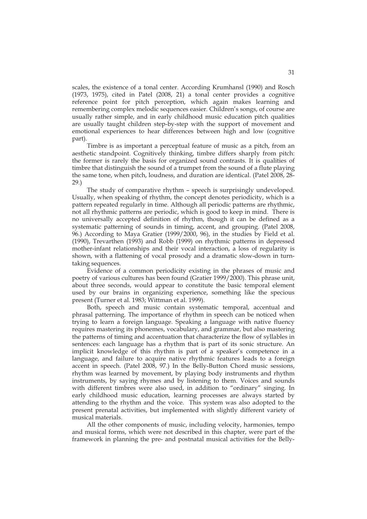scales, the existence of a tonal center. According Krumhansl (1990) and Rosch (1973, 1975), cited in Patel (2008, 21) a tonal center provides a cognitive reference point for pitch perception, which again makes learning and remembering complex melodic sequences easier. Children's songs, of course are usually rather simple, and in early childhood music education pitch qualities are usually taught children step-by-step with the support of movement and emotional experiences to hear differences between high and low (cognitive part).

 Timbre is as important a perceptual feature of music as a pitch, from an aesthetic standpoint. Cognitively thinking, timbre differs sharply from pitch: the former is rarely the basis for organized sound contrasts. It is qualities of timbre that distinguish the sound of a trumpet from the sound of a flute playing the same tone, when pitch, loudness, and duration are identical. (Patel 2008, 28- 29.)

 The study of comparative rhythm – speech is surprisingly undeveloped. Usually, when speaking of rhythm, the concept denotes periodicity, which is a pattern repeated regularly in time. Although all periodic patterns are rhythmic, not all rhythmic patterns are periodic, which is good to keep in mind. There is no universally accepted definition of rhythm, though it can be defined as a systematic patterning of sounds in timing, accent, and grouping. (Patel 2008, 96.) According to Maya Gratier (1999/2000, 96), in the studies by Field et al. (1990), Trevarthen (1993) and Robb (1999) on rhythmic patterns in depressed mother-infant relationships and their vocal interaction, a loss of regularity is shown, with a flattening of vocal prosody and a dramatic slow-down in turntaking sequences.

 Evidence of a common periodicity existing in the phrases of music and poetry of various cultures has been found (Gratier 1999/2000). This phrase unit, about three seconds, would appear to constitute the basic temporal element used by our brains in organizing experience, something like the specious present (Turner et al. 1983; Wittman et al. 1999).

 Both, speech and music contain systematic temporal, accentual and phrasal patterning. The importance of rhythm in speech can be noticed when trying to learn a foreign language. Speaking a language with native fluency requires mastering its phonemes, vocabulary, and grammar, but also mastering the patterns of timing and accentuation that characterize the flow of syllables in sentences: each language has a rhythm that is part of its sonic structure. An implicit knowledge of this rhythm is part of a speaker's competence in a language, and failure to acquire native rhythmic features leads to a foreign accent in speech. (Patel 2008, 97.) In the Belly-Button Chord music sessions, rhythm was learned by movement, by playing body instruments and rhythm instruments, by saying rhymes and by listening to them. Voices and sounds with different timbres were also used, in addition to "ordinary" singing. In early childhood music education, learning processes are always started by attending to the rhythm and the voice. This system was also adopted to the present prenatal activities, but implemented with slightly different variety of musical materials.

 All the other components of music, including velocity, harmonies, tempo and musical forms, which were not described in this chapter, were part of the framework in planning the pre- and postnatal musical activities for the Belly-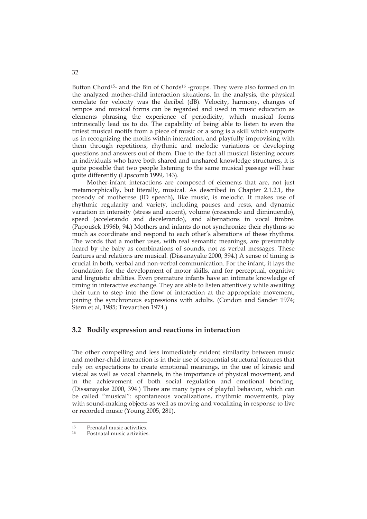Button Chord<sup>15</sup>- and the Bin of Chords<sup>16</sup> -groups. They were also formed on in the analyzed mother-child interaction situations. In the analysis, the physical correlate for velocity was the decibel (dB). Velocity, harmony, changes of tempos and musical forms can be regarded and used in music education as elements phrasing the experience of periodicity, which musical forms intrinsically lead us to do. The capability of being able to listen to even the tiniest musical motifs from a piece of music or a song is a skill which supports us in recognizing the motifs within interaction, and playfully improvising with them through repetitions, rhythmic and melodic variations or developing questions and answers out of them. Due to the fact all musical listening occurs in individuals who have both shared and unshared knowledge structures, it is quite possible that two people listening to the same musical passage will hear quite differently (Lipscomb 1999, 143).

 Mother-infant interactions are composed of elements that are, not just metamorphically, but literally, musical. As described in Chapter 2.1.2.1, the prosody of motherese (ID speech), like music, is melodic. It makes use of rhythmic regularity and variety, including pauses and rests, and dynamic variation in intensity (stress and accent), volume (crescendo and diminuendo), speed (accelerando and decelerando), and alternations in vocal timbre. (Papoušek 1996b, 94.) Mothers and infants do not synchronize their rhythms so much as coordinate and respond to each other's alterations of these rhythms. The words that a mother uses, with real semantic meanings, are presumably heard by the baby as combinations of sounds, not as verbal messages. These features and relations are musical. (Dissanayake 2000, 394.) A sense of timing is crucial in both, verbal and non-verbal communication. For the infant, it lays the foundation for the development of motor skills, and for perceptual, cognitive and linguistic abilities. Even premature infants have an intimate knowledge of timing in interactive exchange. They are able to listen attentively while awaiting their turn to step into the flow of interaction at the appropriate movement, joining the synchronous expressions with adults. (Condon and Sander 1974; Stern et al, 1985; Trevarthen 1974.)

## **3.2 Bodily expression and reactions in interaction**

The other compelling and less immediately evident similarity between music and mother-child interaction is in their use of sequential structural features that rely on expectations to create emotional meanings, in the use of kinesic and visual as well as vocal channels, in the importance of physical movement, and in the achievement of both social regulation and emotional bonding. (Dissanayake 2000, 394.) There are many types of playful behavior, which can be called "musical": spontaneous vocalizations, rhythmic movements, play with sound-making objects as well as moving and vocalizing in response to live or recorded music (Young 2005, 281).

 $15$ <sup>15</sup> Prenatal music activities.<br>
<u>Postpatal</u> music activities

Postnatal music activities.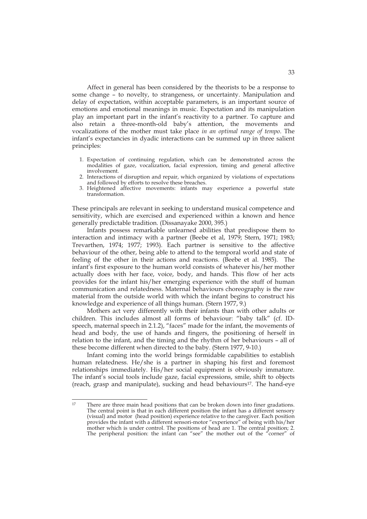Affect in general has been considered by the theorists to be a response to some change – to novelty, to strangeness, or uncertainty. Manipulation and delay of expectation, within acceptable parameters, is an important source of emotions and emotional meanings in music. Expectation and its manipulation play an important part in the infant's reactivity to a partner. To capture and also retain a three-month-old baby's attention, the movements and vocalizations of the mother must take place *in an optimal range of tempo*. The infant's expectancies in dyadic interactions can be summed up in three salient principles:

- 1. Expectation of continuing regulation, which can be demonstrated across the modalities of gaze, vocalization, facial expression, timing and general affective involvement.
- 2. Interactions of disruption and repair, which organized by violations of expectations and followed by efforts to resolve these breaches.
- 3. Heightened affective movements: infants may experience a powerful state transformation.

These principals are relevant in seeking to understand musical competence and sensitivity, which are exercised and experienced within a known and hence generally predictable tradition. (Dissanayake 2000, 395.)

Infants possess remarkable unlearned abilities that predispose them to interaction and intimacy with a partner (Beebe et al, 1979; Stern, 1971; 1983; Trevarthen, 1974; 1977; 1993). Each partner is sensitive to the affective behaviour of the other, being able to attend to the temporal world and state of feeling of the other in their actions and reactions. (Beebe et al. 1985). The infant's first exposure to the human world consists of whatever his/her mother actually does with her face, voice, body, and hands. This flow of her acts provides for the infant his/her emerging experience with the stuff of human communication and relatedness. Maternal behaviours choreography is the raw material from the outside world with which the infant begins to construct his knowledge and experience of all things human. (Stern 1977, 9.)

 Mothers act very differently with their infants than with other adults or children. This includes almost all forms of behaviour: "baby talk" (cf. IDspeech, maternal speech in 2.1.2), "faces" made for the infant, the movements of head and body, the use of hands and fingers, the positioning of herself in relation to the infant, and the timing and the rhythm of her behaviours – all of these become different when directed to the baby. (Stern 1977, 9-10.)

 Infant coming into the world brings formidable capabilities to establish human relatedness. He/she is a partner in shaping his first and foremost relationships immediately. His/her social equipment is obviously immature. The infant's social tools include gaze, facial expressions, smile, shift to objects (reach, grasp and manipulate), sucking and head behaviours17. The hand-eye

 $17$ 17 There are three main head positions that can be broken down into finer gradations. The central point is that in each different position the infant has a different sensory (visual) and motor (head position) experience relative to the caregiver. Each position provides the infant with a different sensori-motor "experience" of being with his/her mother which is under control. The positions of head are 1. The central position; 2. The peripheral position: the infant can "see" the mother out of the "corner" of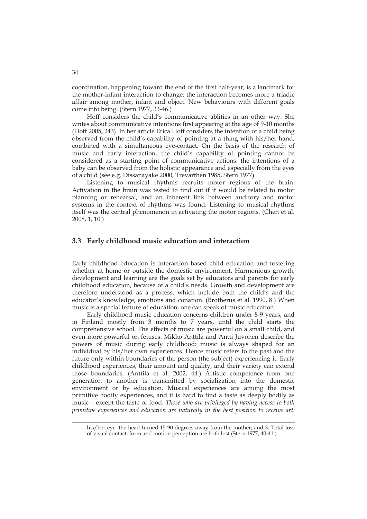coordination, happening toward the end of the first half-year, is a landmark for the mother-infant interaction to change: the interaction becomes more a triadic affair among mother, infant and object. New behaviours with different goals come into being. (Stern 1977, 33-46.)

Hoff considers the child's communicative ablities in an other way. She writes about communicative intentions first appearing at the age of 9-10 months (Hoff 2005, 243). In her article Erica Hoff considers the intention of a child being observed from the child's capability of pointing at a thing with his/her hand, combined with a simultaneous eye-contact. On the basis of the research of music and early interaction, the child's capability of pointing cannot be considered as a starting point of communicative actions: the intentions of a baby can be observed from the holistic appearance and especially from the eyes of a child (see e.g. Dissanayake 2000, Trevarthen 1985, Stern 1977).

Listening to musical rhythms recruits motor regions of the brain. Activation in the brain was tested to find out if it would be related to motor planning or rehearsal, and an inherent link between auditory and motor systems in the context of rhythms was found. Listening to musical rhythms itself was the central phenomenon in activating the motor regions. (Chen et al. 2008, 1, 10.)

## **3.3 Early childhood music education and interaction**

Early childhood education is interaction based child education and fostering whether at home or outside the domestic environment. Harmonious growth, development and learning are the goals set by educators and parents for early childhood education, because of a child's needs. Growth and development are therefore understood as a process, which include both the child's and the educator's knowledge, emotions and conation. (Brotherus et al. 1990, 8.) When music is a special feature of education, one can speak of music education.

 Early childhood music education concerns children under 8-9 years, and in Finland mostly from 3 months to 7 years, until the child starts the comprehensive school. The effects of music are powerful on a small child, and even more powerful on fetuses. Mikko Anttila and Antti Juvonen describe the powers of music during early childhood: music is always shaped for an individual by his/her own experiences. Hence music refers to the past and the future only within boundaries of the person (the subject) experiencing it. Early childhood experiences, their amount and quality, and their variety can extend those boundaries. (Anttila et al. 2002, 44.) Artistic competence from one generation to another is transmitted by socialization into the domestic environment or by education. Musical experiences are among the most primitive bodily experiences, and it is hard to find a taste as deeply bodily as music – except the taste of food. *Those who are privileged by having access to both primitive experiences and education are naturally in the best position to receive art:*

-

his/her eye, the head turned 15-90 degrees away from the mother; and 3. Total loss of visual contact: form and motion perception are both lost (Stern 1977, 40-41.)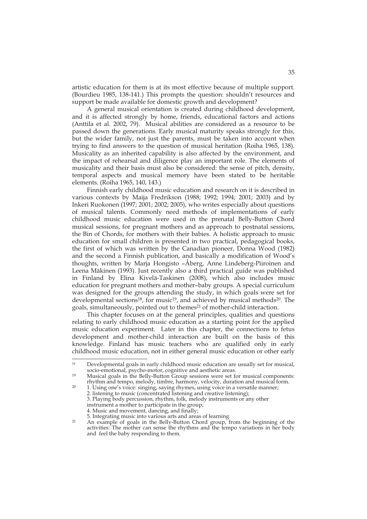artistic education for them is at its most effective because of multiple support. (Bourdieu 1985, 138-141.) This prompts the question: shouldn't resources and support be made available for domestic growth and development?

A general musical orientation is created during childhood development, and it is affected strongly by home, friends, educational factors and actions (Anttila et al. 2002, 79). Musical abilities are considered as a resource to be passed down the generations. Early musical maturity speaks strongly for this, but the wider family, not just the parents, must be taken into account when trying to find answers to the question of musical heritation (Roiha 1965, 138). Musicality as an inherited capability is also affected by the environment, and the impact of rehearsal and diligence play an important role. The elements of musicality and their basis must also be considered: the sense of pitch, density, temporal aspects and musical memory have been stated to be heritable elements. (Roiha 1965, 140, 143.)

 Finnish early childhood music education and research on it is described in various contexts by Maija Fredrikson (1988; 1992; 1994; 2001; 2003) and by Inkeri Ruokonen (1997; 2001; 2002; 2005), who writes especially about questions of musical talents. Commonly need methods of implementations of early childhood music education were used in the prenatal Belly-Button Chord musical sessions, for pregnant mothers and as approach to postnatal sessions, the Bin of Chords, for mothers with their babies. A holistic approach to music education for small children is presented in two practical, pedagogical books, the first of which was written by the Canadian pioneer, Donna Wood (1982) and the second a Finnish publication, and basically a modification of Wood's thoughts, written by Marja Hongisto –Åberg, Anne Lindeberg-Piiroinen and Leena Mäkinen (1993). Just recently also a third practical guide was published in Finland by Elina Kivelä-Taskinen (2008), which also includes music education for pregnant mothers and mother–baby groups. A special curriculum was designed for the groups attending the study, in which goals were set for developmental sections<sup>18</sup>, for music<sup>19</sup>, and achieved by musical methods<sup>20</sup>. The goals, simultaneously, pointed out to themes<sup>21</sup> of mother-child interaction.

 This chapter focuses on at the general principles, qualities and questions relating to early childhood music education as a starting point for the applied music education experiment. Later in this chapter, the connections to fetus development and mother-child interaction are built on the basis of this knowledge. Finland has music teachers who are qualified only in early childhood music education, not in either general music education or other early

÷,

<sup>&</sup>lt;sup>18</sup> Developmental goals in early childhood music education are usually set for musical, socio-emotional, psycho-motor, cognitive and aesthetic areas.<br><sup>19</sup> Musical goals in the Belly-Button Group sessions were set for

Musical goals in the Belly-Button Group sessions were set for musical components: rhythm and tempo, melody, timbre, harmony, velocity, duration and musical form.<br>20 1 Using one's voice singing equipe thymes using voice in a vergetile manner.

<sup>&</sup>lt;sup>20</sup> 1. Using one's voice: singing, saying rhymes, using voice in a versatile manner; 2. listening to music (concentrated listening and creative listening); 3. Playing body percussion, rhythm, folk, melody instruments or any other instrument a mother to participate in the group; 4. Music and movement, dancing, and finally;

<sup>5.</sup> Integrating music into various arts and areas of learning.<br><sup>21</sup> An example of goals in the Belly-Button Chord group f

An example of goals in the Belly-Button Chord group, from the beginning of the activities: The mother can sense the rhythms and the tempo variations in her body and feel the baby responding to them.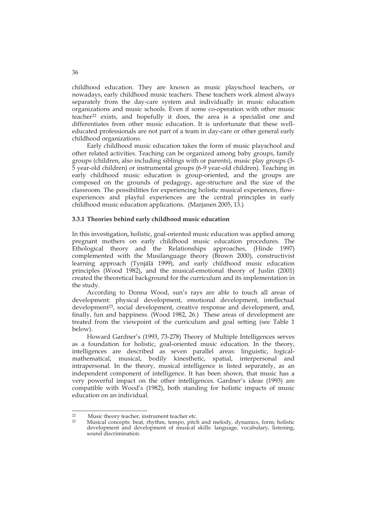childhood education. They are known as music playschool teachers, or nowadays, early childhood music teachers. These teachers work almost always separately from the day-care system and individually in music education organizations and music schools. Even if some co-operation with other music teacher<sup>22</sup> exists, and hopefully it does, the area is a specialist one and differentiates from other music education. It is unfortunate that these welleducated professionals are not part of a team in day-care or other general early childhood organizations.

Early childhood music education takes the form of music playschool and other related activities. Teaching can be organized among baby groups, family groups (children, also including siblings with or parents), music play groups (3- 5 year-old children) or instrumental groups (6-9 year-old children). Teaching in early childhood music education is group-oriented, and the groups are composed on the grounds of pedagogy, age-structure and the size of the classroom. The possibilities for experiencing holistic musical experiences, flowexperiences and playful experiences are the central principles in early childhood music education applications. (Marjanen 2005, 13.)

## **3.3.1 Theories behind early childhood music education**

In this investigation, holistic, goal-oriented music education was applied among pregnant mothers on early childhood music education procedures. The Ethological theory and the Relationships approaches, (Hinde 1997) complemented with the Musilanguage theory (Brown 2000), constructivist learning approach (Tynjälä 1999), and early childhood music education principles (Wood 1982), and the musical-emotional theory of Juslin (2001) created the theoretical background for the curriculum and its implementation in the study.

 According to Donna Wood, sun's rays are able to touch all areas of development: physical development, emotional development, intellectual development<sup>23</sup>, social development, creative response and development, and, finally, fun and happiness. (Wood 1982, 26.) These areas of development are treated from the viewpoint of the curriculum and goal setting (see Table 1 below).

Howard Gardner's (1993, 73-278) Theory of Multiple Intelligences serves as a foundation for holistic, goal-oriented music education. In the theory, intelligences are described as seven parallel areas: linguistic, logicalmathematical, musical, bodily kinesthetic, spatial, interpersonal and intrapersonal. In the theory, musical intelligence is listed separately, as an independent component of intelligence. It has been shown, that music has a very powerful impact on the other intelligences. Gardner's ideas (1993) are compatible with Wood's (1982), both standing for holistic impacts of music education on an individual.

 $22$  $\frac{22}{23}$  Music theory teacher, instrument teacher etc.<br> $\frac{23}{23}$  Musical concents: both rhythm, tempo, pital

Musical concepts: beat, rhythm, tempo, pitch and melody, dynamics, form; holistic development and development of musical skills: language, vocabulary, listening, sound discrimination.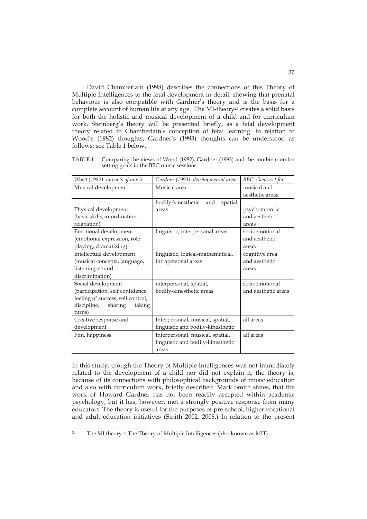David Chamberlain (1998) describes the connections of this Theory of Multiple Intelligences to the fetal development in detail; showing that prenatal behaviour is also compatible with Gardner's theory and is the basis for a complete account of human life at any age. The MI-theory<sup>24</sup> creates a solid basis for both the holistic and musical development of a child and for curriculum work. Sternberg's theory will be presented briefly, as a fetal development theory related to Chamberlain's conception of fetal learning. In relation to Wood's (1982) thoughts, Gardner's (1993) thoughts can be understood as follows; see Table 1 below.

TABLE 1 Comparing the views of Wood (1982), Gardner (1993) and the combination for setting goals in the BBC music sessions.

| Wood (1982): impacts of music     | Gardner (1993): developmental areas  | <b>BBC</b> : Goals set for |
|-----------------------------------|--------------------------------------|----------------------------|
| Musical development               | Musical area                         | musical and                |
|                                   |                                      | aesthetic areas            |
|                                   | bodily-kinesthetic<br>spatial<br>and |                            |
| Physical development              | areas                                | psychomotoric              |
| (basic skills,co-ordination,      |                                      | and aesthetic              |
| relaxation)                       |                                      | areas                      |
| Emotional development             | linguistic, interpersonal areas      | socioemotional             |
| (emotional expression, role       |                                      | and aesthetic              |
| playing, dramatizing)             |                                      | areas                      |
| Intellectual development          | linguistic, logical-mathematical,    | cognitive area             |
| (musical concepts, language,      | intrapersonal areas                  | and aesthetic              |
| listening, sound                  |                                      | areas                      |
| discrimination)                   |                                      |                            |
| Social development                | interpersonal, spatial,              | socioemotional             |
| (participation, self confidence,  | bodily-kinesthetic areas             | and aesthetic areas        |
| feeling of success, self control, |                                      |                            |
| discipline,<br>sharing<br>taking  |                                      |                            |
| turns)                            |                                      |                            |
| Creative response and             | Interpersonal, musical, spatial,     | all areas                  |
| development                       | linguistic and bodily-kinesthetic    |                            |
| Fun, happiness                    | Interpersonal, musical, spatial,     | all areas                  |
|                                   | linguistic and bodily-kinesthetic    |                            |
|                                   | areas                                |                            |

In this study, though the Theory of Multiple Intelligences was not immediately related to the development of a child nor did not explain it, the theory is, because of its connections with philosophical backgrounds of music education and also with curriculum work, briefly described. Mark Smith states, that the work of Howard Gardner has not been readily accepted within academic psychology, but it has, however, met a strongly positive response from many educators. The theory is useful for the purposes of pre-school, higher vocational and adult education initiatives (Smith 2002, 2008.) In relation to the present

 $\overline{24}$ The MI theory = The Theory of Multiple Intelligences (also known as MIT)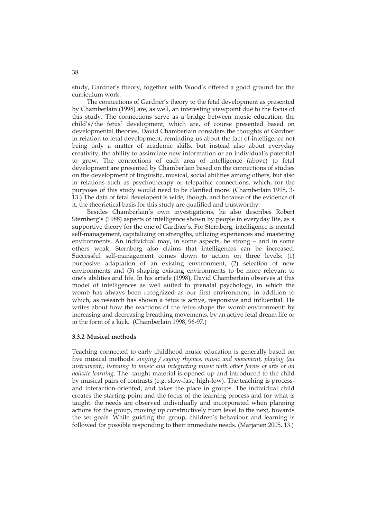study, Gardner's theory, together with Wood's offered a good ground for the curriculum work.

The connections of Gardner's theory to the fetal development as presented by Chamberlain (1998) are, as well, an interesting viewpoint due to the focus of this study. The connections serve as a bridge between music education, the child's/the fetus' development, which are, of course presented based on developmental theories. David Chamberlain considers the thoughts of Gardner in relation to fetal development, reminding us about the fact of intelligence not being only a matter of academic skills, but instead also about everyday creativity, the ability to assimilate new information or an individual's potential to grow. The connections of each area of intelligence (above) to fetal development are presented by Chamberlain based on the connections of studies on the development of linguistic, musical, social abilities among others, but also in relations such as psychotherapy or telepathic connections, which, for the purposes of this study would need to be clarified more. (Chamberlain 1998, 3- 13.) The data of fetal developent is wide, though, and because of the evidence of it, the theorietical basis for this study are qualified and trustworthy.

Besides Chamberlain's own investigations, he also describes Robert Sternberg's (1988) aspects of intelligence shown by people in everyday life, as a supportive theory for the one of Gardner's. For Sternberg, intelligence is mental self-management, capitalizing on strengths, utilizing experiences and mastering environments. An individual may, in some aspects, be strong – and in some others weak. Sternberg also claims that intelligences can be increased. Successful self-management comes down to action on three levels: (1) purposive adaptation of an existing environment, (2) selection of new environments and (3) shaping existing environments to be more relevant to one's abilities and life. In his article (1998), David Chamberlain observes at this model of intelligences as well suited to prenatal psychology, in which the womb has always been recognized as our first environment, in addition to which, as research has shown a fetus is active, responsive and influential. He writes about how the reactions of the fetus shape the womb environment: by increasing and decreasing breathing movements, by an active fetal dream life or in the form of a kick. (Chamberlain 1998, 96-97.)

#### **3.3.2 Musical methods**

Teaching connected to early childhood music education is generally based on five musical methods: *singing / saying rhymes, music and movement, playing (an instrument), listening to music and integrating music with other forms of arts or on holistic learning*. The taught material is opened up and introduced to the child by musical pairs of contrasts (e.g. slow-fast, high-low). The teaching is processand interaction-oriented, and takes the place in groups. The individual child creates the starting point and the focus of the learning process and for what is taught: the needs are observed individually and incorporated when planning actions for the group, moving up constructively from level to the next, towards the set goals. While guiding the group, children's behaviour and learning is followed for possible responding to their immediate needs. (Marjanen 2005, 13.)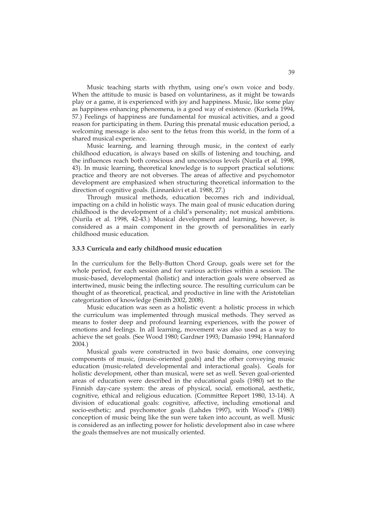Music teaching starts with rhythm, using one's own voice and body. When the attitude to music is based on voluntariness, as it might be towards play or a game, it is experienced with joy and happiness. Music, like some play as happiness enhancing phenomena, is a good way of existence. (Kurkela 1994, 57.) Feelings of happiness are fundamental for musical activities, and a good reason for participating in them. During this prenatal music education period, a welcoming message is also sent to the fetus from this world, in the form of a shared musical experience.

 Music learning, and learning through music, in the context of early childhood education, is always based on skills of listening and touching, and the influences reach both conscious and unconscious levels (Nurila et al. 1998, 43). In music learning, theoretical knowledge is to support practical solutions: practice and theory are not obverses. The areas of affective and psychomotor development are emphasized when structuring theoretical information to the direction of cognitive goals. (Linnankivi et al. 1988, 27.)

 Through musical methods, education becomes rich and individual, impacting on a child in holistic ways. The main goal of music education during childhood is the development of a child's personality; not musical ambitions. (Nurila et al. 1998, 42-43.) Musical development and learning, however, is considered as a main component in the growth of personalities in early childhood music education.

#### **3.3.3 Curricula and early childhood music education**

In the curriculum for the Belly-Button Chord Group, goals were set for the whole period, for each session and for various activities within a session. The music-based, developmental (holistic) and interaction goals were observed as intertwined, music being the inflecting source. The resulting curriculum can be thought of as theoretical, practical, and productive in line with the Aristotelian categorization of knowledge (Smith 2002, 2008).

 Music education was seen as a holistic event: a holistic process in which the curriculum was implemented through musical methods. They served as means to foster deep and profound learning experiences, with the power of emotions and feelings. In all learning, movement was also used as a way to achieve the set goals. (See Wood 1980; Gardner 1993; Damasio 1994; Hannaford 2004.)

 Musical goals were constructed in two basic domains, one conveying components of music, (music-oriented goals) and the other conveying music education (music-related developmental and interactional goals). Goals for holistic development, other than musical, were set as well. Seven goal-oriented areas of education were described in the educational goals (1980) set to the Finnish day-care system: the areas of physical, social, emotional, aesthetic, cognitive, ethical and religious education. (Committee Report 1980, 13-14). A division of educational goals: cognitive, affective, including emotional and socio-esthetic; and psychomotor goals (Lahdes 1997), with Wood's (1980) conception of music being like the sun were taken into account, as well. Music is considered as an inflecting power for holistic development also in case where the goals themselves are not musically oriented.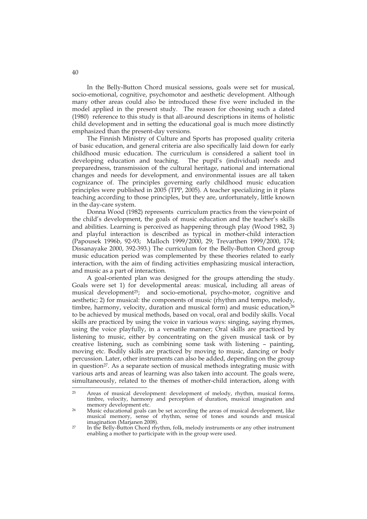In the Belly-Button Chord musical sessions, goals were set for musical, socio-emotional, cognitive, psychomotor and aesthetic development. Although many other areas could also be introduced these five were included in the model applied in the present study. The reason for choosing such a dated (1980) reference to this study is that all-around descriptions in items of holistic child development and in setting the educational goal is much more distinctly emphasized than the present-day versions.

The Finnish Ministry of Culture and Sports has proposed quality criteria of basic education, and general criteria are also specifically laid down for early childhood music education. The curriculum is considered a salient tool in developing education and teaching. The pupil's (individual) needs and preparedness, transmission of the cultural heritage, national and international changes and needs for development, and environmental issues are all taken cognizance of. The principles governing early childhood music education principles were published in 2005 (TPP, 2005). A teacher specializing in it plans teaching according to those principles, but they are, unfortunately, little known in the day-care system.

Donna Wood (1982) represents curriculum practics from the viewpoint of the child's development, the goals of music education and the teacher's skills and abilities. Learning is perceived as happening through play (Wood 1982, 3) and playful interaction is described as typical in mother-child interaction (Papousek 1996b, 92-93; Malloch 1999/2000, 29; Trevarthen 1999/2000, 174; Dissanayake 2000, 392-393.) The curriculum for the Belly-Button Chord group music education period was complemented by these theories related to early interaction, with the aim of finding activities emphasizing musical interaction, and music as a part of interaction.

A goal-oriented plan was designed for the groups attending the study. Goals were set 1) for developmental areas: musical, including all areas of musical development<sup>25</sup>; and socio-emotional, psycho-motor, cognitive and aesthetic; 2) for musical: the components of music (rhythm and tempo, melody, timbre, harmony, velocity, duration and musical form) and music education,<sup>26</sup> to be achieved by musical methods, based on vocal, oral and bodily skills. Vocal skills are practiced by using the voice in various ways: singing, saying rhymes, using the voice playfully, in a versatile manner; Oral skills are practiced by listening to music, either by concentrating on the given musical task or by creative listening, such as combining some task with listening – painting, moving etc. Bodily skills are practiced by moving to music, dancing or body percussion. Later, other instruments can also be added, depending on the group in question<sup>27</sup>. As a separate section of musical methods integrating music with various arts and areas of learning was also taken into account. The goals were, simultaneously, related to the themes of mother-child interaction, along with

 $25$ Areas of musical development: development of melody, rhythm, musical forms, timbre, velocity, harmony and perception of duration, musical imagination and

 $26$  Music educational goals can be set according the areas of musical development, like musical memory, sense of rhythm, sense of tones and sounds and musical

 $\frac{27}{10}$  In the Belly-Button Chord rhythm, folk, melody instruments or any other instrument enabling a mother to participate with in the group were used.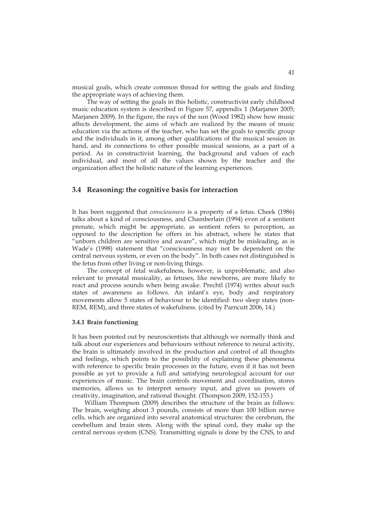musical goals, which create common thread for setting the goals and finding the appropriate ways of achieving them.

The way of setting the goals in this holistic, constructivist early childhood music education system is described in Figure 57, appendix 1 (Marjanen 2005; Marjanen 2009). In the figure, the rays of the sun (Wood 1982) show how music affects development, the aims of which are realized by the means of music education via the actions of the teacher, who has set the goals to specific group and the individuals in it, among other qualifications of the musical session in hand, and its connections to other possible musical sessions, as a part of a period. As in constructivist learning, the background and values of each individual, and most of all the values shown by the teacher and the organization affect the holistic nature of the learning experiences.

## **3.4 Reasoning: the cognitive basis for interaction**

It has been suggested that *consciousness* is a property of a fetus. Cheek (1986) talks about a kind of consciousness, and Chamberlain (1994) even of a sentient prenate, which might be appropriate, as sentient refers to perception, as opposed to the description he offers in his abstract, where he states that "unborn children are sensitive and aware", which might be misleading, as is Wade's (1998) statement that "consciousness may not be dependent on the central nervous system, or even on the body". In both cases not distinguished is the fetus from other living or non-living things.

 The concept of fetal wakefulness, however, is unproblematic, and also relevant to prenatal musicality, as fetuses, like newborns, are more likely to react and process sounds when being awake. Prechtl (1974) writes about such states of awareness as follows. An infant's eye, body and respiratory movements allow 5 states of behaviour to be identified: two sleep states (non-REM, REM), and three states of wakefulness. (cited by Parncutt 2006, 14.)

#### **3.4.1 Brain functioning**

It has been pointed out by neuroscientists that although we normally think and talk about our experiences and behaviours without reference to neural activity, the brain is ultimately involved in the production and control of all thoughts and feelings, which points to the possibility of explaining these phenomena with reference to specific brain processes in the future, even if it has not been possible as yet to provide a full and satisfying neurological account for our experiences of music. The brain controls movement and coordination, stores memories, allows us to interpret sensory input, and gives us powers of creativity, imagination, and rational thought. (Thompson 2009, 152-153.)

 William Thompson (2009) describes the structure of the brain as follows: The brain, weighing about 3 pounds, consists of more than 100 billion nerve cells, which are organized into several anatomical structures: the cerebrum, the cerebellum and brain stem. Along with the spinal cord, they make up the central nervous system (CNS). Transmitting signals is done by the CNS, to and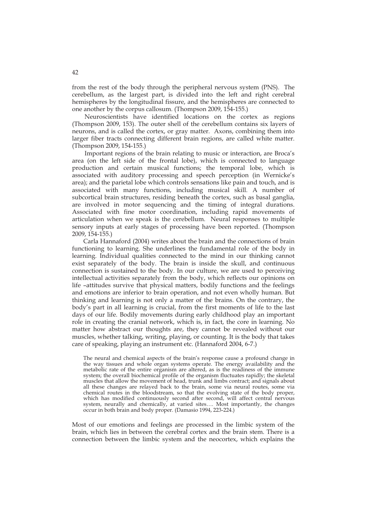from the rest of the body through the peripheral nervous system (PNS). The cerebellum, as the largest part, is divided into the left and right cerebral hemispheres by the longitudinal fissure, and the hemispheres are connected to one another by the corpus callosum. (Thompson 2009, 154-155.)

 Neuroscientists have identified locations on the cortex as regions (Thompson 2009, 153). The outer shell of the cerebellum contains six layers of neurons, and is called the cortex, or gray matter. Axons, combining them into larger fiber tracts connecting different brain regions, are called white matter. (Thompson 2009, 154-155.)

 Important regions of the brain relating to music or interaction, are Broca's area (on the left side of the frontal lobe), which is connected to language production and certain musical functions; the temporal lobe, which is associated with auditory processing and speech perception (in Wernicke's area); and the parietal lobe which controls sensations like pain and touch, and is associated with many functions, including musical skill. A number of subcortical brain structures, residing beneath the cortex, such as basal ganglia, are involved in motor sequencing and the timing of integral durations. Associated with fine motor coordination, including rapid movements of articulation when we speak is the cerebellum. Neural responses to multiple sensory inputs at early stages of processing have been reported. (Thompson 2009, 154-155.)

Carla Hannaford (2004) writes about the brain and the connections of brain functioning to learning. She underlines the fundamental role of the body in learning. Individual qualities connected to the mind in our thinking cannot exist separately of the body. The brain is inside the skull, and continuous connection is sustained to the body. In our culture, we are used to perceiving intellectual activities separately from the body, which reflects our opinions on life –attitudes survive that physical matters, bodily functions and the feelings and emotions are inferior to brain operation, and not even wholly human. But thinking and learning is not only a matter of the brains. On the contrary, the body's part in all learning is crucial, from the first moments of life to the last days of our life. Bodily movements during early childhood play an important role in creating the cranial network, which is, in fact, the core in learning. No matter how abstract our thoughts are, they cannot be revealed without our muscles, whether talking, writing, playing, or counting. It is the body that takes care of speaking, playing an instrument etc. (Hannaford 2004, 6-7.)

The neural and chemical aspects of the brain's response cause a profound change in the way tissues and whole organ systems operate. The energy availability and the metabolic rate of the entire organism are altered, as is the readiness of the immune system; the overall biochemical profile of the organism fluctuates rapidly; the skeletal muscles that allow the movement of head, trunk and limbs contract; and signals about all these changes are relayed back to the brain, some via neural routes, some via chemical routes in the bloodstream, so that the evolving state of the body proper, which has modified continuously second after second, will affect central nervous system, neurally and chemically, at varied sites…. Most importantly, the changes occur in both brain and body proper. (Damasio 1994, 223-224.)

Most of our emotions and feelings are processed in the limbic system of the brain, which lies in between the cerebral cortex and the brain stem. There is a connection between the limbic system and the neocortex, which explains the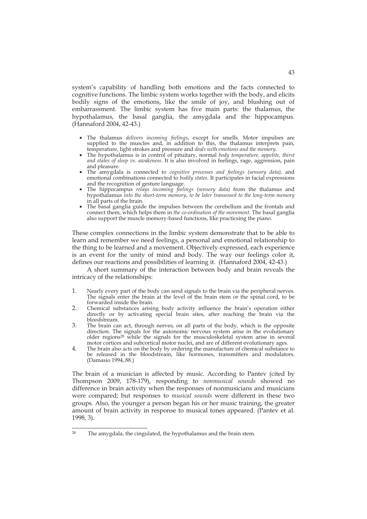system's capability of handling both emotions and the facts connected to cognitive functions. The limbic system works together with the body, and elicits bodily signs of the emotions, like the smile of joy, and blushing out of embarrassment. The limbic system has five main parts: the thalamus, the hypothalamus, the basal ganglia, the amygdala and the hippocampus. (Hannaford 2004, 42-43.)

- The thalamus *delivers incoming feelings*, except for smells. Motor impulses are supplied to the muscles and, in addition to this, the thalamus interprets pain, temperature, light strokes and pressure and *deals with emotions and the memory*.
- The hypothalamus is in control of pituitary, normal *body temperature, appetite, thirst and states of sleep vs. awakeness*. It is also involved in feelings, rage, aggression, pain and pleasure.
- The amygdala is connected to *cognitive processes and feelings (sensory data)*, and emotional combinations connected to *bodily states*. It participates in facial expressions and the recognition of gesture language.
- The hippocampus *relays incoming feelings (sensory data)* from the thalamus and hypothalamus *into the short-term memory*, *to be later transessed to the long-term memory* in all parts of the brain.
- The basal ganglia guide the impulses between the cerebellum and the frontals and connect them, which helps them in *the co-ordination of the movement*. The basal ganglia also support the muscle memory-based functions, like practicsing the piano.

These complex connections in the limbic system demonstrate that to be able to learn and remember we need feelings, a personal and emotional relationship to the thing to be learned and a movement. Objectively expressed, each experience is an event for the unity of mind and body. The way our feelings color it, defines our reactions and possibilities of learning it. (Hannaford 2004, 42-43.)

 A short summary of the interaction between body and brain reveals the intricacy of the relationships:

- 1. Nearly every part of the body can send signals to the brain via the peripheral nerves. The signals enter the brain at the level of the brain stem or the spinal cord, to be forwarded inside the brain.
- 2. Chemical substances arising body activity influence the brain's operation either directly or by activating special brain sites, after reaching the brain via the bloodstream.
- 3. The brain can act, through nerves, on all parts of the body, which is the opposite direction. The signals for the autonomic nervous system arise in the evolutionary older regions28 while the signals for the musculoskeletal system arise in several motor cortices and subcortical motor nuclei, and are of different evolutionary ages.
- 4. The brain also acts on the body by ordering the manufacture of chemical substance to be released in the bloodstream, like hormones, transmitters and modulators. (Damasio 1994, 88.)

The brain of a musician is affected by music. According to Pantev (cited by Thompson 2009, 178-179), responding to *nonmusical sounds* showed no difference in brain activity when the responses of nonmusicians and musicians were compared; but responses to *musical sounds* were different in these two groups. Also, the younger a person began his or her music training, the greater amount of brain activity in response to musical tones appeared. (Pantev et al. 1998, 3).

 $28$ The amygdala, the cingulated, the hypothalamus and the brain stem.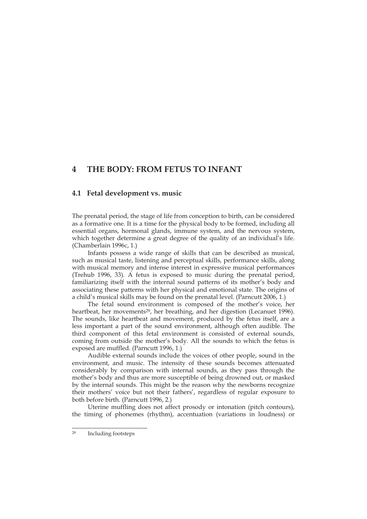# **4 THE BODY: FROM FETUS TO INFANT**

## **4.1 Fetal development vs. music**

The prenatal period, the stage of life from conception to birth, can be considered as a formative one. It is a time for the physical body to be formed, including all essential organs, hormonal glands, immune system, and the nervous system, which together determine a great degree of the quality of an individual's life. (Chamberlain 1996c, 1.)

Infants possess a wide range of skills that can be described as musical, such as musical taste, listening and perceptual skills, performance skills, along with musical memory and intense interest in expressive musical performances (Trehub 1996, 33). A fetus is exposed to music during the prenatal period, familiarizing itself with the internal sound patterns of its mother's body and associating these patterns with her physical and emotional state. The origins of a child's musical skills may be found on the prenatal level. (Parncutt 2006, 1.)

The fetal sound environment is composed of the mother's voice, her heartbeat, her movements<sup>29</sup>, her breathing, and her digestion (Lecanuet 1996). The sounds, like heartbeat and movement, produced by the fetus itself, are a less important a part of the sound environment, although often audible. The third component of this fetal environment is consisted of external sounds, coming from outside the mother's body. All the sounds to which the fetus is exposed are muffled. (Parncutt 1996, 1.)

Audible external sounds include the voices of other people, sound in the environment, and music. The intensity of these sounds becomes attenuated considerably by comparison with internal sounds, as they pass through the mother's body and thus are more susceptible of being drowned out, or masked by the internal sounds. This might be the reason why the newborns recognize their mothers' voice but not their fathers', regardless of regular exposure to both before birth. (Parncutt 1996, 2.)

Uterine muffling does not affect prosody or intonation (pitch contours), the timing of phonemes (rhythm), accentuation (variations in loudness) or

 $29$ Including footsteps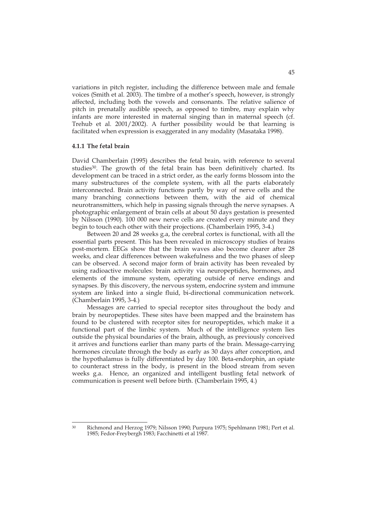variations in pitch register, including the difference between male and female voices (Smith et al. 2003). The timbre of a mother's speech, however, is strongly affected, including both the vowels and consonants. The relative salience of pitch in prenatally audible speech, as opposed to timbre, may explain why infants are more interested in maternal singing than in maternal speech (cf. Trehub et al. 2001/2002). A further possibility would be that learning is facilitated when expression is exaggerated in any modality (Masataka 1998).

## **4.1.1 The fetal brain**

David Chamberlain (1995) describes the fetal brain, with reference to several studies<sup>30</sup>. The growth of the fetal brain has been definitively charted. Its development can be traced in a strict order, as the early forms blossom into the many substructures of the complete system, with all the parts elaborately interconnected. Brain activity functions partly by way of nerve cells and the many branching connections between them, with the aid of chemical neurotransmitters, which help in passing signals through the nerve synapses. A photographic enlargement of brain cells at about 50 days gestation is presented by Nilsson (1990). 100 000 new nerve cells are created every minute and they begin to touch each other with their projections. (Chamberlain 1995, 3-4.)

 Between 20 and 28 weeks g.a, the cerebral cortex is functional, with all the essential parts present. This has been revealed in microscopy studies of brains post-mortem. EEGs show that the brain waves also become clearer after 28 weeks, and clear differences between wakefulness and the two phases of sleep can be observed. A second major form of brain activity has been revealed by using radioactive molecules: brain activity via neuropeptides, hormones, and elements of the immune system, operating outside of nerve endings and synapses. By this discovery, the nervous system, endocrine system and immune system are linked into a single fluid, bi-directional communication network. (Chamberlain 1995, 3-4.)

 Messages are carried to special receptor sites throughout the body and brain by neuropeptides. These sites have been mapped and the brainstem has found to be clustered with receptor sites for neuropeptides, which make it a functional part of the limbic system. Much of the intelligence system lies outside the physical boundaries of the brain, although, as previously conceived it arrives and functions earlier than many parts of the brain. Message-carrying hormones circulate through the body as early as 30 days after conception, and the hypothalamus is fully differentiated by day 100. Beta-endorphin, an opiate to counteract stress in the body, is present in the blood stream from seven weeks g.a. Hence, an organized and intelligent bustling fetal network of communication is present well before birth. (Chamberlain 1995, 4.)

 $30$ Richmond and Herzog 1979; Nilsson 1990; Purpura 1975; Spehlmann 1981; Pert et al. 1985; Fedor-Freybergh 1983; Facchinetti et al 1987.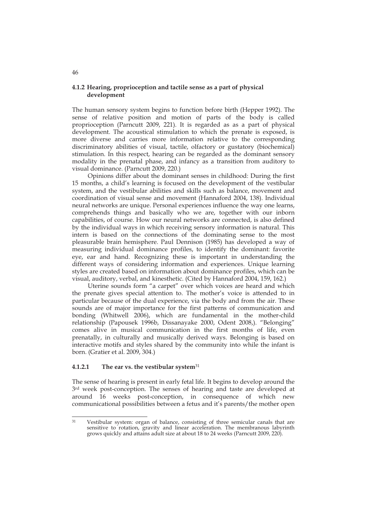## **4.1.2 Hearing, proprioception and tactile sense as a part of physical development**

The human sensory system begins to function before birth (Hepper 1992). The sense of relative position and motion of parts of the body is called proprioception (Parncutt 2009, 221). It is regarded as as a part of physical development. The acoustical stimulation to which the prenate is exposed, is more diverse and carries more information relative to the corresponding discriminatory abilities of visual, tactile, olfactory or gustatory (biochemical) stimulation. In this respect, hearing can be regarded as the dominant sensory modality in the prenatal phase, and infancy as a transition from auditory to visual dominance. (Parncutt 2009, 220.)

 Opinions differ about the dominant senses in childhood: During the first 15 months, a child's learning is focused on the development of the vestibular system, and the vestibular abilities and skills such as balance, movement and coordination of visual sense and movement (Hannaford 2004, 138). Individual neural networks are unique. Personal experiences influence the way one learns, comprehends things and basically who we are, together with our inborn capabilities, of course. How our neural networks are connected, is also defined by the individual ways in which receiving sensory information is natural. This intern is based on the connections of the dominating sense to the most pleasurable brain hemisphere. Paul Dennison (1985) has developed a way of measuring individual dominance profiles, to identify the dominant: favorite eye, ear and hand. Recognizing these is important in understanding the different ways of considering information and experiences. Unique learning styles are created based on information about dominance profiles, which can be visual, auditory, verbal, and kinesthetic. (Cited by Hannaford 2004, 159, 162.)

Uterine sounds form "a carpet" over which voices are heard and which the prenate gives special attention to. The mother's voice is attended to in particular because of the dual experience, via the body and from the air. These sounds are of major importance for the first patterns of communication and bonding (Whitwell 2006), which are fundamental in the mother-child relationship (Papousek 1996b, Dissanayake 2000, Odent 2008,). "Belonging" comes alive in musical communication in the first months of life, even prenatally, in culturally and musically derived ways. Belonging is based on interactive motifs and styles shared by the community into while the infant is born. (Gratier et al. 2009, 304.)

## **4.1.2.1 The ear vs. the vestibular system**<sup>31</sup>

The sense of hearing is present in early fetal life. It begins to develop around the 3rd week post-conception. The senses of hearing and taste are developed at around 16 weeks post-conception, in consequence of which new communicational possibilities between a fetus and it's parents/the mother open

46

 $31$ Vestibular system: organ of balance, consisting of three semicular canals that are sensitive to rotation, gravity and linear acceleration. The membranous labyrinth grows quickly and attains adult size at about 18 to 24 weeks (Parncutt 2009, 220).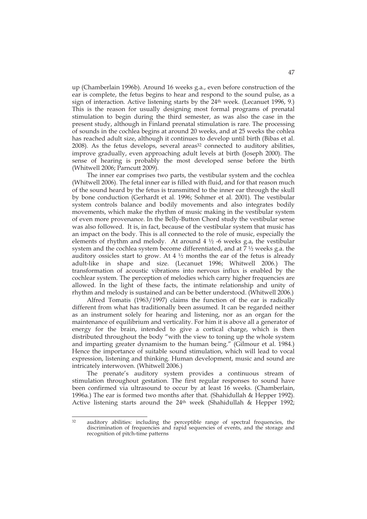up (Chamberlain 1996b). Around 16 weeks g.a., even before construction of the ear is complete, the fetus begins to hear and respond to the sound pulse, as a sign of interaction. Active listening starts by the  $24<sup>th</sup>$  week. (Lecanuet 1996, 9.) This is the reason for usually designing most formal programs of prenatal stimulation to begin during the third semester, as was also the case in the present study, although in Finland prenatal stimulation is rare. The processing of sounds in the cochlea begins at around 20 weeks, and at 25 weeks the cohlea has reached adult size, although it continues to develop until birth (Bibas et al. 2008). As the fetus develops, several areas<sup>32</sup> connected to auditory abilities, improve gradually, even approaching adult levels at birth (Joseph 2000). The sense of hearing is probably the most developed sense before the birth (Whitwell 2006; Parncutt 2009).

 The inner ear comprises two parts, the vestibular system and the cochlea (Whitwell 2006). The fetal inner ear is filled with fluid, and for that reason much of the sound heard by the fetus is transmitted to the inner ear through the skull by bone conduction (Gerhardt et al. 1996; Sohmer et al. 2001). The vestibular system controls balance and bodily movements and also integrates bodily movements, which make the rhythm of music making in the vestibular system of even more provenance. In the Belly-Button Chord study the vestibular sense was also followed. It is, in fact, because of the vestibular system that music has an impact on the body. This is all connected to the role of music, especially the elements of rhythm and melody. At around  $4\frac{1}{2}$  -6 weeks g.a, the vestibular system and the cochlea system become differentiated, and at 7 ½ weeks g.a. the auditory ossicles start to grow. At  $4\frac{1}{2}$  months the ear of the fetus is already adult-like in shape and size. (Lecanuet 1996; Whitwell 2006.) The transformation of acoustic vibrations into nervous influx is enabled by the cochlear system. The perception of melodies which carry higher frequencies are allowed. In the light of these facts, the intimate relationship and unity of rhythm and melody is sustained and can be better understood. (Whitwell 2006.)

 Alfred Tomatis (1963/1997) claims the function of the ear is radically different from what has traditionally been assumed. It can be regarded neither as an instrument solely for hearing and listening, nor as an organ for the maintenance of equilibrium and verticality. For him it is above all a generator of energy for the brain, intended to give a cortical charge, which is then distributed throughout the body "with the view to toning up the whole system and imparting greater dynamism to the human being." (Gilmour et al. 1984.) Hence the importance of suitable sound stimulation, which will lead to vocal expression, listening and thinking. Human development, music and sound are intricately interwoven. (Whitwell 2006.)

The prenate's auditory system provides a continuous stream of stimulation throughout gestation. The first regular responses to sound have been confirmed via ultrasound to occur by at least 16 weeks. (Chamberlain, 1996a.) The ear is formed two months after that. (Shahidullah & Hepper 1992). Active listening starts around the  $24<sup>th</sup>$  week (Shahidullah & Hepper 1992;

<sup>32</sup> auditory abilities: including the perceptible range of spectral frequencies, the discrimination of frequencies and rapid sequencies of events, and the storage and recognition of pitch-time patterns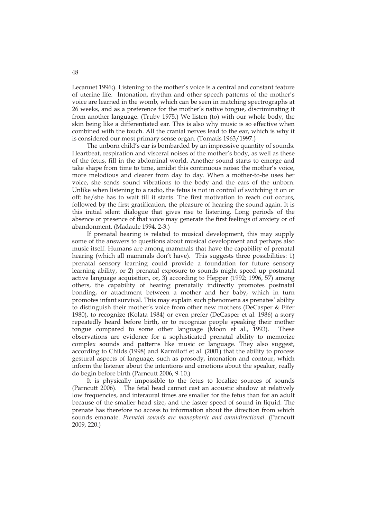Lecanuet 1996;). Listening to the mother's voice is a central and constant feature of uterine life. Intonation, rhythm and other speech patterns of the mother's voice are learned in the womb, which can be seen in matching spectrographs at 26 weeks, and as a preference for the mother's native tongue, discriminating it from another language. (Truby 1975.) We listen (to) with our whole body, the skin being like a differentiated ear. This is also why music is so effective when combined with the touch. All the cranial nerves lead to the ear, which is why it is considered our most primary sense organ. (Tomatis 1963/1997.)

 The unborn child's ear is bombarded by an impressive quantity of sounds. Heartbeat, respiration and visceral noises of the mother's body, as well as these of the fetus, fill in the abdominal world. Another sound starts to emerge and take shape from time to time, amidst this continuous noise: the mother's voice, more melodious and clearer from day to day. When a mother-to-be uses her voice, she sends sound vibrations to the body and the ears of the unborn. Unlike when listening to a radio, the fetus is not in control of switching it on or off: he/she has to wait till it starts. The first motivation to reach out occurs, followed by the first gratification, the pleasure of hearing the sound again. It is this initial silent dialogue that gives rise to listening. Long periods of the absence or presence of that voice may generate the first feelings of anxiety or of abandonment. (Madaule 1994, 2-3.)

 If prenatal hearing is related to musical development, this may supply some of the answers to questions about musical development and perhaps also music itself. Humans are among mammals that have the capability of prenatal hearing (which all mammals don't have). This suggests three possibilities: 1) prenatal sensory learning could provide a foundation for future sensory learning ability, or 2) prenatal exposure to sounds might speed up postnatal active language acquisition, or, 3) according to Hepper (1992; 1996, 57) among others, the capability of hearing prenatally indirectly promotes postnatal bonding, or attachment between a mother and her baby, which in turn promotes infant survival. This may explain such phenomena as prenates' ability to distinguish their mother's voice from other new mothers (DeCasper & Fifer 1980), to recognize (Kolata 1984) or even prefer (DeCasper et al. 1986) a story repeatedly heard before birth, or to recognize people speaking their mother tongue compared to some other language (Moon et al., 1993). These observations are evidence for a sophisticated prenatal ability to memorize complex sounds and patterns like music or language. They also suggest, according to Childs (1998) and Karmiloff et al. (2001) that the ability to process gestural aspects of language, such as prosody, intonation and contour, which inform the listener about the intentions and emotions about the speaker, really do begin before birth (Parncutt 2006, 9-10.)

 It is physically impossible to the fetus to localize sources of sounds (Parncutt 2006). The fetal head cannot cast an acoustic shadow at relatively low frequencies, and interaural times are smaller for the fetus than for an adult because of the smaller head size, and the faster speed of sound in liquid. The prenate has therefore no access to information about the direction from which sounds emanate. *Prenatal sounds are monophonic and omnidirectional*. (Parncutt 2009, 220.)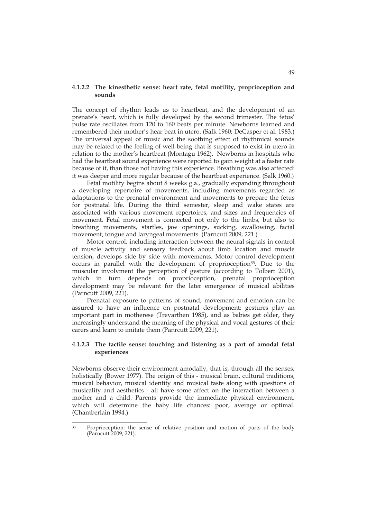## **4.1.2.2 The kinesthetic sense: heart rate, fetal motility, proprioception and sounds**

The concept of rhythm leads us to heartbeat, and the development of an prenate's heart, which is fully developed by the second trimester. The fetus' pulse rate oscillates from 120 to 160 beats per minute. Newborns learned and remembered their mother's hear beat in utero. (Salk 1960; DeCasper et al. 1983.) The universal appeal of music and the soothing effect of rhythmical sounds may be related to the feeling of well-being that is supposed to exist in utero in relation to the mother's heartbeat (Montagu 1962). Newborns in hospitals who had the heartbeat sound experience were reported to gain weight at a faster rate because of it, than those not having this experience. Breathing was also affected: it was deeper and more regular because of the heartbeat experience. (Salk 1960.)

 Fetal motility begins about 8 weeks g.a., gradually expanding throughout a developing repertoire of movements, including movements regarded as adaptations to the prenatal environment and movements to prepare the fetus for postnatal life. During the third semester, sleep and wake states are associated with various movement repertoires, and sizes and frequencies of movement. Fetal movement is connected not only to the limbs, but also to breathing movements, startles, jaw openings, sucking, swallowing, facial movement, tongue and laryngeal movements. (Parncutt 2009, 221.)

 Motor control, including interaction between the neural signals in control of muscle activity and sensory feedback about limb location and muscle tension, develops side by side with movements. Motor control development occurs in parallel with the development of proprioception<sup>33</sup>. Due to the muscular involvment the perception of gesture (according to Tolbert 2001), which in turn depends on proprioception, prenatal proprioception development may be relevant for the later emergence of musical abilities (Parncutt 2009, 221).

 Prenatal exposure to patterns of sound, movement and emotion can be assured to have an influence on postnatal development: gestures play an important part in motherese (Trevarthen 1985), and as babies get older, they increasingly understand the meaning of the physical and vocal gestures of their carers and learn to imitate them (Panrcutt 2009, 221).

## **4.1.2.3 The tactile sense: touching and listening as a part of amodal fetal experiences**

Newborns observe their environment amodally, that is, through all the senses, holistically (Bower 1977). The origin of this - musical brain, cultural traditions, musical behavior, musical identity and musical taste along with questions of musicality and aesthetics - all have some affect on the interaction between a mother and a child. Parents provide the immediate physical environment, which will determine the baby life chances: poor, average or optimal. (Chamberlain 1994.)

 $\overline{33}$ Proprioception: the sense of relative position and motion of parts of the body (Parncutt 2009, 221).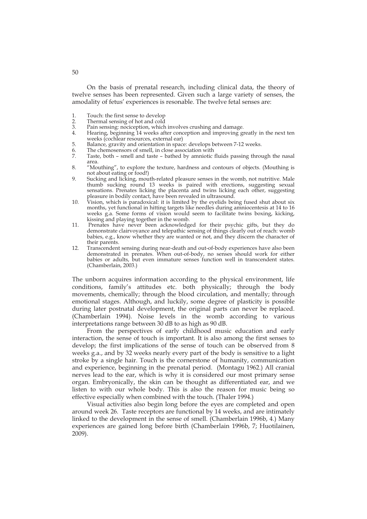On the basis of prenatal research, including clinical data, the theory of twelve senses has been represented. Given such a large variety of senses, the amodality of fetus' experiences is resonable. The twelve fetal senses are:

- 1. Touch: the first sense to develop<br>2. Thermal sensing of hot and cold
- 2. Thermal sensing of hot and cold<br>3. Pain sensing: nocicention, which
- 3. Pain sensing: nociception, which involves crushing and damage.
- Hearing, beginning 14 weeks after conception and improving greatly in the next ten weeks (cochlear resources, external ear)
- 5. Balance, gravity and orientation in space: develops between 7-12 weeks.
- 6. The chemosensors of smell, in close association with  $7.$  Taste, both smell and taste bathed by amniotic
- Taste, both smell and taste bathed by amniotic fluids passing through the nasal area.
- 8. "Mouthing", to explore the texture, hardness and contours of objects. (Mouthing is not about eating or food!)
- 9. Sucking and licking, mouth-related pleasure senses in the womb, not nutritive. Male thumb sucking round 13 weeks is paired with erections, suggesting sexual sensations. Prenates licking the placenta and twins licking each other, suggesting pleasure in bodily contact, have been revealed in ultrasound.
- 10. Vision, which is paradoxical: it is limited by the eyelids being fused shut about six months, yet functional in hitting targets like needles during amniocentesis at 14 to 16 weeks g.a. Some forms of vision would seem to facilitate twins boxing, kicking, kissing and playing together in the womb.
- 11. Prenates have never been acknowledged for their psychic gifts, but they do demonstrate clairvoyance and telepathic sensing of things clearly out of reach: womb babies, e.g., know whether they are wanted or not, and they discern the character of their parents.
- 12. Transcendent sensing during near-death and out-of-body experiences have also been demonstrated in prenates. When out-of-body, no senses should work for either babies or adults, but even immature senses function well in transcendent states. (Chamberlain, 2003.)

The unborn acquires information according to the physical environment, life conditions, family's attitudes etc. both physically; through the body movements, chemically; through the blood circulation, and mentally; through emotional stages. Although, and luckily, some degree of plasticity is possible during later postnatal development, the original parts can never be replaced. (Chamberlain 1994). Noise levels in the womb according to various interpretations range between 30 dB to as high as 90 dB.

 From the perspectives of early childhood music education and early interaction, the sense of touch is important. It is also among the first senses to develop; the first implications of the sense of touch can be observed from 8 weeks g.a., and by 32 weeks nearly every part of the body is sensitive to a light stroke by a single hair. Touch is the cornerstone of humanity, communication and experience, beginning in the prenatal period. (Montagu 1962.) All cranial nerves lead to the ear, which is why it is considered our most primary sense organ. Embryonically, the skin can be thought as differentiated ear, and we listen to with our whole body. This is also the reason for music being so effective especially when combined with the touch. (Thaler 1994.)

 Visual activities also begin long before the eyes are completed and open around week 26. Taste receptors are functional by 14 weeks, and are intimately linked to the development in the sense of smell. (Chamberlain 1996b, 4.) Many experiences are gained long before birth (Chamberlain 1996b, 7; Huotilainen, 2009).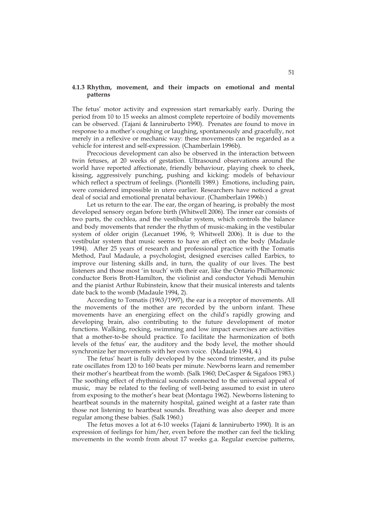## **4.1.3 Rhythm, movement, and their impacts on emotional and mental patterns**

The fetus' motor activity and expression start remarkably early. During the period from 10 to 15 weeks an almost complete repertoire of bodily movements can be observed. (Tajani & Ianniruberto 1990). Prenates are found to move in response to a mother's coughing or laughing, spontaneously and gracefully, not merely in a reflexive or mechanic way: these movements can be regarded as a vehicle for interest and self-expression. (Chamberlain 1996b).

 Precocious development can also be observed in the interaction between twin fetuses, at 20 weeks of gestation. Ultrasound observations around the world have reported affectionate, friendly behaviour, playing cheek to cheek, kissing, aggressively punching, pushing and kicking: models of behaviour which reflect a spectrum of feelings. (Piontelli 1989.) Emotions, including pain, were considered impossible in utero earlier. Researchers have noticed a great deal of social and emotional prenatal behaviour. (Chamberlain 1996b.)

Let us return to the ear. The ear, the organ of hearing, is probably the most developed sensory organ before birth (Whitwell 2006). The inner ear consists of two parts, the cochlea, and the vestibular system, which controls the balance and body movements that render the rhythm of music-making in the vestibular system of older origin (Lecanuet 1996, 9; Whitwell 2006). It is due to the vestibular system that music seems to have an effect on the body (Madaule 1994). After 25 years of research and professional practice with the Tomatis Method, Paul Madaule, a psychologist, designed exercises called Earbics, to improve our listening skills and, in turn, the quality of our lives. The best listeners and those most 'in touch' with their ear, like the Ontario Philharmonic conductor Boris Brott-Hamilton, the violinist and conductor Yehudi Menuhin and the pianist Arthur Rubinstein, know that their musical interests and talents date back to the womb (Madaule 1994, 2).

According to Tomatis (1963/1997), the ear is a receptor of movements. All the movements of the mother are recorded by the unborn infant. These movements have an energizing effect on the child's rapidly growing and developing brain, also contributing to the future development of motor functions. Walking, rocking, swimming and low impact exercises are activities that a mother-to-be should practice. To facilitate the harmonization of both levels of the fetus' ear, the auditory and the body level, the mother should synchronize her movements with her own voice. (Madaule 1994, 4.)

 The fetus' heart is fully developed by the second trimester, and its pulse rate oscillates from 120 to 160 beats per minute. Newborns learn and remember their mother's heartbeat from the womb. (Salk 1960; DeCasper & Sigafoos 1983.) The soothing effect of rhythmical sounds connected to the universal appeal of music, may be related to the feeling of well-being assumed to exist in utero from exposing to the mother's hear beat (Montagu 1962). Newborns listening to heartbeat sounds in the maternity hospital, gained weight at a faster rate than those not listening to heartbeat sounds. Breathing was also deeper and more regular among these babies. (Salk 1960.)

 The fetus moves a lot at 6-10 weeks (Tajani & Ianniruberto 1990). It is an expression of feelings for him/her, even before the mother can feel the tickling movements in the womb from about 17 weeks g.a. Regular exercise patterns,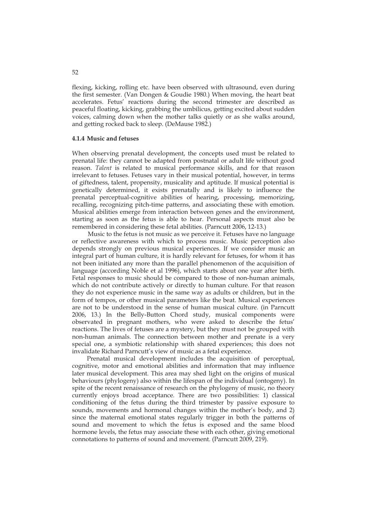flexing, kicking, rolling etc. have been observed with ultrasound, even during the first semester. (Van Dongen & Goudie 1980.) When moving, the heart beat accelerates. Fetus' reactions during the second trimester are described as peaceful floating, kicking, grabbing the umbilicus, getting excited about sudden voices, calming down when the mother talks quietly or as she walks around, and getting rocked back to sleep. (DeMause 1982.)

#### **4.1.4 Music and fetuses**

When observing prenatal development, the concepts used must be related to prenatal life: they cannot be adapted from postnatal or adult life without good reason. *Talent* is related to musical performance skills, and for that reason irrelevant to fetuses. Fetuses vary in their musical potential, however, in terms of giftedness, talent, propensity, musicality and aptitude. If musical potential is genetically determined, it exists prenatally and is likely to influence the prenatal perceptual-cognitive abilities of hearing, processing, memorizing, recalling, recognizing pitch-time patterns, and associating these with emotion. Musical abilities emerge from interaction between genes and the environment, starting as soon as the fetus is able to hear. Personal aspects must also be remembered in considering these fetal abilities. (Parncutt 2006, 12-13.)

 Music to the fetus is not music as we perceive it. Fetuses have no language or reflective awareness with which to process music. Music perception also depends strongly on previous musical experiences. If we consider music an integral part of human culture, it is hardly relevant for fetuses, for whom it has not been initiated any more than the parallel phenomenon of the acquisition of language (according Noble et al 1996), which starts about one year after birth. Fetal responses to music should be compared to those of non-human animals, which do not contribute actively or directly to human culture. For that reason they do not experience music in the same way as adults or children, but in the form of tempos, or other musical parameters like the beat. Musical experiences are not to be understood in the sense of human musical culture. (in Parncutt 2006, 13.) In the Belly-Button Chord study, musical components were observated in pregnant mothers, who were asked to describe the fetus' reactions. The lives of fetuses are a mystery, but they must not be grouped with non-human animals. The connection between mother and prenate is a very special one, a symbiotic relationship with shared experiences; this does not invalidate Richard Parncutt's view of music as a fetal experience.

 Prenatal musical development includes the acquisition of perceptual, cognitive, motor and emotional abilities and information that may influence later musical development. This area may shed light on the origins of musical behaviours (phylogeny) also within the lifespan of the individual (ontogeny). In spite of the recent renaissance of research on the phylogeny of music, no theory currently enjoys broad acceptance. There are two possibilities: 1) classical conditioning of the fetus during the third trimester by passive exposure to sounds, movements and hormonal changes within the mother's body, and 2) since the maternal emotional states regularly trigger in both the patterns of sound and movement to which the fetus is exposed and the same blood hormone levels, the fetus may associate these with each other, giving emotional connotations to patterns of sound and movement. (Parncutt 2009, 219).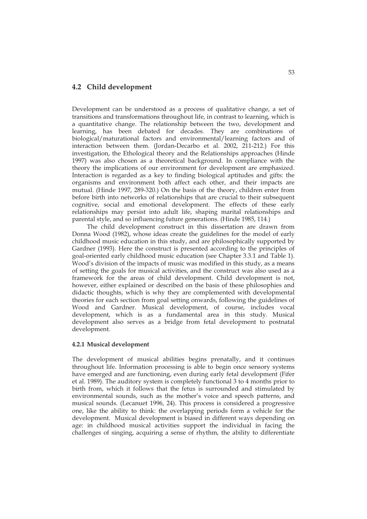## **4.2 Child development**

Development can be understood as a process of qualitative change, a set of transitions and transformations throughout life, in contrast to learning, which is a quantitative change. The relationship between the two, development and learning, has been debated for decades. They are combinations of biological/maturational factors and environmental/learning factors and of interaction between them. (Jordan-Decarbo et al. 2002, 211-212.) For this investigation, the Ethological theory and the Relationships approaches (Hinde 1997) was also chosen as a theoretical background. In compliance with the theory the implications of our environment for development are emphasized. Interaction is regarded as a key to finding biological aptitudes and gifts: the organisms and environment both affect each other, and their impacts are mutual. (Hinde 1997, 289-320.) On the basis of the theory, children enter from before birth into networks of relationships that are crucial to their subsequent cognitive, social and emotional development. The effects of these early relationships may persist into adult life, shaping marital relationships and parental style, and so influencing future generations. (Hinde 1985, 114.)

 The child development construct in this dissertation are drawn from Donna Wood (1982), whose ideas create the guidelines for the model of early childhood music education in this study, and are philosophically supported by Gardner (1993). Here the construct is presented according to the principles of goal-oriented early childhood music education (see Chapter 3.3.1 and Table 1). Wood's division of the impacts of music was modified in this study, as a means of setting the goals for musical activities, and the construct was also used as a framework for the areas of child development. Child development is not, however, either explained or described on the basis of these philosophies and didactic thoughts, which is why they are complemented with developmental theories for each section from goal setting onwards, following the guidelines of Wood and Gardner. Musical development, of course, includes vocal development, which is as a fundamental area in this study. Musical development also serves as a bridge from fetal development to postnatal development.

## **4.2.1 Musical development**

The development of musical abilities begins prenatally, and it continues throughout life. Information processing is able to begin once sensory systems have emerged and are functioning, even during early fetal development (Fifer et al. 1989). The auditory system is completely functional 3 to 4 months prior to birth from, which it follows that the fetus is surrounded and stimulated by environmental sounds, such as the mother's voice and speech patterns, and musical sounds. (Lecanuet 1996, 24). This process is considered a progressive one, like the ability to think: the overlapping periods form a vehicle for the development. Musical development is biased in different ways depending on age: in childhood musical activities support the individual in facing the challenges of singing, acquiring a sense of rhythm, the ability to differentiate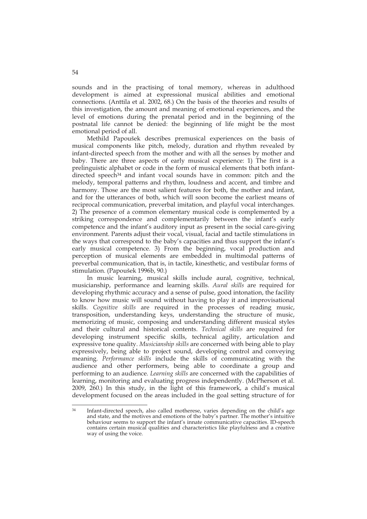sounds and in the practising of tonal memory, whereas in adulthood development is aimed at expressional musical abilities and emotional connections. (Anttila et al. 2002, 68.) On the basis of the theories and results of this investigation, the amount and meaning of emotional experiences, and the level of emotions during the prenatal period and in the beginning of the postnatal life cannot be denied: the beginning of life might be the most emotional period of all.

 Methild Papoušek describes premusical experiences on the basis of musical components like pitch, melody, duration and rhythm revealed by infant-directed speech from the mother and with all the senses by mother and baby. There are three aspects of early musical experience: 1) The first is a prelinguistic alphabet or code in the form of musical elements that both infantdirected speech<sup>34</sup> and infant vocal sounds have in common: pitch and the melody, temporal patterns and rhythm, loudness and accent, and timbre and harmony. Those are the most salient features for both, the mother and infant, and for the utterances of both, which will soon become the earliest means of reciprocal communication, preverbal imitation, and playful vocal interchanges. 2) The presence of a common elementary musical code is complemented by a striking correspondence and complementarily between the infant's early competence and the infant's auditory input as present in the social care-giving environment. Parents adjust their vocal, visual, facial and tactile stimulations in the ways that correspond to the baby's capacities and thus support the infant's early musical competence. 3) From the beginning, vocal production and perception of musical elements are embedded in multimodal patterns of preverbal communication, that is, in tactile, kinesthetic, and vestibular forms of stimulation. (Papoušek 1996b, 90.)

 In music learning, musical skills include aural, cognitive, technical, musicianship, performance and learning skills. *Aural skills* are required for developing rhythmic accuracy and a sense of pulse, good intonation, the facility to know how music will sound without having to play it and improvisational skills. *Cognitive skills* are required in the processes of reading music, transposition, understanding keys, understanding the structure of music, memorizing of music, composing and understanding different musical styles and their cultural and historical contents. *Technical skills* are required for developing instrument specific skills, technical agility, articulation and expressive tone quality. *Musicianship skills* are concerned with being able to play expressively, being able to project sound, developing control and conveying meaning. *Performance skills* include the skills of communicating with the audience and other performers, being able to coordinate a group and performing to an audience. *Learning skills* are concerned with the capabilities of learning, monitoring and evaluating progress independently. (McPherson et al. 2009, 260.) In this study, in the light of this framework, a child's musical development focused on the areas included in the goal setting structure of for

 $34$ Infant-directed speech, also called motherese, varies depending on the child's age and state, and the motives and emotions of the baby's partner. The mother's intuitive behaviour seems to support the infant's innate communicative capacities. ID-speech contains certain musical qualities and characteristics like playfulness and a creative way of using the voice.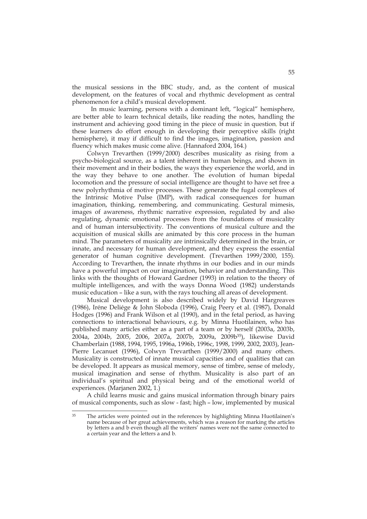the musical sessions in the BBC study, and, as the content of musical development, on the features of vocal and rhythmic development as central phenomenon for a child's musical development.

In music learning, persons with a dominant left, "logical" hemisphere, are better able to learn technical details, like reading the notes, handling the instrument and achieving good timing in the piece of music in question, but if these learners do effort enough in developing their perceptive skills (right hemisphere), it may if difficult to find the images, imagination, passion and fluency which makes music come alive. (Hannaford 2004, 164.)

 Colwyn Trevarthen (1999/2000) describes musicality as rising from a psycho-biological source, as a talent inherent in human beings, and shown in their movement and in their bodies, the ways they experience the world, and in the way they behave to one another. The evolution of human bipedal locomotion and the pressure of social intelligence are thought to have set free a new polyrhythmia of motive processes. These generate the fugal complexes of the Intrinsic Motive Pulse (IMP), with radical consequences for human imagination, thinking, remembering, and communicating. Gestural mimesis, images of awareness, rhythmic narrative expression, regulated by and also regulating, dynamic emotional processes from the foundations of musicality and of human intersubjectivity. The conventions of musical culture and the acquisition of musical skills are animated by this core process in the human mind. The parameters of musicality are intrinsically determined in the brain, or innate, and necessary for human development, and they express the essential generator of human cognitive development. (Trevarthen 1999/2000, 155). According to Trevarthen, the innate rhythms in our bodies and in our minds have a powerful impact on our imagination, behavior and understanding. This links with the thoughts of Howard Gardner (1993) in relation to the theory of multiple intelligences, and with the ways Donna Wood (1982) understands music education – like a sun, with the rays touching all areas of development.

 Musical development is also described widely by David Hargreaves (1986), Iréne Deliége & John Sloboda (1996), Craig Peery et al. (1987), Donald Hodges (1996) and Frank Wilson et al (1990), and in the fetal period, as having connections to interactional behaviours, e.g. by Minna Huotilainen, who has published many articles either as a part of a team or by herself (2003a, 2003b, 2004a, 2004b, 2005, 2006, 2007a, 2007b, 2009a, 2009b35), likewise David Chamberlain (1988, 1994, 1995, 1996a, 1996b, 1996c, 1998, 1999, 2002, 2003), Jean-Pierre Lecanuet (1996), Colwyn Trevarthen (1999/2000) and many others. Musicality is constructed of innate musical capacities and of qualities that can be developed. It appears as musical memory, sense of timbre, sense of melody, musical imagination and sense of rhythm. Musicality is also part of an individual's spiritual and physical being and of the emotional world of experiences. (Marjanen 2002, 1.)

A child learns music and gains musical information through binary pairs of musical components, such as slow - fast; high – low, implemented by musical

 $35$ The articles were pointed out in the references by highlighting Minna Huotilainen's name because of her great achievements, which was a reason for marking the articles by letters a and b even though all the writers' names were not the same connected to a certain year and the letters a and b.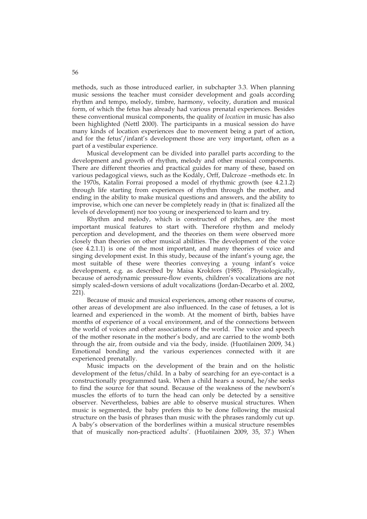methods, such as those introduced earlier, in subchapter 3.3. When planning music sessions the teacher must consider development and goals according rhythm and tempo, melody, timbre, harmony, velocity, duration and musical form, of which the fetus has already had various prenatal experiences. Besides these conventional musical components, the quality of *location* in music has also been highlighted (Nettl 2000). The participants in a musical session do have many kinds of location experiences due to movement being a part of action, and for the fetus'/infant's development those are very important, often as a part of a vestibular experience.

Musical development can be divided into parallel parts according to the development and growth of rhythm, melody and other musical components. There are different theories and practical guides for many of these, based on various pedagogical views, such as the Kodály, Orff, Dalcroze –methods etc. In the 1970s, Katalin Forrai proposed a model of rhythmic growth (see 4.2.1.2) through life starting from experiences of rhythm through the mother, and ending in the ability to make musical questions and answers, and the ability to improvise, which one can never be completely ready in (that is: finalized all the levels of development) nor too young or inexperienced to learn and try.

Rhythm and melody, which is constructed of pitches, are the most important musical features to start with. Therefore rhythm and melody perception and development, and the theories on them were observed more closely than theories on other musical abilities. The development of the voice (see 4.2.1.1) is one of the most important, and many theories of voice and singing development exist. In this study, because of the infant's young age, the most suitable of these were theories conveying a young infant's voice development, e.g. as described by Maisa Krokfors (1985). Physiologically, because of aerodynamic pressure-flow events, children's vocalizations are not simply scaled-down versions of adult vocalizations (Jordan-Decarbo et al. 2002, 221).

Because of music and musical experiences, among other reasons of course, other areas of development are also influenced. In the case of fetuses, a lot is learned and experienced in the womb. At the moment of birth, babies have months of experience of a vocal environment, and of the connections between the world of voices and other associations of the world. The voice and speech of the mother resonate in the mother's body, and are carried to the womb both through the air, from outside and via the body, inside. (Huotilainen 2009, 34.) Emotional bonding and the various experiences connected with it are experienced prenatally.

Music impacts on the development of the brain and on the holistic development of the fetus/child. In a baby of searching for an eye-contact is a constructionally programmed task. When a child hears a sound, he/she seeks to find the source for that sound. Because of the weakness of the newborn's muscles the efforts of to turn the head can only be detected by a sensitive observer. Nevertheless, babies are able to observe musical structures. When music is segmented, the baby prefers this to be done following the musical structure on the basis of phrases than music with the phrases randomly cut up. A baby's observation of the borderlines within a musical structure resembles that of musically non-practiced adults'. (Huotilainen 2009, 35, 37.) When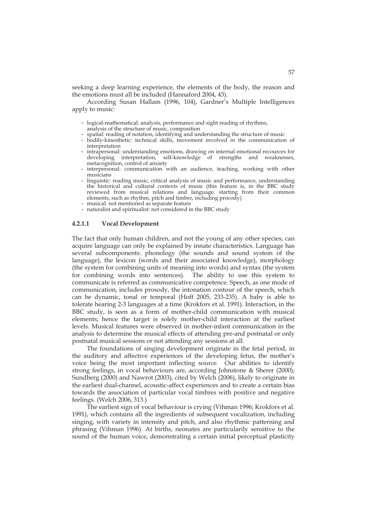seeking a deep learning experience, the elements of the body, the reason and the emotions must all be included (Hannaford 2004, 43).

 According Susan Hallam (1996, 104), Gardner's Multiple Intelligences apply to music:

- logical-mathematical: analysis, performance and sight reading of rhythms, analysis of the structure of music, composition
- spatial: reading of notation, identifying and understanding the structure of music
- bodily-kinesthetic: technical skills, movement involved in the communication of interpretation
- intrapersonal: understanding emotions, drawing on internal emotional recources for developing interpretation, self-knowledge of strengths and weaknesses, metacognition, control of anxiety
- interpersonal: communication with an audience, teaching, working with other musicians
- linguistic: reading music, critical analysis of music and performance, understanding the historical and cultural contexts of music (this feature is, in the BBC study reviewed from musical relations and language, starting from their common elements, such as rhythm, pitch and timbre, including procody)
- musical: not mentioned as separate feature
- naturalist and spiritualist: not considered in the BBC study

#### **4.2.1.1 Vocal Development**

The fact that only human children, and not the young of any other species, can acquire language can only be explained by innate characteristics. Language has several subcomponents: phonology (the sounds and sound system of the language), the lexicon (words and their associated knowledge), morphology (the system for combining units of meaning into words) and syntax (the system for combining words into sentences). The ability to use this system to communicate is referred as communicative competence. Speech, as one mode of communication, includes prosody, the intonation contour of the speech, which can be dynamic, tonal or temporal (Hoff 2005, 233-235). A baby is able to tolerate hearing 2-3 languages at a time (Krokfors et al. 1991). Interaction, in the BBC study, is seen as a form of mother-child communication with musical elements; hence the target is solely mother-child interaction at the earliest levels. Musical features were observed in mother-infant communication in the analysis to determine the musical effects of attending pre-and postnatal or only postnatal musical sessions or not attending any sessions at all.

The foundations of singing development originate in the fetal period, in the auditory and affective experiences of the developing fetus, the mother's voice being the most important inflecting source. Our abilities to identify strong feelings, in vocal behaviours are, according Johnstone & Sherer (2000); Sundberg (2000) and Nawrot (2003), cited by Welch (2006), likely to originate in the earliest dual-channel, acoustic-affect experiences and to create a certain bias towards the association of particular vocal timbres with positive and negative feelings. (Welch 2006, 313.)

The earliest sign of vocal behaviour is crying (Vihman 1996; Krokfors et al. 1991), which contains all the ingredients of subsequent vocalization, including singing, with variety in intensity and pitch, and also rhythmic patterning and phrasing (Vihman 1996). At births, neonates are particularily sensitive to the sound of the human voice, demonstrating a certain initial perceptual plasticity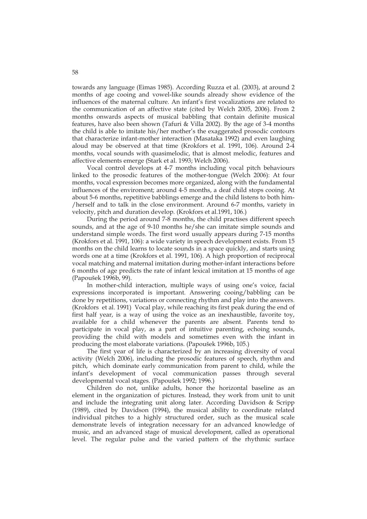towards any language (Eimas 1985). According Ruzza et al. (2003), at around 2 months of age cooing and vowel-like sounds already show evidence of the influences of the maternal culture. An infant's first vocalizations are related to the communication of an affective state (cited by Welch 2005, 2006). From 2 months onwards aspects of musical babbling that contain definite musical features, have also been shown (Tafuri & Villa 2002). By the age of 3-4 months the child is able to imitate his/her mother's the exaggerated prosodic contours that characterize infant-mother interaction (Masataka 1992) and even laughing aloud may be observed at that time (Krokfors et al. 1991, 106). Around 2-4 months, vocal sounds with quasimelodic, that is almost melodic, features and affective elements emerge (Stark et al. 1993; Welch 2006).

Vocal control develops at 4-7 months including vocal pitch behaviours linked to the prosodic features of the mother-tongue (Welch 2006): At four months, vocal expression becomes more organized, along with the fundamental influences of the enviroment; around 4-5 months, a deaf child stops cooing. At about 5-6 months, repetitive babblings emerge and the child listens to both him- /herself and to talk in the close environment. Around 6-7 months, variety in velocity, pitch and duration develop. (Krokfors et al.1991, 106.)

During the period around 7-8 months, the child practises different speech sounds, and at the age of 9-10 months he/she can imitate simple sounds and understand simple words. The first word usually appears during 7-15 months (Krokfors et al. 1991, 106): a wide variety in speech development exists. From 15 months on the child learns to locate sounds in a space quickly, and starts using words one at a time (Krokfors et al. 1991, 106). A high proportion of reciprocal vocal matching and maternal imitation during mother-infant interactions before 6 months of age predicts the rate of infant lexical imitation at 15 months of age (Papoušek 1996b, 99).

In mother-child interaction, multiple ways of using one's voice, facial expressions incorporated is important. Answering cooing/babbling can be done by repetitions, variations or connecting rhythm and play into the answers. (Krokfors et al. 1991) Vocal play, while reaching its first peak during the end of first half year, is a way of using the voice as an inexhaustible, favorite toy, available for a child whenever the parents are absent. Parents tend to participate in vocal play, as a part of intuitive parenting, echoing sounds, providing the child with models and sometimes even with the infant in producing the most elaborate variations. (Papoušek 1996b, 105.)

The first year of life is characterized by an increasing diversity of vocal activity (Welch 2006), including the prosodic features of speech, rhythm and pitch, which dominate early communication from parent to child, while the infant's development of vocal communication passes through several developmental vocal stages. (Papoušek 1992; 1996.)

Children do not, unlike adults, honor the horizontal baseline as an element in the organization of pictures. Instead, they work from unit to unit and include the integrating unit along later. According Davidson & Scripp (1989), cited by Davidson (1994), the musical ability to coordinate related individual pitches to a highly structured order, such as the musical scale demonstrate levels of integration necessary for an advanced knowledge of music, and an advanced stage of musical development, called as operational level. The regular pulse and the varied pattern of the rhythmic surface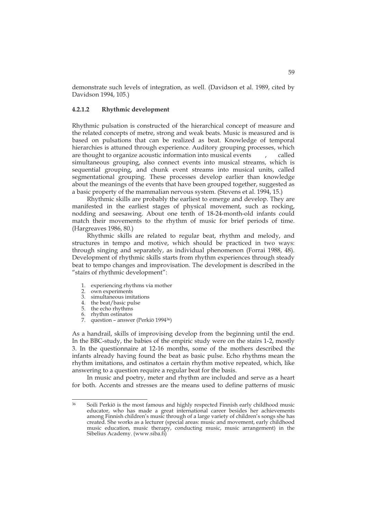demonstrate such levels of integration, as well. (Davidson et al. 1989, cited by Davidson 1994, 105.)

#### **4.2.1.2 Rhythmic development**

Rhythmic pulsation is constructed of the hierarchical concept of measure and the related concepts of metre, strong and weak beats. Music is measured and is based on pulsations that can be realized as beat. Knowledge of temporal hierarchies is attuned through experience. Auditory grouping processes, which are thought to organize acoustic information into musical events , called simultaneous grouping, also connect events into musical streams, which is sequential grouping, and chunk event streams into musical units, called segmentational grouping. These processes develop earlier than knowledge about the meanings of the events that have been grouped together, suggested as a basic property of the mammalian nervous system. (Stevens et al. 1994, 15.)

Rhythmic skills are probably the earliest to emerge and develop. They are manifested in the earliest stages of physical movement, such as rocking, nodding and seesawing. About one tenth of 18-24-month-old infants could match their movements to the rhythm of music for brief periods of time. (Hargreaves 1986, 80.)

Rhythmic skills are related to regular beat, rhythm and melody, and structures in tempo and motive, which should be practiced in two ways: through singing and separately, as individual phenomenon (Forrai 1988, 48). Development of rhythmic skills starts from rhythm experiences through steady beat to tempo changes and improvisation. The development is described in the "stairs of rhythmic development":

- 1. experiencing rhythms via mother
- 2. own experiments<br>3 simultaneous imi
- simultaneous imitations
- 4. the beat/basic pulse
- 5. the echo rhythms<br>6. rhythm ostinatos
- 6. rhythm ostinatos
- question answer (Perkiö 1994<sup>36</sup>)

As a handrail, skills of improvising develop from the beginning until the end. In the BBC-study, the babies of the empiric study were on the stairs 1-2, mostly 3. In the questionnaire at 12-16 months, some of the mothers described the infants already having found the beat as basic pulse. Echo rhythms mean the rhythm imitations, and ostinatos a certain rhythm motive repeated, which, like answering to a question require a regular beat for the basis.

 In music and poetry, meter and rhythm are included and serve as a heart for both. Accents and stresses are the means used to define patterns of music

 $36$ 36 Soili Perkiö is the most famous and highly respected Finnish early childhood music educator, who has made a great international career besides her achievements among Finnish children's music through of a large variety of children's songs she has created. She works as a lecturer (special areas: music and movement, early childhood music education, music therapy, conducting music, music arrangement) in the Sibelius Academy. (www.siba.fi)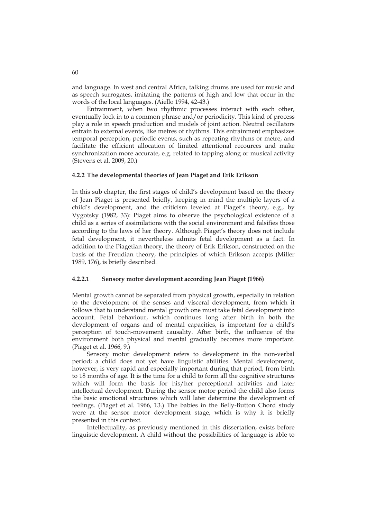and language. In west and central Africa, talking drums are used for music and as speech surrogates, imitating the patterns of high and low that occur in the words of the local languages. (Aiello 1994, 42-43.)

 Entrainment, when two rhythmic processes interact with each other, eventually lock in to a common phrase and/or periodicity. This kind of process play a role in speech production and models of joint action. Neutral oscillators entrain to external events, like metres of rhythms. This entrainment emphasizes temporal perception, periodic events, such as repeating rhythms or metre, and facilitate the efficient allocation of limited attentional recources and make synchronization more accurate, e.g. related to tapping along or musical activity (Stevens et al. 2009, 20.)

## **4.2.2 The developmental theories of Jean Piaget and Erik Erikson**

In this sub chapter, the first stages of child's development based on the theory of Jean Piaget is presented briefly, keeping in mind the multiple layers of a child's development, and the criticism leveled at Piaget's theory, e.g., by Vygotsky (1982, 33): Piaget aims to observe the psychological existence of a child as a series of assimilations with the social environment and falsifies those according to the laws of her theory. Although Piaget's theory does not include fetal development, it nevertheless admits fetal development as a fact. In addition to the Piagetian theory, the theory of Erik Erikson, constructed on the basis of the Freudian theory, the principles of which Erikson accepts (Miller 1989, 176), is briefly described.

## **4.2.2.1 Sensory motor development according Jean Piaget (1966)**

Mental growth cannot be separated from physical growth, especially in relation to the development of the senses and visceral development, from which it follows that to understand mental growth one must take fetal development into account. Fetal behaviour, which continues long after birth in both the development of organs and of mental capacities, is important for a child's perception of touch-movement causality. After birth, the influence of the environment both physical and mental gradually becomes more important. (Piaget et al. 1966, 9.)

 Sensory motor development refers to development in the non-verbal period; a child does not yet have linguistic abilities. Mental development, however, is very rapid and especially important during that period, from birth to 18 months of age. It is the time for a child to form all the cognitive structures which will form the basis for his/her perceptional activities and later intellectual development. During the sensor motor period the child also forms the basic emotional structures which will later determine the development of feelings. (Piaget et al. 1966, 13.) The babies in the Belly-Button Chord study were at the sensor motor development stage, which is why it is briefly presented in this context.

 Intellectuality, as previously mentioned in this dissertation, exists before linguistic development. A child without the possibilities of language is able to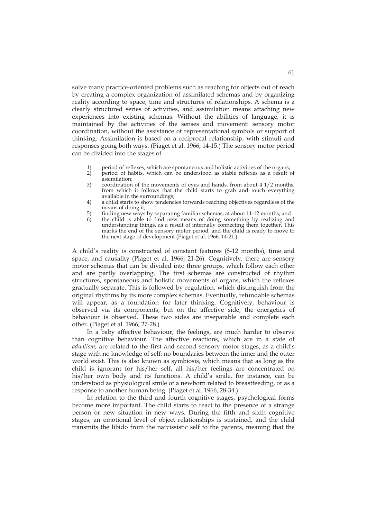solve many practice-oriented problems such as reaching for objects out of reach by creating a complex organization of assimilated schemas and by organizing reality according to space, time and structures of relationships. A schema is a clearly structured series of activities, and assimilation means attaching new experiences into existing schemas. Without the abilities of language, it is maintained by the activities of the senses and movement: sensory motor coordination, without the assistance of representational symbols or support of thinking. Assimilation is based on a reciprocal relationship, with stimuli and responses going both ways. (Piaget et al. 1966, 14-15.) The sensory motor period can be divided into the stages of

- 1) period of reflexes, which are spontaneous and holistic activities of the organs;<br>2) period of habits, which can be understood as stable reflexes as a result of
- 2) period of habits, which can be understood as stable reflexes as a result of assimilation;
- 3) coordination of the movements of eyes and hands, from about 4 1/2 months, from which it follows that the child starts to grab and touch everything available in the surroundings;
- 4) a child starts to show tendencies forwards reaching objectives regardless of the means of doing it;
- 5) finding new ways by separating familiar schemas, at about 11-12 months; and
- the child is able to find new means of doing something by realizing and understanding things, as a result of internally connecting them together. This marks the end of the sensory motor period, and the child is ready to move to the next stage of development (Piaget et al. 1966, 14-21.)

A child's reality is constructed of constant features (8-12 months), time and space, and causality (Piaget et al. 1966, 21-26). Cognitively, there are sensory motor schemas that can be divided into three groups, which follow each other and are partly overlapping. The first schemas are constructed of rhythm structures, spontaneous and holistic movements of organs, which the reflexes gradually separate. This is followed by regulation, which distinguish from the original rhythms by its more complex schemas. Eventually, refundable schemas will appear, as a foundation for later thinking. Cognitively, behaviour is observed via its components, but on the affective side, the energetics of behaviour is observed. These two sides are inseparable and complete each other. (Piaget et al. 1966, 27-28.)

In a baby affective behaviour; the feelings, are much harder to observe than cognitive behaviour. The affective reactions, which are in a state of *adualism*, are related to the first and second sensory motor stages, as a child's stage with no knowledge of self: no boundaries between the inner and the outer world exist. This is also known as symbiosis, which means that as long as the child is ignorant for his/her self, all his/her feelings are concentrated on his/her own body and its functions. A child's smile, for instance, can be understood as physiological smile of a newborn related to breastfeeding, or as a response to another human being. (Piaget et al. 1966, 28-34.)

 In relation to the third and fourth cognitive stages, psychological forms become more important. The child starts to react to the presence of a strange person or new situation in new ways. During the fifth and sixth cognitive stages, an emotional level of object relationships is sustained, and the child transmits the libido from the narcissistic self to the parents, meaning that the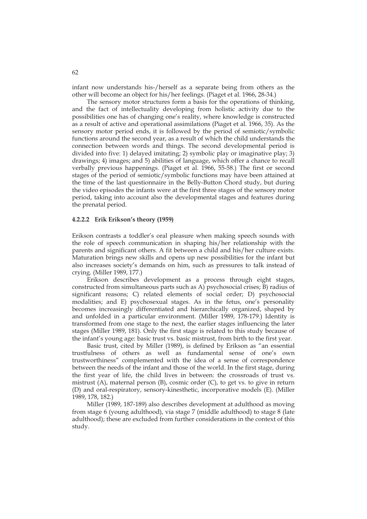infant now understands his-/herself as a separate being from others as the other will become an object for his/her feelings. (Piaget et al. 1966, 28-34.)

The sensory motor structures form a basis for the operations of thinking, and the fact of intellectuality developing from holistic activity due to the possibilities one has of changing one's reality, where knowledge is constructed as a result of active and operational assimilations (Piaget et al. 1966, 35). As the sensory motor period ends, it is followed by the period of semiotic/symbolic functions around the second year, as a result of which the child understands the connection between words and things. The second developmental period is divided into five: 1) delayed imitating; 2) symbolic play or imaginative play; 3) drawings; 4) images; and 5) abilities of language, which offer a chance to recall verbally previous happenings. (Piaget et al. 1966, 55-58.) The first or second stages of the period of semiotic/symbolic functions may have been attained at the time of the last questionnaire in the Belly-Button Chord study, but during the video episodes the infants were at the first three stages of the sensory motor period, taking into account also the developmental stages and features during the prenatal period.

## **4.2.2.2 Erik Erikson's theory (1959)**

Erikson contrasts a toddler's oral pleasure when making speech sounds with the role of speech communication in shaping his/her relationship with the parents and significant others. A fit between a child and his/her culture exists. Maturation brings new skills and opens up new possibilities for the infant but also increases society's demands on him, such as pressures to talk instead of crying. (Miller 1989, 177.)

 Erikson describes development as a process through eight stages, constructed from simultaneous parts such as A) psychosocial crises; B) radius of significant reasons; C) related elements of social order; D) psychosocial modalities; and E) psychosexual stages. As in the fetus, one's personality becomes increasingly differentiated and hierarchically organized, shaped by and unfolded in a particular environment. (Miller 1989, 178-179.) Identity is transformed from one stage to the next, the earlier stages influencing the later stages (Miller 1989, 181). Only the first stage is related to this study because of the infant's young age: basic trust vs. basic mistrust, from birth to the first year.

Basic trust, cited by Miller (1989), is defined by Erikson as "an essential trustfulness of others as well as fundamental sense of one's own trustworthiness" complemented with the idea of a sense of correspondence between the needs of the infant and those of the world. In the first stage, during the first year of life, the child lives in between: the crossroads of trust vs. mistrust (A), maternal person (B), cosmic order (C), to get vs. to give in return (D) and oral-respiratory, sensory-kinesthetic, incorporative models (E). (Miller 1989, 178, 182.)

Miller (1989, 187-189) also describes development at adulthood as moving from stage 6 (young adulthood), via stage 7 (middle adulthood) to stage 8 (late adulthood); these are excluded from further considerations in the context of this study.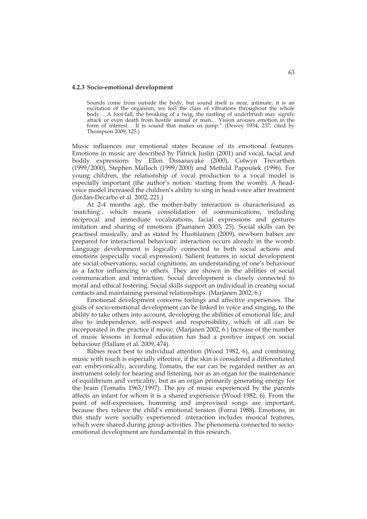#### **4.2.3 Socio-emotional development**

Sounds come from outside the body, but sound itself is near, intimate; it is an excitation of the organism; we feel the class of vibrations throughout the whole body… A foot-fall, the breaking of a twig, the rustling of underbrush may signify attack or even death from hostile animal or man… Vision arouses emotion in the form of interest… It is sound that makes us jump." (Dewey 1934, 237, cited by Thompson 2009, 125.)

Music influences our emotional states because of its emotional features. Emotions in music are described by Patrick Juslin (2001) and vocal, facial and bodily expressions by Ellen Dissanayake (2000), Colwyn Trevarthen (1999/2000), Stephen Malloch (1999/2000) and Methild Papoušek (1996). For young children, the relationship of vocal production to a vocal model is especially important (the author's notion: starting from the womb). A headvoice model increased the children's ability to sing in head voice after treatment (Jordan-Decarbo et al. 2002, 221.)

At 2-4 months age, the mother-baby interaction is characterisized as 'matching', which means consolidation of communications, including reciprocal and immediate vocalizations, facial expressions and gestures imitation and sharing of emotions (Paananen 2003, 25). Social skills can be practised musically, and as stated by Huotilainen (2009), newborn babies are prepared for interactional behaviour: interaction occurs already in the womb. Language development is logically connected to both social actions and emotions (especially vocal expression). Salient features in social development are social observations, social cognitions, an understanding of one's behaviour as a factor influencing to others. They are shown in the abilities of social communication and interaction. Social development is closely connected to moral and ethical fostering. Social skills support an individual in creating social contacts and maintaining personal relationships. (Marjanen 2002, 6.)

Emotional development concerns feelings and affective experiences. The goals of socio-emotional development can be linked to voice and singing, to the ability to take others into account, developing the abilities of emotional life, and also to independence, self-respect and responsibility, which of all can be incorporated in the practice if music. (Marjanen 2002, 6.) Increase of the number of music lessons in formal education has had a positive impact on social behaviour (Hallam et al. 2009, 474).

Babies react best to individual attention (Wood 1982, 6), and combining music with touch is especially effective, if the skin is considered a differentiated ear: embryonically, according Tomatis, the ear can be regarded neither as an instrument solely for hearing and listening, nor as an organ for the maintenance of equilibrium and verticality, but as an organ primarily generating energy for the brain (Tomatis 1963/1997). The joy of music experienced by the parents affects an infant for whom it is a shared experience (Wood 1982, 6). From the point of self-expression, humming and improvised songs are important, because they relieve the child's emotional tension (Forrai 1988). Emotions, in this study were socially experienced: interaction includes musical features, which were shared during group activities. The phenomena connected to socioemotional development are fundamental in this research.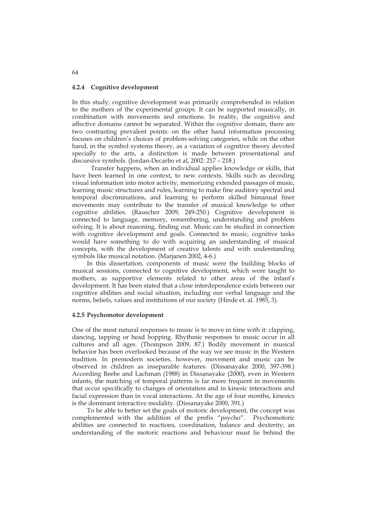#### **4.2.4 Cognitive development**

In this study, cognitive development was primarily comprehended in relation to the mothers of the experimental groups. It can be supported musically, in combination with movements and emotions. In reality, the cognitive and affective domains cannot be separated. Within the cognitive domain, there are two contrasting prevalent points: on the other hand information processing focuses on children's choices of problem-solving categories, while on the other hand, in the symbol systems theory, as a variation of cognitive theory devoted specially to the arts, a distinction is made between presentational and discursive symbols. (Jordan-Decarbo et al, 2002: 217 – 218.)

Transfer happens, when an individual applies knowledge or skills, that have been learned in one context, to new contexts. Skills such as decoding visual information into motor activity, memorizing extended passages of music, learning music structures and rules, learning to make fine auditory spectral and temporal discriminations, and learning to perform skilled bimanual finer movements may contribute to the transfer of musical knowledge to other cognitive abilities. (Rauscher 2009, 249-250.) Cognitive development is connected to language, memory, remembering, understanding and problem solving. It is about reasoning, finding out. Music can be studied in connection with cognitive development and goals. Connected to music, cognitive tasks would have something to do with acquiring an understanding of musical concepts, with the development of creative talents and with understanding symbols like musical notation. (Marjanen 2002, 4-6.)

 In this dissertation, components of music were the building blocks of musical sessions, connected to cognitive development, which were taught to mothers, as supportive elements related to other areas of the infant's development. It has been stated that a close interdependence exists between our cognitive abilities and social situation, including our verbal language and the norms, beliefs, values and institutions of our society (Hinde et. al. 1985, 3).

### **4.2.5 Psychomotor development**

One of the most natural responses to music is to move in time with it: clapping, dancing, tapping or head bopping. Rhythmic responses to music occur in all cultures and all ages. (Thompson 2009, 87.) Bodily movement in musical behavior has been overlooked because of the way we see music in the Western tradition. In premodern societies, however, movement and music can be observed in children as inseparable features. (Dissanayake 2000, 397-398.) According Beebe and Lachman (1988) in Dissanayake (2000), even in Western infants, the matching of temporal patterns is far more frequent in movements that occur specifically to changes of orientation and in kinesic interactions and facial expression than in vocal interactions. At the age of four months, kinesics is the dominant interactive modality. (Dissanayake 2000, 391.)

 To be able to better set the goals of motoric development, the concept was complemented with the addition of the prefix "psycho". Psychomotoric abilities are connected to reactions, coordination, balance and dexterity; an understanding of the motoric reactions and behaviour must lie behind the

64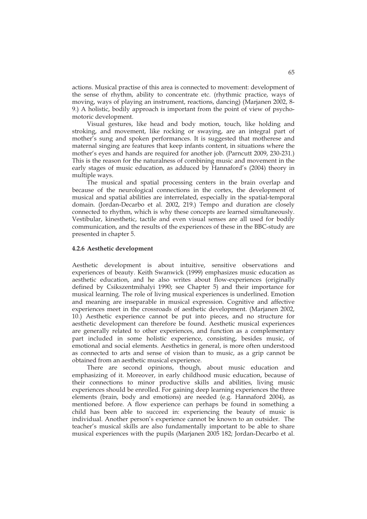actions. Musical practise of this area is connected to movement: development of the sense of rhythm, ability to concentrate etc. (rhythmic practice, ways of moving, ways of playing an instrument, reactions, dancing) (Marjanen 2002, 8- 9.) A holistic, bodily approach is important from the point of view of psychomotoric development.

Visual gestures, like head and body motion, touch, like holding and stroking, and movement, like rocking or swaying, are an integral part of mother's sung and spoken performances. It is suggested that motherese and maternal singing are features that keep infants content, in situations where the mother's eyes and hands are required for another job. (Parncutt 2009, 230-231.) This is the reason for the naturalness of combining music and movement in the early stages of music education, as adduced by Hannaford's (2004) theory in multiple ways.

The musical and spatial processing centers in the brain overlap and because of the neurological connections in the cortex, the development of musical and spatial abilities are interrelated, especially in the spatial-temporal domain. (Jordan-Decarbo et al. 2002, 219.) Tempo and duration are closely connected to rhythm, which is why these concepts are learned simultaneously. Vestibular, kinesthetic, tactile and even visual senses are all used for bodily communication, and the results of the experiences of these in the BBC-study are presented in chapter 5.

#### **4.2.6 Aesthetic development**

Aesthetic development is about intuitive, sensitive observations and experiences of beauty. Keith Swanwick (1999) emphasizes music education as aesthetic education, and he also writes about flow-experiences (originally defined by Csikszentmihalyi 1990; see Chapter 5) and their importance for musical learning. The role of living musical experiences is underlined. Emotion and meaning are inseparable in musical expression. Cognitive and affective experiences meet in the crossroads of aesthetic development. (Marjanen 2002, 10.) Aesthetic experience cannot be put into pieces, and no structure for aesthetic development can therefore be found. Aesthetic musical experiences are generally related to other experiences, and function as a complementary part included in some holistic experience, consisting, besides music, of emotional and social elements. Aesthetics in general, is more often understood as connected to arts and sense of vision than to music, as a grip cannot be obtained from an aesthetic musical experience.

 There are second opinions, though, about music education and emphasizing of it. Moreover, in early childhood music education, because of their connections to minor productive skills and abilities, living music experiences should be enrolled. For gaining deep learning experiences the three elements (brain, body and emotions) are needed (e.g. Hannaford 2004), as mentioned before. A flow experience can perhaps be found in something a child has been able to succeed in: experiencing the beauty of music is individual. Another person's experience cannot be known to an outsider. The teacher's musical skills are also fundamentally important to be able to share musical experiences with the pupils (Marjanen 2005 182; Jordan-Decarbo et al.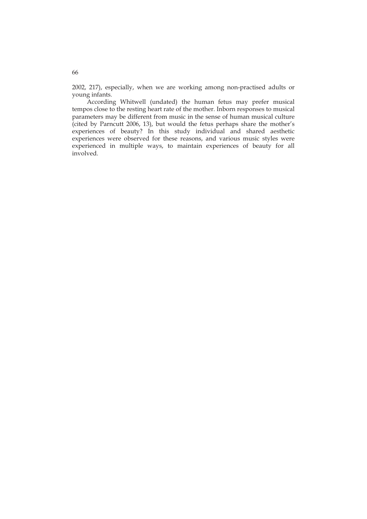2002, 217), especially, when we are working among non-practised adults or young infants.

 According Whitwell (undated) the human fetus may prefer musical tempos close to the resting heart rate of the mother. Inborn responses to musical parameters may be different from music in the sense of human musical culture (cited by Parncutt 2006, 13), but would the fetus perhaps share the mother's experiences of beauty? In this study individual and shared aesthetic experiences were observed for these reasons, and various music styles were experienced in multiple ways, to maintain experiences of beauty for all involved.

66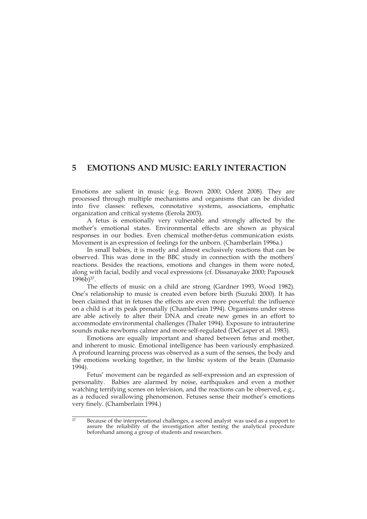# **5 EMOTIONS AND MUSIC: EARLY INTERACTION**

Emotions are salient in music (e.g. Brown 2000; Odent 2008). They are processed through multiple mechanisms and organisms that can be divided into five classes: reflexes, connotative systems, associations, emphatic organization and critical systems (Eerola 2003).

A fetus is emotionally very vulnerable and strongly affected by the mother's emotional states. Environmental effects are shown as physical responses in our bodies. Even chemical mother-fetus communication exists. Movement is an expression of feelings for the unborn. (Chamberlain 1996a.)

In small babies, it is mostly and almost exclusively reactions that can be observed. This was done in the BBC study in connection with the mothers' reactions. Besides the reactions, emotions and changes in them were noted, along with facial, bodily and vocal expressions (cf. Dissanayake 2000; Papousek 1996b)37.

The effects of music on a child are strong (Gardner 1993, Wood 1982). One's relationship to music is created even before birth (Suzuki 2000). It has been claimed that in fetuses the effects are even more powerful: the influence on a child is at its peak prenatally (Chamberlain 1994). Organisms under stress are able actively to alter their DNA and create new genes in an effort to accommodate environmental challenges (Thaler 1994). Exposure to intrauterine sounds make newborns calmer and more self-regulated (DeCasper et al. 1983).

Emotions are equally important and shared between fetus and mother, and inherent to music. Emotional intelligence has been variously emphasized. A profound learning process was observed as a sum of the senses, the body and the emotions working together, in the limbic system of the brain (Damasio 1994).

Fetus' movement can be regarded as self-expression and an expression of personality. Babies are alarmed by noise, earthquakes and even a mother watching terrifying scenes on television, and the reactions can be observed, e.g., as a reduced swallowing phenomenon. Fetuses sense their mother's emotions very finely. (Chamberlain 1994.)

<sup>37</sup> Because of the interpretational challenges, a second analyst was used as a support to assure the reliability of the investigation after testing the analytical procedure beforehand among a group of students and researchers.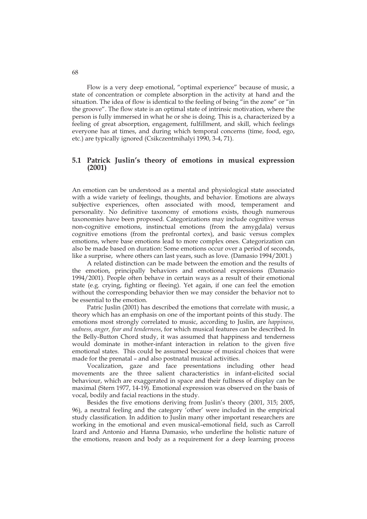Flow is a very deep emotional, "optimal experience" because of music, a state of concentration or complete absorption in the activity at hand and the situation. The idea of flow is identical to the feeling of being "in the zone" or "in the groove". The flow state is an optimal state of intrinsic motivation, where the person is fully immersed in what he or she is doing. This is a, characterized by a feeling of great absorption, engagement, fulfillment, and skill, which feelings everyone has at times, and during which temporal concerns (time, food, ego, etc.) are typically ignored (Csikczentmihalyi 1990, 3-4, 71).

## **5.1 Patrick Juslin's theory of emotions in musical expression (2001)**

An emotion can be understood as a mental and physiological state associated with a wide variety of feelings, thoughts, and behavior. Emotions are always subjective experiences, often associated with mood, temperament and personality. No definitive taxonomy of emotions exists, though numerous taxonomies have been proposed. Categorizations may include cognitive versus non-cognitive emotions, instinctual emotions (from the amygdala) versus cognitive emotions (from the prefrontal cortex), and basic versus complex emotions, where base emotions lead to more complex ones. Categorization can also be made based on duration: Some emotions occur over a period of seconds, like a surprise, where others can last years, such as love. (Damasio 1994/2001.)

A related distinction can be made between the emotion and the results of the emotion, principally behaviors and emotional expressions (Damasio 1994/2001). People often behave in certain ways as a result of their emotional state (e.g. crying, fighting or fleeing). Yet again, if one can feel the emotion without the corresponding behavior then we may consider the behavior not to be essential to the emotion.

Patric Juslin (2001) has described the emotions that correlate with music, a theory which has an emphasis on one of the important points of this study. The emotions most strongly correlated to music, according to Juslin, are *happiness, sadness, anger, fear and tenderness*, for which musical features can be described. In the Belly-Button Chord study, it was assumed that happiness and tenderness would dominate in mother-infant interaction in relation to the given five emotional states. This could be assumed because of musical choices that were made for the prenatal – and also postnatal musical activities.

Vocalization, gaze and face presentations including other head movements are the three salient characteristics in infant-elicited social behaviour, which are exaggerated in space and their fullness of display can be maximal (Stern 1977, 14-19). Emotional expression was observed on the basis of vocal, bodily and facial reactions in the study.

Besides the five emotions deriving from Juslin's theory (2001, 315; 2005, 96), a neutral feeling and the category 'other' were included in the empirical study classification. In addition to Juslin many other important researchers are working in the emotional and even musical–emotional field, such as Carroll Izard and Antonio and Hanna Damasio, who underline the holistic nature of the emotions, reason and body as a requirement for a deep learning process

68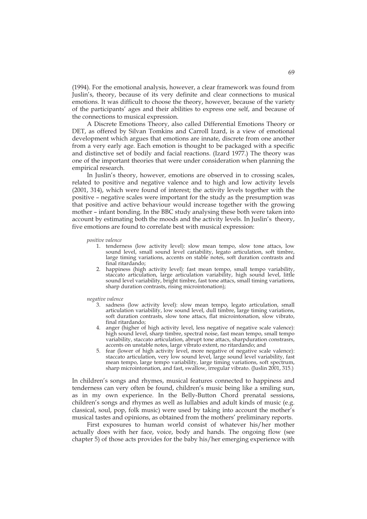(1994). For the emotional analysis, however, a clear framework was found from Juslin's, theory, because of its very definite and clear connections to musical emotions. It was difficult to choose the theory, however, because of the variety of the participants' ages and their abilities to express one self, and because of the connections to musical expression.

A Discrete Emotions Theory, also called Differential Emotions Theory or DET, as offered by Silvan Tomkins and Carroll Izard, is a view of emotional development which argues that emotions are innate, discrete from one another from a very early age. Each emotion is thought to be packaged with a specific and distinctive set of bodily and facial reactions. (Izard 1977.) The theory was one of the important theories that were under consideration when planning the empirical research.

 In Juslin's theory, however, emotions are observed in to crossing scales, related to positive and negative valence and to high and low activity levels (2001, 314), which were found of interest; the activity levels together with the positive – negative scales were important for the study as the presumption was that positive and active behaviour would increase together with the growing mother – infant bonding. In the BBC study analysing these both were taken into account by estimating both the moods and the activity levels. In Juslin's theory, five emotions are found to correlate best with musical expression:

*positive valence* 

- 1. tenderness (low activity level): slow mean tempo, slow tone attacs, low sound level, small sound level cariability, legato articulation, soft timbre, large timing variations, accents on stable notes, soft duration contrasts and final ritardando;
- 2. happiness (high activity level): fast mean tempo, small tempo variability, staccato articulation, large articulation variability, high sound level, little sound level variability, bright timbre, fast tone attacs, small timing variations, sharp duration contrasts, rising microintonation);

*negative valence* 

- 3. sadness (low activity level): slow mean tempo, legato articulation, small articulation variability, low sound level, dull timbre, large timing variations, soft duration contrasts, slow tone attacs, flat microintonation, slow vibrato, final ritardando;
- anger (higher of high activity level, less negative of negative scale valence): high sound level, sharp timbre, spectral noise, fast mean tempo, small tempo variability, staccato articulation, abrupt tone attacs, sharpduration constrasrs, accents on unstable notes, large vibrato extent, no ritardando; and
- 5. fear (lower of high activity level, more negative of negative scale valence): staccato articulation, very low sound level, large sound level variability, fast mean tempo, large tempo variability, large timing variations, soft spectrum, sharp microintonation, and fast, swallow, irregular vibrato. (Juslin 2001, 315.)

In children's songs and rhymes, musical features connected to happiness and tenderness can very often be found, children's music being like a smiling sun, as in my own experience. In the Belly-Button Chord prenatal sessions, children's songs and rhymes as well as lullabies and adult kinds of music (e.g. classical, soul, pop, folk music) were used by taking into account the mother's musical tastes and opinions, as obtained from the mothers' preliminary reports.

 First exposures to human world consist of whatever his/her mother actually does with her face, voice, body and hands. The ongoing flow (see chapter 5) of those acts provides for the baby his/her emerging experience with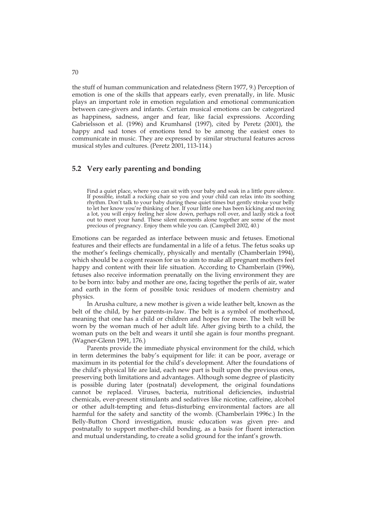the stuff of human communication and relatedness (Stern 1977, 9.) Perception of emotion is one of the skills that appears early, even prenatally, in life. Music plays an important role in emotion regulation and emotional communication between care-givers and infants. Certain musical emotions can be categorized as happiness, sadness, anger and fear, like facial expressions. According Gabrielsson et al. (1996) and Krumhansl (1997), cited by Peretz (2001), the happy and sad tones of emotions tend to be among the easiest ones to communicate in music. They are expressed by similar structural features across musical styles and cultures. (Peretz 2001, 113-114.)

## **5.2 Very early parenting and bonding**

Find a quiet place, where you can sit with your baby and soak in a little pure silence. If possible, install a rocking chair so you and your child can relax into its soothing rhythm. Don't talk to your baby during these quiet times but gently stroke your belly to let her know you're thinking of her. If your little one has been kicking and moving a lot, you will enjoy feeling her slow down, perhaps roll over, and lazily stick a foot out to meet your hand. These silent moments alone together are some of the most precious of pregnancy. Enjoy them while you can. (Campbell 2002, 40.)

Emotions can be regarded as interface between music and fetuses. Emotional features and their effects are fundamental in a life of a fetus. The fetus soaks up the mother's feelings chemically, physically and mentally (Chamberlain 1994), which should be a cogent reason for us to aim to make all pregnant mothers feel happy and content with their life situation. According to Chamberlain (1996), fetuses also receive information prenatally on the living environment they are to be born into: baby and mother are one, facing together the perils of air, water and earth in the form of possible toxic residues of modern chemistry and physics.

 In Arusha culture, a new mother is given a wide leather belt, known as the belt of the child, by her parents-in-law. The belt is a symbol of motherhood, meaning that one has a child or children and hopes for more. The belt will be worn by the woman much of her adult life. After giving birth to a child, the woman puts on the belt and wears it until she again is four months pregnant. (Wagner-Glenn 1991, 176.)

Parents provide the immediate physical environment for the child, which in term determines the baby's equipment for life: it can be poor, average or maximum in its potential for the child's development. After the foundations of the child's physical life are laid, each new part is built upon the previous ones, preserving both limitations and advantages. Although some degree of plasticity is possible during later (postnatal) development, the original foundations cannot be replaced. Viruses, bacteria, nutritional deficiencies, industrial chemicals, ever-present stimulants and sedatives like nicotine, caffeine, alcohol or other adult-tempting and fetus-disturbing environmental factors are all harmful for the safety and sanctity of the womb. (Chamberlain 1996c.) In the Belly-Button Chord investigation, music education was given pre- and postnatally to support mother-child bonding, as a basis for fluent interaction and mutual understanding, to create a solid ground for the infant's growth.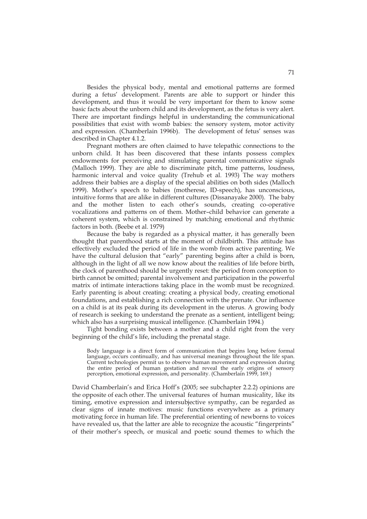Besides the physical body, mental and emotional patterns are formed during a fetus' development. Parents are able to support or hinder this development, and thus it would be very important for them to know some basic facts about the unborn child and its development, as the fetus is very alert. There are important findings helpful in understanding the communicational possibilities that exist with womb babies: the sensory system, motor activity and expression. (Chamberlain 1996b). The development of fetus' senses was described in Chapter 4.1.2.

Pregnant mothers are often claimed to have telepathic connections to the unborn child. It has been discovered that these infants possess complex endowments for perceiving and stimulating parental communicative signals (Malloch 1999). They are able to discriminate pitch, time patterns, loudness, harmonic interval and voice quality (Trehub et al. 1993) The way mothers address their babies are a display of the special abilities on both sides (Malloch 1999). Mother's speech to babies (motherese, ID-speech), has unconscious, intuitive forms that are alike in different cultures (Dissanayake 2000). The baby and the mother listen to each other's sounds, creating co-operative vocalizations and patterns on of them. Mother–child behavior can generate a coherent system, which is constrained by matching emotional and rhythmic factors in both. (Beebe et al. 1979)

Because the baby is regarded as a physical matter, it has generally been thought that parenthood starts at the moment of childbirth. This attitude has effectively excluded the period of life in the womb from active parenting. We have the cultural delusion that "early" parenting begins after a child is born, although in the light of all we now know about the realities of life before birth, the clock of parenthood should be urgently reset: the period from conception to birth cannot be omitted; parental involvement and participation in the powerful matrix of intimate interactions taking place in the womb must be recognized. Early parenting is about creating: creating a physical body, creating emotional foundations, and establishing a rich connection with the prenate. Our influence on a child is at its peak during its development in the uterus. A growing body of research is seeking to understand the prenate as a sentient, intelligent being; which also has a surprising musical intelligence. (Chamberlain 1994.)

Tight bonding exists between a mother and a child right from the very beginning of the child's life, including the prenatal stage.

Body language is a direct form of communication that begins long before formal language, occurs continually, and has universal meanings throughout the life span. Current technologies permit us to observe human movement and expression during the entire period of human gestation and reveal the early origins of sensory perception, emotional expression, and personality. (Chamberlain 1999, 169.)

David Chamberlain's and Erica Hoff's (2005; see subchapter 2.2.2) opinions are the opposite of each other. The universal features of human musicality, like its timing, emotive expression and intersubjective sympathy, can be regarded as clear signs of innate motives: music functions everywhere as a primary motivating force in human life. The preferential orienting of newborns to voices have revealed us, that the latter are able to recognize the acoustic "fingerprints" of their mother's speech, or musical and poetic sound themes to which the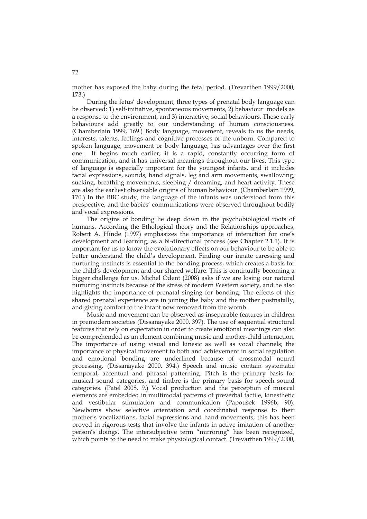mother has exposed the baby during the fetal period. (Trevarthen 1999/2000, 173.)

During the fetus' development, three types of prenatal body language can be observed: 1) self-initiative, spontaneous movements, 2) behaviour models as a response to the environment, and 3) interactive, social behaviours. These early behaviours add greatly to our understanding of human consciousness. (Chamberlain 1999, 169.) Body language, movement, reveals to us the needs, interests, talents, feelings and cognitive processes of the unborn. Compared to spoken language, movement or body language, has advantages over the first one. It begins much earlier; it is a rapid, constantly occurring form of communication, and it has universal meanings throughout our lives. This type of language is especially important for the youngest infants, and it includes facial expressions, sounds, hand signals, leg and arm movements, swallowing, sucking, breathing movements, sleeping / dreaming, and heart activity. These are also the earliest observable origins of human behaviour. (Chamberlain 1999, 170.) In the BBC study, the language of the infants was understood from this prespective, and the babies' communications were observed throughout bodily and vocal expressions.

 The origins of bonding lie deep down in the psychobiological roots of humans. According the Ethological theory and the Relationships approaches, Robert A. Hinde (1997) emphasizes the importance of interaction for one's development and learning, as a bi-directional process (see Chapter 2.1.1). It is important for us to know the evolutionary effects on our behaviour to be able to better understand the child's development. Finding our innate caressing and nurturing instincts is essential to the bonding process, which creates a basis for the child's development and our shared welfare. This is continually becoming a bigger challenge for us. Michel Odent (2008) asks if we are losing our natural nurturing instincts because of the stress of modern Western society, and he also highlights the importance of prenatal singing for bonding. The effects of this shared prenatal experience are in joining the baby and the mother postnatally, and giving comfort to the infant now removed from the womb.

Music and movement can be observed as inseparable features in children in premodern societies (Dissanayake 2000, 397). The use of sequential structural features that rely on expectation in order to create emotional meanings can also be comprehended as an element combining music and mother-child interaction. The importance of using visual and kinesic as well as vocal channels; the importance of physical movement to both and achievement in social regulation and emotional bonding are underlined because of crossmodal neural processing. (Dissanayake 2000, 394.) Speech and music contain systematic temporal, accentual and phrasal patterning. Pitch is the primary basis for musical sound categories, and timbre is the primary basis for speech sound categories. (Patel 2008, 9.) Vocal production and the perception of musical elements are embedded in multimodal patterns of preverbal tactile, kinesthetic and vestibular stimulation and communication (Papoušek 1996b, 90). Newborns show selective orientation and coordinated response to their mother's vocalizations, facial expressions and hand movements; this has been proved in rigorous tests that involve the infants in active imitation of another person's doings. The intersubjective term "mirroring" has been recognized, which points to the need to make physiological contact. (Trevarthen 1999/2000,

72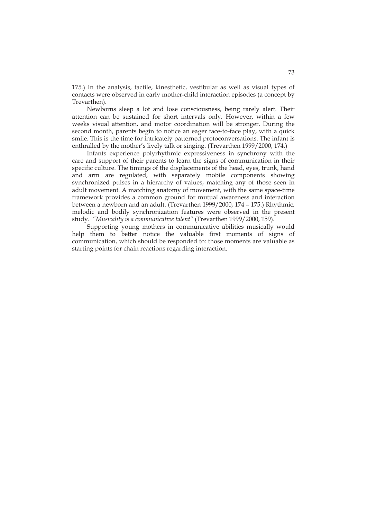175.) In the analysis, tactile, kinesthetic, vestibular as well as visual types of contacts were observed in early mother-child interaction episodes (a concept by Trevarthen).

Newborns sleep a lot and lose consciousness, being rarely alert. Their attention can be sustained for short intervals only. However, within a few weeks visual attention, and motor coordination will be stronger. During the second month, parents begin to notice an eager face-to-face play, with a quick smile. This is the time for intricately patterned protoconversations. The infant is enthralled by the mother's lively talk or singing. (Trevarthen 1999/2000, 174.)

Infants experience polyrhythmic expressiveness in synchrony with the care and support of their parents to learn the signs of communication in their specific culture. The timings of the displacements of the head, eyes, trunk, hand and arm are regulated, with separately mobile components showing synchronized pulses in a hierarchy of values, matching any of those seen in adult movement. A matching anatomy of movement, with the same space-time framework provides a common ground for mutual awareness and interaction between a newborn and an adult. (Trevarthen 1999/2000, 174 – 175.) Rhythmic, melodic and bodily synchronization features were observed in the present study. *"Musicality is a communicative talent"* (Trevarthen 1999/2000, 159).

 Supporting young mothers in communicative abilities musically would help them to better notice the valuable first moments of signs of communication, which should be responded to: those moments are valuable as starting points for chain reactions regarding interaction.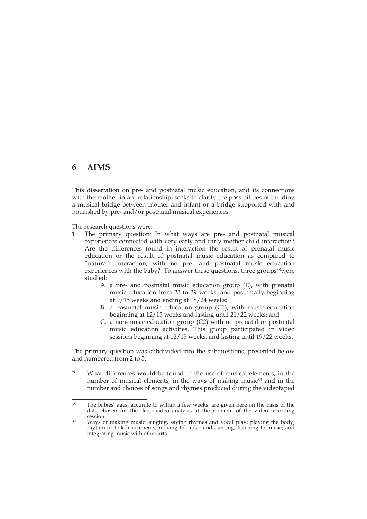# **6 AIMS**

This dissertation on pre- and postnatal music education, and its connections with the mother-infant relationship, seeks to clarify the possibilities of building a musical bridge between mother and infant or a bridge supported with and nourished by pre- and/or postnatal musical experiences.

The research questions were:

- 1. The primary question: In what ways are pre- and postnatal musical experiences connected with very early and early mother-child interaction? Are the differences found in interaction the result of prenatal music education or the result of postnatal music education as compared to "natural" interaction, with no pre- and postnatal music education experiences with the baby? To answer these questions, three groups<sup>38</sup>were studied:
	- A. a pre- and postnatal music education group (E), with prenatal music education from 23 to 39 weeks, and postnatally beginning at 9/15 weeks and ending at 18/24 weeks;
	- B. a postnatal music education group (C1), with music education beginning at 12/15 weeks and lasting until 21/22 weeks; and
	- C. a non-music education group (C2) with no prenatal or postnatal music education activities. This group participated in video sessions beginning at 12/15 weeks, and lasting until 19/22 weeks.

The primary question was subdivided into the subquestions, presented below and numbered from 2 to 5:

2. What differences would be found in the use of musical elements, in the number of musical elements, in the ways of making music<sup>39</sup> and in the number and choices of songs and rhymes produced during the videotaped

<sup>÷</sup> 38 The babies' ages, accurate to within a few weeks, are given here on the basis of the data chosen for the deep video analysis at the moment of the video recording

<sup>&</sup>lt;sup>39</sup> Ways of making music: singing, saying rhymes and vocal play; playing the body, rhythm or folk instruments; moving to music and dancing; listening to music; and integrating music with other arts.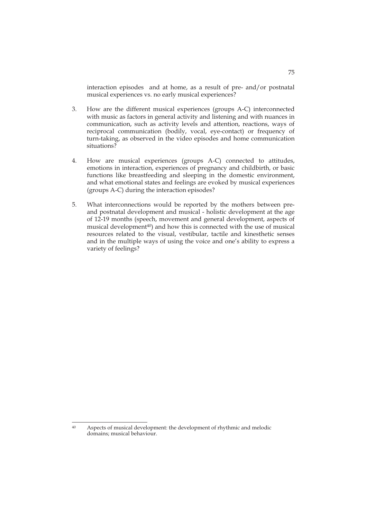interaction episodes and at home, as a result of pre- and/or postnatal musical experiences vs. no early musical experiences?

- 3. How are the different musical experiences (groups A-C) interconnected with music as factors in general activity and listening and with nuances in communication, such as activity levels and attention, reactions, ways of reciprocal communication (bodily, vocal, eye-contact) or frequency of turn-taking, as observed in the video episodes and home communication situations?
- 4. How are musical experiences (groups A-C) connected to attitudes, emotions in interaction, experiences of pregnancy and childbirth, or basic functions like breastfeeding and sleeping in the domestic environment, and what emotional states and feelings are evoked by musical experiences (groups A-C) during the interaction episodes?
- 5. What interconnections would be reported by the mothers between preand postnatal development and musical - holistic development at the age of 12-19 months (speech, movement and general development, aspects of musical development<sup>40</sup>) and how this is connected with the use of musical resources related to the visual, vestibular, tactile and kinesthetic senses and in the multiple ways of using the voice and one's ability to express a variety of feelings?

 $40$ Aspects of musical development: the development of rhythmic and melodic domains; musical behaviour.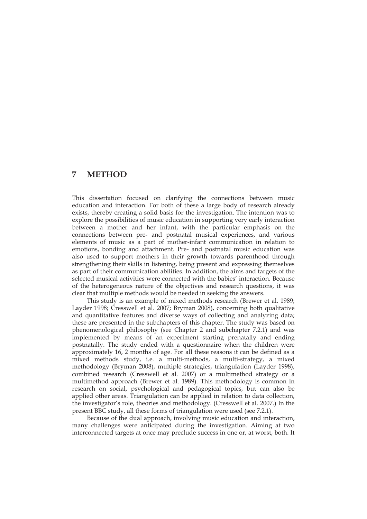# **7 METHOD**

This dissertation focused on clarifying the connections between music education and interaction. For both of these a large body of research already exists, thereby creating a solid basis for the investigation. The intention was to explore the possibilities of music education in supporting very early interaction between a mother and her infant, with the particular emphasis on the connections between pre- and postnatal musical experiences, and various elements of music as a part of mother-infant communication in relation to emotions, bonding and attachment. Pre- and postnatal music education was also used to support mothers in their growth towards parenthood through strengthening their skills in listening, being present and expressing themselves as part of their communication abilities. In addition, the aims and targets of the selected musical activities were connected with the babies' interaction. Because of the heterogeneous nature of the objectives and research questions, it was clear that multiple methods would be needed in seeking the answers.

This study is an example of mixed methods research (Brewer et al. 1989; Layder 1998; Cresswell et al. 2007; Bryman 2008), concerning both qualitative and quantitative features and diverse ways of collecting and analyzing data; these are presented in the subchapters of this chapter. The study was based on phenomenological philosophy (see Chapter 2 and subchapter 7.2.1) and was implemented by means of an experiment starting prenatally and ending postnatally. The study ended with a questionnaire when the children were approximately 16, 2 months of age. For all these reasons it can be defined as a mixed methods study, i.e. a multi-methods, a multi-strategy, a mixed methodology (Bryman 2008), multiple strategies, triangulation (Layder 1998), combined research (Cresswell et al. 2007) or a multimethod strategy or a multimethod approach (Brewer et al. 1989). This methodology is common in research on social, psychological and pedagogical topics, but can also be applied other areas. Triangulation can be applied in relation to data collection, the investigator's role, theories and methodology. (Cresswell et al. 2007.) In the present BBC study, all these forms of triangulation were used (see 7.2.1).

Because of the dual approach, involving music education and interaction, many challenges were anticipated during the investigation. Aiming at two interconnected targets at once may preclude success in one or, at worst, both. It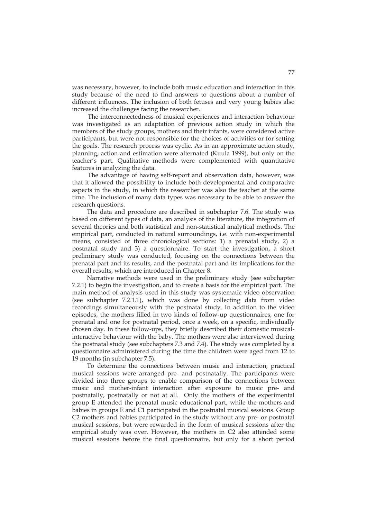was necessary, however, to include both music education and interaction in this study because of the need to find answers to questions about a number of different influences. The inclusion of both fetuses and very young babies also increased the challenges facing the researcher.

The interconnectedness of musical experiences and interaction behaviour was investigated as an adaptation of previous action study in which the members of the study groups, mothers and their infants, were considered active participants, but were not responsible for the choices of activities or for setting the goals. The research process was cyclic. As in an approximate action study, planning, action and estimation were alternated (Kuula 1999), but only on the teacher's part. Qualitative methods were complemented with quantitative features in analyzing the data.

 The advantage of having self-report and observation data, however, was that it allowed the possibility to include both developmental and comparative aspects in the study, in which the researcher was also the teacher at the same time. The inclusion of many data types was necessary to be able to answer the research questions.

The data and procedure are described in subchapter 7.6. The study was based on different types of data, an analysis of the literature, the integration of several theories and both statistical and non-statistical analytical methods. The empirical part, conducted in natural surroundings, i.e. with non-experimental means, consisted of three chronological sections: 1) a prenatal study, 2) a postnatal study and 3) a questionnaire. To start the investigation, a short preliminary study was conducted, focusing on the connections between the prenatal part and its results, and the postnatal part and its implications for the overall results, which are introduced in Chapter 8.

Narrative methods were used in the preliminary study (see subchapter 7.2.1) to begin the investigation, and to create a basis for the empirical part. The main method of analysis used in this study was systematic video observation (see subchapter 7.2.1.1), which was done by collecting data from video recordings simultaneously with the postnatal study. In addition to the video episodes, the mothers filled in two kinds of follow-up questionnaires, one for prenatal and one for postnatal period, once a week, on a specific, individually chosen day. In these follow-ups, they briefly described their domestic musicalinteractive behaviour with the baby. The mothers were also interviewed during the postnatal study (see subchapters 7.3 and 7.4). The study was completed by a questionnaire administered during the time the children were aged from 12 to 19 months (in subchapter 7.5).

To determine the connections between music and interaction, practical musical sessions were arranged pre- and postnatally. The participants were divided into three groups to enable comparison of the connections between music and mother-infant interaction after exposure to music pre- and postnatally, postnatally or not at all. Only the mothers of the experimental group E attended the prenatal music educational part, while the mothers and babies in groups E and C1 participated in the postnatal musical sessions. Group C2 mothers and babies participated in the study without any pre- or postnatal musical sessions, but were rewarded in the form of musical sessions after the empirical study was over. However, the mothers in C2 also attended some musical sessions before the final questionnaire, but only for a short period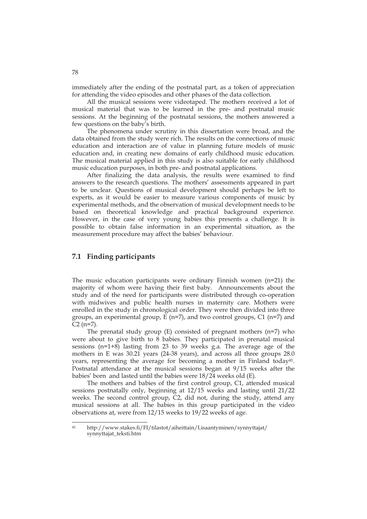immediately after the ending of the postnatal part, as a token of appreciation for attending the video episodes and other phases of the data collection.

All the musical sessions were videotaped. The mothers received a lot of musical material that was to be learned in the pre- and postnatal music sessions. At the beginning of the postnatal sessions, the mothers answered a few questions on the baby's birth.

 The phenomena under scrutiny in this dissertation were broad, and the data obtained from the study were rich. The results on the connections of music education and interaction are of value in planning future models of music education and, in creating new domains of early childhood music education. The musical material applied in this study is also suitable for early childhood music education purposes, in both pre- and postnatal applications.

After finalizing the data analysis, the results were examined to find answers to the research questions. The mothers' assessments appeared in part to be unclear. Questions of musical development should perhaps be left to experts, as it would be easier to measure various components of music by experimental methods, and the observation of musical development needs to be based on theoretical knowledge and practical background experience. However, in the case of very young babies this presents a challenge. It is possible to obtain false information in an experimental situation, as the measurement procedure may affect the babies' behaviour.

# **7.1 Finding participants**

The music education participants were ordinary Finnish women (n=21) the majority of whom were having their first baby. Announcements about the study and of the need for participants were distributed through co-operation with midwives and public health nurses in maternity care. Mothers were enrolled in the study in chronological order. They were then divided into three groups, an experimental group,  $\overline{E}$  (n=7), and two control groups, C1 (n=7) and  $C2$  (n=7).

The prenatal study group  $(E)$  consisted of pregnant mothers  $(n=7)$  who were about to give birth to 8 babies. They participated in prenatal musical sessions (n=1+8) lasting from 23 to 39 weeks g.a. The average age of the mothers in E was 30.21 years (24-38 years), and across all three groups 28.0 years, representing the average for becoming a mother in Finland today<sup>41</sup>. Postnatal attendance at the musical sessions began at 9/15 weeks after the babies' born and lasted until the babies were 18/24 weeks old (E).

The mothers and babies of the first control group, C1, attended musical sessions postnatally only, beginning at 12/15 weeks and lasting until 21/22 weeks. The second control group, C2, did not, during the study, attend any musical sessions at all. The babies in this group participated in the video observations at, were from 12/15 weeks to 19/22 weeks of age.

 $41$ 41 http://www.stakes.fi/FI/tilastot/aiheittain/Lisaantyminen/synnyttajat/ synnyttajat\_teksti.htm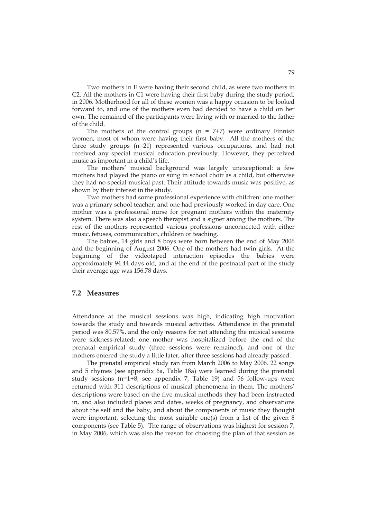Two mothers in E were having their second child, as were two mothers in C2. All the mothers in C1 were having their first baby during the study period, in 2006. Motherhood for all of these women was a happy occasion to be looked forward to, and one of the mothers even had decided to have a child on her own. The remained of the participants were living with or married to the father of the child.

The mothers of the control groups  $(n = 7+7)$  were ordinary Finnish women, most of whom were having their first baby. All the mothers of the three study groups (n=21) represented various occupations, and had not received any special musical education previously. However, they perceived music as important in a child's life.

The mothers' musical background was largely unexceptional: a few mothers had played the piano or sung in school choir as a child, but otherwise they had no special musical past. Their attitude towards music was positive, as shown by their interest in the study.

Two mothers had some professional experience with children: one mother was a primary school teacher, and one had previously worked in day care. One mother was a professional nurse for pregnant mothers within the maternity system. There was also a speech therapist and a signer among the mothers. The rest of the mothers represented various professions unconnected with either music, fetuses, communication, children or teaching.

The babies, 14 girls and 8 boys were born between the end of May 2006 and the beginning of August 2006. One of the mothers had twin girls. At the beginning of the videotaped interaction episodes the babies were approximately 94.44 days old, and at the end of the postnatal part of the study their average age was 156.78 days.

## **7.2 Measures**

Attendance at the musical sessions was high, indicating high motivation towards the study and towards musical activities. Attendance in the prenatal period was 80.57%, and the only reasons for not attending the musical sessions were sickness-related: one mother was hospitalized before the end of the prenatal empirical study (three sessions were remained), and one of the mothers entered the study a little later, after three sessions had already passed.

The prenatal empirical study ran from March 2006 to May 2006. 22 songs and 5 rhymes (see appendix 6a, Table 18a) were learned during the prenatal study sessions ( $n=1+8$ ; see appendix 7, Table 19) and 56 follow-ups were returned with 311 descriptions of musical phenomena in them. The mothers' descriptions were based on the five musical methods they had been instructed in, and also included places and dates, weeks of pregnancy, and observations about the self and the baby, and about the components of music they thought were important, selecting the most suitable one(s) from a list of the given 8 components (see Table 5). The range of observations was highest for session 7, in May 2006, which was also the reason for choosing the plan of that session as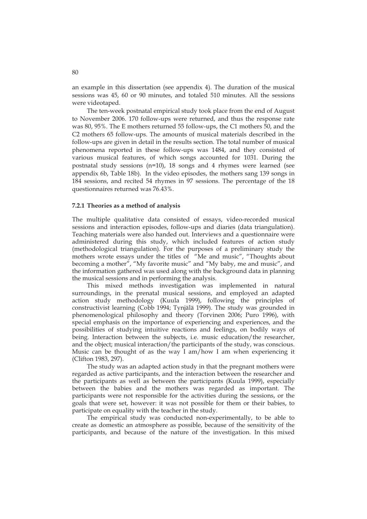an example in this dissertation (see appendix 4). The duration of the musical sessions was 45, 60 or 90 minutes, and totaled 510 minutes. All the sessions were videotaped.

The ten-week postnatal empirical study took place from the end of August to November 2006. 170 follow-ups were returned, and thus the response rate was 80, 95%. The E mothers returned 55 follow-ups, the C1 mothers 50, and the C2 mothers 65 follow-ups. The amounts of musical materials described in the follow-ups are given in detail in the results section. The total number of musical phenomena reported in these follow-ups was 1484, and they consisted of various musical features, of which songs accounted for 1031. During the postnatal study sessions (n=10), 18 songs and 4 rhymes were learned (see appendix 6b, Table 18b). In the video episodes, the mothers sang 139 songs in 184 sessions, and recited 54 rhymes in 97 sessions. The percentage of the 18 questionnaires returned was 76.43%.

### **7.2.1 Theories as a method of analysis**

The multiple qualitative data consisted of essays, video-recorded musical sessions and interaction episodes, follow-ups and diaries (data triangulation). Teaching materials were also handed out. Interviews and a questionnaire were administered during this study, which included features of action study (methodological triangulation). For the purposes of a preliminary study the mothers wrote essays under the titles of "Me and music", "Thoughts about becoming a mother", "My favorite music" and "My baby, me and music", and the information gathered was used along with the background data in planning the musical sessions and in performing the analysis.

This mixed methods investigation was implemented in natural surroundings, in the prenatal musical sessions, and employed an adapted action study methodology (Kuula 1999), following the principles of constructivist learning (Cobb 1994; Tynjälä 1999). The study was grounded in phenomenological philosophy and theory (Torvinen 2006; Puro 1996), with special emphasis on the importance of experiencing and experiences, and the possibilities of studying intuitive reactions and feelings, on bodily ways of being. Interaction between the subjects, i.e. music education/the researcher, and the object; musical interaction/the participants of the study, was conscious. Music can be thought of as the way I am/how I am when experiencing it (Clifton 1983, 297).

The study was an adapted action study in that the pregnant mothers were regarded as active participants, and the interaction between the researcher and the participants as well as between the participants (Kuula 1999), especially between the babies and the mothers was regarded as important. The participants were not responsible for the activities during the sessions, or the goals that were set, however: it was not possible for them or their babies, to participate on equality with the teacher in the study.

 The empirical study was conducted non-experimentally, to be able to create as domestic an atmosphere as possible, because of the sensitivity of the participants, and because of the nature of the investigation. In this mixed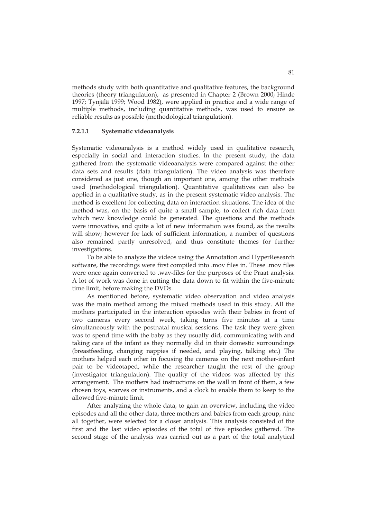methods study with both quantitative and qualitative features, the background theories (theory triangulation), as presented in Chapter 2 (Brown 2000; Hinde 1997; Tynjälä 1999; Wood 1982), were applied in practice and a wide range of multiple methods, including quantitative methods, was used to ensure as reliable results as possible (methodological triangulation).

### **7.2.1.1 Systematic videoanalysis**

Systematic videoanalysis is a method widely used in qualitative research, especially in social and interaction studies. In the present study, the data gathered from the systematic videoanalysis were compared against the other data sets and results (data triangulation). The video analysis was therefore considered as just one, though an important one, among the other methods used (methodological triangulation). Quantitative qualitatives can also be applied in a qualitative study, as in the present systematic video analysis. The method is excellent for collecting data on interaction situations. The idea of the method was, on the basis of quite a small sample, to collect rich data from which new knowledge could be generated. The questions and the methods were innovative, and quite a lot of new information was found, as the results will show; however for lack of sufficient information, a number of questions also remained partly unresolved, and thus constitute themes for further investigations.

To be able to analyze the videos using the Annotation and HyperResearch software, the recordings were first compiled into .mov files in. These .mov files were once again converted to .wav-files for the purposes of the Praat analysis. A lot of work was done in cutting the data down to fit within the five-minute time limit, before making the DVDs.

As mentioned before, systematic video observation and video analysis was the main method among the mixed methods used in this study. All the mothers participated in the interaction episodes with their babies in front of two cameras every second week, taking turns five minutes at a time simultaneously with the postnatal musical sessions. The task they were given was to spend time with the baby as they usually did, communicating with and taking care of the infant as they normally did in their domestic surroundings (breastfeeding, changing nappies if needed, and playing, talking etc.) The mothers helped each other in focusing the cameras on the next mother-infant pair to be videotaped, while the researcher taught the rest of the group (investigator triangulation). The quality of the videos was affected by this arrangement. The mothers had instructions on the wall in front of them, a few chosen toys, scarves or instruments, and a clock to enable them to keep to the allowed five-minute limit.

After analyzing the whole data, to gain an overview, including the video episodes and all the other data, three mothers and babies from each group, nine all together, were selected for a closer analysis. This analysis consisted of the first and the last video episodes of the total of five episodes gathered. The second stage of the analysis was carried out as a part of the total analytical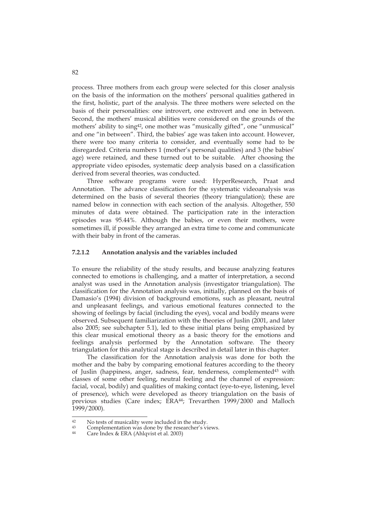process. Three mothers from each group were selected for this closer analysis on the basis of the information on the mothers' personal qualities gathered in the first, holistic, part of the analysis. The three mothers were selected on the basis of their personalities: one introvert, one extrovert and one in between. Second, the mothers' musical abilities were considered on the grounds of the mothers' ability to sing<sup>42</sup>, one mother was "musically gifted", one "unmusical" and one "in between". Third, the babies' age was taken into account. However, there were too many criteria to consider, and eventually some had to be disregarded. Criteria numbers 1 (mother's personal qualities) and 3 (the babies' age) were retained, and these turned out to be suitable. After choosing the appropriate video episodes, systematic deep analysis based on a classification derived from several theories, was conducted.

Three software programs were used: HyperResearch, Praat and Annotation. The advance classification for the systematic videoanalysis was determined on the basis of several theories (theory triangulation); these are named below in connection with each section of the analysis. Altogether, 550 minutes of data were obtained. The participation rate in the interaction episodes was 95.44%. Although the babies, or even their mothers, were sometimes ill, if possible they arranged an extra time to come and communicate with their baby in front of the cameras.

### **7.2.1.2 Annotation analysis and the variables included**

To ensure the reliability of the study results, and because analyzing features connected to emotions is challenging, and a matter of interpretation, a second analyst was used in the Annotation analysis (investigator triangulation). The classification for the Annotation analysis was, initially, planned on the basis of Damasio's (1994) division of background emotions, such as pleasant, neutral and unpleasant feelings, and various emotional features connected to the showing of feelings by facial (including the eyes), vocal and bodily means were observed. Subsequent familiarization with the theories of Juslin (2001, and later also 2005; see subchapter 5.1), led to these initial plans being emphasized by this clear musical emotional theory as a basic theory for the emotions and feelings analysis performed by the Annotation software. The theory triangulation for this analytical stage is described in detail later in this chapter.

The classification for the Annotation analysis was done for both the mother and the baby by comparing emotional features according to the theory of Juslin (happiness, anger, sadness, fear, tenderness, complemented43 with classes of some other feeling, neutral feeling and the channel of expression: facial, vocal, bodily) and qualities of making contact (eye-to-eye, listening, level of presence), which were developed as theory triangulation on the basis of previous studies (Care index; ERA<sup>44</sup>; Trevarthen 1999/2000 and Malloch 1999/2000).

 $42$ <sup>42</sup> No tests of musicality were included in the study.<br><sup>43</sup> Complementation was done by the researcher's vi

<sup>43</sup> Complementation was done by the researcher's views.

Care Index & ERA (Ahlqvist et al. 2003)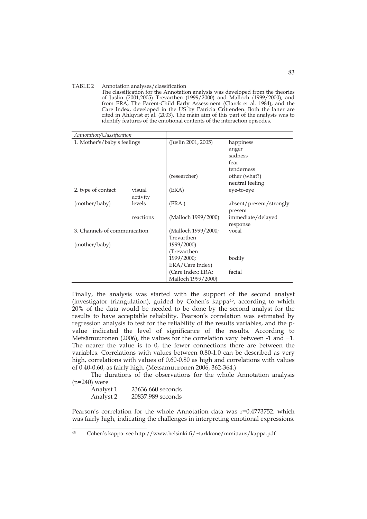#### TABLE 2 Annotation analyses/classification

The classification for the Annotation analysis was developed from the theories of Juslin (2001,2005) Trevarthen (1999/2000) and Malloch (1999/2000), and from ERA, The Parent-Child Early Assessment (Clarck et al. 1984), and the Care Index, developed in the US by Patricia Crittenden. Both the latter are cited in Ahlqvist et al. (2003). The main aim of this part of the analysis was to identify features of the emotional contents of the interaction episodes.

| Annotation/Classification    |           |                     |                         |
|------------------------------|-----------|---------------------|-------------------------|
| 1. Mother's/baby's feelings  |           | (Juslin 2001, 2005) | happiness               |
|                              |           |                     | anger                   |
|                              |           |                     | sadness                 |
|                              |           |                     | fear                    |
|                              |           |                     | tenderness              |
|                              |           | (researcher)        | other (what?)           |
|                              |           |                     | neutral feeling         |
| 2. type of contact           | visual    | (ERA)               | eye-to-eye              |
|                              | activity  |                     |                         |
| (mother/baby)                | levels    | (ERA)               | absent/present/strongly |
|                              |           |                     | present                 |
|                              | reactions | (Malloch 1999/2000) | immediate/delayed       |
|                              |           |                     | response                |
| 3. Channels of communication |           | (Malloch 1999/2000; | vocal                   |
|                              |           | Trevarthen          |                         |
| (mother/baby)                |           | 1999/2000)          |                         |
|                              |           | (Trevarthen         |                         |
|                              |           | 1999/2000;          | bodily                  |
|                              |           | ERA/Care Index)     |                         |
|                              |           | (Care Index; ERA;   | facial                  |
|                              |           | Malloch 1999/2000)  |                         |

Finally, the analysis was started with the support of the second analyst (investigator triangulation), guided by Cohen's kappa45, according to which 20% of the data would be needed to be done by the second analyst for the results to have acceptable reliability. Pearson's correlation was estimated by regression analysis to test for the reliability of the results variables, and the pvalue indicated the level of significance of the results. According to Metsämuuronen (2006), the values for the correlation vary between -1 and +1. The nearer the value is to 0, the fewer connections there are between the variables. Correlations with values between 0.80-1.0 can be described as very high, correlations with values of 0.60-0.80 as high and correlations with values of 0.40-0.60, as fairly high. (Metsämuuronen 2006, 362-364.)

The durations of the observations for the whole Annotation analysis (n=240) were

| Analyst 1 | 23636.660 seconds |
|-----------|-------------------|
| Analyst 2 | 20837.989 seconds |

Pearson's correlation for the whole Annotation data was r=0.4773752. which was fairly high, indicating the challenges in interpreting emotional expressions.

<sup>45</sup> 45 Cohen's kappa: see http://www.helsinki.fi/~tarkkone/mmittaus/kappa.pdf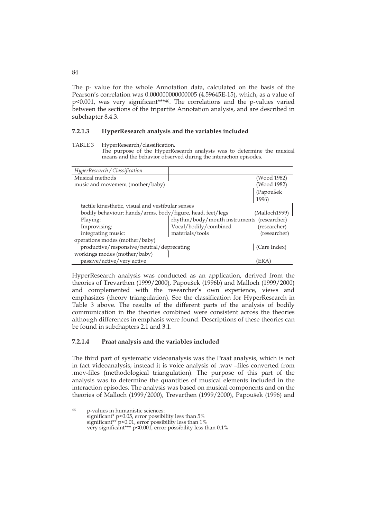The p- value for the whole Annotation data, calculated on the basis of the Pearson's correlation was 0.000000000000005 (4.59645E-15), which, as a value of p<0.001, was very significant\*\*\*46. The correlations and the p-values varied between the sections of the tripartite Annotation analysis, and are described in subchapter 8.4.3.

### **7.2.1.3 HyperResearch analysis and the variables included**

The purpose of the HyperResearch analysis was to determine the musical means and the behavior observed during the interaction episodes.

| HyperResearch / Classification                             |                                            |  |                    |  |
|------------------------------------------------------------|--------------------------------------------|--|--------------------|--|
| Musical methods                                            |                                            |  | (Wood 1982)        |  |
| music and movement (mother/baby)                           |                                            |  | (Wood 1982)        |  |
|                                                            |                                            |  | (Papoušek<br>1996) |  |
| tactile kinesthetic, visual and vestibular senses          |                                            |  |                    |  |
| bodily behaviour: hands/arms, body/figure, head, feet/legs |                                            |  | (Malloch1999)      |  |
| Playing:                                                   | rhythm/body/mouth instruments (researcher) |  |                    |  |
| Improvising:                                               | Vocal/bodily/combined                      |  | (researcher)       |  |
| integrating music:                                         | materials/tools                            |  | (researcher)       |  |
| operations modes (mother/baby)                             |                                            |  |                    |  |
| productive/responsive/neutral/deprecating                  |                                            |  | (Care Index)       |  |
| workings modes (mother/baby)                               |                                            |  |                    |  |
| passive/active/very active                                 |                                            |  | 'ERA               |  |

HyperResearch analysis was conducted as an application, derived from the theories of Trevarthen (1999/2000), Papoušek (1996b) and Malloch (1999/2000) and complemented with the researcher's own experience, views and emphasizes (theory triangulation). See the classification for HyperResearch in Table 3 above. The results of the different parts of the analysis of bodily communication in the theories combined were consistent across the theories although differences in emphasis were found. Descriptions of these theories can be found in subchapters 2.1 and 3.1.

## **7.2.1.4 Praat analysis and the variables included**

The third part of systematic videoanalysis was the Praat analysis, which is not in fact videoanalysis; instead it is voice analysis of .wav –files converted from .mov-files (methodological triangulation). The purpose of this part of the analysis was to determine the quantities of musical elements included in the interaction episodes. The analysis was based on musical components and on the theories of Malloch (1999/2000), Trevarthen (1999/2000), Papoušek (1996) and

84

TABLE 3 HyperResearch/classification.

 $46$ 46 p-values in humanistic sciences: significant\* p<0.05, error possibility less than 5% significant\*\* p<0.01, error possibility less than 1% very significant\*\*\* p<0.001, error possibility less than 0.1%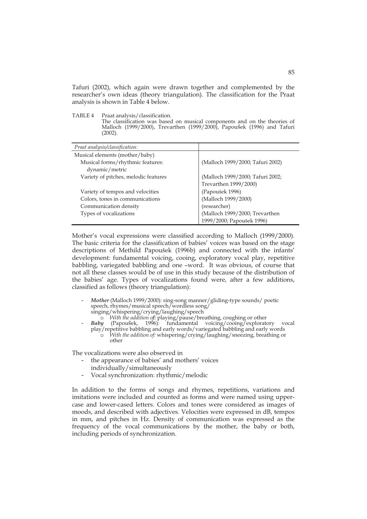Tafuri (2002), which again were drawn together and complemented by the researcher's own ideas (theory triangulation). The classification for the Praat analysis is shown in Table 4 below.

TABLE 4 Praat analysis/classification.

The classification was based on musical components and on the theories of Malloch (1999/2000), Trevarthen (1999/2000), Papoušek (1996) and Tafuri (2002).

| Praat analysis/classification:       |                                  |
|--------------------------------------|----------------------------------|
| Musical elements (mother/baby)       |                                  |
| Musical forms/rhythmic features:     | (Malloch 1999/2000; Tafuri 2002) |
| dynamic/metric                       |                                  |
| Variety of pitches, melodic features | (Malloch 1999/2000; Tafuri 2002; |
|                                      | Trevarthen 1999/2000)            |
| Variety of tempos and velocities     | (Papoušek 1996)                  |
| Colors, tones in communications      | (Malloch 1999/2000)              |
| Communication density                | (researcher)                     |
| Types of vocalizations               | (Malloch 1999/2000; Trevarthen   |
|                                      | 1999/2000; Papoušek 1996)        |

Mother's vocal expressions were classified according to Malloch (1999/2000). The basic criteria for the classification of babies' voices was based on the stage descriptions of Methild Papoušek (1996b) and connected with the infants' development: fundamental voicing, cooing, exploratory vocal play, repetitive babbling, variegated babbling and one –word. It was obvious, of course that not all these classes would be of use in this study because of the distribution of the babies' age. Types of vocalizations found were, after a few additions, classified as follows (theory triangulation):

- *Mother* (Malloch 1999/2000): sing-song manner/gliding-type sounds/ poetic speech, rhymes/musical speech/wordless song/ singing/whispering/crying/laughing/speech o *With the addition of:* playing/pause/breathing, coughing or other
- *Baby* (Papoušek, 1996): fundamental voicing/cooing/exploratory vocal play/repetitive babbling and early words/variegated babbling and early words
	- o *With the addition of:* whispering/crying/laughing/sneezing, breathing or other

The vocalizations were also observed in

- the appearance of babies' and mothers' voices
- individually/simultaneously
- Vocal synchronization: rhythmic/melodic

In addition to the forms of songs and rhymes, repetitions, variations and imitations were included and counted as forms and were named using uppercase and lower-cased letters. Colors and tones were considered as images of moods, and described with adjectives. Velocities were expressed in dB, tempos in mm, and pitches in Hz. Density of communication was expressed as the frequency of the vocal communications by the mother, the baby or both, including periods of synchronization.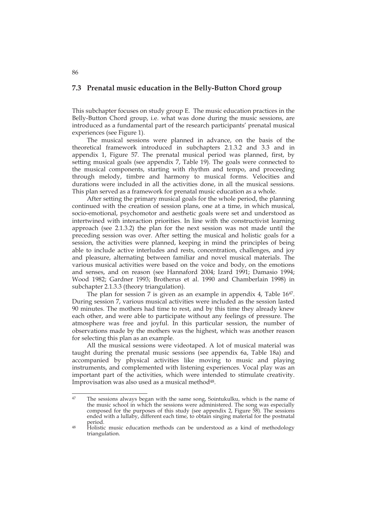## **7.3 Prenatal music education in the Belly-Button Chord group**

This subchapter focuses on study group E. The music education practices in the Belly-Button Chord group, i.e. what was done during the music sessions, are introduced as a fundamental part of the research participants' prenatal musical experiences (see Figure 1).

The musical sessions were planned in advance, on the basis of the theoretical framework introduced in subchapters 2.1.3.2 and 3.3 and in appendix 1, Figure 57. The prenatal musical period was planned, first, by setting musical goals (see appendix 7, Table 19). The goals were connected to the musical components, starting with rhythm and tempo, and proceeding through melody, timbre and harmony to musical forms. Velocities and durations were included in all the activities done, in all the musical sessions. This plan served as a framework for prenatal music education as a whole.

After setting the primary musical goals for the whole period, the planning continued with the creation of session plans, one at a time, in which musical, socio-emotional, psychomotor and aesthetic goals were set and understood as intertwined with interaction priorities. In line with the constructivist learning approach (see 2.1.3.2) the plan for the next session was not made until the preceding session was over. After setting the musical and holistic goals for a session, the activities were planned, keeping in mind the principles of being able to include active interludes and rests, concentration, challenges, and joy and pleasure, alternating between familiar and novel musical materials. The various musical activities were based on the voice and body, on the emotions and senses, and on reason (see Hannaford 2004; Izard 1991; Damasio 1994; Wood 1982; Gardner 1993; Brotherus et al. 1990 and Chamberlain 1998) in subchapter 2.1.3.3 (theory triangulation).

The plan for session 7 is given as an example in appendix 4, Table 16<sup>47</sup>. During session 7, various musical activities were included as the session lasted 90 minutes. The mothers had time to rest, and by this time they already knew each other, and were able to participate without any feelings of pressure. The atmosphere was free and joyful. In this particular session, the number of observations made by the mothers was the highest, which was another reason for selecting this plan as an example.

All the musical sessions were videotaped. A lot of musical material was taught during the prenatal music sessions (see appendix 6a, Table 18a) and accompanied by physical activities like moving to music and playing instruments, and complemented with listening experiences. Vocal play was an important part of the activities, which were intended to stimulate creativity. Improvisation was also used as a musical method<sup>48</sup>.

<sup>47</sup> The sessions always began with the same song, Sointukulku, which is the name of the music school in which the sessions were administered. The song was especially composed for the purposes of this study (see appendix 2, Figure 58). The sessions ended with a lullaby, different each time, to obtain singing material for the postnatal

<sup>&</sup>lt;sup>48</sup> Holistic music education methods can be understood as a kind of methodology triangulation.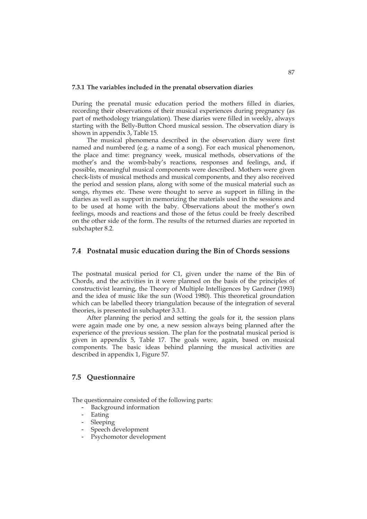#### **7.3.1 The variables included in the prenatal observation diaries**

During the prenatal music education period the mothers filled in diaries, recording their observations of their musical experiences during pregnancy (as part of methodology triangulation). These diaries were filled in weekly, always starting with the Belly-Button Chord musical session. The observation diary is shown in appendix 3, Table 15.

 The musical phenomena described in the observation diary were first named and numbered (e.g. a name of a song). For each musical phenomenon, the place and time: pregnancy week, musical methods, observations of the mother's and the womb-baby's reactions, responses and feelings, and, if possible, meaningful musical components were described. Mothers were given check-lists of musical methods and musical components, and they also received the period and session plans, along with some of the musical material such as songs, rhymes etc. These were thought to serve as support in filling in the diaries as well as support in memorizing the materials used in the sessions and to be used at home with the baby. Observations about the mother's own feelings, moods and reactions and those of the fetus could be freely described on the other side of the form. The results of the returned diaries are reported in subchapter 8.2.

### **7.4 Postnatal music education during the Bin of Chords sessions**

The postnatal musical period for C1, given under the name of the Bin of Chords, and the activities in it were planned on the basis of the principles of constructivist learning, the Theory of Multiple Intelligences by Gardner (1993) and the idea of music like the sun (Wood 1980). This theoretical groundation which can be labelled theory triangulation because of the integration of several theories, is presented in subchapter 3.3.1.

 After planning the period and setting the goals for it, the session plans were again made one by one, a new session always being planned after the experience of the previous session. The plan for the postnatal musical period is given in appendix 5, Table 17. The goals were, again, based on musical components. The basic ideas behind planning the musical activities are described in appendix 1, Figure 57.

## **7.5 Questionnaire**

The questionnaire consisted of the following parts:

- Background information
- Eating
- **Sleeping**
- Speech development
- Psychomotor development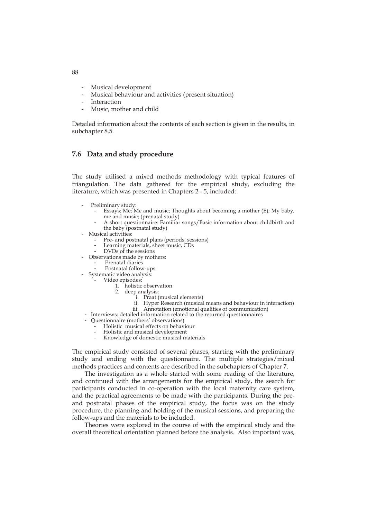- Musical development
- Musical behaviour and activities (present situation)
- **Interaction**
- Music, mother and child

Detailed information about the contents of each section is given in the results, in subchapter 8.5.

## **7.6 Data and study procedure**

The study utilised a mixed methods methodology with typical features of triangulation. The data gathered for the empirical study, excluding the literature, which was presented in Chapters 2 - 5, included:

- Preliminary study:
	- Essays: Me; Me and music; Thoughts about becoming a mother (E); My baby, me and music; (prenatal study)
	- A short questionnaire: Familiar songs/Basic information about childbirth and the baby (postnatal study)
- Musical activities:
	- Pre- and postnatal plans (periods, sessions)
	- Learning materials, sheet music, CDs
	- DVDs of the sessions
	- Observations made by mothers:
		- Prenatal diaries
	- Postnatal follow-ups
- Systematic video analysis:
	- Video episodes:
		- 1. holistic observation
		- 2. deep analysis:
			- i. Praat (musical elements)
			- ii. Hyper Research (musical means and behaviour in interaction)
			- iii. Annotation (emotional qualities of communication)
	- Interviews: detailed information related to the returned questionnaires
	- Questionnaire (mothers' observations)
		- Holistic musical effects on behaviour
		- Holistic and musical development
		- Knowledge of domestic musical materials

The empirical study consisted of several phases, starting with the preliminary study and ending with the questionnaire. The multiple strategies/mixed methods practices and contents are described in the subchapters of Chapter 7.

 The investigation as a whole started with some reading of the literature, and continued with the arrangements for the empirical study, the search for participants conducted in co-operation with the local maternity care system, and the practical agreements to be made with the participants. During the preand postnatal phases of the empirical study, the focus was on the study procedure, the planning and holding of the musical sessions, and preparing the follow-ups and the materials to be included.

 Theories were explored in the course of with the empirical study and the overall theoretical orientation planned before the analysis. Also important was,

88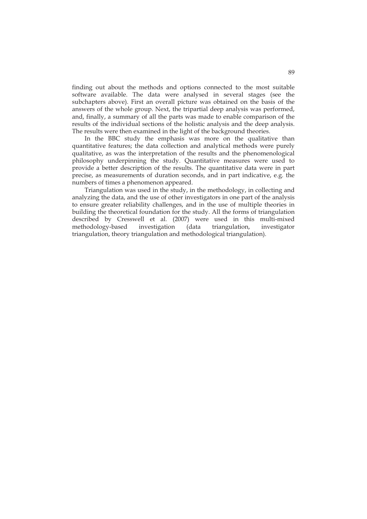finding out about the methods and options connected to the most suitable software available. The data were analysed in several stages (see the subchapters above). First an overall picture was obtained on the basis of the answers of the whole group. Next, the tripartial deep analysis was performed, and, finally, a summary of all the parts was made to enable comparison of the results of the individual sections of the holistic analysis and the deep analysis. The results were then examined in the light of the background theories.

 In the BBC study the emphasis was more on the qualitative than quantitative features; the data collection and analytical methods were purely qualitative, as was the interpretation of the results and the phenomenological philosophy underpinning the study. Quantitative measures were used to provide a better description of the results. The quantitative data were in part precise, as measurements of duration seconds, and in part indicative, e.g. the numbers of times a phenomenon appeared.

 Triangulation was used in the study, in the methodology, in collecting and analyzing the data, and the use of other investigators in one part of the analysis to ensure greater reliability challenges, and in the use of multiple theories in building the theoretical foundation for the study. All the forms of triangulation described by Cresswell et al. (2007) were used in this multi-mixed methodology-based investigation (data triangulation, investigator triangulation, theory triangulation and methodological triangulation).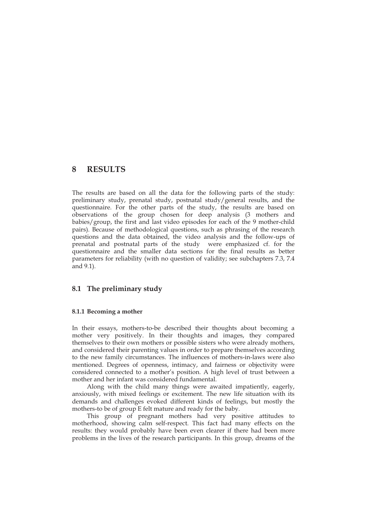## **8 RESULTS**

The results are based on all the data for the following parts of the study: preliminary study, prenatal study, postnatal study/general results, and the questionnaire. For the other parts of the study, the results are based on observations of the group chosen for deep analysis (3 mothers and babies/group, the first and last video episodes for each of the 9 mother-child pairs). Because of methodological questions, such as phrasing of the research questions and the data obtained, the video analysis and the follow-ups of prenatal and postnatal parts of the study were emphasized cf. for the questionnaire and the smaller data sections for the final results as better parameters for reliability (with no question of validity; see subchapters 7.3, 7.4 and 9.1).

## **8.1 The preliminary study**

### **8.1.1 Becoming a mother**

In their essays, mothers-to-be described their thoughts about becoming a mother very positively. In their thoughts and images, they compared themselves to their own mothers or possible sisters who were already mothers, and considered their parenting values in order to prepare themselves according to the new family circumstances. The influences of mothers-in-laws were also mentioned. Degrees of openness, intimacy, and fairness or objectivity were considered connected to a mother's position. A high level of trust between a mother and her infant was considered fundamental.

 Along with the child many things were awaited impatiently, eagerly, anxiously, with mixed feelings or excitement. The new life situation with its demands and challenges evoked different kinds of feelings, but mostly the mothers-to be of group E felt mature and ready for the baby.

 This group of pregnant mothers had very positive attitudes to motherhood, showing calm self-respect. This fact had many effects on the results: they would probably have been even clearer if there had been more problems in the lives of the research participants. In this group, dreams of the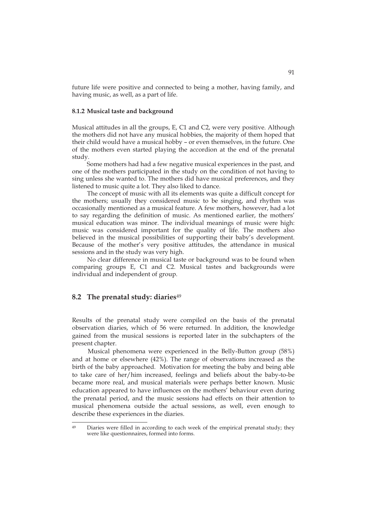future life were positive and connected to being a mother, having family, and having music, as well, as a part of life.

## **8.1.2 Musical taste and background**

Musical attitudes in all the groups, E, C1 and C2, were very positive. Although the mothers did not have any musical hobbies, the majority of them hoped that their child would have a musical hobby – or even themselves, in the future. One of the mothers even started playing the accordion at the end of the prenatal study.

Some mothers had had a few negative musical experiences in the past, and one of the mothers participated in the study on the condition of not having to sing unless she wanted to. The mothers did have musical preferences, and they listened to music quite a lot. They also liked to dance.

The concept of music with all its elements was quite a difficult concept for the mothers; usually they considered music to be singing, and rhythm was occasionally mentioned as a musical feature. A few mothers, however, had a lot to say regarding the definition of music. As mentioned earlier, the mothers' musical education was minor. The individual meanings of music were high: music was considered important for the quality of life. The mothers also believed in the musical possibilities of supporting their baby's development. Because of the mother's very positive attitudes, the attendance in musical sessions and in the study was very high.

No clear difference in musical taste or background was to be found when comparing groups E, C1 and C2. Musical tastes and backgrounds were individual and independent of group.

### **8.2 The prenatal study: diaries**<sup>49</sup>

Results of the prenatal study were compiled on the basis of the prenatal observation diaries, which of 56 were returned. In addition, the knowledge gained from the musical sessions is reported later in the subchapters of the present chapter.

 Musical phenomena were experienced in the Belly-Button group (58%) and at home or elsewhere (42%). The range of observations increased as the birth of the baby approached. Motivation for meeting the baby and being able to take care of her/him increased, feelings and beliefs about the baby-to-be became more real, and musical materials were perhaps better known. Music education appeared to have influences on the mothers' behaviour even during the prenatal period, and the music sessions had effects on their attention to musical phenomena outside the actual sessions, as well, even enough to describe these experiences in the diaries.

 $\overline{49}$ Diaries were filled in according to each week of the empirical prenatal study; they were like questionnaires, formed into forms.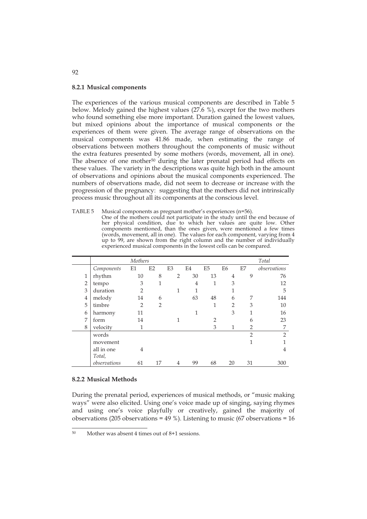### **8.2.1 Musical components**

The experiences of the various musical components are described in Table 5 below. Melody gained the highest values (27.6 %), except for the two mothers who found something else more important. Duration gained the lowest values, but mixed opinions about the importance of musical components or the experiences of them were given. The average range of observations on the musical components was 41.86 made, when estimating the range of observations between mothers throughout the components of music without the extra features presented by some mothers (words, movement, all in one). The absence of one mother<sup>50</sup> during the later prenatal period had effects on these values. The variety in the descriptions was quite high both in the amount of observations and opinions about the musical components experienced. The numbers of observations made, did not seem to decrease or increase with the progression of the pregnancy: suggesting that the mothers did not intrinsically process music throughout all its components at the conscious level.

| TABLE 5 Musical components as pregnant mother's experiences (n=56).            |
|--------------------------------------------------------------------------------|
| One of the mothers could not participate in the study until the end because of |
| her physical condition, due to which her values are quite low. Other           |
| components mentioned, than the ones given, were mentioned a few times          |
| (words, movement, all in one). The values for each component, varying from 4   |
| up to 99, are shown from the right column and the number of individually       |
| experienced musical components in the lowest cells can be compared.            |
|                                                                                |

|                | Mothers      |                |                |                |                |                |                |                | Total         |
|----------------|--------------|----------------|----------------|----------------|----------------|----------------|----------------|----------------|---------------|
|                | Components   | E1             | E2             | E <sub>3</sub> | E <sub>4</sub> | E <sub>5</sub> | E <sub>6</sub> | E7             | observations  |
| 1              | rhythm       | 10             | 8              | $\overline{2}$ | 30             | 13             | $\overline{4}$ | 9              | 76            |
| $\overline{2}$ | tempo        | 3              | 1              |                | 4              | 1              | 3              |                | 12            |
| 3              | duration     | $\overline{2}$ |                | 1              |                |                | 1              |                | 5             |
| 4              | melody       | 14             | 6              |                | 63             | 48             | 6              | 7              | 144           |
| 5              | timbre       | $\overline{2}$ | $\overline{2}$ |                |                | 1              | $\overline{2}$ | 3              | 10            |
| 6              | harmony      | 11             |                |                | 1              |                | 3              | 1              | 16            |
| 7              | form         | 14             |                |                |                | っ              |                | 6              | 23            |
| 8              | velocity     | 1              |                |                |                | 3              | 1              | $\overline{2}$ | 7             |
|                | words        |                |                |                |                |                |                | $\overline{2}$ | $\mathcal{D}$ |
|                | movement     |                |                |                |                |                |                | 1              |               |
|                | all in one   | 4              |                |                |                |                |                |                | 4             |
|                | Total,       |                |                |                |                |                |                |                |               |
|                | observations | 61             | 17             | 4              | 99             | 68             | 20             | 31             | 300           |

### **8.2.2 Musical Methods**

During the prenatal period, experiences of musical methods, or "music making ways" were also elicited. Using one's voice made up of singing, saying rhymes and using one's voice playfully or creatively, gained the majority of observations (205 observations =  $49\%$ ). Listening to music (67 observations =  $16$ )

92

<sup>50</sup> Mother was absent 4 times out of  $8+1$  sessions.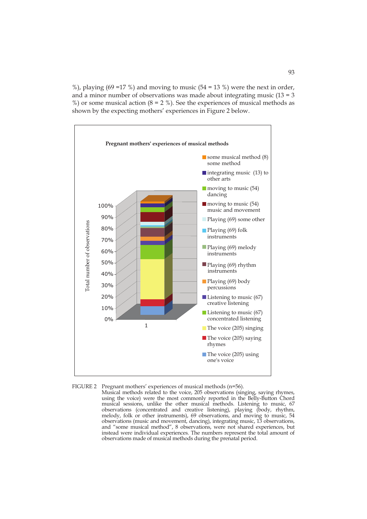%), playing (69 = 17 %) and moving to music (54 = 13 %) were the next in order, and a minor number of observations was made about integrating music  $(13 = 3$ %) or some musical action ( $8 = 2$  %). See the experiences of musical methods as shown by the expecting mothers' experiences in Figure 2 below.





Musical methods related to the voice, 205 observations (singing, saying rhymes, using the voice) were the most commonly reported in the Belly-Button Chord musical sessions, unlike the other musical methods. Listening to music, 67 observations (concentrated and creative listening), playing (body, rhythm, melody, folk or other instruments), 69 observations, and moving to music, 54 observations (music and movement, dancing), integrating music, 13 observations, and "some musical method", 8 observations, were not shared experiences, but instead were individual experiences. The numbers represent the total amount of observations made of musical methods during the prenatal period.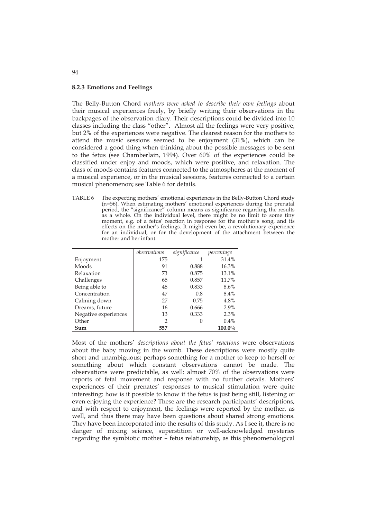### **8.2.3 Emotions and Feelings**

The Belly-Button Chord *mothers were asked to describe their own feelings* about their musical experiences freely, by briefly writing their observations in the backpages of the observation diary. Their descriptions could be divided into 10 classes including the class "other". Almost all the feelings were very positive, but 2% of the experiences were negative. The clearest reason for the mothers to attend the music sessions seemed to be enjoyment (31%), which can be considered a good thing when thinking about the possible messages to be sent to the fetus (see Chamberlain, 1994). Over 60% of the experiences could be classified under enjoy and moods, which were positive, and relaxation. The class of moods contains features connected to the atmospheres at the moment of a musical experience, or in the musical sessions, features connected to a certain musical phenomenon; see Table 6 for details.

TABLE 6 The expecting mothers' emotional experiences in the Belly-Button Chord study (n=56). When estimating mothers' emotional experiences during the prenatal period, the "significance" column means as significance regarding the results as a whole. On the individual level, there might be no limit to some tiny moment, e.g. of a fetus' reaction in response for the mother's song, and its effects on the mother's feelings. It might even be, a revolutionary experience for an individual, or for the development of the attachment between the mother and her infant.

|                      | observations  | significance | percentage |
|----------------------|---------------|--------------|------------|
| Enjoyment            | 175           |              | 31.4%      |
| Moods                | 91            | 0.888        | 16.3%      |
| Relaxation           | 73            | 0.875        | 13.1%      |
| Challenges           | 65            | 0.857        | 11.7%      |
| Being able to        | 48            | 0.833        | 8.6%       |
| Concentration        | 47            | 0.8          | 8.4%       |
| Calming down         | 27            | 0.75         | 4.8%       |
| Dreams, future       | 16            | 0.666        | 2.9%       |
| Negative experiences | 13            | 0.333        | 2.3%       |
| Other                | $\mathcal{P}$ |              | 0.4%       |
| Sum                  | 557           |              | 100.0%     |

Most of the mothers' *descriptions about the fetus' reactions* were observations about the baby moving in the womb. These descriptions were mostly quite short and unambiguous; perhaps something for a mother to keep to herself or something about which constant observations cannot be made. The observations were predictable, as well: almost 70% of the observations were reports of fetal movement and response with no further details. Mothers' experiences of their prenates' responses to musical stimulation were quite interesting: how is it possible to know if the fetus is just being still, listening or even enjoying the experience? These are the research participants' descriptions, and with respect to enjoyment, the feelings were reported by the mother, as well, and thus there may have been questions about shared strong emotions. They have been incorporated into the results of this study. As I see it, there is no danger of mixing science, superstition or well-acknowledged mysteries regarding the symbiotic mother – fetus relationship, as this phenomenological

94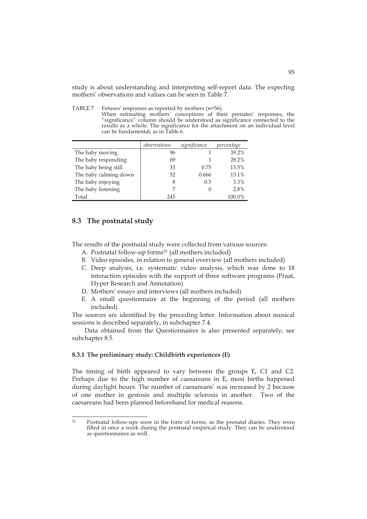study is about understanding and interpreting self-report data. The expecting mothers' observations and values can be seen in Table 7.

TABLE 7 Fetuses' responses as reported by mothers (n=56). When estimating mothers' conceptions of their prenates' responses, the "significance" column should be understood as significance connected to the results as a whole. The significance for the attachment on an individual level can be fundamental, as in Table 6.

|                       | observations | significance | percentage |
|-----------------------|--------------|--------------|------------|
| The baby moving       | 96           |              | 39.2%      |
| The baby responding   | 69           |              | 28.2%      |
| The baby being still  | 33           | 0.75         | 13.5%      |
| The baby calming down | 32           | 0.666        | 13.1%      |
| The baby enjoying     | 8            | 0.5          | 3.3%       |
| The baby listening    |              |              | 2.8%       |
| Total                 | 245          |              | 100.0%     |

## **8.3 The postnatal study**

The results of the postnatal study were collected from various sources:

- A. Postnatal follow-up forms<sup>51</sup> (all mothers included)
- B. Video episodes, in relation to general overview (all mothers included)
- C. Deep analysis, i.e. systematic video analysis, which was done to 18 interaction episodes with the support of three software programs (Praat, Hyper Research and Annotation)
- D. Mothers' essays and interviews (all mothers included)
- E. A small questionnaire at the beginning of the period (all mothers included).

The sources are identified by the preceding letter. Information about musical sessions is described separately, in subchapter 7.4.

 Data obtained from the Questionnaires is also presented separately; see subchapter 8.5.

### **8.3.1 The preliminary study: Childbirth experiences (E)**

The timing of birth appeared to vary between the groups E, C1 and C2. Perhaps due to the high number of caesareans in E, most births happened during daylight hours. The number of caesareans' was increased by 2 because of one mother in gestosis and multiple sclerosis in another. Two of the caesareans had been planned beforehand for medical reasons.

<sup>51</sup> 51 Postnatal follow-ups were in the form of forms, as the prenatal diaries. They were filled in once a week during the postnatal empirical study. They can be understood as questionnaires as well.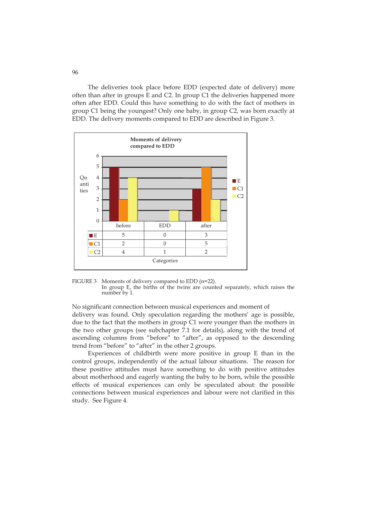The deliveries took place before EDD (expected date of delivery) more often than after in groups E and C2. In group C1 the deliveries happened more often after EDD. Could this have something to do with the fact of mothers in group C1 being the youngest? Only one baby, in group C2, was born exactly at EDD. The delivery moments compared to EDD are described in Figure 3.



FIGURE 3 Moments of delivery compared to EDD (n=22). In group E, the births of the twins are counted separately, which raises the number by 1.

## No significant connection between musical experiences and moment of delivery was found. Only speculation regarding the mothers' age is possible, due to the fact that the mothers in group C1 were younger than the mothers in the two other groups (see subchapter 7.1 for details), along with the trend of ascending columns from "before" to "after", as opposed to the descending trend from "before" to "after" in the other 2 groups.

Experiences of childbirth were more positive in group E than in the control groups, independently of the actual labour situations. The reason for these positive attitudes must have something to do with positive attitudes about motherhood and eagerly wanting the baby to be born, while the possible effects of musical experiences can only be speculated about: the possible connections between musical experiences and labour were not clarified in this study. See Figure 4.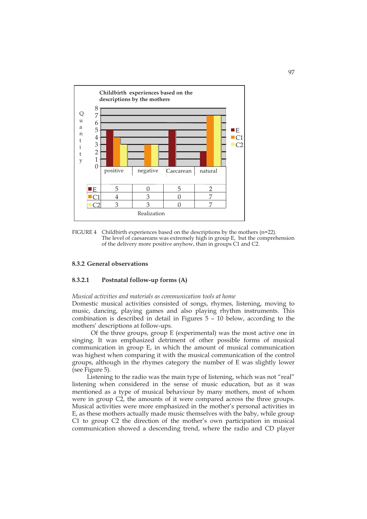

FIGURE 4 Childbirth experiences based on the descriptions by the mothers (n=22). The level of caesareans was extremely high in group E, but the comprehension of the delivery more positive anyhow, than in groups C1 and C2.

### **8.3.2 General observations**

### **8.3.2.1 Postnatal follow-up forms (A)**

#### *Musical activities and materials as communication tools at home*

Domestic musical activities consisted of songs, rhymes, listening, moving to music, dancing, playing games and also playing rhythm instruments. This combination is described in detail in Figures 5 – 10 below, according to the mothers' descriptions at follow-ups.

Of the three groups, group E (experimental) was the most active one in singing. It was emphasized detriment of other possible forms of musical communication in group E, in which the amount of musical communication was highest when comparing it with the musical communication of the control groups, although in the rhymes category the number of E was slightly lower (see Figure 5).

 Listening to the radio was the main type of listening, which was not "real" listening when considered in the sense of music education, but as it was mentioned as a type of musical behaviour by many mothers, most of whom were in group C2, the amounts of it were compared across the three groups. Musical activities were more emphasized in the mother's personal activities in E, as these mothers actually made music themselves with the baby, while group C1 to group C2 the direction of the mother's own participation in musical communication showed a descending trend, where the radio and CD player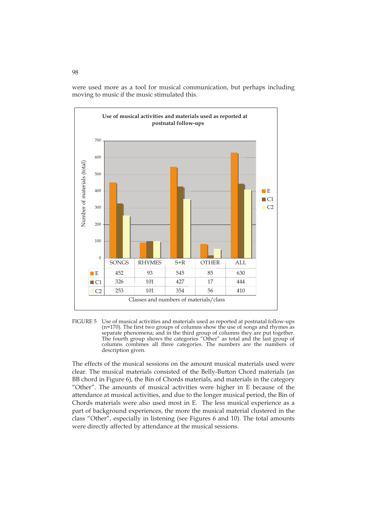were used more as a tool for musical communication, but perhaps including moving to music if the music stimulated this.



FIGURE 5 Use of musical activities and materials used as reported at postnatal follow-ups ( $n=170$ ). The first two groups of columns show the use of songs and rhymes as separate phenomena; and in the third group of columns they are put together. The fourth group shows the categories "Other" as total and the last group of columns combines all three categories. The numbers are the numbers of description given.

The effects of the musical sessions on the amount musical materials used were clear. The musical materials consisted of the Belly-Button Chord materials (as BB chord in Figure 6), the Bin of Chords materials, and materials in the category "Other". The amounts of musical activities were higher in E because of the attendance at musical activities, and due to the longer musical period, the Bin of Chords materials were also used most in E. The less musical experience as a part of background experiences, the more the musical material clustered in the class "Other", especially in listening (see Figures 6 and 10). The total amounts were directly affected by attendance at the musical sessions.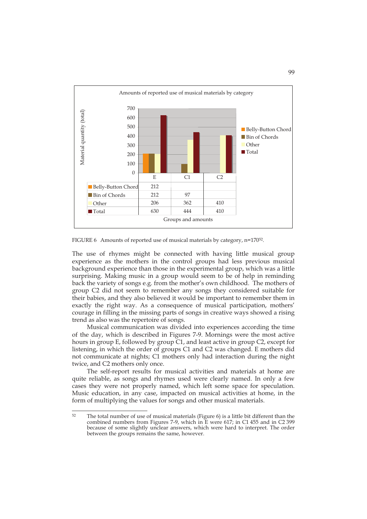

FIGURE 6 Amounts of reported use of musical materials by category, n=170<sup>52</sup>.

The use of rhymes might be connected with having little musical group experience as the mothers in the control groups had less previous musical background experience than those in the experimental group, which was a little surprising. Making music in a group would seem to be of help in reminding back the variety of songs e.g. from the mother's own childhood. The mothers of group C2 did not seem to remember any songs they considered suitable for their babies, and they also believed it would be important to remember them in exactly the right way. As a consequence of musical participation, mothers' courage in filling in the missing parts of songs in creative ways showed a rising trend as also was the repertoire of songs.

Musical communication was divided into experiences according the time of the day, which is described in Figures 7-9. Mornings were the most active hours in group E, followed by group C1, and least active in group C2, except for listening, in which the order of groups C1 and C2 was changed. E mothers did not communicate at nights; C1 mothers only had interaction during the night twice, and C2 mothers only once.

 The self-report results for musical activities and materials at home are quite reliable, as songs and rhymes used were clearly named. In only a few cases they were not properly named, which left some space for speculation. Music education, in any case, impacted on musical activities at home, in the form of multiplying the values for songs and other musical materials.

 $52$ The total number of use of musical materials (Figure 6) is a little bit different than the combined numbers from Figures 7-9, which in E were 617; in C1 455 and in C2 399 because of some slightly unclear answers, which were hard to interpret. The order between the groups remains the same, however.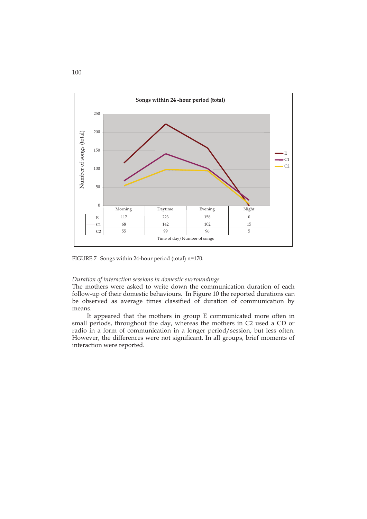

FIGURE 7 Songs within 24-hour period (total) n=170.

## *Duration of interaction sessions in domestic surroundings*

The mothers were asked to write down the communication duration of each follow-up of their domestic behaviours. In Figure 10 the reported durations can be observed as average times classified of duration of communication by means.

It appeared that the mothers in group E communicated more often in small periods, throughout the day, whereas the mothers in C2 used a CD or radio in a form of communication in a longer period/session, but less often. However, the differences were not significant. In all groups, brief moments of interaction were reported.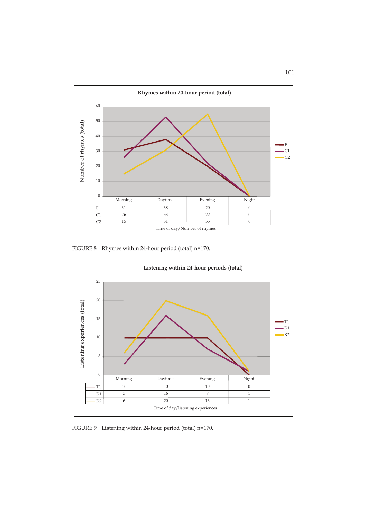

FIGURE 8 Rhymes within 24-hour period (total) n=170.



FIGURE 9 Listening within 24-hour period (total) n=170.

# 101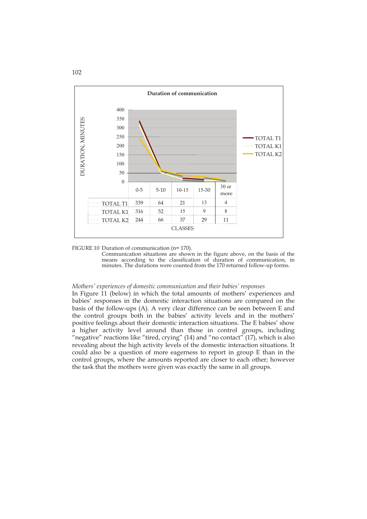

FIGURE 10Duration of communication (n= 170).

Communication situations are shown in the figure above, on the basis of the means according to the classification of duration of communication, in minutes. The durations were counted from the 170 returned follow-up forms.

### *Mothers' experiences of domestic communication and their babies' responses*

In Figure 11 (below) in which the total amounts of mothers' experiences and babies' responses in the domestic interaction situations are compared on the basis of the follow-ups (A). A very clear difference can be seen between E and the control groups both in the babies' activity levels and in the mothers' positive feelings about their domestic interaction situations. The E babies' show a higher activity level around than those in control groups, including "negative" reactions like "tired, crying" (14) and "no contact" (17), which is also revealing about the high activity levels of the domestic interaction situations. It could also be a question of more eagerness to report in group E than in the control groups, where the amounts reported are closer to each other; however the task that the mothers were given was exactly the same in all groups.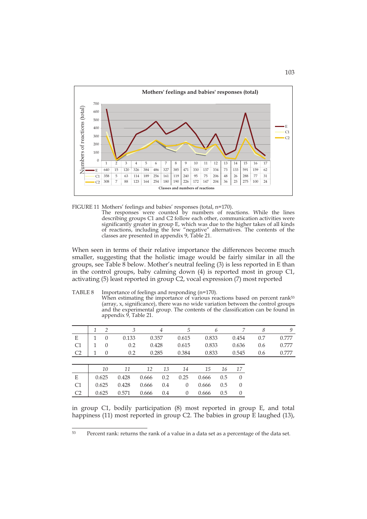

FIGURE 11 Mothers' feelings and babies' responses (total, n=170).

 The responses were counted by numbers of reactions. While the lines describing groups C1 and C2 follow each other, communication activities were significantly greater in group E, which was due to the higher takes of all kinds of reactions, including the few "negative" alternatives. The contents of the classes are presented in appendix 9, Table 21.

When seen in terms of their relative importance the differences become much smaller, suggesting that the holistic image would be fairly similar in all the groups, see Table 8 below. Mother's neutral feeling (3) is less reported in E than in the control groups, baby calming down (4) is reported most in group C1, activating (5) least reported in group C2, vocal expression (7) most reported

TABLE 8 Importance of feelings and responding (n=170).

When estimating the importance of various reactions based on percent rank<sup>53</sup> (array, x, significance), there was no wide variation between the control groups and the experimental group. The contents of the classification can be found in appendix 9, Table 21.

|                | $\mathcal{P}$ | 3     |       | 4   | 5        |       | 6   |          | 8   | 9     |
|----------------|---------------|-------|-------|-----|----------|-------|-----|----------|-----|-------|
| E              | $\Omega$      | 0.133 | 0.357 |     | 0.615    | 0.833 |     | 0.454    | 0.7 | 0.777 |
| C1             | $\theta$      | 0.2   | 0.428 |     | 0.615    | 0.833 |     | 0.636    | 0.6 | 0.777 |
| C <sub>2</sub> | $\Omega$      | 0.2   | 0.285 |     | 0.384    | 0.833 |     | 0.545    | 0.6 | 0.777 |
|                |               |       |       |     |          |       |     |          |     |       |
|                | 10            | 11    | 12    | 13  | 14       | 15    | 16  | -17      |     |       |
| E              | 0.625         | 0.428 | 0.666 | 0.2 | 0.25     | 0.666 | 0.5 | $\Omega$ |     |       |
| C1             | 0.625         | 0.428 | 0.666 | 0.4 | $\theta$ | 0.666 | 0.5 | $\Omega$ |     |       |
| C <sub>2</sub> | 0.625         | 0.571 | 0.666 | 0.4 | $\Omega$ | 0.666 | 0.5 | $\Omega$ |     |       |

in group C1, bodily participation (8) most reported in group E, and total happiness (11) most reported in group C2. The babies in group E laughed (13),

<sup>53</sup> Percent rank: returns the rank of a value in a data set as a percentage of the data set.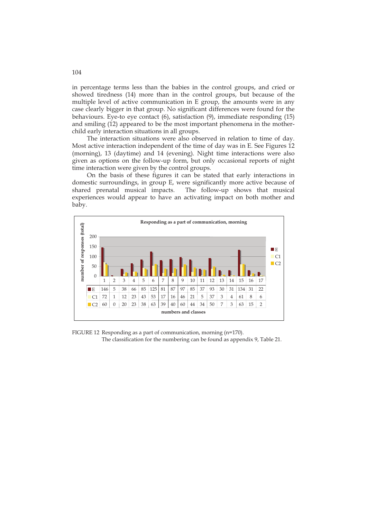in percentage terms less than the babies in the control groups, and cried or showed tiredness (14) more than in the control groups, but because of the multiple level of active communication in E group, the amounts were in any case clearly bigger in that group. No significant differences were found for the behaviours. Eye-to eye contact (6), satisfaction (9), immediate responding (15) and smiling (12) appeared to be the most important phenomena in the motherchild early interaction situations in all groups.

The interaction situations were also observed in relation to time of day. Most active interaction independent of the time of day was in E. See Figures 12 (morning), 13 (daytime) and 14 (evening). Night time interactions were also given as options on the follow-up form, but only occasional reports of night time interaction were given by the control groups.

On the basis of these figures it can be stated that early interactions in domestic surroundings, in group E, were significantly more active because of shared prenatal musical impacts. The follow-up shows that musical experiences would appear to have an activating impact on both mother and baby.



FIGURE 12 Responding as a part of communication, morning (n=170). The classification for the numbering can be found as appendix 9, Table 21.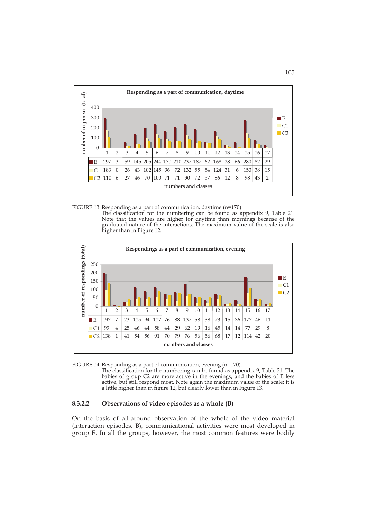

FIGURE 13 Responding as a part of communication, daytime (n=170).

The classification for the numbering can be found as appendix 9, Table 21. Note that the values are higher for daytime than mornings because of the graduated nature of the interactions. The maximum value of the scale is also higher than in Figure 12.



FIGURE 14 Responding as a part of communication, evening (n=170).

The classification for the numbering can be found as appendix 9, Table 21. The babies of group C2 are more active in the evenings, and the babies of E less active, but still respond most. Note again the maximum value of the scale: it is a little higher than in figure 12, but clearly lower than in Figure 13.

# **8.3.2.2 Observations of video episodes as a whole (B)**

On the basis of all-around observation of the whole of the video material (interaction episodes, B), communicational activities were most developed in group E. In all the groups, however, the most common features were bodily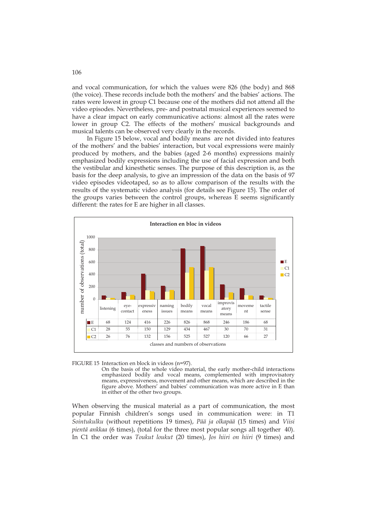and vocal communication, for which the values were 826 (the body) and 868 (the voice). These records include both the mothers' and the babies' actions. The rates were lowest in group C1 because one of the mothers did not attend all the video episodes. Nevertheless, pre- and postnatal musical experiences seemed to have a clear impact on early communicative actions: almost all the rates were lower in group C2. The effects of the mothers' musical backgrounds and musical talents can be observed very clearly in the records.

In Figure 15 below, vocal and bodily means are not divided into features of the mothers' and the babies' interaction, but vocal expressions were mainly produced by mothers, and the babies (aged 2-6 months) expressions mainly emphasized bodily expressions including the use of facial expression and both the vestibular and kinesthetic senses. The purpose of this description is, as the basis for the deep analysis, to give an impression of the data on the basis of 97 video episodes videotaped, so as to allow comparison of the results with the results of the systematic video analysis (for details see Figure 15). The order of the groups varies between the control groups, whereas E seems significantly different: the rates for E are higher in all classes.



FIGURE 15 Interaction en block in videos (n=97).

On the basis of the whole video material, the early mother-child interactions emphasized bodily and vocal means, complemented with improvisatory means, expressiveness, movement and other means, which are described in the figure above. Mothers' and babies' communication was more active in E than in either of the other two groups.

When observing the musical material as a part of communication, the most popular Finnish children's songs used in communication were: in T1 *Sointukulku* (without repetitions 19 times), *Pää ja olkapää* (15 times) and *Viisi pientä ankkaa* (6 times), (total for the three most popular songs all together 40). In C1 the order was *Toukut loukut* (20 times), *Jos hiiri on hiiri* (9 times) and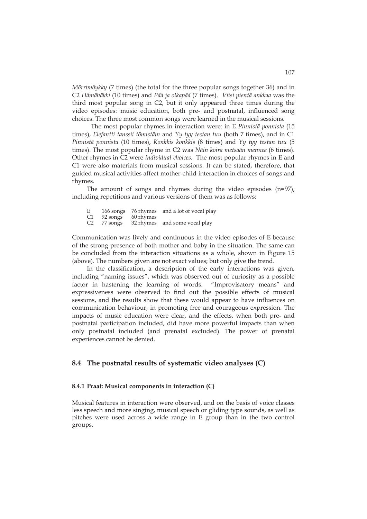*Mörrimöykky* (7 times) (the total for the three popular songs together 36) and in C2 *Hämähäkki* (10 times) and *Pää ja olkapää* (7 times). *Viisi pientä ankkaa* was the third most popular song in C2, but it only appeared three times during the video episodes: music education, both pre- and postnatal, influenced song choices. The three most common songs were learned in the musical sessions.

The most popular rhymes in interaction were: in E *Pinnistä ponnista* (15 times), *Elefantti tanssii tömistäin* and *Yy tyy testan tuu* (both 7 times), and in C1 *Pinnistä ponnista* (10 times), *Konkkis konkkis* (8 times) and *Yy tyy testan tuu* (5 times). The most popular rhyme in C2 was *Näin koira metsään mennee* (6 times). Other rhymes in C2 were *individual choices*. The most popular rhymes in E and C1 were also materials from musical sessions. It can be stated, therefore, that guided musical activities affect mother-child interaction in choices of songs and rhymes.

 The amount of songs and rhymes during the video episodes (n=97), including repetitions and various versions of them was as follows:

| E |                         | 166 songs 76 rhymes and a lot of vocal play |
|---|-------------------------|---------------------------------------------|
|   | $C1$ 92 songs 60 rhymes |                                             |
|   |                         | C2 77 songs 32 rhymes and some vocal play   |

Communication was lively and continuous in the video episodes of E because of the strong presence of both mother and baby in the situation. The same can be concluded from the interaction situations as a whole, shown in Figure 15 (above). The numbers given are not exact values; but only give the trend.

 In the classification, a description of the early interactions was given, including "naming issues", which was observed out of curiosity as a possible factor in hastening the learning of words. "Improvisatory means" and expressiveness were observed to find out the possible effects of musical sessions, and the results show that these would appear to have influences on communication behaviour, in promoting free and courageous expression. The impacts of music education were clear, and the effects, when both pre- and postnatal participation included, did have more powerful impacts than when only postnatal included (and prenatal excluded). The power of prenatal experiences cannot be denied.

### **8.4 The postnatal results of systematic video analyses (C)**

#### **8.4.1 Praat: Musical components in interaction (C)**

Musical features in interaction were observed, and on the basis of voice classes less speech and more singing, musical speech or gliding type sounds, as well as pitches were used across a wide range in E group than in the two control groups.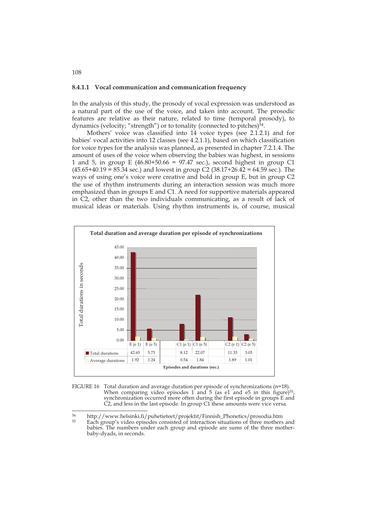#### **8.4.1.1 Vocal communication and communication frequency**

In the analysis of this study, the prosody of vocal expression was understood as a natural part of the use of the voice, and taken into account. The prosodic features are relative as their nature, related to time (temporal prosody), to dynamics (velocity; "strength") or to tonality (connected to pitches) $\frac{54}{ }$ .

Mothers' voice was classified into 14 voice types (see 2.1.2.1) and for babies' vocal activities into 12 classes (see 4.2.1.1), based on which classification for voice types for the analysis was planned, as presented in chapter 7.2.1.4. The amount of uses of the voice when observing the babies was highest, in sessions 1 and 5, in group E (46.80+50.66 = 97.47 sec.), second highest in group C1  $(45.65+40.19 = 85.34 \text{ sec.})$  and lowest in group C2  $(38.17+26.42 = 64.59 \text{ sec.})$ . The ways of using one's voice were creative and bold in group E, but in group C2 the use of rhythm instruments during an interaction session was much more emphasized than in groups E and C1. A need for supportive materials appeared in C2, other than the two individuals communicating, as a result of lack of musical ideas or materials. Using rhythm instruments is, of course, musical





<sup>54</sup>  $54$  http://www.helsinki.fi/puhetieteet/projektit/Finnish\_Phonetics/prosodia.htm

<sup>55</sup> Each group's video episodes consisted of interaction situations of three mothers and babies. The numbers under each group and episode are sums of the three motherbaby-dyads, in seconds.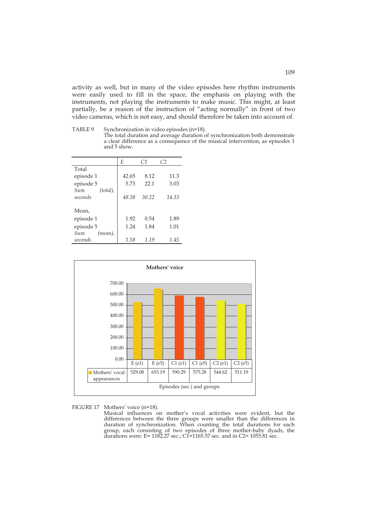activity as well, but in many of the video episodes here rhythm instruments were easily used to fill in the space, the emphasis on playing with the instruments, not playing the instruments to make music. This might, at least partially, be a reason of the instruction of "acting normally" in front of two video cameras, which is not easy, and should therefore be taken into account of.

TABLE 9 Synchronization in video episodes (n=18).

The total duration and average duration of synchronization both demonstrate a clear difference as a consequence of the musical intervention, as episodes 1 and 5 show.

|                    | E     | C1    | C <sub>2</sub> |
|--------------------|-------|-------|----------------|
| Total              |       |       |                |
| episode 1          | 42.65 | 8.12  | 11.3           |
| episode 5          | 5.73  | 22.1  | 3.03           |
| Sum<br>$(total)$ , |       |       |                |
| seconds            | 48.38 | 30.22 | 14.33          |
|                    |       |       |                |
| Mean.              |       |       |                |
| episode 1          | 1.92  | 0.54  | 1.89           |
| episode 5          | 1.24  | 1.84  | 1.01           |
| Sum<br>(mean),     |       |       |                |
| seconds            | 1.58  | 1.19  | 1.45           |



FIGURE 17 Mothers' voice (n=18).

 Musical influences on mother's vocal activities were evident, but the differences between the three groups were smaller than the differences in duration of synchronization. When counting the total durations for each group, each consisting of two episodes of three mother-baby dyads, the durations were: E=  $1182.27$  sec.;  $CI=1165.57$  sec. and in  $C2=1055.81$  sec.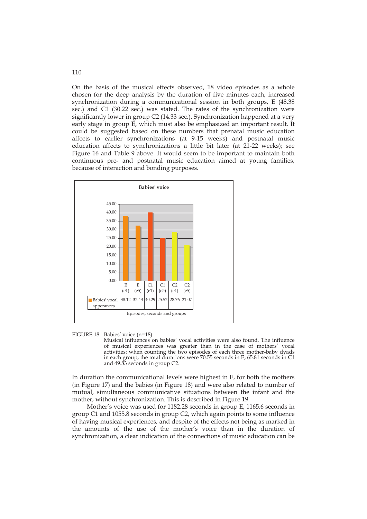On the basis of the musical effects observed, 18 video episodes as a whole chosen for the deep analysis by the duration of five minutes each, increased synchronization during a communicational session in both groups, E (48.38 sec.) and C1 (30.22 sec.) was stated. The rates of the synchronization were significantly lower in group C2 (14.33 sec.). Synchronization happened at a very early stage in group E, which must also be emphasized an important result. It could be suggested based on these numbers that prenatal music education affects to earlier synchronizations (at 9-15 weeks) and postnatal music education affects to synchronizations a little bit later (at 21-22 weeks); see Figure 16 and Table 9 above. It would seem to be important to maintain both continuous pre- and postnatal music education aimed at young families, because of interaction and bonding purposes.



### FIGURE 18 Babies' voice (n=18).

Musical influences on babies' vocal activities were also found. The influence of musical experiences was greater than in the case of mothers' vocal activities: when counting the two episodes of each three mother-baby dyads in each group, the total durations were 70.55 seconds in E, 65.81 seconds in C1 and 49.83 seconds in group C2.

In duration the communicational levels were highest in E, for both the mothers (in Figure 17) and the babies (in Figure 18) and were also related to number of mutual, simultaneous communicative situations between the infant and the mother, without synchronization. This is described in Figure 19.

 Mother's voice was used for 1182.28 seconds in group E, 1165.6 seconds in group C1 and 1055.8 seconds in group C2, which again points to some influence of having musical experiences, and despite of the effects not being as marked in the amounts of the use of the mother's voice than in the duration of synchronization, a clear indication of the connections of music education can be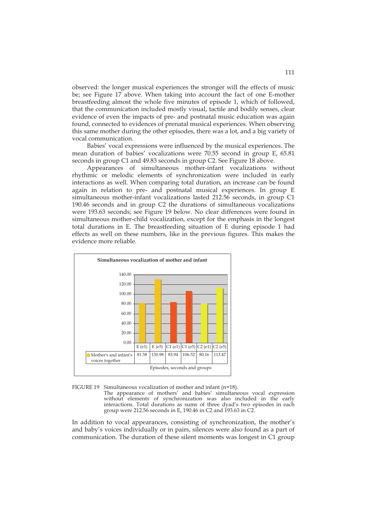observed: the longer musical experiences the stronger will the effects of music be; see Figure 17 above. When taking into account the fact of one E-mother breastfeeding almost the whole five minutes of episode 1, which of followed, that the communication included mostly visual, tactile and bodily senses, clear evidence of even the impacts of pre- and postnatal music education was again found, connected to evidences of prenatal musical experiences. When observing this same mother during the other episodes, there was a lot, and a big variety of vocal communication.

Babies' vocal expressions were influenced by the musical experiences. The mean duration of babies' vocalizations were 70.55 second in group E, 65.81 seconds in group C1 and 49.83 seconds in group C2. See Figure 18 above.

 Appearances of simultaneous mother-infant vocalizations without rhythmic or melodic elements of synchronization were included in early interactions as well. When comparing total duration, an increase can be found again in relation to pre- and postnatal musical experiences. In group E simultaneous mother-infant vocalizations lasted 212.56 seconds, in group C1 190.46 seconds and in group C2 the durations of simultaneous vocalizations were 193.63 seconds; see Figure 19 below. No clear differences were found in simultaneous mother-child vocalization, except for the emphasis in the longest total durations in E. The breastfeeding situation of E during episode 1 had effects as well on these numbers, like in the previous figures. This makes the evidence more reliable.





 The appearance of mothers' and babies' simultaneous vocal expression without elements of synchronization was also included in the early interactions. Total durations as sums of three dyad's two episodes in each group were  $212.56$  seconds in E, 190.46 in C2 and 193.63 in C2.

In addition to vocal appearances, consisting of synchronization, the mother's and baby's voices individually or in pairs, silences were also found as a part of communication. The duration of these silent moments was longest in C1 group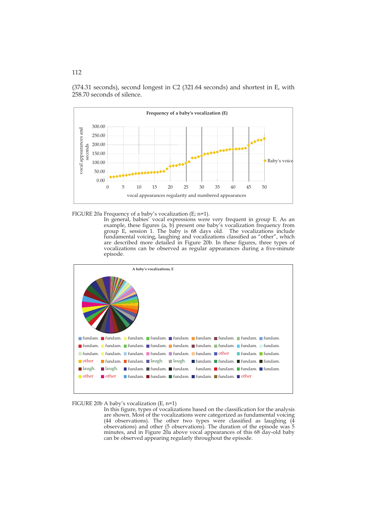



FIGURE 20a Frequency of a baby's vocalization (E; n=1).

 In general, babies' vocal expressions were very frequent in group E. As an example, these figures (a, b) present one baby's vocalization frequency from group E, session 1. The baby is 68 days old. The vocalizations include fundamental voicing, laughing and vocalizations classified as "other", which are described more detailed in Figure 20b. In these figures, three types of vocalizations can be observed as regular appearances during a five-minute episode.



FIGURE 20b A baby's vocalization (E, n=1)

In this figure, types of vocalizations based on the classification for the analysis are shown. Most of the vocalizations were categorized as fundamental voicing (44 observations). The other two types were classified as laughing (4 observations) and other (5 observations). The duration of the episode was 5 minutes, and in Figure 20a above vocal appearances of this 68 day-old baby can be observed appearing regularly throughout the episode.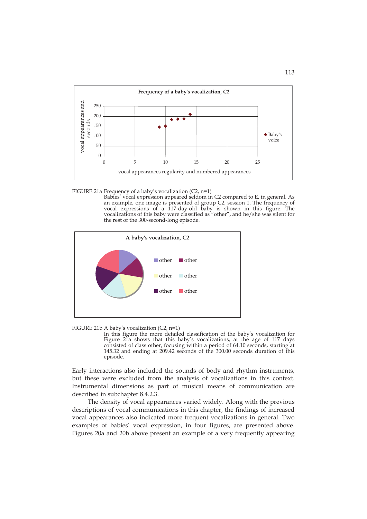

FIGURE 21a Frequency of a baby's vocalization (C2, n=1)

 Babies' vocal expression appeared seldom in C2 compared to E, in general. As an example, one image is presented of group C2, session 1. The frequency of vocal expressions of a 117-day-old baby is shown in this figure. The vocalizations of this baby were classified as "other", and he/she was silent for the rest of the 300-second-long episode.



FIGURE 21b A baby's vocalization (C2, n=1)

In this figure the more detailed classification of the baby's vocalization for Figure 21a shows that this baby's vocalizations, at the age of 117 days consisted of class other, focusing within a period of 64.10 seconds, starting at 145.32 and ending at 209.42 seconds of the 300.00 seconds duration of this episode.

Early interactions also included the sounds of body and rhythm instruments, but these were excluded from the analysis of vocalizations in this context. Instrumental dimensions as part of musical means of communication are described in subchapter 8.4.2.3.

 The density of vocal appearances varied widely. Along with the previous descriptions of vocal communications in this chapter, the findings of increased vocal appearances also indicated more frequent vocalizations in general. Two examples of babies' vocal expression, in four figures, are presented above. Figures 20a and 20b above present an example of a very frequently appearing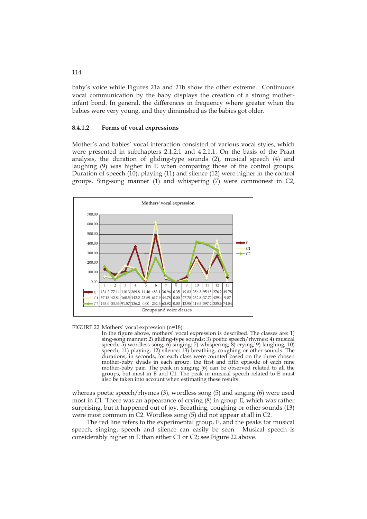baby's voice while Figures 21a and 21b show the other extreme. Continuous vocal communication by the baby displays the creation of a strong motherinfant bond. In general, the differences in frequency where greater when the babies were very young, and they diminished as the babies got older.

#### **8.4.1.2 Forms of vocal expressions**

Mother's and babies' vocal interaction consisted of various vocal styles, which were presented in subchapters 2.1.2.1 and 4.2.1.1. On the basis of the Praat analysis, the duration of gliding-type sounds (2), musical speech (4) and laughing (9) was higher in E when comparing those of the control groups. Duration of speech (10), playing (11) and silence (12) were higher in the control groups. Sing-song manner (1) and whispering (7) were commonest in C2,



FIGURE 22 Mothers' vocal expression (n=18).

In the figure above, mothers' vocal expression is described. The classes are: 1) sing-song manner; 2) gliding-type sounds; 3) poetic speech/rhymes; 4) musical speech; 5) wordless song; 6) singing; 7) whispering; 8) crying; 9) laughing; 10) speech; 11) playing; 12) silence; 13) breathing, coughing or other sounds. The durations, in seconds, for each class were counted based on the three chosen mother-baby dyads in each group, the first and fifth episode of each nine mother-baby pair. The peak in singing (6) can be observed related to all the groups, but most in E and C1. The peak in musical speech related to E must also be taken into account when estimating these results.

whereas poetic speech/rhymes (3), wordless song (5) and singing (6) were used most in C1. There was an appearance of crying (8) in group E, which was rather surprising, but it happened out of joy. Breathing, coughing or other sounds (13) were most common in C2. Wordless song (5) did not appear at all in C2.

The red line refers to the experimental group, E, and the peaks for musical speech, singing, speech and silence can easily be seen. Musical speech is considerably higher in E than either C1 or C2; see Figure 22 above.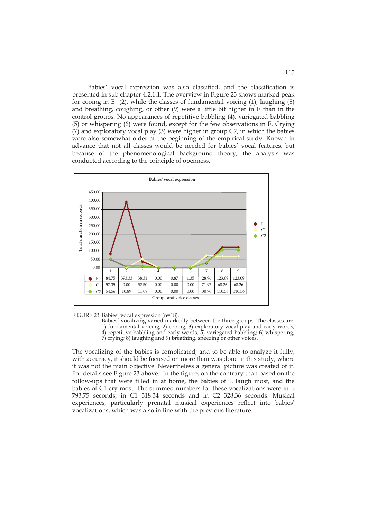Babies' vocal expression was also classified, and the classification is presented in sub chapter 4.2.1.1. The overview in Figure 23 shows marked peak for cooing in E  $(2)$ , while the classes of fundamental voicing  $(1)$ , laughing  $(8)$ and breathing, coughing, or other (9) were a little bit higher in E than in the control groups. No appearances of repetitive babbling (4), variegated babbling (5) or whispering (6) were found, except for the few observations in E. Crying (7) and exploratory vocal play (3) were higher in group C2, in which the babies were also somewhat older at the beginning of the empirical study. Known in advance that not all classes would be needed for babies' vocal features, but because of the phenomenological background theory, the analysis was conducted according to the principle of openness.





- Babies' vocalizing varied markedly between the three groups. The classes are: 1) fundamental voicing; 2) cooing; 3) exploratory vocal play and early words;
- 4) repetitive babbling and early words; 5) variegated babbling; 6) whispering; 7) crying; 8) laughing and 9) breathing, sneezing or other voices.

The vocalizing of the babies is complicated, and to be able to analyze it fully, with accuracy, it should be focused on more than was done in this study, where it was not the main objective. Nevertheless a general picture was created of it. For details see Figure 23 above. In the figure, on the contrary than based on the follow-ups that were filled in at home, the babies of E laugh most, and the babies of C1 cry most. The summed numbers for these vocalizations were in E 793.75 seconds; in C1 318.34 seconds and in C2 328.36 seconds. Musical experiences, particularly prenatal musical experiences reflect into babies' vocalizations, which was also in line with the previous literature.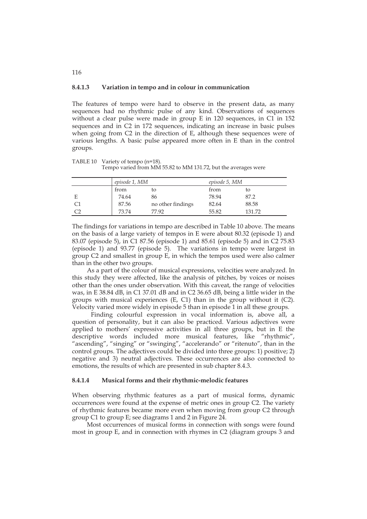#### **8.4.1.3 Variation in tempo and in colour in communication**

The features of tempo were hard to observe in the present data, as many sequences had no rhythmic pulse of any kind. Observations of sequences without a clear pulse were made in group E in 120 sequences, in C1 in 152 sequences and in C2 in 172 sequences, indicating an increase in basic pulses when going from C2 in the direction of E, although these sequences were of various lengths. A basic pulse appeared more often in E than in the control groups.

TABLE 10 Variety of tempo (n=18). Tempo varied from MM 55.82 to MM 131.72, but the averages were

| episode 1, MM |                   | episode 5, MM |        |
|---------------|-------------------|---------------|--------|
| from          | to                | from          | tΟ     |
| 74.64         | 86                | 78.94         | 87.2   |
| 87.56         | no other findings | 82.64         | 88.58  |
| 73.74         | 77.92             | 55.82         | 131.72 |

The findings for variations in tempo are described in Table 10 above. The means on the basis of a large variety of tempos in E were about 80.32 (episode 1) and 83.07 (episode 5), in C1 87.56 (episode 1) and 85.61 (episode 5) and in C2 75.83 (episode 1) and 93.77 (episode 5). The variations in tempo were largest in group C2 and smallest in group E, in which the tempos used were also calmer than in the other two groups.

 As a part of the colour of musical expressions, velocities were analyzed. In this study they were affected, like the analysis of pitches, by voices or noises other than the ones under observation. With this caveat, the range of velocities was, in E 38.84 dB, in C1 37.01 dB and in C2 36.65 dB, being a little wider in the groups with musical experiences (E, C1) than in the group without it (C2). Velocity varied more widely in episode 5 than in episode 1 in all these groups.

Finding colourful expression in vocal information is, above all, a question of personality, but it can also be practiced. Various adjectives were applied to mothers' expressive activities in all three groups, but in E the descriptive words included more musical features, like "rhythmic", "ascending", "singing" or "swinging", "accelerando" or "ritenuto", than in the control groups. The adjectives could be divided into three groups: 1) positive; 2) negative and 3) neutral adjectives. These occurrences are also connected to emotions, the results of which are presented in sub chapter 8.4.3.

### **8.4.1.4 Musical forms and their rhythmic-melodic features**

When observing rhythmic features as a part of musical forms, dynamic occurrences were found at the expense of metric ones in group C2. The variety of rhythmic features became more even when moving from group C2 through group C1 to group E; see diagrams 1 and 2 in Figure 24.

Most occurrences of musical forms in connection with songs were found most in group E, and in connection with rhymes in C2 (diagram groups 3 and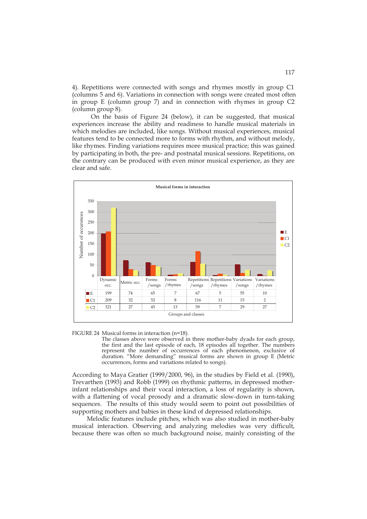4). Repetitions were connected with songs and rhymes mostly in group C1 columns 5 and 6). Variations in connection with songs were created most often in group E (column group 7) and in connection with rhymes in group C2 (column group 8).

On the basis of Figure 24 (below), it can be suggested, that musical experiences increase the ability and readiness to handle musical materials in which melodies are included, like songs. Without musical experiences, musical features tend to be connected more to forms with rhythm, and without melody, like rhymes. Finding variations requires more musical practice; this was gained by participating in both, the pre- and postnatal musical sessions. Repetitions, on the contrary can be produced with even minor musical experience, as they are clear and safe.



FIGURE 24 Musical forms in interaction (n=18).

The classes above were observed in three mother-baby dyads for each group, the first and the last episode of each, 18 episodes all together. The numbers represent the number of occurrences of each phenomenon, exclusive of duration. "More demanding" musical forms are shown in group E (Metric occurrences, forms and variations related to songs).

According to Maya Gratier (1999/2000, 96), in the studies by Field et al. (1990), Trevarthen (1993) and Robb (1999) on rhythmic patterns, in depressed motherinfant relationships and their vocal interaction, a loss of regularity is shown, with a flattening of vocal prosody and a dramatic slow-down in turn-taking sequences. The results of this study would seem to point out possibilities of supporting mothers and babies in these kind of depressed relationships.

Melodic features include pitches, which was also studied in mother-baby musical interaction. Observing and analyzing melodies was very difficult, because there was often so much background noise, mainly consisting of the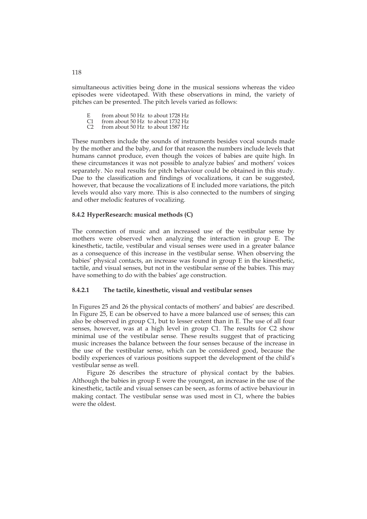simultaneous activities being done in the musical sessions whereas the video episodes were videotaped. With these observations in mind, the variety of pitches can be presented. The pitch levels varied as follows:

- 
- E from about 50 Hz to about 1728 Hz<br>C1 from about 50 Hz to about 1732 Hz<br>C2 from about 50 Hz to about 1587 Hz from about 50 Hz to about 1732 Hz
- from about 50 Hz to about 1587 Hz

These numbers include the sounds of instruments besides vocal sounds made by the mother and the baby, and for that reason the numbers include levels that humans cannot produce, even though the voices of babies are quite high. In these circumstances it was not possible to analyze babies' and mothers' voices separately. No real results for pitch behaviour could be obtained in this study. Due to the classification and findings of vocalizations, it can be suggested, however, that because the vocalizations of E included more variations, the pitch levels would also vary more. This is also connected to the numbers of singing and other melodic features of vocalizing.

### **8.4.2 HyperResearch: musical methods (C)**

The connection of music and an increased use of the vestibular sense by mothers were observed when analyzing the interaction in group E. The kinesthetic, tactile, vestibular and visual senses were used in a greater balance as a consequence of this increase in the vestibular sense. When observing the babies' physical contacts, an increase was found in group E in the kinesthetic, tactile, and visual senses, but not in the vestibular sense of the babies. This may have something to do with the babies' age construction.

#### **8.4.2.1 The tactile, kinesthetic, visual and vestibular senses**

In Figures 25 and 26 the physical contacts of mothers' and babies' are described. In Figure 25, E can be observed to have a more balanced use of senses; this can also be observed in group C1, but to lesser extent than in E. The use of all four senses, however, was at a high level in group C1. The results for C2 show minimal use of the vestibular sense. These results suggest that of practicing music increases the balance between the four senses because of the increase in the use of the vestibular sense, which can be considered good, because the bodily experiences of various positions support the development of the child's vestibular sense as well.

Figure 26 describes the structure of physical contact by the babies. Although the babies in group E were the youngest, an increase in the use of the kinesthetic, tactile and visual senses can be seen, as forms of active behaviour in making contact. The vestibular sense was used most in C1, where the babies were the oldest.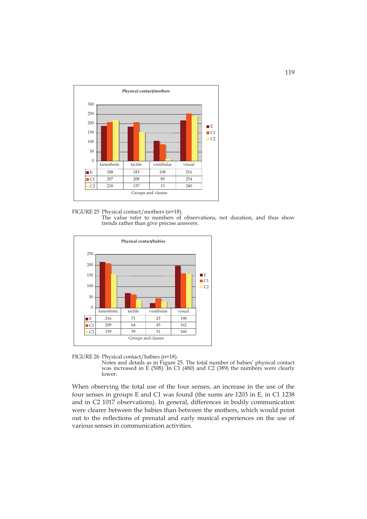

FIGURE 25 Physical contact/mothers (n=18). The value refer to numbers of observations, not duration, and thus show trends rather than give precise answers.



FIGURE 26 Physical contact/babies (n=18).

Notes and details as in Figure 25. The total number of babies' physical contact was increased in E (508). In C1 (480) and C2 (389) the numbers were clearly lower.

When observing the total use of the four senses, an increase in the use of the four senses in groups E and C1 was found (the sums are 1203 in E, in C1 1238 and in C2 1017 observations). In general, differences in bodily communication were clearer between the babies than between the mothers, which would point out to the reflections of prenatal and early musical experiences on the use of various senses in communication activities.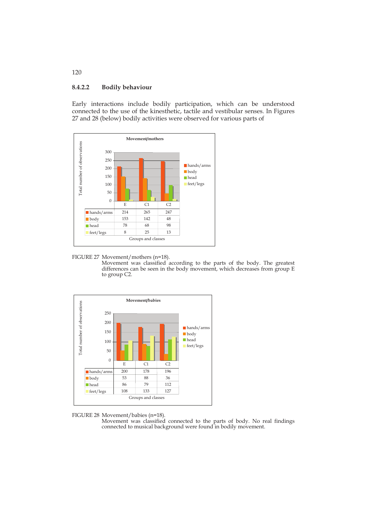# **8.4.2.2 Bodily behaviour**

Early interactions include bodily participation, which can be understood connected to the use of the kinesthetic, tactile and vestibular senses. In Figures 27 and 28 (below) bodily activities were observed for various parts of



FIGURE 27 Movement/mothers (n=18).

Movement was classified according to the parts of the body. The greatest differences can be seen in the body movement, which decreases from group E to group C2.



FIGURE 28 Movement/babies (n=18).

Movement was classified connected to the parts of body. No real findings connected to musical background were found in bodily movement.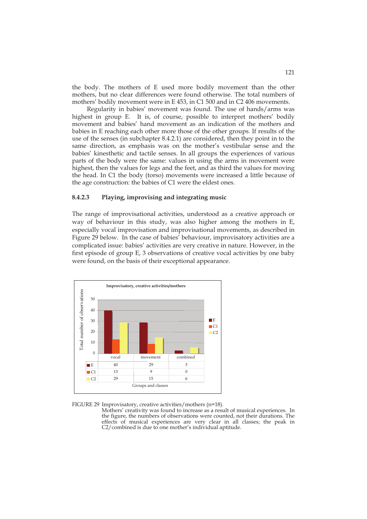the body. The mothers of E used more bodily movement than the other mothers, but no clear differences were found otherwise. The total numbers of mothers' bodily movement were in E 453, in C1 500 and in C2 406 movements.

Regularity in babies' movement was found. The use of hands/arms was highest in group E. It is, of course, possible to interpret mothers' bodily movement and babies' hand movement as an indication of the mothers and babies in E reaching each other more those of the other groups. If results of the use of the senses (in subchapter 8.4.2.1) are considered, then they point in to the same direction, as emphasis was on the mother's vestibular sense and the babies' kinesthetic and tactile senses. In all groups the experiences of various parts of the body were the same: values in using the arms in movement were highest, then the values for legs and the feet, and as third the values for moving the head. In C1 the body (torso) movements were increased a little because of the age construction: the babies of C1 were the eldest ones.

### **8.4.2.3 Playing, improvising and integrating music**

The range of improvisational activities, understood as a creative approach or way of behaviour in this study, was also higher among the mothers in E, especially vocal improvisation and improvisational movements, as described in Figure 29 below. In the case of babies' behaviour, improvisatory activities are a complicated issue: babies' activities are very creative in nature. However, in the first episode of group E, 3 observations of creative vocal activities by one baby were found, on the basis of their exceptional appearance.



FIGURE 29 Improvisatory, creative activities/mothers (n=18).

Mothers' creativity was found to increase as a result of musical experiences. In the figure, the numbers of observations were counted, not their durations. The effects of musical experiences are very clear in all classes; the peak in C2/combined is due to one mother's individual aptitude.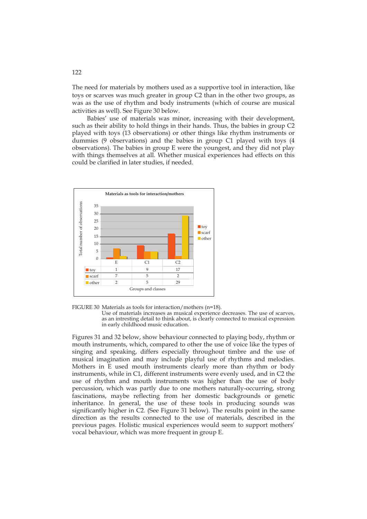The need for materials by mothers used as a supportive tool in interaction, like toys or scarves was much greater in group C2 than in the other two groups, as was as the use of rhythm and body instruments (which of course are musical activities as well). See Figure 30 below.

Babies' use of materials was minor, increasing with their development, such as their ability to hold things in their hands. Thus, the babies in group C2 played with toys (13 observations) or other things like rhythm instruments or dummies (9 observations) and the babies in group C1 played with toys (4 observations). The babies in group E were the youngest, and they did not play with things themselves at all. Whether musical experiences had effects on this could be clarified in later studies, if needed.



FIGURE 30 Materials as tools for interaction/mothers (n=18).

Use of materials increases as musical experience decreases. The use of scarves, as an intresting detail to think about, is clearly connected to musical expression in early childhood music education.

Figures 31 and 32 below, show behaviour connected to playing body, rhythm or mouth instruments, which, compared to other the use of voice like the types of singing and speaking, differs especially throughout timbre and the use of musical imagination and may include playful use of rhythms and melodies. Mothers in E used mouth instruments clearly more than rhythm or body instruments, while in C1, different instruments were evenly used, and in C2 the use of rhythm and mouth instruments was higher than the use of body percussion, which was partly due to one mothers naturally-occurring, strong fascinations, maybe reflecting from her domestic backgrounds or genetic inheritance. In general, the use of these tools in producing sounds was significantly higher in C2. (See Figure 31 below). The results point in the same direction as the results connected to the use of materials, described in the previous pages. Holistic musical experiences would seem to support mothers' vocal behaviour, which was more frequent in group E.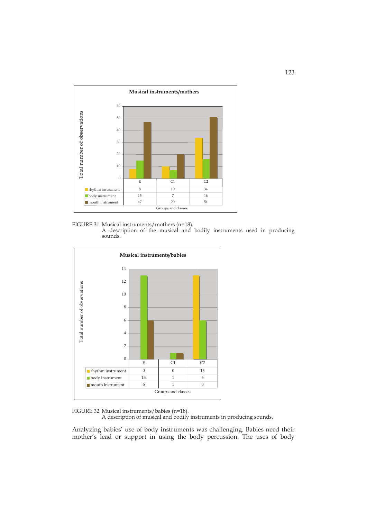

FIGURE 31 Musical instruments/mothers (n=18). A description of the musical and bodily instruments used in producing sounds.



FIGURE 32 Musical instruments/babies (n=18).

A description of musical and bodily instruments in producing sounds.

Analyzing babies' use of body instruments was challenging. Babies need their mother's lead or support in using the body percussion. The uses of body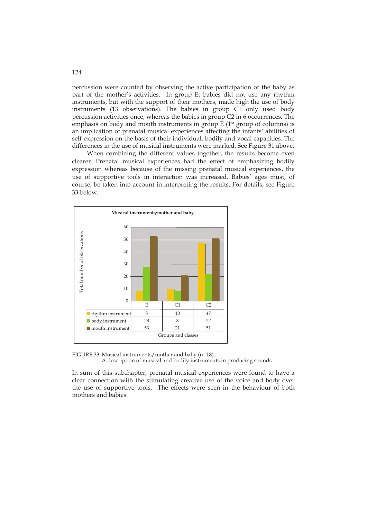percussion were counted by observing the active participation of the baby as part of the mother's activities. In group E, babies did not use any rhythm instruments, but with the support of their mothers, made high the use of body instruments (13 observations). The babies in group C1 only used body percussion activities once, whereas the babies in group C2 in 6 occurrences. The emphasis on body and mouth instruments in group  $E(1<sup>st</sup>$  group of columns) is an implication of prenatal musical experiences affecting the infants' abilities of self-expression on the basis of their individual, bodily and vocal capacities. The differences in the use of musical instruments were marked. See Figure 31 above.

When combining the different values together, the results become even clearer. Prenatal musical experiences had the effect of emphasizing bodily expression whereas because of the missing prenatal musical experiences, the use of supportive tools in interaction was increased. Babies' ages must, of course, be taken into account in interpreting the results. For details, see Figure 33 below.



FIGURE 33 Musical instruments/mother and baby (n=18). A description of musical and bodily instruments in producing sounds.

In sum of this subchapter, prenatal musical experiences were found to have a clear connection with the stimulating creative use of the voice and body over the use of supportive tools. The effects were seen in the behaviour of both mothers and babies.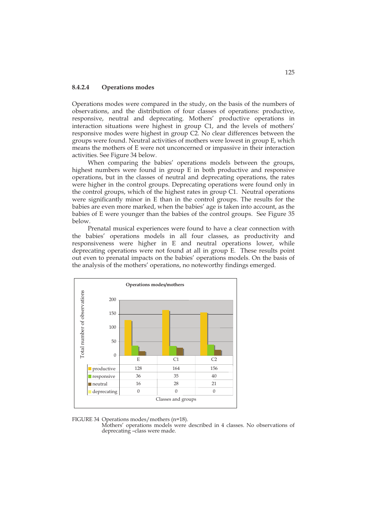### **8.4.2.4 Operations modes**

Operations modes were compared in the study, on the basis of the numbers of observations, and the distribution of four classes of operations: productive, responsive, neutral and deprecating. Mothers' productive operations in interaction situations were highest in group C1, and the levels of mothers' responsive modes were highest in group C2. No clear differences between the groups were found. Neutral activities of mothers were lowest in group E, which means the mothers of E were not unconcerned or impassive in their interaction activities. See Figure 34 below.

 When comparing the babies' operations models between the groups, highest numbers were found in group E in both productive and responsive operations, but in the classes of neutral and deprecating operations, the rates were higher in the control groups. Deprecating operations were found only in the control groups, which of the highest rates in group C1. Neutral operations were significantly minor in E than in the control groups. The results for the babies are even more marked, when the babies' age is taken into account, as the babies of E were younger than the babies of the control groups. See Figure 35 below.

 Prenatal musical experiences were found to have a clear connection with the babies' operations models in all four classes, as productivity and responsiveness were higher in E and neutral operations lower, while deprecating operations were not found at all in group E. These results point out even to prenatal impacts on the babies' operations models. On the basis of the analysis of the mothers' operations, no noteworthy findings emerged.



FIGURE 34 Operations modes/mothers (n=18).

Mothers' operations models were described in 4 classes. No observations of deprecating –class were made.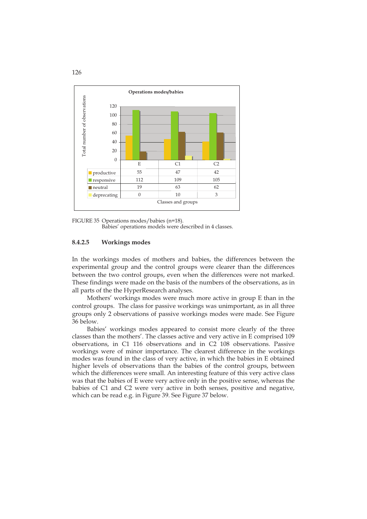

FIGURE 35 Operations modes/babies (n=18). Babies' operations models were described in 4 classes.

### **8.4.2.5 Workings modes**

In the workings modes of mothers and babies, the differences between the experimental group and the control groups were clearer than the differences between the two control groups, even when the differences were not marked. These findings were made on the basis of the numbers of the observations, as in all parts of the the HyperResearch analyses.

 Mothers' workings modes were much more active in group E than in the control groups. The class for passive workings was unimportant, as in all three groups only 2 observations of passive workings modes were made. See Figure 36 below.

Babies' workings modes appeared to consist more clearly of the three classes than the mothers'. The classes active and very active in E comprised 109 observations, in C1 116 observations and in C2 108 observations. Passive workings were of minor importance. The clearest difference in the workings modes was found in the class of very active, in which the babies in E obtained higher levels of observations than the babies of the control groups, between which the differences were small. An interesting feature of this very active class was that the babies of E were very active only in the positive sense, whereas the babies of C1 and C2 were very active in both senses, positive and negative, which can be read e.g. in Figure 39. See Figure 37 below.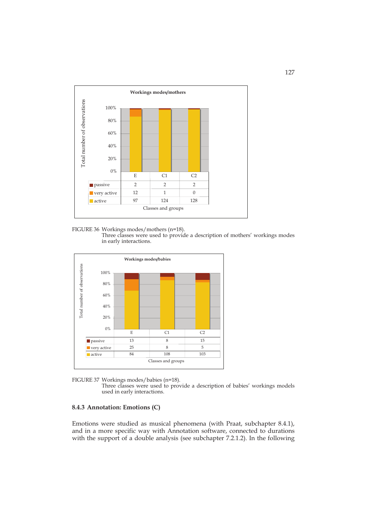

FIGURE 36 Workings modes/mothers (n=18). Three classes were used to provide a description of mothers' workings modes in early interactions.





Three classes were used to provide a description of babies' workings models used in early interactions.

### **8.4.3 Annotation: Emotions (C)**

Emotions were studied as musical phenomena (with Praat, subchapter 8.4.1), and in a more specific way with Annotation software, connected to durations with the support of a double analysis (see subchapter 7.2.1.2). In the following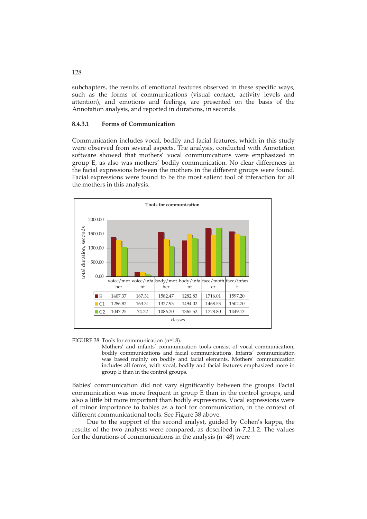subchapters, the results of emotional features observed in these specific ways, such as the forms of communications (visual contact, activity levels and attention), and emotions and feelings, are presented on the basis of the Annotation analysis, and reported in durations, in seconds.

### **8.4.3.1 Forms of Communication**

Communication includes vocal, bodily and facial features, which in this study were observed from several aspects. The analysis, conducted with Annotation software showed that mothers' vocal communications were emphasized in group E, as also was mothers' bodily communication. No clear differences in the facial expressions between the mothers in the different groups were found. Facial expressions were found to be the most salient tool of interaction for all the mothers in this analysis.



FIGURE 38 Tools for communication (n=18).

Mothers' and infants' communication tools consist of vocal communication, bodily communications and facial communications. Infants' communication was based mainly on bodily and facial elements. Mothers' communication includes all forms, with vocal, bodily and facial features emphasized more in group E than in the control groups.

Babies' communication did not vary significantly between the groups. Facial communication was more frequent in group E than in the control groups, and also a little bit more important than bodily expressions. Vocal expressions were of minor importance to babies as a tool for communication, in the context of different communicational tools. See Figure 38 above.

Due to the support of the second analyst, guided by Cohen's kappa, the results of the two analysts were compared, as described in 7.2.1.2. The values for the durations of communications in the analysis (n=48) were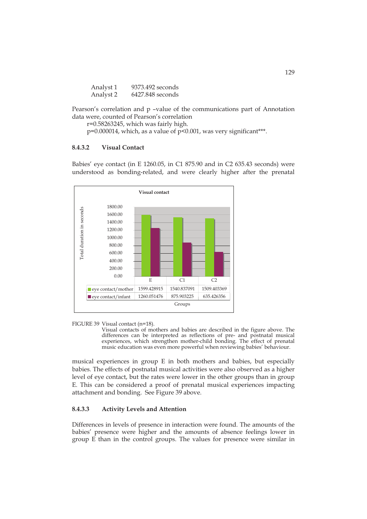| Analyst 1 | 9373.492 seconds |
|-----------|------------------|
| Analyst 2 | 6427.848 seconds |

Pearson's correlation and p –value of the communications part of Annotation data were, counted of Pearson's correlation

r=0.58263245, which was fairly high.

 $p=0.000014$ , which, as a value of  $p<0.001$ , was very significant\*\*\*.

### **8.4.3.2 Visual Contact**

Babies' eye contact (in E 1260.05, in C1 875.90 and in C2 635.43 seconds) were understood as bonding-related, and were clearly higher after the prenatal



FIGURE 39 Visual contact (n=18).

Visual contacts of mothers and babies are described in the figure above. The differences can be interpreted as reflections of pre- and postnatal musical experiences, which strengthen mother-child bonding. The effect of prenatal music education was even more powerful when reviewing babies' behaviour.

musical experiences in group E in both mothers and babies, but especially babies. The effects of postnatal musical activities were also observed as a higher level of eye contact, but the rates were lower in the other groups than in group E. This can be considered a proof of prenatal musical experiences impacting attachment and bonding. See Figure 39 above.

## **8.4.3.3 Activity Levels and Attention**

Differences in levels of presence in interaction were found. The amounts of the babies' presence were higher and the amounts of absence feelings lower in group E than in the control groups. The values for presence were similar in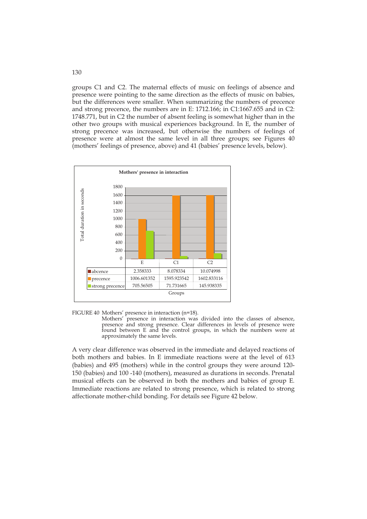groups C1 and C2. The maternal effects of music on feelings of absence and presence were pointing to the same direction as the effects of music on babies, but the differences were smaller. When summarizing the numbers of precence and strong precence, the numbers are in E: 1712.166; in C1:1667.655 and in C2: 1748.771, but in C2 the number of absent feeling is somewhat higher than in the other two groups with musical experiences background. In E, the number of strong precence was increased, but otherwise the numbers of feelings of presence were at almost the same level in all three groups; see Figures 40 (mothers' feelings of presence, above) and 41 (babies' presence levels, below).



FIGURE 40 Mothers' presence in interaction (n=18).

Mothers' presence in interaction was divided into the classes of absence, presence and strong presence. Clear differences in levels of presence were found between E and the control groups, in which the numbers were at approximately the same levels.

A very clear difference was observed in the immediate and delayed reactions of both mothers and babies. In E immediate reactions were at the level of 613 (babies) and 495 (mothers) while in the control groups they were around 120- 150 (babies) and 100 -140 (mothers), measured as durations in seconds. Prenatal musical effects can be observed in both the mothers and babies of group E. Immediate reactions are related to strong presence, which is related to strong affectionate mother-child bonding. For details see Figure 42 below.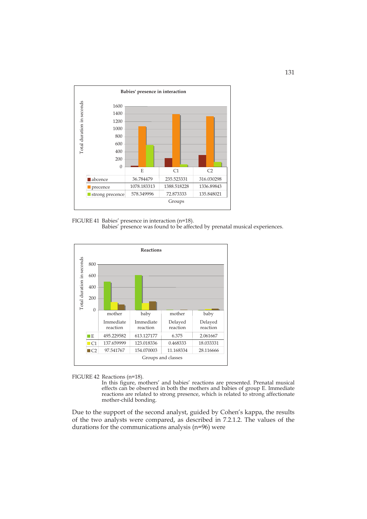

FIGURE 41 Babies' presence in interaction (n=18). Babies' presence was found to be affected by prenatal musical experiences.



FIGURE 42 Reactions (n=18).

In this figure, mothers' and babies' reactions are presented. Prenatal musical effects can be observed in both the mothers and babies of group E. Immediate reactions are related to strong presence, which is related to strong affectionate mother-child bonding.

Due to the support of the second analyst, guided by Cohen's kappa, the results of the two analysts were compared, as described in 7.2.1.2. The values of the durations for the communications analysis (n=96) were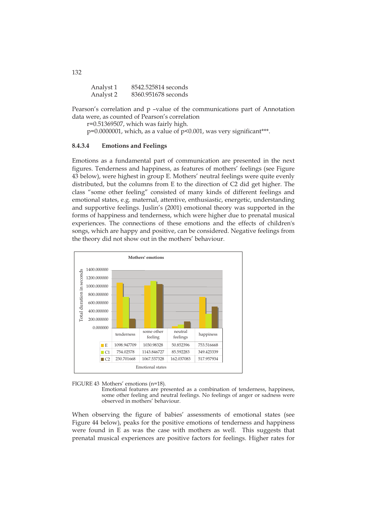| Analyst 1 | 8542.525814 seconds |
|-----------|---------------------|
| Analyst 2 | 8360.951678 seconds |

Pearson's correlation and p –value of the communications part of Annotation data were, as counted of Pearson's correlation

r=0.51369507, which was fairly high.

p=0.0000001, which, as a value of p<0.001, was very significant\*\*\*.

### **8.4.3.4 Emotions and Feelings**

Emotions as a fundamental part of communication are presented in the next figures. Tenderness and happiness, as features of mothers' feelings (see Figure 43 below), were highest in group E. Mothers' neutral feelings were quite evenly distributed, but the columns from E to the direction of C2 did get higher. The class "some other feeling" consisted of many kinds of different feelings and emotional states, e.g. maternal, attentive, enthusiastic, energetic, understanding and supportive feelings. Juslin's (2001) emotional theory was supported in the forms of happiness and tenderness, which were higher due to prenatal musical experiences. The connections of these emotions and the effects of children's songs, which are happy and positive, can be considered. Negative feelings from the theory did not show out in the mothers' behaviour.





Emotional features are presented as a combination of tenderness, happiness, some other feeling and neutral feelings. No feelings of anger or sadness were observed in mothers' behaviour.

When observing the figure of babies' assessments of emotional states (see Figure 44 below), peaks for the positive emotions of tenderness and happiness were found in E as was the case with mothers as well. This suggests that prenatal musical experiences are positive factors for feelings. Higher rates for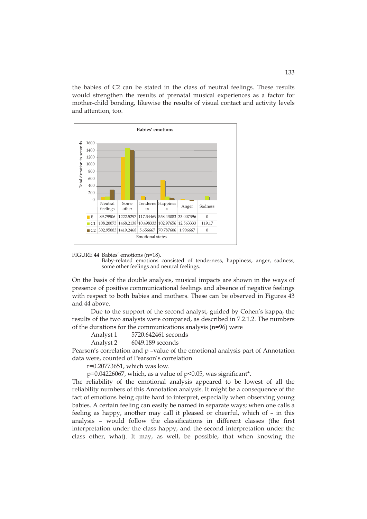the babies of C2 can be stated in the class of neutral feelings. These results would strengthen the results of prenatal musical experiences as a factor for mother-child bonding, likewise the results of visual contact and activity levels and attention, too.



FIGURE 44 Babies' emotions (n=18).

Baby-related emotions consisted of tenderness, happiness, anger, sadness, some other feelings and neutral feelings.

On the basis of the double analysis, musical impacts are shown in the ways of presence of positive communicational feelings and absence of negative feelings with respect to both babies and mothers. These can be observed in Figures 43 and 44 above.

Due to the support of the second analyst, guided by Cohen's kappa, the results of the two analysts were compared, as described in 7.2.1.2. The numbers of the durations for the communications analysis (n=96) were

| Analyst 1 | 5720.642461 seconds                |  |
|-----------|------------------------------------|--|
|           | $\sim$ $\sim$ $\sim$ $\sim$ $\sim$ |  |

Analyst 2 6049.189 seconds

Pearson's correlation and p –value of the emotional analysis part of Annotation data were, counted of Pearson's correlation

r=0.20773651, which was low.

 $p=0.04226067$ , which, as a value of  $p<0.05$ , was significant\*.

The reliability of the emotional analysis appeared to be lowest of all the reliability numbers of this Annotation analysis. It might be a consequence of the fact of emotions being quite hard to interpret, especially when observing young babies. A certain feeling can easily be named in separate ways; when one calls a feeling as happy, another may call it pleased or cheerful, which of – in this analysis – would follow the classifications in different classes (the first interpretation under the class happy, and the second interpretation under the class other, what). It may, as well, be possible, that when knowing the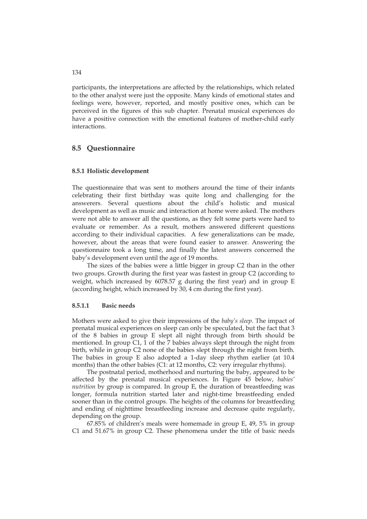participants, the interpretations are affected by the relationships, which related to the other analyst were just the opposite. Many kinds of emotional states and feelings were, however, reported, and mostly positive ones, which can be perceived in the figures of this sub chapter. Prenatal musical experiences do have a positive connection with the emotional features of mother-child early interactions.

# **8.5 Questionnaire**

### **8.5.1 Holistic development**

The questionnaire that was sent to mothers around the time of their infants celebrating their first birthday was quite long and challenging for the answerers. Several questions about the child's holistic and musical development as well as music and interaction at home were asked. The mothers were not able to answer all the questions, as they felt some parts were hard to evaluate or remember. As a result, mothers answered different questions according to their individual capacities. A few generalizations can be made, however, about the areas that were found easier to answer. Answering the questionnaire took a long time, and finally the latest answers concerned the baby's development even until the age of 19 months.

 The sizes of the babies were a little bigger in group C2 than in the other two groups. Growth during the first year was fastest in group C2 (according to weight, which increased by 6078.57 g during the first year) and in group E (according height, which increased by 30, 4 cm during the first year).

#### **8.5.1.1 Basic needs**

Mothers were asked to give their impressions of the *baby's sleep*. The impact of prenatal musical experiences on sleep can only be speculated, but the fact that 3 of the 8 babies in group E slept all night through from birth should be mentioned. In group C1, 1 of the 7 babies always slept through the night from birth, while in group C2 none of the babies slept through the night from birth. The babies in group E also adopted a 1-day sleep rhythm earlier (at 10.4 months) than the other babies (C1: at 12 months, C2: very irregular rhythms).

 The postnatal period, motherhood and nurturing the baby, appeared to be affected by the prenatal musical experiences. In Figure 45 below, *babies' nutrition* by group is compared. In group E, the duration of breastfeeding was longer, formula nutrition started later and night-time breastfeeding ended sooner than in the control groups. The heights of the columns for breastfeeding and ending of nighttime breastfeeding increase and decrease quite regularly, depending on the group.

67.85% of children's meals were homemade in group E, 49, 5% in group C1 and 51.67% in group C2. These phenomena under the title of basic needs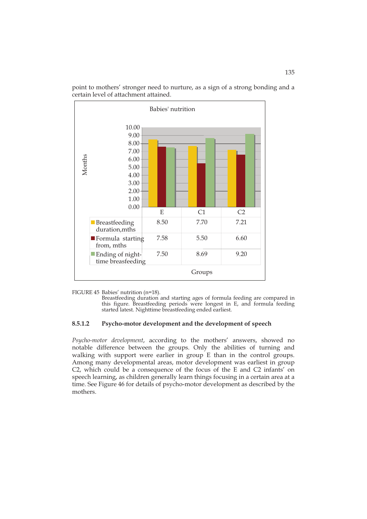

point to mothers' stronger need to nurture, as a sign of a strong bonding and a certain level of attachment attained.

FIGURE 45 Babies' nutrition (n=18).

Breastfeeding duration and starting ages of formula feeding are compared in this figure. Breastfeeding periods were longest in E, and formula feeding started latest. Nighttime breastfeeding ended earliest.

### **8.5.1.2 Psycho-motor development and the development of speech**

*Psycho-motor development*, according to the mothers' answers, showed no notable difference between the groups. Only the abilities of turning and walking with support were earlier in group E than in the control groups. Among many developmental areas, motor development was earliest in group C2, which could be a consequence of the focus of the E and C2 infants' on speech learning, as children generally learn things focusing in a certain area at a time. See Figure 46 for details of psycho-motor development as described by the mothers.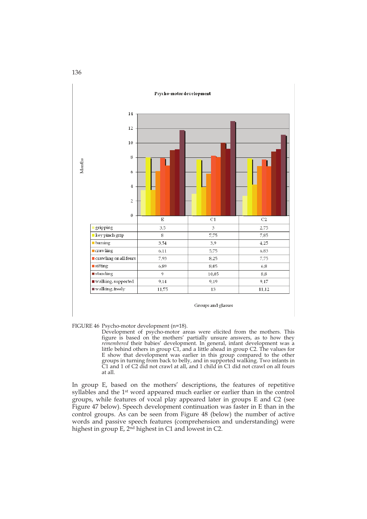

FIGURE 46 Psycho-motor development (n=18).

Development of psycho-motor areas were elicited from the mothers. This figure is based on the mothers' partially unsure answers, as to how they *remembered* their babies' development. In general, infant development was a little behind others in group C1, and a little ahead in group C2. The values for E show that development was earlier in this group compared to the other groups in turning from back to belly, and in supported walking. Two infants in C1 and 1 of C2 did not crawl at all, and 1 child in C1 did not crawl on all fours at all.

In group E, based on the mothers' descriptions, the features of repetitive syllables and the 1st word appeared much earlier or earlier than in the control groups, while features of vocal play appeared later in groups E and C2 (see Figure 47 below). Speech development continuation was faster in E than in the control groups. As can be seen from Figure 48 (below) the number of active words and passive speech features (comprehension and understanding) were highest in group E, 2<sup>nd</sup> highest in C1 and lowest in C2.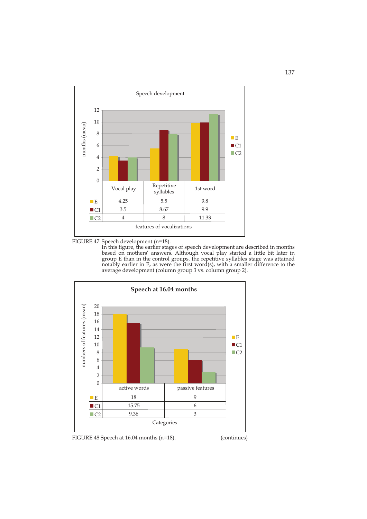



In this figure, the earlier stages of speech development are described in months based on mothers' answers. Although vocal play started a little bit later in group E than in the control groups, the repetitive syllables stage was attained notably earlier in E, as were the first word(s), with a smaller difference to the average development (column group 3 vs. column group 2).



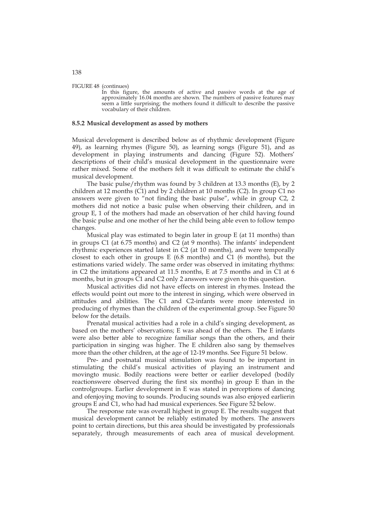#### FIGURE 48 (continues)

 In this figure, the amounts of active and passive words at the age of approximately 16.04 months are shown. The numbers of passive features may seem a little surprising; the mothers found it difficult to describe the passive vocabulary of their children.

#### **8.5.2 Musical development as assed by mothers**

Musical development is described below as of rhythmic development (Figure 49), as learning rhymes (Figure 50), as learning songs (Figure 51), and as development in playing instruments and dancing (Figure 52). Mothers' descriptions of their child's musical development in the questionnaire were rather mixed. Some of the mothers felt it was difficult to estimate the child's musical development.

 The basic pulse/rhythm was found by 3 children at 13.3 months (E), by 2 children at 12 months (C1) and by 2 children at 10 months (C2). In group C1 no answers were given to "not finding the basic pulse", while in group C2, 2 mothers did not notice a basic pulse when observing their children, and in group E, 1 of the mothers had made an observation of her child having found the basic pulse and one mother of her the child being able even to follow tempo changes.

Musical play was estimated to begin later in group E (at 11 months) than in groups C1 (at 6.75 months) and C2 (at 9 months). The infants' independent rhythmic experiences started latest in C2 (at 10 months), and were temporally closest to each other in groups  $E(6.8 \text{ months})$  and  $C1(6 \text{ months})$ , but the estimations varied widely. The same order was observed in imitating rhythms: in C2 the imitations appeared at 11.5 months, E at 7.5 months and in C1 at 6 months, but in groups  $\tilde{C}1$  and  $C2$  only 2 answers were given to this question.

Musical activities did not have effects on interest in rhymes. Instead the effects would point out more to the interest in singing, which were observed in attitudes and abilities. The C1 and C2-infants were more interested in producing of rhymes than the children of the experimental group. See Figure 50 below for the details.

Prenatal musical activities had a role in a child's singing development, as based on the mothers' observations; E was ahead of the others. The E infants were also better able to recognize familiar songs than the others, and their participation in singing was higher. The E children also sang by themselves more than the other children, at the age of 12-19 months. See Figure 51 below.

Pre- and postnatal musical stimulation was found to be important in stimulating the child's musical activities of playing an instrument and movingto music. Bodily reactions were better or earlier developed (bodily reactionswere observed during the first six months) in group E than in the controlgroups. Earlier development in E was stated in perceptions of dancing and ofenjoying moving to sounds. Producing sounds was also enjoyed earlierin groups E and C1, who had had musical experiences. See Figure 52 below.

 The response rate was overall highest in group E. The results suggest that musical development cannot be reliably estimated by mothers. The answers point to certain directions, but this area should be investigated by professionals separately, through measurements of each area of musical development.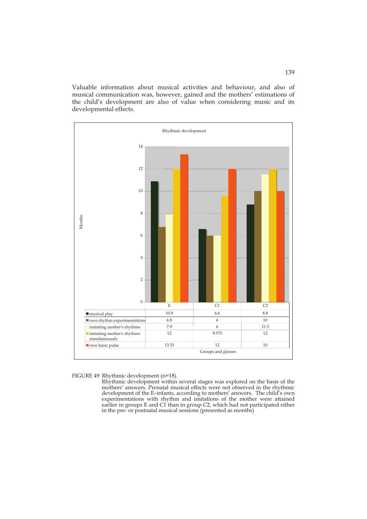Valuable information about musical activities and behaviour, and also of musical communication was, however, gained and the mothers' estimations of the child's development are also of value when considering music and its developmental effects.



#### FIGURE 49 Rhythmic development (n=18).

Rhythmic development within several stages was explored on the basis of the mothers' answers. Prenatal musical effects were not observed in the rhythmic development of the E–infants, according to mothers' answers. The child's own experimentations with rhythm and imitations of the mother were attained earlier in groups E and C1 than in group C2, which had not participated either in the pre- or postnatal musical sessions (presented as months)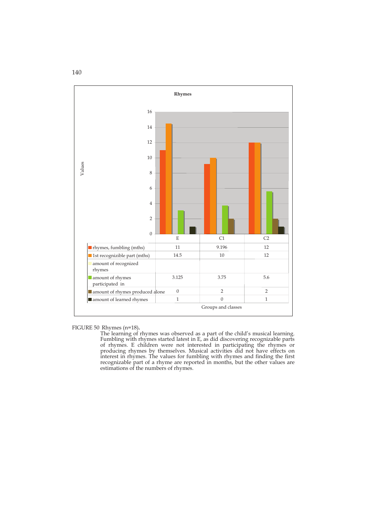

FIGURE 50 Rhymes (n=18)**.** 

 The learning of rhymes was observed as a part of the child's musical learning. Fumbling with rhymes started latest in E, as did discovering recognizable parts of rhymes. E children were not interested in participating the rhymes or producing rhymes by themselves. Musical activities did not have effects on interest in rhymes. The values for fumbling with rhymes and finding the first recognizable part of a rhyme are reported in months, but the other values are estimations of the numbers of rhymes.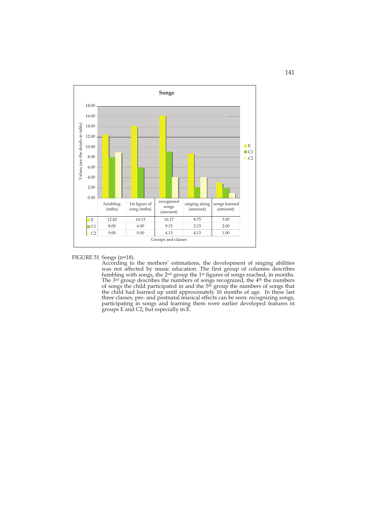

FIGURE 51 Songs (n=18).

 According to the mothers' estimations, the development of singing abilities was not affected by music education. The first group of columns describes fumbling with songs, the  $2<sup>nd</sup>$  group the 1<sup>st</sup> figures of songs reached, in months. The 3<sup>rd</sup> group describes the numbers of songs recognized, the 4<sup>th</sup> the numbers of songs the child participated in and the 5<sup>th</sup> group the numbers of songs that the child had learned up until approximately 16 months of age. In these last three classes, pre- and postnatal musical effects can be seen: recognizing songs, participating in songs and learning them were earlier developed features in groups E and C2, but especially in E.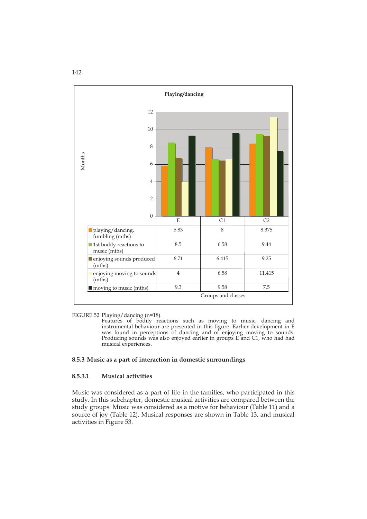

FIGURE 52 Playing/dancing (n=18).

 Features of bodily reactions such as moving to music, dancing and instrumental behaviour are presented in this figure. Earlier development in E was found in perceptions of dancing and of enjoying moving to sounds. Producing sounds was also enjoyed earlier in groups E and C1, who had had musical experiences.

### **8.5.3 Music as a part of interaction in domestic surroundings**

### **8.5.3.1 Musical activities**

Music was considered as a part of life in the families, who participated in this study. In this subchapter, domestic musical activities are compared between the study groups. Music was considered as a motive for behaviour (Table 11) and a source of joy (Table 12). Musical responses are shown in Table 13, and musical activities in Figure 53.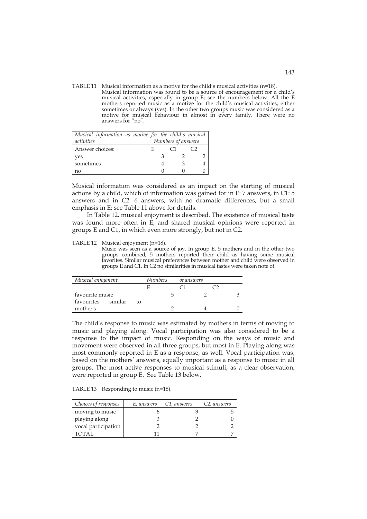TABLE 11 Musical information as a motive for the child's musical activities (n=18). Musical information was found to be a source of encouragement for a child's musical activities, especially in group E; see the numbers below. All the E mothers reported music as a motive for the child's musical activities, either sometimes or always (yes). In the other two groups music was considered as a motive for musical behaviour in almost in every family. There were no answers for "no".

| Musical information as motive for the child's musical |                    |  |  |  |
|-------------------------------------------------------|--------------------|--|--|--|
| activities                                            | Numbers of answers |  |  |  |
| Answer choices:                                       | Н.                 |  |  |  |
| yes                                                   |                    |  |  |  |
| sometimes                                             |                    |  |  |  |
| nο                                                    |                    |  |  |  |

Musical information was considered as an impact on the starting of musical actions by a child, which of information was gained for in E: 7 answers, in C1: 5 answers and in C2: 6 answers, with no dramatic differences, but a small emphasis in E; see Table 11 above for details.

In Table 12, musical enjoyment is described. The existence of musical taste was found more often in E, and shared musical opinions were reported in groups E and C1, in which even more strongly, but not in C2.

TABLE 12 Musical enjoyment (n=18).

Music was seen as a source of joy. In group E, 5 mothers and in the other two groups combined, 5 mothers reported their child as having some musical favorites. Similar musical preferences between mother and child were observed in groups E and C1. In C2 no similarities in musical tastes were taken note of.

| Musical enjoyment |         | Numbers | of answers |  |  |
|-------------------|---------|---------|------------|--|--|
|                   |         |         |            |  |  |
| favourite music   |         |         |            |  |  |
| favourites        | similar | tο      |            |  |  |
| mother's          |         |         |            |  |  |

The child's response to music was estimated by mothers in terms of moving to music and playing along. Vocal participation was also considered to be a response to the impact of music. Responding on the ways of music and movement were observed in all three groups, but most in E. Playing along was most commonly reported in E as a response, as well. Vocal participation was, based on the mothers' answers, equally important as a response to music in all groups. The most active responses to musical stimuli, as a clear observation, were reported in group E. See Table 13 below.

TABLE 13 Responding to music (n=18).

| Choices of responses | E, answers | C1, answers | C <sub>2</sub> , answers |
|----------------------|------------|-------------|--------------------------|
| moving to music      |            |             |                          |
| playing along        |            |             |                          |
| vocal participation  |            |             |                          |
| TOTAL                |            |             |                          |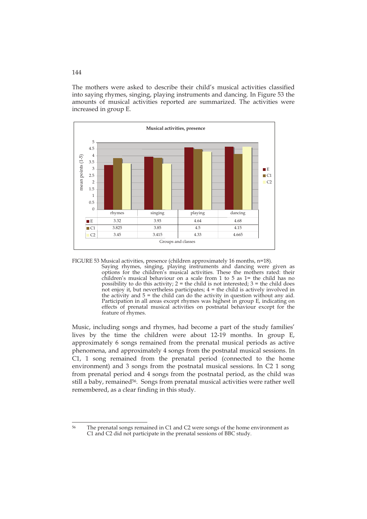The mothers were asked to describe their child's musical activities classified into saying rhymes, singing, playing instruments and dancing. In Figure 53 the amounts of musical activities reported are summarized. The activities were increased in group E.



FIGURE 53 Musical activities, presence (children approximately 16 months, n=18).

Saying rhymes, singing, playing instruments and dancing were given as options for the children's musical activities. These the mothers rated: their children's musical behaviour on a scale from 1 to 5 as 1= the child has no possibility to do this activity;  $2 =$  the child is not interested;  $3 =$  the child does not enjoy it, but nevertheless participates; 4 = the child is actively involved in the activity and  $5 =$  the child can do the activity in question without any aid. Participation in all areas except rhymes was highest in group E, indicating on effects of prenatal musical activities on postnatal behaviour except for the feature of rhymes.

Music, including songs and rhymes, had become a part of the study families' lives by the time the children were about 12-19 months. In group E, approximately 6 songs remained from the prenatal musical periods as active phenomena, and approximately 4 songs from the postnatal musical sessions. In C1, 1 song remained from the prenatal period (connected to the home environment) and 3 songs from the postnatal musical sessions. In C2 1 song from prenatal period and 4 songs from the postnatal period, as the child was still a baby, remained<sup>56</sup>. Songs from prenatal musical activities were rather well remembered, as a clear finding in this study.

<sup>56</sup> The prenatal songs remained in C1 and C2 were songs of the home environment as C1 and C2 did not participate in the prenatal sessions of BBC study.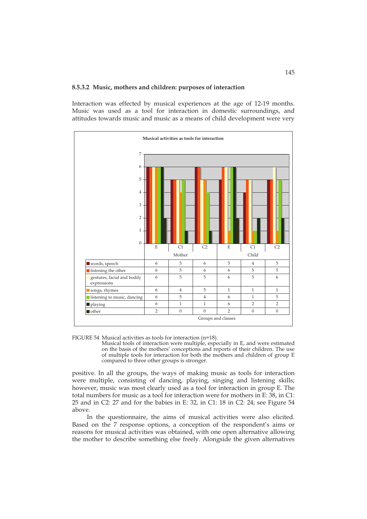#### **8.5.3.2 Music, mothers and children: purposes of interaction**

Interaction was effected by musical experiences at the age of 12-19 months. Music was used as a tool for interaction in domestic surroundings, and attitudes towards music and music as a means of child development were very



FIGURE 54 Musical activities as tools for interaction (n=18).

Musical tools of interaction were multiple, especially in E, and were estimated on the basis of the mothers' conceptions and reports of their children. The use of multiple tools for interaction for both the mothers and children of group E compared to three other groups is stronger.

positive. In all the groups, the ways of making music as tools for interaction were multiple, consisting of dancing, playing, singing and listening skills; however, music was most clearly used as a tool for interaction in group E. The total numbers for music as a tool for interaction were for mothers in E: 38, in C1: 25 and in C2: 27 and for the babies in E: 32, in C1: 18 in C2: 24; see Figure 54 above.

In the questionnaire, the aims of musical activities were also elicited. Based on the 7 response options, a conception of the respondent's aims or reasons for musical activities was obtained, with one open alternative allowing the mother to describe something else freely. Alongside the given alternatives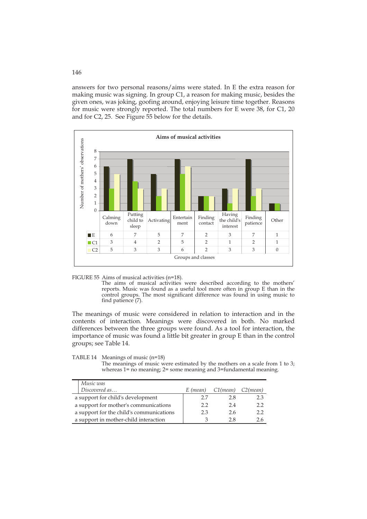answers for two personal reasons/aims were stated. In E the extra reason for making music was signing. In group C1, a reason for making music, besides the given ones, was joking, goofing around, enjoying leisure time together. Reasons for music were strongly reported. The total numbers for E were 38, for C1, 20 and for C2, 25. See Figure 55 below for the details.



FIGURE 55 Aims of musical activities (n=18).

The aims of musical activities were described according to the mothers' reports. Music was found as a useful tool more often in group E than in the control groups. The most significant difference was found in using music to find patience (7).

The meanings of music were considered in relation to interaction and in the contents of interaction. Meanings were discovered in both. No marked differences between the three groups were found. As a tool for interaction, the importance of music was found a little bit greater in group E than in the control groups; see Table 14.

TABLE 14 Meanings of music (n=18)

The meanings of music were estimated by the mothers on a scale from 1 to 3; whereas 1= no meaning; 2= some meaning and 3=fundamental meaning.

| Music was                                |          |                   |     |
|------------------------------------------|----------|-------------------|-----|
| Discovered as                            | E (mean) | C1(mean) C2(mean) |     |
| a support for child's development        | 27       | 28                | 2.3 |
| a support for mother's communications    | 22       | 24                | 2.2 |
| a support for the child's communications | 23       | 26                | 22  |
| a support in mother-child interaction    |          | 28                |     |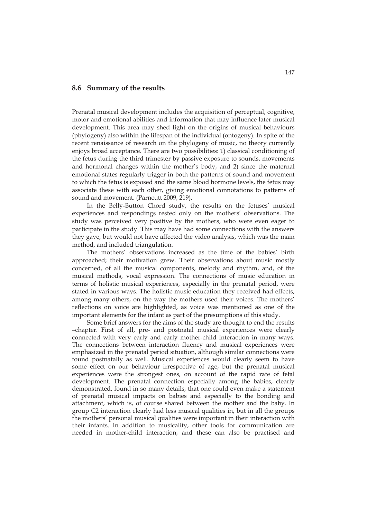### **8.6 Summary of the results**

Prenatal musical development includes the acquisition of perceptual, cognitive, motor and emotional abilities and information that may influence later musical development. This area may shed light on the origins of musical behaviours (phylogeny) also within the lifespan of the individual (ontogeny). In spite of the recent renaissance of research on the phylogeny of music, no theory currently enjoys broad acceptance. There are two possibilities: 1) classical conditioning of the fetus during the third trimester by passive exposure to sounds, movements and hormonal changes within the mother's body, and 2) since the maternal emotional states regularly trigger in both the patterns of sound and movement to which the fetus is exposed and the same blood hormone levels, the fetus may associate these with each other, giving emotional connotations to patterns of sound and movement. (Parncutt 2009, 219).

 In the Belly-Button Chord study, the results on the fetuses' musical experiences and respondings rested only on the mothers' observations. The study was perceived very positive by the mothers, who were even eager to participate in the study. This may have had some connections with the answers they gave, but would not have affected the video analysis, which was the main method, and included triangulation.

 The mothers' observations increased as the time of the babies' birth approached; their motivation grew. Their observations about music mostly concerned, of all the musical components, melody and rhythm, and, of the musical methods, vocal expression. The connections of music education in terms of holistic musical experiences, especially in the prenatal period, were stated in various ways. The holistic music education they received had effects, among many others, on the way the mothers used their voices. The mothers' reflections on voice are highlighted, as voice was mentioned as one of the important elements for the infant as part of the presumptions of this study.

Some brief answers for the aims of the study are thought to end the results –chapter. First of all, pre- and postnatal musical experiences were clearly connected with very early and early mother-child interaction in many ways. The connections between interaction fluency and musical experiences were emphasized in the prenatal period situation, although similar connections were found postnatally as well. Musical experiences would clearly seem to have some effect on our behaviour irrespective of age, but the prenatal musical experiences were the strongest ones, on account of the rapid rate of fetal development. The prenatal connection especially among the babies, clearly demonstrated, found in so many details, that one could even make a statement of prenatal musical impacts on babies and especially to the bonding and attachment, which is, of course shared between the mother and the baby. In group C2 interaction clearly had less musical qualities in, but in all the groups the mothers' personal musical qualities were important in their interaction with their infants. In addition to musicality, other tools for communication are needed in mother-child interaction, and these can also be practised and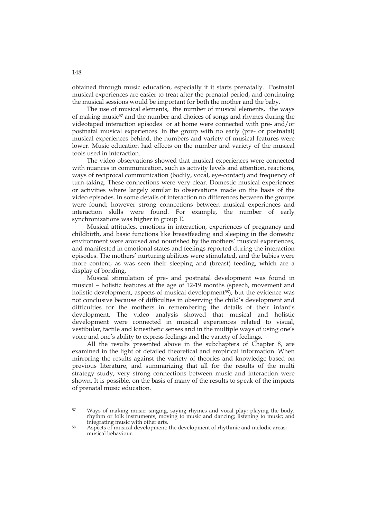obtained through music education, especially if it starts prenatally. Postnatal musical experiences are easier to treat after the prenatal period, and continuing the musical sessions would be important for both the mother and the baby.

The use of musical elements, the number of musical elements, the ways of making music<sup>57</sup> and the number and choices of songs and rhymes during the videotaped interaction episodes or at home were connected with pre- and/or postnatal musical experiences. In the group with no early (pre- or postnatal) musical experiences behind, the numbers and variety of musical features were lower. Music education had effects on the number and variety of the musical tools used in interaction.

 The video observations showed that musical experiences were connected with nuances in communication, such as activity levels and attention, reactions, ways of reciprocal communication (bodily, vocal, eye-contact) and frequency of turn-taking. These connections were very clear. Domestic musical experiences or activities where largely similar to observations made on the basis of the video episodes. In some details of interaction no differences between the groups were found; however strong connections between musical experiences and interaction skills were found. For example, the number of early synchronizations was higher in group E.

Musical attitudes, emotions in interaction, experiences of pregnancy and childbirth, and basic functions like breastfeeding and sleeping in the domestic environment were aroused and nourished by the mothers' musical experiences, and manifested in emotional states and feelings reported during the interaction episodes. The mothers' nurturing abilities were stimulated, and the babies were more content, as was seen their sleeping and (breast) feeding, which are a display of bonding.

Musical stimulation of pre- and postnatal development was found in musical – holistic features at the age of 12-19 months (speech, movement and holistic development, aspects of musical development<sup>58</sup>), but the evidence was not conclusive because of difficulties in observing the child's development and difficulties for the mothers in remembering the details of their infant's development. The video analysis showed that musical and holistic development were connected in musical experiences related to visual, vestibular, tactile and kinesthetic senses and in the multiple ways of using one's voice and one's ability to express feelings and the variety of feelings.

All the results presented above in the subchapters of Chapter 8, are examined in the light of detailed theoretical and empirical information. When mirroring the results against the variety of theories and knowledge based on previous literature, and summarizing that all for the results of the multi strategy study, very strong connections between music and interaction were shown. It is possible, on the basis of many of the results to speak of the impacts of prenatal music education.

<sup>57</sup> Ways of making music: singing, saying rhymes and vocal play; playing the body, rhythm or folk instruments; moving to music and dancing; listening to music; and

<sup>&</sup>lt;sup>58</sup> Aspects of musical development: the development of rhythmic and melodic areas; musical behaviour.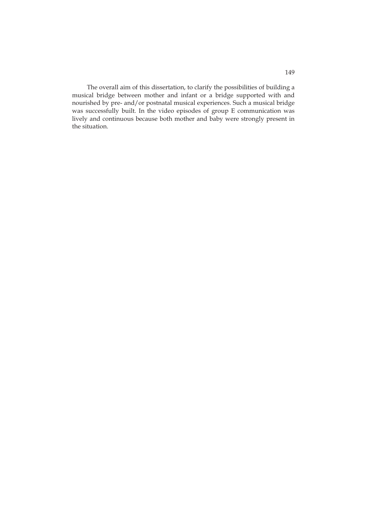The overall aim of this dissertation, to clarify the possibilities of building a musical bridge between mother and infant or a bridge supported with and nourished by pre- and/or postnatal musical experiences. Such a musical bridge was successfully built. In the video episodes of group E communication was lively and continuous because both mother and baby were strongly present in the situation.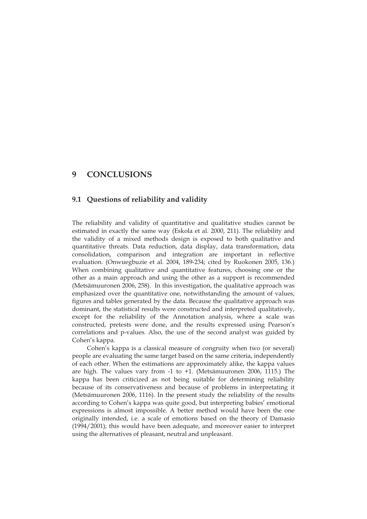# **9 CONCLUSIONS**

## **9.1 Questions of reliability and validity**

The reliability and validity of quantitative and qualitative studies cannot be estimated in exactly the same way (Eskola et al. 2000, 211). The reliability and the validity of a mixed methods design is exposed to both qualitative and quantitative threats. Data reduction, data display, data transformation, data consolidation, comparison and integration are important in reflective evaluation. (Onwuegbuzie et al. 2004, 189-234; cited by Ruokonen 2005, 136.) When combining qualitative and quantitative features, choosing one or the other as a main approach and using the other as a support is recommended (Metsämuuronen 2006, 258). In this investigation, the qualitative approach was emphasized over the quantitative one, notwithstanding the amount of values, figures and tables generated by the data. Because the qualitative approach was dominant, the statistical results were constructed and interpreted qualitatively, except for the reliability of the Annotation analysis, where a scale was constructed, pretests were done, and the results expressed using Pearson's correlations and p-values. Also, the use of the second analyst was guided by Cohen's kappa.

 Cohen's kappa is a classical measure of congruity when two (or several) people are evaluating the same target based on the same criteria, independently of each other. When the estimations are approximately alike, the kappa values are high. The values vary from -1 to +1. (Metsämuuronen 2006, 1115.) The kappa has been criticized as not being suitable for determining reliability because of its conservativeness and because of problems in interpretating it (Metsämuuronen 2006, 1116). In the present study the reliability of the results according to Cohen's kappa was quite good, but interpreting babies' emotional expressions is almost impossible. A better method would have been the one originally intended, i.e. a scale of emotions based on the theory of Damasio (1994/2001); this would have been adequate, and moreover easier to interpret using the alternatives of pleasant, neutral and unpleasant.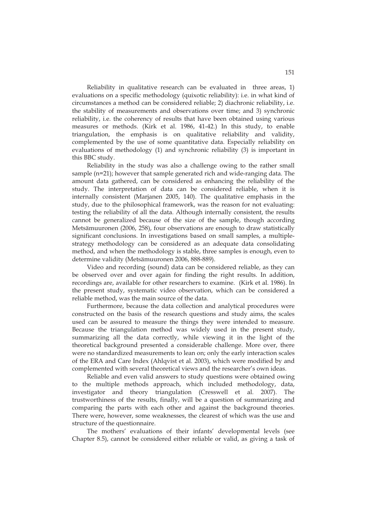Reliability in qualitative research can be evaluated in three areas, 1) evaluations on a specific methodology (quixotic reliability): i.e. in what kind of circumstances a method can be considered reliable; 2) diachronic reliability, i.e. the stability of measurements and observations over time; and 3) synchronic reliability, i.e. the coherency of results that have been obtained using various measures or methods. (Kirk et al. 1986, 41-42.) In this study, to enable triangulation, the emphasis is on qualitative reliability and validity, complemented by the use of some quantitative data. Especially reliability on evaluations of methodology (1) and synchronic reliability (3) is important in this BBC study.

Reliability in the study was also a challenge owing to the rather small sample (n=21); however that sample generated rich and wide-ranging data. The amount data gathered, can be considered as enhancing the reliability of the study. The interpretation of data can be considered reliable, when it is internally consistent (Marjanen 2005, 140). The qualitative emphasis in the study, due to the philosophical framework, was the reason for not evaluating: testing the reliability of all the data. Although internally consistent, the results cannot be generalized because of the size of the sample, though according Metsämuuronen (2006, 258), four observations are enough to draw statistically significant conclusions. In investigations based on small samples, a multiplestrategy methodology can be considered as an adequate data consolidating method, and when the methodology is stable, three samples is enough, even to determine validity (Metsämuuronen 2006, 888-889).

Video and recording (sound) data can be considered reliable, as they can be observed over and over again for finding the right results. In addition, recordings are, available for other researchers to examine. (Kirk et al. 1986). In the present study, systematic video observation, which can be considered a reliable method, was the main source of the data.

Furthermore, because the data collection and analytical procedures were constructed on the basis of the research questions and study aims, the scales used can be assured to measure the things they were intended to measure. Because the triangulation method was widely used in the present study, summarizing all the data correctly, while viewing it in the light of the theoretical background presented a considerable challenge. More over, there were no standardized measurements to lean on; only the early interaction scales of the ERA and Care Index (Ahlqvist et al. 2003), which were modified by and complemented with several theoretical views and the researcher's own ideas.

Reliable and even valid answers to study questions were obtained owing to the multiple methods approach, which included methodology, data, investigator and theory triangulation (Cresswell et al. 2007). The trustworthiness of the results, finally, will be a question of summarizing and comparing the parts with each other and against the background theories. There were, however, some weaknesses, the clearest of which was the use and structure of the questionnaire.

The mothers' evaluations of their infants' developmental levels (see Chapter 8.5), cannot be considered either reliable or valid, as giving a task of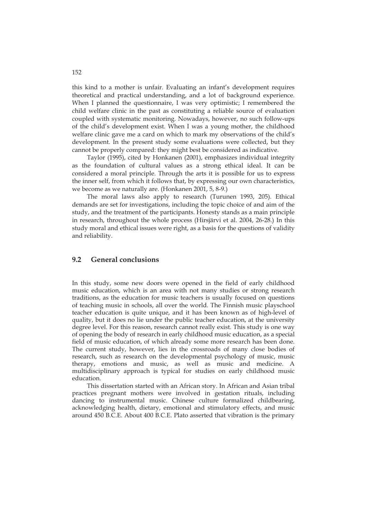this kind to a mother is unfair. Evaluating an infant's development requires theoretical and practical understanding, and a lot of background experience. When I planned the questionnaire, I was very optimistic; I remembered the child welfare clinic in the past as constituting a reliable source of evaluation coupled with systematic monitoring. Nowadays, however, no such follow-ups of the child's development exist. When I was a young mother, the childhood welfare clinic gave me a card on which to mark my observations of the child's development. In the present study some evaluations were collected, but they cannot be properly compared: they might best be considered as indicative.

Taylor (1995), cited by Honkanen (2001), emphasizes individual integrity as the foundation of cultural values as a strong ethical ideal. It can be considered a moral principle. Through the arts it is possible for us to express the inner self, from which it follows that, by expressing our own characteristics, we become as we naturally are. (Honkanen 2001, 5, 8-9.)

 The moral laws also apply to research (Turunen 1993, 205). Ethical demands are set for investigations, including the topic choice of and aim of the study, and the treatment of the participants. Honesty stands as a main principle in research, throughout the whole process (Hirsjärvi et al. 2004, 26-28.) In this study moral and ethical issues were right, as a basis for the questions of validity and reliability.

### **9.2 General conclusions**

In this study, some new doors were opened in the field of early childhood music education, which is an area with not many studies or strong research traditions, as the education for music teachers is usually focused on questions of teaching music in schools, all over the world. The Finnish music playschool teacher education is quite unique, and it has been known as of high-level of quality, but it does no lie under the public teacher education, at the university degree level. For this reason, research cannot really exist. This study is one way of opening the body of research in early childhood music education, as a special field of music education, of which already some more research has been done. The current study, however, lies in the crossroads of many close bodies of research, such as research on the developmental psychology of music, music therapy, emotions and music, as well as music and medicine. A multidisciplinary approach is typical for studies on early childhood music education.

 This dissertation started with an African story. In African and Asian tribal practices pregnant mothers were involved in gestation rituals, including dancing to instrumental music. Chinese culture formalized childbearing, acknowledging health, dietary, emotional and stimulatory effects, and music around 450 B.C.E. About 400 B.C.E. Plato asserted that vibration is the primary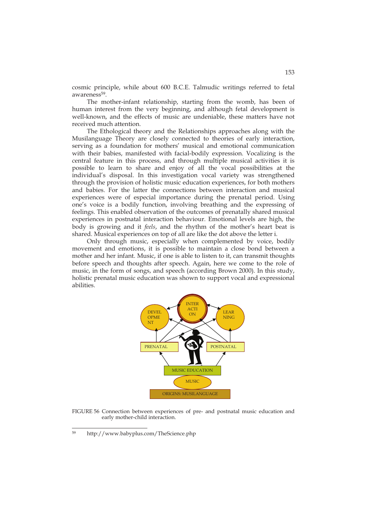cosmic principle, while about 600 B.C.E. Talmudic writings referred to fetal awareness<sup>59</sup>.

The mother-infant relationship, starting from the womb, has been of human interest from the very beginning, and although fetal development is well-known, and the effects of music are undeniable, these matters have not received much attention.

 The Ethological theory and the Relationships approaches along with the Musilanguage Theory are closely connected to theories of early interaction, serving as a foundation for mothers' musical and emotional communication with their babies, manifested with facial-bodily expression. Vocalizing is the central feature in this process, and through multiple musical activities it is possible to learn to share and enjoy of all the vocal possibilities at the individual's disposal. In this investigation vocal variety was strengthened through the provision of holistic music education experiences, for both mothers and babies. For the latter the connections between interaction and musical experiences were of especial importance during the prenatal period. Using one's voice is a bodily function, involving breathing and the expressing of feelings. This enabled observation of the outcomes of prenatally shared musical experiences in postnatal interaction behaviour. Emotional levels are high, the body is growing and it *feels*, and the rhythm of the mother's heart beat is shared. Musical experiences on top of all are like the dot above the letter i.

 Only through music, especially when complemented by voice, bodily movement and emotions, it is possible to maintain a close bond between a mother and her infant. Music, if one is able to listen to it, can transmit thoughts before speech and thoughts after speech. Again, here we come to the role of music, in the form of songs, and speech (according Brown 2000). In this study, holistic prenatal music education was shown to support vocal and expressional abilities.



FIGURE 56 Connection between experiences of pre- and postnatal music education and early mother-child interaction.

<sup>59</sup> 59 http://www.babyplus.com/TheScience.php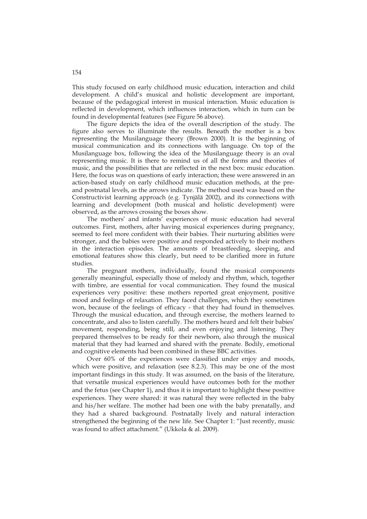This study focused on early childhood music education, interaction and child development. A child's musical and holistic development are important, because of the pedagogical interest in musical interaction. Music education is reflected in development, which influences interaction, which in turn can be found in developmental features (see Figure 56 above).

The figure depicts the idea of the overall description of the study. The figure also serves to illuminate the results. Beneath the mother is a box representing the Musilanguage theory (Brown 2000). It is the beginning of musical communication and its connections with language. On top of the Musilanguage box, following the idea of the Musilanguage theory is an oval representing music. It is there to remind us of all the forms and theories of music, and the possibilities that are reflected in the next box: music education. Here, the focus was on questions of early interaction; these were answered in an action-based study on early childhood music education methods, at the preand postnatal levels, as the arrows indicate. The method used was based on the Constructivist learning approach (e.g. Tynjälä 2002), and its connections with learning and development (both musical and holistic development) were observed, as the arrows crossing the boxes show.

The mothers' and infants' experiences of music education had several outcomes. First, mothers, after having musical experiences during pregnancy, seemed to feel more confident with their babies. Their nurturing abilities were stronger, and the babies were positive and responded actively to their mothers in the interaction episodes. The amounts of breastfeeding, sleeping, and emotional features show this clearly, but need to be clarified more in future studies.

 The pregnant mothers, individually, found the musical components generally meaningful, especially those of melody and rhythm, which, together with timbre, are essential for vocal communication. They found the musical experiences very positive: these mothers reported great enjoyment, positive mood and feelings of relaxation. They faced challenges, which they sometimes won, because of the feelings of efficacy - that they had found in themselves. Through the musical education, and through exercise, the mothers learned to concentrate, and also to listen carefully. The mothers heard and felt their babies' movement, responding, being still, and even enjoying and listening. They prepared themselves to be ready for their newborn, also through the musical material that they had learned and shared with the prenate. Bodily, emotional and cognitive elements had been combined in these BBC activities.

Over 60% of the experiences were classified under enjoy and moods, which were positive, and relaxation (see 8.2.3). This may be one of the most important findings in this study. It was assumed, on the basis of the literature, that versatile musical experiences would have outcomes both for the mother and the fetus (see Chapter 1), and thus it is important to highlight these positive experiences. They were shared: it was natural they were reflected in the baby and his/her welfare. The mother had been one with the baby prenatally, and they had a shared background. Postnatally lively and natural interaction strengthened the beginning of the new life. See Chapter 1: "Just recently, music was found to affect attachment." (Ukkola & al. 2009).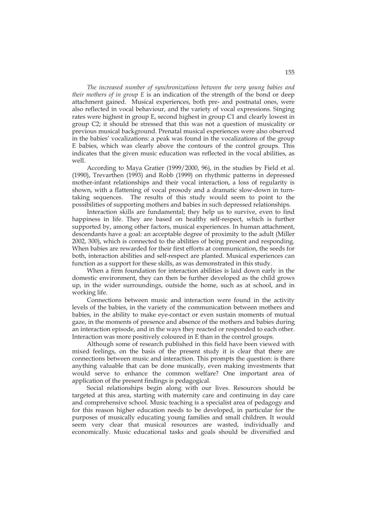*The increased number of synchronizations between the very young babies and their mothers of in group E* is an indication of the strength of the bond or deep attachment gained. Musical experiences, both pre- and postnatal ones, were also reflected in vocal behaviour, and the variety of vocal expressions. Singing rates were highest in group E, second highest in group C1 and clearly lowest in group C2; it should be stressed that this was not a question of musicality or previous musical background. Prenatal musical experiences were also observed in the babies' vocalizations: a peak was found in the vocalizations of the group E babies, which was clearly above the contours of the control groups. This indicates that the given music education was reflected in the vocal abilities, as well.

 According to Maya Gratier (1999/2000, 96), in the studies by Field et al. (1990), Trevarthen (1993) and Robb (1999) on rhythmic patterns in depressed mother-infant relationships and their vocal interaction, a loss of regularity is shown, with a flattening of vocal prosody and a dramatic slow-down in turntaking sequences. The results of this study would seem to point to the possibilities of supporting mothers and babies in such depressed relationships.

Interaction skills are fundamental; they help us to survive, even to find happiness in life. They are based on healthy self-respect, which is further supported by, among other factors, musical experiences. In human attachment, descendants have a goal: an acceptable degree of proximity to the adult (Miller 2002, 300), which is connected to the abilities of being present and responding. When babies are rewarded for their first efforts at communication, the seeds for both, interaction abilities and self-respect are planted. Musical experiences can function as a support for these skills, as was demonstrated in this study.

When a firm foundation for interaction abilities is laid down early in the domestic environment, they can then be further developed as the child grows up, in the wider surroundings, outside the home, such as at school, and in working life.

Connections between music and interaction were found in the activity levels of the babies, in the variety of the communication between mothers and babies, in the ability to make eye-contact or even sustain moments of mutual gaze, in the moments of presence and absence of the mothers and babies during an interaction episode, and in the ways they reacted or responded to each other. Interaction was more positively coloured in E than in the control groups.

 Although some of research published in this field have been viewed with mixed feelings, on the basis of the present study it is clear that there are connections between music and interaction. This prompts the question: is there anything valuable that can be done musically, even making investments that would serve to enhance the common welfare? One important area of application of the present findings is pedagogical.

 Social relationships begin along with our lives. Resources should be targeted at this area, starting with maternity care and continuing in day care and comprehensive school. Music teaching is a specialist area of pedagogy and for this reason higher education needs to be developed, in particular for the purposes of musically educating young families and small children. It would seem very clear that musical resources are wasted, individually and economically. Music educational tasks and goals should be diversified and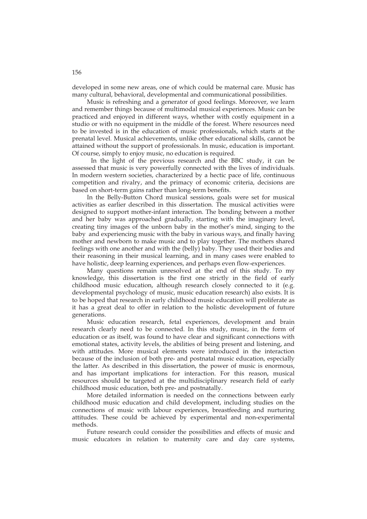developed in some new areas, one of which could be maternal care. Music has many cultural, behavioral, developmental and communicational possibilities.

Music is refreshing and a generator of good feelings. Moreover, we learn and remember things because of multimodal musical experiences. Music can be practiced and enjoyed in different ways, whether with costly equipment in a studio or with no equipment in the middle of the forest. Where resources need to be invested is in the education of music professionals, which starts at the prenatal level. Musical achievements, unlike other educational skills, cannot be attained without the support of professionals. In music, education is important. Of course, simply to enjoy music, no education is required.

In the light of the previous research and the BBC study, it can be assessed that music is very powerfully connected with the lives of individuals. In modern western societies, characterized by a hectic pace of life, continuous competition and rivalry, and the primacy of economic criteria, decisions are based on short-term gains rather than long-term benefits.

In the Belly-Button Chord musical sessions, goals were set for musical activities as earlier described in this dissertation. The musical activities were designed to support mother-infant interaction. The bonding between a mother and her baby was approached gradually, starting with the imaginary level, creating tiny images of the unborn baby in the mother's mind, singing to the baby and experiencing music with the baby in various ways, and finally having mother and newborn to make music and to play together. The mothers shared feelings with one another and with the (belly) baby. They used their bodies and their reasoning in their musical learning, and in many cases were enabled to have holistic, deep learning experiences, and perhaps even flow-experiences.

 Many questions remain unresolved at the end of this study. To my knowledge, this dissertation is the first one strictly in the field of early childhood music education, although research closely connected to it (e.g. developmental psychology of music, music education research) also exists. It is to be hoped that research in early childhood music education will proliferate as it has a great deal to offer in relation to the holistic development of future generations.

 Music education research, fetal experiences, development and brain research clearly need to be connected. In this study, music, in the form of education or as itself, was found to have clear and significant connections with emotional states, activity levels, the abilities of being present and listening, and with attitudes. More musical elements were introduced in the interaction because of the inclusion of both pre- and postnatal music education, especially the latter. As described in this dissertation, the power of music is enormous, and has important implications for interaction. For this reason, musical resources should be targeted at the multidisciplinary research field of early childhood music education, both pre- and postnatally.

 More detailed information is needed on the connections between early childhood music education and child development, including studies on the connections of music with labour experiences, breastfeeding and nurturing attitudes. These could be achieved by experimental and non-experimental methods.

 Future research could consider the possibilities and effects of music and music educators in relation to maternity care and day care systems,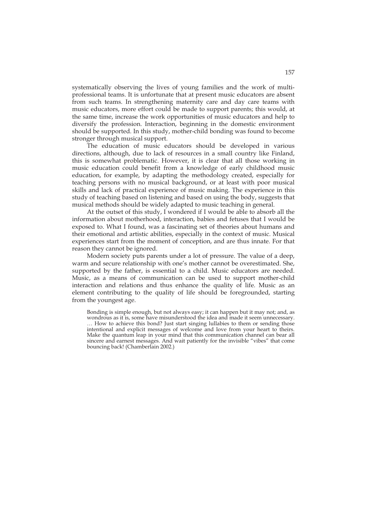systematically observing the lives of young families and the work of multiprofessional teams. It is unfortunate that at present music educators are absent from such teams. In strengthening maternity care and day care teams with music educators, more effort could be made to support parents; this would, at the same time, increase the work opportunities of music educators and help to diversify the profession. Interaction, beginning in the domestic environment should be supported. In this study, mother-child bonding was found to become stronger through musical support.

 The education of music educators should be developed in various directions, although, due to lack of resources in a small country like Finland, this is somewhat problematic. However, it is clear that all those working in music education could benefit from a knowledge of early childhood music education, for example, by adapting the methodology created, especially for teaching persons with no musical background, or at least with poor musical skills and lack of practical experience of music making. The experience in this study of teaching based on listening and based on using the body, suggests that musical methods should be widely adapted to music teaching in general.

At the outset of this study, I wondered if I would be able to absorb all the information about motherhood, interaction, babies and fetuses that I would be exposed to. What I found, was a fascinating set of theories about humans and their emotional and artistic abilities, especially in the context of music. Musical experiences start from the moment of conception, and are thus innate. For that reason they cannot be ignored.

Modern society puts parents under a lot of pressure. The value of a deep, warm and secure relationship with one's mother cannot be overestimated. She, supported by the father, is essential to a child. Music educators are needed. Music, as a means of communication can be used to support mother-child interaction and relations and thus enhance the quality of life. Music as an element contributing to the quality of life should be foregrounded, starting from the youngest age.

Bonding is simple enough, but not always easy; it can happen but it may not; and, as wondrous as it is, some have misunderstood the idea and made it seem unnecessary. … How to achieve this bond? Just start singing lullabies to them or sending those intentional and explicit messages of welcome and love from your heart to theirs. Make the quantum leap in your mind that this communication channel can bear all sincere and earnest messages. And wait patiently for the invisible "vibes" that come bouncing back! (Chamberlain 2002.)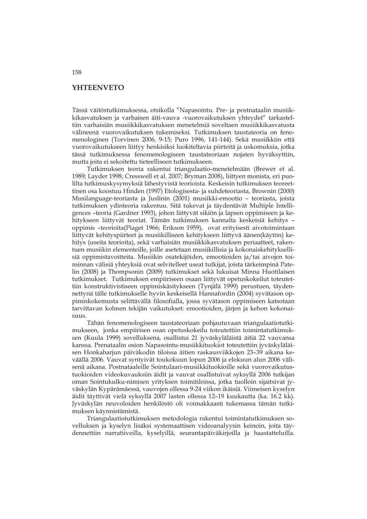### **YHTEENVETO**

Tässä väitöstutkimuksessa, otsikolla "Napasointu. Pre- ja postnataalin musiikkikasvatuksen ja varhaisen äiti-vauva -vuorovaikutuksen yhteydet" tarkasteltiin varhaisiän musiikkikasvatuksen menetelmiä soveltaen musiikkikasvatusta välineenä vuorovaikutuksen tukemiseksi. Tutkimuksen taustateoria on fenomenologinen (Torvinen 2006, 9-15; Puro 1996, 141-144). Sekä musiikkiin että vuorovaikutukseen liittyy henkisiksi luokiteltavia piirteitä ja uskomuksia, jotka tässä tutkimuksessa fenomenologiseen taustateoriaan nojaten hyväksyttiin, mutta joita ei sekoitettu tieteelliseen tutkimukseen.

Tutkimuksen teoria rakentui triangulaatio-menetelmään (Brewer et al. 1989; Layder 1998; Cresswell et al. 2007; Bryman 2008), liittyen monista, eri puolilta tutkimuskysymyksiä lähestyvistä teorioista. Keskeisin tutkimuksen teoreettinen osa koostuu Hinden (1997) Etologisesta- ja suhdeteoriasta, Brownin (2000) Musilanguage-teoriasta ja Juslinin (2001) musiikki-emootio – teoriasta, joista tutkimuksen ydinteoria rakentuu. Sitä tukevat ja täydentävät Multiple Intelligences –teoria (Gardner 1993), johon liittyvät sikiön ja lapsen oppimiseen ja kehitykseen liittyvät teoriat. Tämän tutkimuksen kannalta keskeisiä kehitys – oppimis –teorioita(Piaget 1966; Erikson 1959), ovat erityisesti aivotoimintaan liittyvät kehityspiirteet ja musiikilliseen kehitykseen liittyvä äänen(käytön) kehitys (useita teorioita), sekä varhaisiän musiikkikasvatuksen periaatteet, rakentuen musiikin elementeille, joille asetetaan musiikillisia ja kokonaiskehityksellisiä oppimistavoitteita. Musiikin osatekijöiden, emootioiden ja/tai aivojen toiminnan välisiä yhteyksiä ovat selvitelleet useat tutkijat, joista tärkeimpinä Patelin (2008) ja Thompsonin (2009) tutkimukset sekä lukuisat Minna Huotilaisen tutkimukset. Tutkimuksen empiiriseen osaan liittyvät opetuskokeilut toteutettiin konstruktivistiseen oppimiskäsitykseen (Tynjälä 1999) perustuen, täydennettynä tälle tutkimukselle hyvin keskeisellä Hannafordin (2004) syvätason oppimiskokemusta selittävällä filosofialla, jossa syvätason oppimiseen katsotaan tarvittavan kolmen tekijän vaikutukset: emootioiden, järjen ja kehon kokonaisuus.

Tähän fenomenologiseen taustateoriaan pohjautuvaan triangulaatiotutkimukseen, jonka empiirisen osan opetuskokeilu toteutettiin toimintatutkimuksen (Kuula 1999) sovelluksena, osallistui 21 jyväskyläläistä äitiä 22 vauvansa kanssa. Prenataalin osion Napasointu-musiikkituokiot toteutettiin jyväskyläläisen Honkaharjun päiväkodin tiloissa äitien raskausviikkojen 23–39 aikana keväällä 2006. Vauvat syntyivät toukokuun lopun 2006 ja elokuun alun 2006 välisenä aikana. Postnataaleille Sointulaari-musiikkituokioille sekä vuorovaikutustuokioiden videokuvauksiin äidit ja vauvat osallistuivat syksyllä 2006 tutkijan oman Sointukulku-nimisen yrityksen toimitiloissa, jotka tuolloin sijaitsivat jyväskylän Kypärämäessä, vauvojen ollessa 9-24 viikon ikäisiä. Viimeisen kyselyn äidit täyttivät vielä syksyllä 2007 lasten ollessa 12–19 kuukautta (ka. 16.2 kk). Jyväskylän neuvoloiden henkilöstö oli voimakkaasti tukemassa tämän tutkimuksen käynnistämistä.

Triangulaatiotutkimuksen metodologia rakentui toimintatutkimuksen sovelluksen ja kyselyn lisäksi systemaattisen videoanalyysin keinoin, joita täydennettiin narratiiveilla, kyselyillä, seurantapäiväkirjoilla ja haastatteluilla.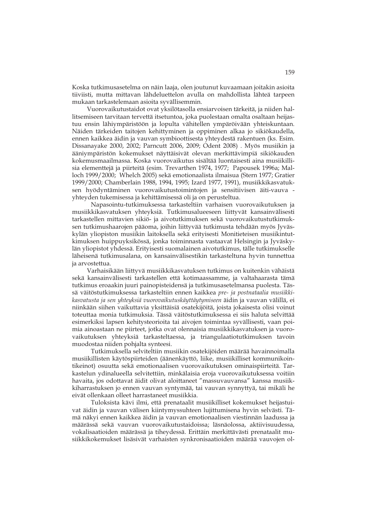Koska tutkimusasetelma on näin laaja, olen joutunut kuvaamaan joitakin asioita tiiviisti, mutta mittavan lähdeluettelon avulla on mahdollista lähteä tarpeen mukaan tarkastelemaan asioita syvällisemmin.

Vuorovaikutustaidot ovat yksilötasolla ensiarvoisen tärkeitä, ja niiden hallitsemiseen tarvitaan tervettä itsetuntoa, joka puolestaan omalta osaltaan heijastuu ensin lähiympäristöön ja lopulta vähitellen ympäröivään yhteiskuntaan. Näiden tärkeiden taitojen kehittyminen ja oppiminen alkaa jo sikiökaudella, ennen kaikkea äidin ja vauvan symbioottisesta yhteydestä rakentuen (ks. Esim. Dissanayake 2000, 2002; Parncutt 2006, 2009; Odent 2008) . Myös musiikin ja ääniympäristön kokemukset näyttäisivät olevan merkittävimpiä sikiökauden kokemusmaailmassa. Koska vuorovaikutus sisältää luontaisesti aina musiikillisia elementtejä ja piirteitä (esim. Trevarthen 1974, 1977; Papousek 1996a; Malloch 1999/2000; Whelch 2005) sekä emotionaalista ilmaisua (Stern 1977; Gratier 1999/2000; Chamberlain 1988, 1994, 1995; Izard 1977, 1991), musiikkikasvatuksen hyödyntäminen vuorovaikutustoimintojen ja sensitiivisen äiti-vauva yhteyden tukemisessa ja kehittämisessä oli ja on perusteltua.

 Napasointu-tutkimuksessa tarkasteltiin varhaisen vuorovaikutuksen ja musiikkikasvatuksen yhteyksiä. Tutkimusalueeseen liittyvät kansainvälisesti tarkastellen mittavien sikiö- ja aivotutkimuksen sekä vuorovaikutustutkimuksen tutkimushaarojen pääoma, joihin liittyvää tutkimusta tehdään myös Jyväskylän yliopiston musiikin laitoksella sekä erityisesti Monitieteisen musiikintutkimuksen huippuyksikössä, jonka toiminnasta vastaavat Helsingin ja Jyväskylän yliopistot yhdessä. Erityisesti suomalainen aivotutkimus, tälle tutkimukselle läheisenä tutkimusalana, on kansainvälisestikin tarkasteltuna hyvin tunnettua ja arvostettua.

Varhaisikään liittyvä musiikkikasvatuksen tutkimus on kuitenkin vähäistä sekä kansainvälisesti tarkastellen että kotimaassamme, ja valtahaarasta tämä tutkimus eroaakin juuri painopisteidensä ja tutkimusasetelmansa puolesta. Tässä väitöstutkimuksessa tarkasteltiin ennen kaikkea *pre- ja postnataalia musiikkikasvatusta ja sen yhteyksiä vuorovaikutuskäyttäytymiseen* äidin ja vauvan välillä, ei niinkään siihen vaikuttavia yksittäisiä osatekijöitä, joista jokaisesta olisi voinut toteuttaa monia tutkimuksia. Tässä väitöstutkimuksessa ei siis haluta selvittää esimerkiksi lapsen kehitysteorioita tai aivojen toimintaa syvällisesti, vaan poimia ainoastaan ne piirteet, jotka ovat olennaisia musiikkikasvatuksen ja vuorovaikutuksen yhteyksiä tarkasteltaessa, ja triangulaatiotutkimuksen tavoin muodostaa niiden pohjalta synteesi.

 Tutkimuksella selviteltiin musiikin osatekijöiden määrää havainnoimalla musiikillisten käytöspiirteiden (äänenkäyttö, liike, musiikilliset kommunikointikeinot) osuutta sekä emotionaalisen vuorovaikutuksen ominaispiirteitä. Tarkastelun ydinalueella selvitettiin, minkälaisia eroja vuorovaikutuksessa voitiin havaita, jos odottavat äidit olivat aloittaneet "massuvauvansa" kanssa musiikkiharrastuksen jo ennen vauvan syntymää, tai vauvan synnyttyä, tai mikäli he eivät ollenkaan olleet harrastaneet musiikkia.

 Tuloksista kävi ilmi, että prenataalit musiikilliset kokemukset heijastuivat äidin ja vauvan välisen kiintymyssuhteen lujittumisena hyvin selvästi. Tämä näkyi ennen kaikkea äidin ja vauvan emotionaalisen viestinnän laadussa ja määrässä sekä vauvan vuorovaikutustaidoissa; läsnäolossa, aktiivisuudessa, vokalisaatioiden määrässä ja tiheydessä. Erittäin merkittävästi prenataalit musiikkikokemukset lisäsivät varhaisten synkronisaatioiden määrää vauvojen ol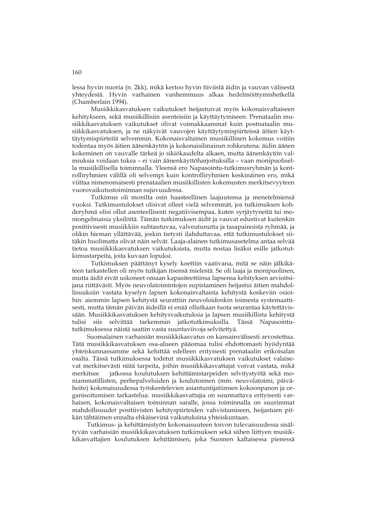lessa hyvin nuoria (n. 2kk), mikä kertoo hyvin tiiviistä äidin ja vauvan välisestä yhteydestä. Hyvin varhainen vanhemmuus alkaa hedelmöittymishetkellä (Chamberlain 1994).

 Musiikkikasvatuksen vaikutukset heijastuivat myös kokonaisvaltaiseen kehitykseen, sekä musiikillisiin asenteisiin ja käyttäytymiseen. Prenataalin musiikkikasvatuksen vaikutukset olivat voimakkaammat kuin postnataalin musiikkikasvatuksen, ja ne näkyivät vauvojen käyttäytymispiirteissä äitien käyttäytymispiirteitä selvemmin. Kokonaisvaltainen musiikillinen kokemus voitiin todentaa myös äitien äänenkäytön ja kokonaisilmaisun rohkeutena: äidin äänen kokeminen on vauvalle tärkeä jo sikiökaudelta alkaen, mutta äänenkäytön valmiuksia voidaan tukea – ei vain äänenkäyttöharjoituksilla – vaan monipuolisella musiikillisella toiminnalla. Yleensä ero Napasointu-tutkimusryhmän ja kontrolliryhmien välillä oli selvempi kuin kontrolliryhmien keskinäinen ero, mikä viittaa nimenomaisesti prenataalien musiikillisten kokemusten merkitsevyyteen vuorovaikutustoiminnan sujuvuudessa.

 Tutkimus oli monilta osin haasteellinen laajuutensa ja menetelmiensä vuoksi. Tutkimustulokset olisivat olleet vielä selvemmät, jos tutkimuksen kohderyhmä olisi ollut asenteellisesti negatiivisempaa, kuten syrjäytyneitä tai moniongelmaisia yksilöitä. Tämän tutkimuksen äidit ja vauvat edustivat kuitenkin positiivisesti musiikkiin suhtautuvaa, valveutunutta ja tasapainoista ryhmää, ja olikin hieman yllättävää, joskin tietysti ilahduttavaa, että tutkimustulokset siitäkin huolimatta olivat näin selvät. Laaja-alainen tutkimusasetelma antaa selvää tietoa musiikkikasvatuksen vaikutuksista, mutta nostaa lisäksi esille jatkotutkimustarpeita, joita kuvaan lopuksi.

 Tutkimuksen päättänyt kysely koettiin vaativana, mitä se näin jälkikäteen tarkastellen oli myös tutkijan itsensä mielestä. Se oli laaja ja monipuolinen, mutta äidit eivät uskoneet omaan kapasiteettiinsa lapsensa kehityksen arvioitsijana riittävästi. Myös neuvolatoimintojen supistaminen heijastui äitien mahdollisuuksiin vastata kyselyn lapsen kokonaisvaltaista kehitystä koskeviin osioihin: aiemmin lapsen kehitystä seurattiin neuvoloidenkin toimesta systemaattisesti, mutta tämän päivän äideillä ei enää ollutkaan tuota seurantaa käytettävissään. Musiikkikasvatuksen kehitysvaikutuksia ja lapsen musiikillista kehitystä tulisi siis selvittää tarkemmin jatkotutkimuksilla. Tässä Napasointututkimuksessa näistä saatiin vasta suuntaviivoja selvitettyä.

Suomalainen varhaisiän musiikkikasvatus on kansainvälisesti arvostettua. Tätä musiikkikasvatuksen osa-alueen pääomaa tulisi ehdottomasti hyödyntää yhteiskunnassamme sekä kehittää edelleen erityisesti prenataalin erikoisalan osalta. Tässä tutkimuksessa todetut musiikkikasvatuksen vaikutukset valaisevat merkitsevästi niitä tarpeita, joihin musiikkikasvattajat voivat vastata, mikä merkitsee jatkossa koulutuksen kehittämistarpeiden selvitystyötä sekä moniammatillisten, perhepalveluiden ja koulutoimen (mm. neuvolatoimi, päivähoito) kokonaisuudessa työskentelevien asiantuntijatiimien kokoonpanon ja organisoitumisen tarkastelua: musiikkikasvattajia on suunnattava erityisesti varhaisen, kokonaisvaltaisen toiminnan saralle, jossa toiminnalla on suurimmat mahdollisuudet positiivisten kehityspiirteiden vahvistamiseen, heijastuen pitkän tähtäimen ennalta ehkäisevinä vaikutuksina yhteiskuntaan.

Tutkimus- ja kehittämistyön kokonaisuuteen toivon tulevaisuudessa sisältyvän varhaisiän musiikkikasvatuksen tutkimuksen sekä siihen liittyen musiikkikasvattajien koulutuksen kehittämisen, joka Suomen kaltaisessa pienessä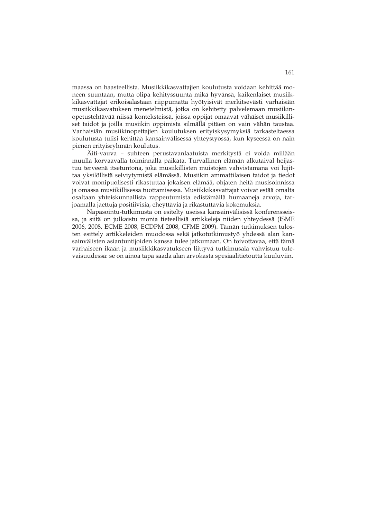maassa on haasteellista. Musiikkikasvattajien koulutusta voidaan kehittää moneen suuntaan, mutta olipa kehityssuunta mikä hyvänsä, kaikenlaiset musiikkikasvattajat erikoisalastaan riippumatta hyötyisivät merkitsevästi varhaisiän musiikkikasvatuksen menetelmistä, jotka on kehitetty palvelemaan musiikinopetustehtävää niissä konteksteissä, joissa oppijat omaavat vähäiset musiikilliset taidot ja joilla musiikin oppimista silmällä pitäen on vain vähän taustaa. Varhaisiän musiikinopettajien koulutuksen erityiskysymyksiä tarkasteltaessa koulutusta tulisi kehittää kansainvälisessä yhteystyössä, kun kyseessä on näin pienen erityisryhmän koulutus.

Äiti-vauva – suhteen perustavanlaatuista merkitystä ei voida millään muulla korvaavalla toiminnalla paikata. Turvallinen elämän alkutaival heijastuu terveenä itsetuntona, joka musiikillisten muistojen vahvistamana voi lujittaa yksilöllistä selviytymistä elämässä. Musiikin ammattilaisen taidot ja tiedot voivat monipuolisesti rikastuttaa jokaisen elämää, ohjaten heitä musisoinnissa ja omassa musiikillisessa tuottamisessa. Musiikkikasvattajat voivat estää omalta osaltaan yhteiskunnallista rappeutumista edistämällä humaaneja arvoja, tarjoamalla jaettuja positiivisia, eheyttäviä ja rikastuttavia kokemuksia.

Napasointu-tutkimusta on esitelty useissa kansainvälisissä konferensseissa, ja siitä on julkaistu monia tieteellisiä artikkeleja niiden yhteydessä (ISME 2006, 2008, ECME 2008, ECDPM 2008, CFME 2009). Tämän tutkimuksen tulosten esittely artikkeleiden muodossa sekä jatkotutkimustyö yhdessä alan kansainvälisten asiantuntijoiden kanssa tulee jatkumaan. On toivottavaa, että tämä varhaiseen ikään ja musiikkikasvatukseen liittyvä tutkimusala vahvistuu tulevaisuudessa: se on ainoa tapa saada alan arvokasta spesiaalitietoutta kuuluviin.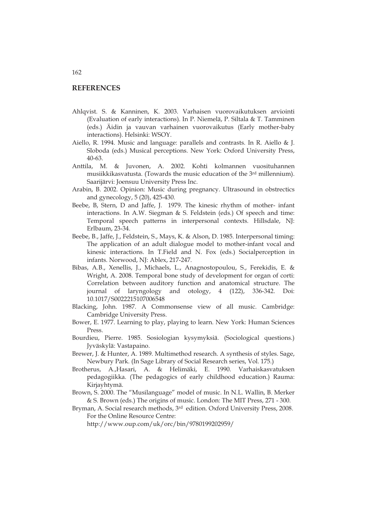### **REFERENCES**

- Ahlqvist. S. & Kanninen, K. 2003. Varhaisen vuorovaikutuksen arviointi (Evaluation of early interactions). In P. Niemelä, P. Siltala & T. Tamminen (eds.) Äidin ja vauvan varhainen vuorovaikutus (Early mother-baby interactions). Helsinki: WSOY.
- Aiello, R. 1994. Music and language: parallels and contrasts. In R. Aiello & J. Sloboda (eds.) Musical perceptions. New York: Oxford University Press, 40-63.
- Anttila, M. & Juvonen, A. 2002. Kohti kolmannen vuosituhannen musiikkikasvatusta. (Towards the music education of the 3rd millennium). Saarijärvi: Joensuu University Press Inc.
- Arabin, B. 2002. Opinion: Music during pregnancy. Ultrasound in obstrectics and gynecology, 5 (20), 425-430.
- Beebe, B, Stern, D and Jaffe, J. 1979. The kinesic rhythm of mother- infant interactions. In A.W. Siegman & S. Feldstein (eds.) Of speech and time: Temporal speech patterns in interpersonal contexts. Hillsdale, NJ: Erlbaum, 23-34.
- Beebe, B., Jaffe, J., Feldstein, S., Mays, K. & Alson, D. 1985. Interpersonal timing: The application of an adult dialogue model to mother-infant vocal and kinesic interactions. In T.Field and N. Fox (eds.) Socialperception in infants. Norwood, NJ: Ablex, 217-247.
- Bibas, A.B., Xenellis, J., Michaels, L., Anagnostopoulou, S., Ferekidis, E. & Wright, A. 2008. Temporal bone study of development for organ of corti: Correlation between auditory function and anatomical structure. The journal of laryngology and otology, 4 (122), 336-342. Doi: 10.1017/S0022215107006548
- Blacking, John. 1987. A Commonsense view of all music. Cambridge: Cambridge University Press.
- Bower, E. 1977. Learning to play, playing to learn. New York: Human Sciences Press.
- Bourdieu, Pierre. 1985. Sosiologian kysymyksiä. (Sociological questions.) Jyväskylä: Vastapaino.
- Brewer, J. & Hunter, A. 1989. Multimethod research. A synthesis of styles. Sage, Newbury Park. (In Sage Library of Social Research series, Vol. 175.)
- Brotherus, A.,Hasari, A. & Helimäki, E. 1990. Varhaiskasvatuksen pedagogiikka*.* (The pedagogics of early childhood education.) Rauma: Kirjayhtymä.
- Brown, S. 2000. The "Musilanguage" model of music. In N.L. Wallin, B. Merker & S. Brown (eds.) The origins of music. London: The MIT Press, 271 - 300.
- Bryman, A. Social research methods, 3<sup>rd</sup> edition. Oxford University Press, 2008. For the Online Resource Centre:

http://www.oup.com/uk/orc/bin/9780199202959/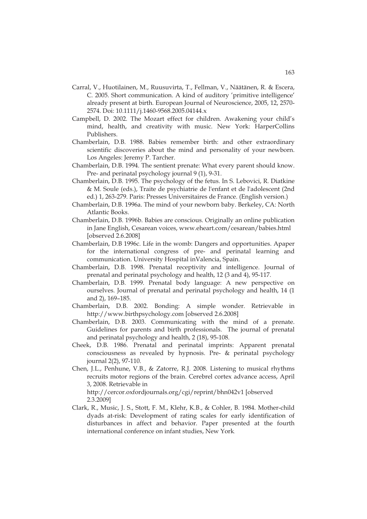- Carral, V., Huotilainen, M., Ruusuvirta, T., Fellman, V., Näätänen, R. & Escera, C. 2005. Short communication. A kind of auditory 'primitive intelligence' already present at birth. European Journal of Neuroscience, 2005, 12, 2570- 2574. Doi: 10.1111/j.1460-9568.2005.04144.x
- Campbell, D. 2002. The Mozart effect for children. Awakening your child's mind, health, and creativity with music. New York: HarperCollins Publishers.
- Chamberlain, D.B. 1988. Babies remember birth: and other extraordinary scientific discoveries about the mind and personality of your newborn. Los Angeles: Jeremy P. Tarcher.
- Chamberlain, D.B. 1994. The sentient prenate: What every parent should know. Pre- and perinatal psychology journal 9 (1), 9-31.
- Chamberlain, D.B. 1995. The psychology of the fetus. In S. Lebovici, R. Diatkine & M. Soule (eds.), Traite de psychiatrie de l'enfant et de l'adolescent (2nd ed.) 1, 263-279. Paris: Presses Universitaires de France. (English version.)
- Chamberlain, D.B. 1996a. The mind of your newborn baby. Berkeley, CA: North Atlantic Books.
- Chamberlain, D.B. 1996b. Babies are conscious. Originally an online publication in Jane English, Cesarean voices, www.eheart.com/cesarean/babies.html [observed 2.6.2008]
- Chamberlain, D.B 1996c. Life in the womb: Dangers and opportunities. Apaper for the international congress of pre- and perinatal learning and communication. University Hospital inValencia, Spain.
- Chamberlain, D.B. 1998. Prenatal receptivity and intelligence. Journal of prenatal and perinatal psychology and health, 12 (3 and 4), 95-117.
- Chamberlain, D.B. 1999. Prenatal body language: A new perspective on ourselves. Journal of prenatal and perinatal psychology and health, 14 (1 and 2), 169–185.
- Chamberlain, D.B. 2002. Bonding: A simple wonder. Retrievable in http://www.birthpsychology.com [observed 2.6.2008]
- Chamberlain, D.B. 2003. Communicating with the mind of a prenate. Guidelines for parents and birth professionals. The journal of prenatal and perinatal psychology and health, 2 (18), 95-108.
- Cheek, D.B. 1986. Prenatal and perinatal imprints: Apparent prenatal consciousness as revealed by hypnosis. Pre- & perinatal psychology journal 2(2), 97-110.
- Chen, J.L., Penhune, V.B., & Zatorre, R.J. 2008. Listening to musical rhythms recruits motor regions of the brain. Cerebrel cortex advance access, April 3, 2008. Retrievable in http://cercor.oxfordjournals.org/cgi/reprint/bhn042v1 [observed
	- 2.3.2009]
- Clark, R., Music, J. S., Stott, F. M., Klehr, K.B., & Cohler, B. 1984. Mother-child dyads at-risk: Development of rating scales for early identification of disturbances in affect and behavior. Paper presented at the fourth international conference on infant studies, New York.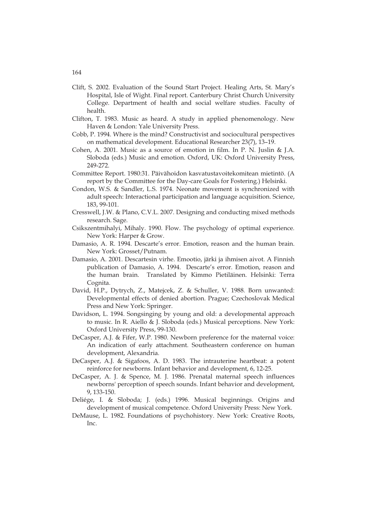- Clift, S. 2002. Evaluation of the Sound Start Project. Healing Arts, St. Mary's Hospital, Isle of Wight. Final report. Canterbury Christ Church University College. Department of health and social welfare studies. Faculty of health.
- Clifton, T. 1983. Music as heard. A study in applied phenomenology. New Haven & London: Yale University Press.
- Cobb, P. 1994. Where is the mind? Constructivist and sociocultural perspectives on mathematical development. Educational Researcher 23(7), 13–19.
- Cohen, A. 2001. Music as a source of emotion in film. In P. N. Juslin & J.A. Sloboda (eds.) Music and emotion. Oxford, UK: Oxford University Press, 249-272.
- Committee Report. 1980:31. Päivähoidon kasvatustavoitekomitean mietintö. (A report by the Committee for the Day-care Goals for Fostering.) Helsinki.
- Condon, W.S. & Sandler, L.S. 1974. Neonate movement is synchronized with adult speech: Interactional participation and language acquisition. Science, 183, 99-101.
- Cresswell, J.W. & Plano, C.V.L. 2007. Designing and conducting mixed methods research. Sage.
- Csikszentmihalyi, Mihaly. 1990. Flow. The psychology of optimal experience*.* New York: Harper & Grow.
- Damasio, A. R. 1994. Descarte's error. Emotion, reason and the human brain. New York: Grosset/Putnam.
- Damasio, A. 2001. Descartesin virhe. Emootio, järki ja ihmisen aivot. A Finnish publication of Damasio, A. 1994. Descarte's error. Emotion, reason and the human brain. Translated by Kimmo Pietiläinen. Helsinki: Terra Cognita.
- David, H.P., Dytrych, Z., Matejcek, Z. & Schuller, V. 1988*.* Born unwanted: Developmental effects of denied abortion. Prague; Czechoslovak Medical Press and New York: Springer.
- Davidson, L. 1994. Songsinging by young and old: a developmental approach to music. In R. Aiello & J. Sloboda (eds.) Musical perceptions. New York: Oxford University Press, 99-130.
- DeCasper, A.J. & Fifer, W.P. 1980. Newborn preference for the maternal voice: An indication of early attachment. Southeastern conference on human development, Alexandria.
- DeCasper, A.J. & Sigafoos, A. D. 1983. The intrauterine heartbeat: a potent reinforce for newborns. Infant behavior and development, 6, 12-25.
- DeCasper, A. J. & Spence, M. J. 1986. Prenatal maternal speech influences newborns' perception of speech sounds. Infant behavior and development, 9, 133-150.
- Deliége, I. & Sloboda; J. (eds.) 1996. Musical beginnings. Origins and development of musical competence. Oxford University Press: New York.
- DeMause, L. 1982. Foundations of psychohistory. New York: Creative Roots, Inc.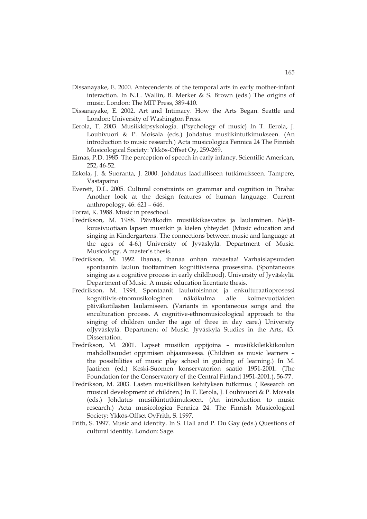- Dissanayake, E. 2000. Antecendents of the temporal arts in early mother-infant interaction. In N.L. Wallin, B. Merker & S. Brown (eds.) The origins of music. London: The MIT Press, 389-410.
- Dissanayake, E. 2002. Art and Intimacy. How the Arts Began. Seattle and London: University of Washington Press.
- Eerola, T. 2003. Musiikkipsykologia. (Psychology of music) In T. Eerola, J. Louhivuori & P. Moisala (eds.) Johdatus musiikintutkimukseen. (An introduction to music research.) Acta musicologica Fennica 24 The Finnish Musicological Society: Ykkös-Offset Oy, 259-269.
- Eimas, P.D. 1985. The perception of speech in early infancy. Scientific American, 252, 46-52.
- Eskola, J. & Suoranta, J. 2000. Johdatus laadulliseen tutkimukseen. Tampere, Vastapaino
- Everett, D.L. 2005. Cultural constraints on grammar and cognition in Piraha: Another look at the design features of human language. Current anthropology, 46: 621 – 646.
- Forrai, K. 1988. Music in preschool.
- Fredrikson, M. 1988. Päiväkodin musiikkikasvatus ja laulaminen. Neljäkuusivuotiaan lapsen musiikin ja kielen yhteydet. (Music education and singing in Kindergartens. The connections between music and language at the ages of 4-6.) University of Jyväskylä. Department of Music. Musicology. A master's thesis.
- Fredrikson, M. 1992. Ihanaa, ihanaa onhan ratsastaa! Varhaislapsuuden spontaanin laulun tuottaminen kognitiivisena prosessina. (Spontaneous singing as a cognitive process in early childhood). University of Jyväskylä. Department of Music. A music education licentiate thesis.
- Fredrikson, M. 1994. Spontaanit laulutoisinnot ja enkulturaatioprosessi kognitiivis-etnomusikologinen näkökulma alle kolmevuotiaiden päiväkotilasten laulamiseen. (Variants in spontaneous songs and the enculturation process. A cognitive-ethnomusicological approach to the singing of children under the age of three in day care.) University ofJyväskylä. Department of Music. Jyväskylä Studies in the Arts, 43. Dissertation.
- Fredrikson, M. 2001. Lapset musiikin oppijoina musiikkileikkikoulun mahdollisuudet oppimisen ohjaamisessa. (Children as music learners – the possibilities of music play school in guiding of learning.) In M. Jaatinen (ed.) Keski-Suomen konservatorion säätiö 1951-2001. (The Foundation for the Conservatory of the Central Finland 1951-2001.), 56-77.
- Fredrikson, M. 2003. Lasten musiikillisen kehityksen tutkimus. ( Research on musical development of children.) In T. Eerola, J. Louhivuori & P. Moisala (eds.) Johdatus musiikintutkimukseen. (An introduction to music research.) Acta musicologica Fennica 24. The Finnish Musicological Society: Ykkös-Offset OyFrith, S. 1997.
- Frith, S. 1997. Music and identity. In S. Hall and P. Du Gay (eds.) Questions of cultural identity. London: Sage.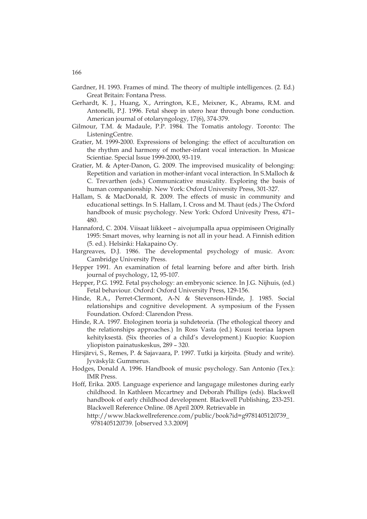- Gardner, H. 1993. Frames of mind. The theory of multiple intelligences. (2. Ed.) Great Britain: Fontana Press.
- Gerhardt, K. J., Huang, X., Arrington, K.E., Meixner, K., Abrams, R.M. and Antonelli, P.J. 1996. Fetal sheep in utero hear through bone conduction. American journal of otolaryngology, 17(6), 374-379.
- Gilmour, T.M. & Madaule, P.P. 1984. The Tomatis antology. Toronto: The ListeningCentre.
- Gratier, M. 1999-2000. Expressions of belonging: the effect of acculturation on the rhythm and harmony of mother-infant vocal interaction. In Musicae Scientiae. Special Issue 1999-2000, 93-119.
- Gratier, M. & Apter-Danon, G. 2009. The improvised musicality of belonging: Repetition and variation in mother-infant vocal interaction. In S.Malloch & C. Trevarthen (eds.) Communicative musicality. Exploring the basis of human companionship. New York: Oxford University Press, 301-327.
- Hallam, S. & MacDonald, R. 2009. The effects of music in community and educational settings. In S. Hallam, I. Cross and M. Thaut (eds*.)* The Oxford handbook of music psychology. New York: Oxford Univesity Press, 471– 480.
- Hannaford, C. 2004. Viisaat liikkeet aivojumpalla apua oppimiseen Originally 1995: Smart moves, why learning is not all in your head. A Finnish edition (5. ed.)*.* Helsinki: Hakapaino Oy.
- Hargreaves, D.J. 1986. The developmental psychology of music. Avon: Cambridge University Press.
- Hepper 1991. An examination of fetal learning before and after birth. Irish journal of psychology, 12, 95-107.
- Hepper, P.G. 1992. Fetal psychology: an embryonic science. In J.G. Nijhuis, (ed.) Fetal behaviour. Oxford: Oxford University Press, 129-156.
- Hinde, R.A., Perret-Clermont, A-N & Stevenson-Hinde, J. 1985. Social relationships and cognitive development. A symposium of the Fyssen Foundation. Oxford: Clarendon Press.
- Hinde, R.A. 1997. Etologinen teoria ja suhdeteoria. (The ethological theory and the relationships approaches.) In Ross Vasta (ed.) Kuusi teoriaa lapsen kehityksestä. (Six theories of a child's development.) Kuopio: Kuopion yliopiston painatuskeskus, 289 – 320.
- Hirsjärvi, S., Remes, P. & Sajavaara, P. 1997. Tutki ja kirjoita. (Study and write). Jyväskylä: Gummerus.
- Hodges, Donald A. 1996. Handbook of music psychology. San Antonio (Tex.): IMR Press.
- Hoff, Erika. 2005. Language experience and langugage milestones during early childhood. In Kathleen Mccartney and Deborah Phillips (eds). Blackwell handbook of early childhood development. Blackwell Publishing, 233-251. Blackwell Reference Online. 08 April 2009. Retrievable in
	- http://www.blackwellreference.com/public/book?id=g9781405120739\_ 9781405120739. [observed 3.3.2009]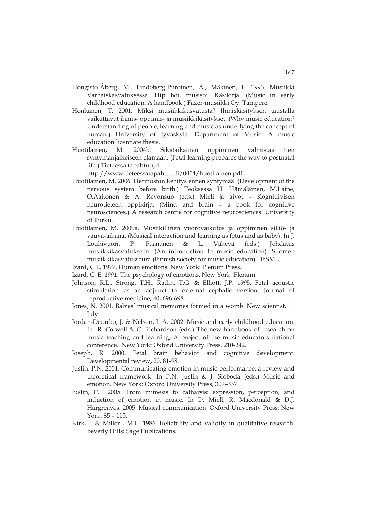- Hongisto-Åberg, M., Lindeberg-Piiroinen, A., Mäkinen, L. 1993. Musiikki Varhaiskasvatuksessa. Hip hoi, musisoi. Käsikirja. (Music in early childhood education. A handbook.) Fazer-musiikki Oy: Tampere.
- Honkanen, T. 2001. Miksi musiikkikasvatusta? Ihmiskäsityksen taustalla vaikuttavat ihmis- oppimis- ja musiikkikäsitykset. (Why music education? Understanding of people, learning and music as underlying the concept of human.) University of Jyväskylä. Department of Music. A music education licentiate thesis.
- Huotilainen, M. 2004b. Sikiöaikainen oppiminen valmistaa tien syntymänjälkeiseen elämään. (Fetal learning prepares the way to postnatal life.) Tieteessä tapahtuu, 4.

http://www.tieteessatapahtuu.fi/0404/huotilainen.pdf

- Huotilainen, M. 2006. Hermoston kehitys ennen syntymää. (Development of the nervous system before birth.) Teoksessa H. Hämäläinen, M.Laine, O.Aaltonen & A. Revonsuo (eds.) Mieli ja aivot – Kognitiivisen neurotieteen oppikirja. (Mind and brain – a book for cognitive neurosciences.) A research centre for cognitive neurosciences. University of Turku.
- Huotilainen, M. 2009a. Musiikillinen vuorovaikutus ja oppiminen sikiö- ja vauva-aikana. (Musical interaction and learning as fetus and as baby). In J. Louhivuori, P. Paananen & L. Väkevä (eds.) Johdatus musiikkikasvatukseen. (An introduction to music education). Suomen musiikkikasvatusseura (Finnish society for music education) - FiSME.
- Izard, C.E. 1977. Human emotions. New York: Plenum Press.
- Izard, C. E. 1991. The psychology of emotions. New York: Plenum.
- Johnson, R.L., Strong, T.H., Radin, T.G. & Elliott, J.P. 1995. Fetal acoustic stimulation as an adjunct to external cephalic version. Journal of reproductive medicine, 40, 696-698.
- Jones, N. 2001. Babies' musical memories formed in a womb. New scientist, 11 July.
- Jordan-Decarbo, J. & Nelson, J. A. 2002. Music and early childhood education. In R. Colwell & C. Richardson (eds.) The new handbook of research on music teaching and learning, A project of the music educators national conference. New York: Oxford University Press. 210-242.
- Joseph, R. 2000. Fetal brain behavior and cognitive development. Developmental review, 20, 81-98.
- Juslin, P.N. 2001. Communicating emotion in music performance: a review and theoretical framework. In P.N. Juslin & J. Sloboda (eds.) Music and emotion. New York: Oxford University Press, 309–337.
- Juslin, P. 2005. From mimesis to catharsis: expression, perception, and induction of emotion in music. In D. Miell, R. Macdonald & D.J. Hargreaves. 2005. Musical communication. Oxford University Press: New York, 85 – 115.
- Kirk, J. & Miller , M.L. 1986. Reliability and validity in qualitative research. Beverly Hills: Sage Publications.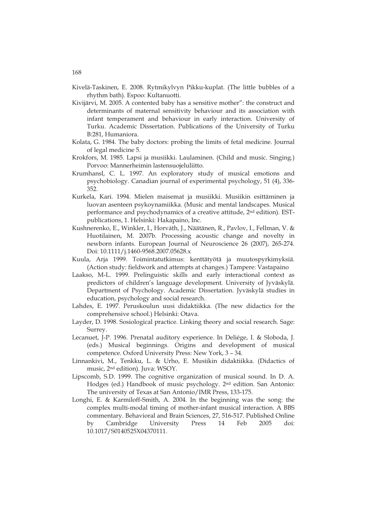- Kivelä-Taskinen, E. 2008. Rytmikylvyn Pikku-kuplat. (The little bubbles of a rhythm bath)*.* Espoo: Kultanuotti.
- Kivijärvi, M. 2005. A contented baby has a sensitive mother": the construct and determinants of maternal sensitivity behaviour and its association with infant temperament and behaviour in early interaction. University of Turku. Academic Dissertation. Publications of the University of Turku B:281, Humaniora.
- Kolata, G. 1984. The baby doctors: probing the limits of fetal medicine. Journal of legal medicine 5.
- Krokfors, M. 1985. Lapsi ja musiikki. Laulaminen. (Child and music. Singing.) Porvoo: Mannerheimin lastensuojeluliitto.
- Krumhansl, C. L. 1997. An exploratory study of musical emotions and psychobiology. Canadian journal of experimental psychology, 51 (4), 336- 352.
- Kurkela, Kari. 1994. Mielen maisemat ja musiikki. Musiikin esittäminen ja luovan asenteen psykoynamiikka*.* (Music and mental landscapes. Musical performance and psychodynamics of a creative attitude, 2nd edition). ESTpublications, 1. Helsinki: Hakapaino, Inc.
- Kushnerenko, E., Winkler, I., Horváth, J., Näätänen, R., Pavlov, I., Fellman, V. & Huotilainen, M. 2007b. Processing acoustic change and novelty in newborn infants. European Journal of Neuroscience 26 (2007), 265-274. Doi: 10.1111/j.1460-9568.2007.05628.x
- Kuula, Arja 1999. Toimintatutkimus: kenttätyötä ja muutospyrkimyksiä*.*  (Action study: fieldwork and attempts at changes.) Tampere: Vastapaino
- Laakso, M-L. 1999. Prelinguistic skills and early interactional context as predictors of children's language development. University of Jyväskylä. Department of Psychology. Academic Dissertation. Jyväskylä studies in education, psychology and social research.
- Lahdes, E. 1997. Peruskoulun uusi didaktiikka. (The new didactics for the comprehensive school.) Helsinki: Otava.
- Layder, D. 1998. Sosiological practice. Linking theory and social research. Sage: Surrey.
- Lecanuet, J-P. 1996. Prenatal auditory experience. In Deliége, I. & Sloboda, J. (eds.) Musical beginnings. Origins and development of musical competence. Oxford University Press: New York, 3 – 34.
- Linnankivi, M., Tenkku, L. & Urho, E. Musiikin didaktiikka. (Didactics of music, 2nd edition). Juva: WSOY.
- Lipscomb, S.D. 1999. The cognitive organization of musical sound. In D. A. Hodges (ed.) Handbook of music psychology. 2nd edition. San Antonio: The university of Texas at San Antonio/IMR Press, 133-175.
- Longhi, E. & Karmiloff-Smith, A. 2004. In the beginning was the song: the complex multi-modal timing of mother-infant musical interaction. A BBS commentary. Behavioral and Brain Sciences, 27, 516-517. Published Online by Cambridge University Press 14 Feb 2005 doi: 10.1017/S0140525X04370111.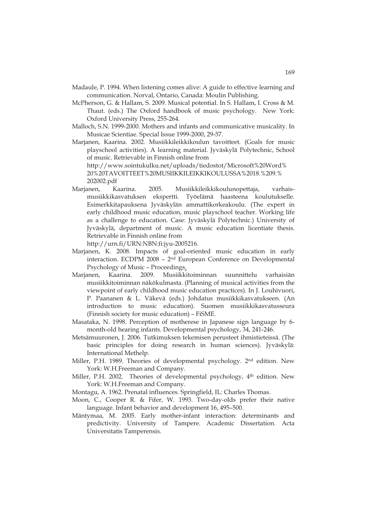- Madaule, P. 1994. When listening comes alive: A guide to effective learning and communication. Norval, Ontario, Canada: Moulin Publishing.
- McPherson, G. & Hallam, S. 2009. Musical potential. In S. Hallam, I. Cross & M. Thaut. (eds.) The Oxford handbook of music psychology*.* New York: Oxford University Press, 255-264.
- Malloch, S.N. 1999-2000. Mothers and infants and communicative musicality. In Musicae Scientiae. Special Issue 1999-2000, 29-57.
- Marjanen, Kaarina. 2002. Musiikkileikkikoulun tavoitteet*.* (Goals for music playschool activities). A learning material. Jyväskylä Polytechnic, School of music. Retrievable in Finnish online from http://www.sointukulku.net/uploads/tiedostot/Microsoft%20Word% 20%20TAVOITTEET%20MUSIIKKILEIKKIKOULUSSA%2018.%209.% 202002.pdf
- Marjanen, Kaarina. 2005. Musiikkileikkikoulunopettaja, varhaismusiikkikasvatuksen ekspertti. Työelämä haasteena koulutukselle. Esimerkkitapauksena Jyväskylän ammattikorkeakoulu. (The expert in early childhood music education, music playschool teacher. Working life as a challenge to education. Case: Jyväskylä Polytechnic.) University of Jyväskylä, department of music. A music education licentiate thesis. Retrievable in Finnish online from

http://urn.fi/URN:NBN:fi:jyu-2005216.

- Marjanen, K. 2008. Impacts of goal-oriented music education in early interaction. ECDPM 2008 – 2nd European Conference on Developmental Psychology of Music – Proceedings.
- Marjanen, Kaarina. 2009. Musiikkitoiminnan suunnittelu varhaisiän musiikkitoiminnan näkökulmasta. (Planning of musical activities from the viewpoint of early childhood music education practices). In J. Louhivuori, P. Paananen & L. Väkevä (eds.) Johdatus musiikkikasvatukseen. (An introduction to music education). Suomen musiikkikasvatusseura (Finnish society for music education) – FiSME.
- Masataka, N. 1998. Perception of motherese in Japanese sign language by 6 month-old hearing infants. Developmental psychology, 34, 241-246.
- Metsämuuronen, J. 2006. Tutkimuksen tekemisen perusteet ihmistieteissä. (The basic principles for doing research in human sciences). Jyväskylä: International Methelp.
- Miller, P.H. 1989. Theories of developmental psychology. 2nd edition. New York: W.H.Freeman and Company.
- Miller, P.H. 2002. Theories of developmental psychology, 4th edition. New York: W.H.Freeman and Company.
- Montagu, A. 1962. Prenatal influences. Springfield, IL: Charles Thomas.
- Moon, C., Cooper R. & Fifer, W. 1993. Two-day-olds prefer their native language. Infant behavior and development 16, 495–500.
- Mäntymaa, M. 2005. Early mother-infant interaction: determinants and predictivity. University of Tampere. Academic Dissertation. Acta Universitatis Tamperensis.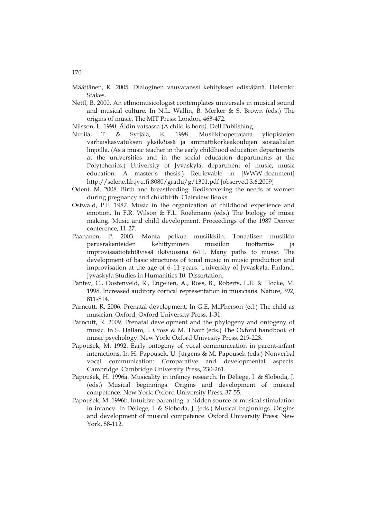- Määttänen, K. 2005. Dialoginen vauvatanssi kehityksen edistäjänä. Helsinki: Stakes.
- Nettl, B. 2000. An ethnomusicologist contemplates universals in musical sound and musical culture. In N.L. Wallin, B. Merker & S. Brown (eds.) The origins of music*.* The MIT Press: London, 463-472.
- Nilsson, L. 1990. Äidin vatsassa (A child is born*).* Dell Publishing.
- Nurila, T. & Syrjälä, K. 1998. Musiikinopettajana yliopistojen varhaiskasvatuksen yksiköissä ja ammattikorkeakoulujen sosiaalialan linjoilla. (As a music teacher in the early childhood education departments at the universities and in the social education departments at the Polytehcnics.) University of Jyväskylä, department of music, music education. A master's thesis.) Retrievable in [WWW-document] http://selene.lib.jyu.fi:8080/gradu/g/1301.pdf [observed 3.6.2009]
- Odent, M. 2008. Birth and breastfeeding. Rediscovering the needs of women during pregnancy and childbirth. Clairview Books.
- Ostwald, P.F. 1987. Music in the organization of childhood experience and emotion. In F.R. Wilson & F.L. Roehmann (eds.) The biology of music making. Music and child development. Proceedings of the 1987 Denver conference, 11-27.
- Paananen, P. 2003. Monta polkua musiikkiin. Tonaalisen musiikin perusrakenteiden kehittyminen musiikin tuottamis- ja improvisaatiotehtävissä ikävuosina 6-11. Many paths to music. The development of basic structures of tonal music in music production and improvisation at the age of 6–11 years. University of Jyväskylä, Finland. Jyväskylä Studies in Humanities 10. Dissertation.
- Pantev, C., Oostenveld, R., Engelien, A., Ross, B., Roberts, L.E. & Hocke, M. 1998. Increased auditory cortical representation in musicians. Nature, 392, 811-814.
- Parncutt, R. 2006. Prenatal development. In G.E. McPherson (ed.) The child as musician. Oxford: Oxford University Press, 1-31.
- Parncutt, R. 2009. Prenatal development and the phylogeny and ontogeny of music. In S. Hallam, I. Cross & M. Thaut (eds.) The Oxford handbook of music psychology. New York: Oxford Univesity Press, 219-228.
- Papoušek, M. 1992. Early ontogeny of vocal communication in parent-infant interactions. In H. Papousek, U. Jürgens & M. Papousek (eds.) Nonverbal vocal communication: Comparative and developmental aspects*.* Cambridge: Cambridge University Press, 230-261.
- Papoušek, H. 1996a. Musicality in infancy research. In Déliege, I. & Sloboda, J. (eds.) Musical beginnings. Origins and development of musical competence. New York: Oxford University Press, 37-55.
- Papoušek, M. 1996b. Intuitive parenting: a hidden source of musical stimulation in infancy. In Déliege, I. & Sloboda, J. (eds.) Musical beginnings. Origins and development of musical competence. Oxford University Press: New York, 88-112.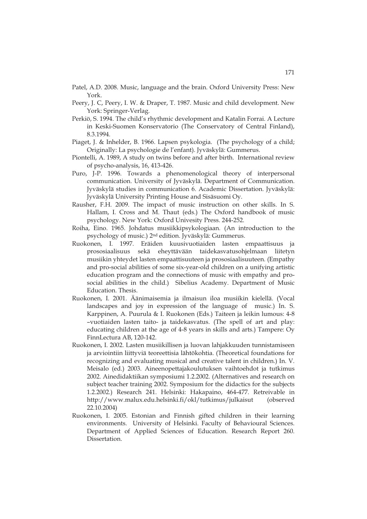- Patel, A.D. 2008. Music, language and the brain. Oxford University Press: New York.
- Peery, J. C, Peery, I. W. & Draper, T. 1987. Music and child development. New York: Springer-Verlag.
- Perkiö, S. 1994. The child's rhythmic development and Katalin Forrai. A Lecture in Keski-Suomen Konservatorio (The Conservatory of Central Finland), 8.3.1994.
- Piaget, J. & Inhelder, B. 1966. Lapsen psykologia. (The psychology of a child; Originally: La psychologie de l'enfant). Jyväskylä: Gummerus.
- Piontelli, A. 1989, A study on twins before and after birth. International review of psycho-analysis, 16, 413-426.
- Puro, J-P. 1996. Towards a phenomenological theory of interpersonal communication. University of Jyväskylä. Department of Communication. Jyväskylä studies in communication 6. Academic Dissertation. Jyväskylä: Jyväskylä University Printing House and Sisäsuomi Oy.
- Rausher, F.H. 2009. The impact of music instruction on other skills. In S. Hallam, I. Cross and M. Thaut (eds.) The Oxford handbook of music psychology. New York: Oxford Univesity Press. 244-252.
- Roiha, Eino. 1965. Johdatus musiikkipsykologiaan*.* (An introduction to the psychology of music.) 2nd edition. Jyväskylä: Gummerus.
- Ruokonen, I. 1997. Eräiden kuusivuotiaiden lasten empaattisuus ja prososiaalisuus sekä eheyttävään taidekasvatusohjelmaan liitetyn musiikin yhteydet lasten empaattisuuteen ja prososiaalisuuteen. (Empathy and pro-social abilities of some six-year-old children on a unifying artistic education program and the connections of music with empathy and prosocial abilities in the child.) Sibelius Academy. Department of Music Education. Thesis.
- Ruokonen, I. 2001. Äänimaisemia ja ilmaisun iloa musiikin kielellä. (Vocal landscapes and joy in expression of the language of music.) In. S. Karppinen, A. Puurula & I. Ruokonen (Eds.) Taiteen ja leikin lumous: 4-8 –vuotiaiden lasten taito- ja taidekasvatus. (The spell of art and play: educating children at the age of 4-8 years in skills and arts.) Tampere: Oy FinnLectura AB, 120-142.
- Ruokonen, I. 2002. Lasten musiikillisen ja luovan lahjakkuuden tunnistamiseen ja arviointiin liittyviä teoreettisia lähtökohtia. (Theoretical foundations for recognizing and evaluating musical and creative talent in children.) In. V. Meisalo (ed.) 2003. Aineenopettajakoulutuksen vaihtoehdot ja tutkimus 2002. Ainedidaktiikan symposiumi 1.2.2002. (Alternatives and research on subject teacher training 2002. Symposium for the didactics for the subjects 1.2.2002.) Research 241. Helsinki: Hakapaino, 464-477. Retreivable in http://www.malux.edu.helsinki.fi/okl/tutkimus/julkaisut (observed 22.10.2004)
- Ruokonen, I. 2005. Estonian and Finnish gifted children in their learning environments. University of Helsinki. Faculty of Behavioural Sciences. Department of Applied Sciences of Education. Research Report 260. Dissertation.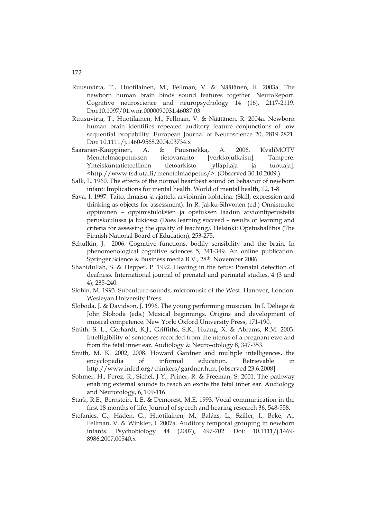- Ruusuvirta, T., Huotilainen, M., Fellman, V. & Näätänen, R. 2003a. The newborn human brain binds sound features together. NeuroReport. Cognitive neuroscience and neuropsychology 14 (16), 2117-2119. Doi:10.1097/01.wnr.0000090031.46087.03
- Ruusuvirta, T., Huotilainen, M., Fellman, V. & Näätänen, R. 2004a. Newborn human brain identifies repeated auditory feature conjunctions of low sequential propability. European Journal of Neuroscience 20, 2819-2821. Doi: 10.1111/j.1460-9568.2004.03734.x
- Saaranen-Kauppinen, A. & Puusniekka, A. 2006. KvaliMOTV Menetelmäopetuksen tietovaranto [verkkojulkaisu]. Tampere: Yhteiskuntatieteellinen tietoarkisto [ylläpitäjä ja tuottaja]. <http://www.fsd.uta.fi/menetelmaopetus/>. (Observed 30.10.2009.)
- Salk, L. 1960. The effects of the normal heartbeat sound on behavior of newborn infant: Implications for mental health. World of mental health, 12, 1-8.
- Sava, I. 1997. Taito, ilmaisu ja ajattelu arvioinnin kohteina. (Skill, expression and thinking as objects for assessment). In R. Jakku-Sihvonen (ed.) Onnistuuko oppiminen – oppimistuloksien ja opetuksen laadun arviointiperusteita peruskoulussa ja lukiossa (Does learning succeed – results of learning and criteria for assessing the quality of teaching*).* Helsinki: Opetushallitus (The Finnish National Board of Education), 253-275.
- Schulkin, J. 2006. Cognitive functions, bodily sensibility and the brain. In phenomenological cognitive sciences 5, 341-349. An online publication. Springer Science & Business media B.V., 28th November 2006.
- Shahidullah, S. & Hepper, P. 1992. Hearing in the fetus: Prenatal detection of deafness. International journal of prenatal and perinatal studies, 4 (3 and 4), 235-240.
- Slobin, M. 1993. Subculture sounds, micromusic of the West. Hanover, London: Wesleyan University Press.
- Sloboda, J. & Davidson, J. 1996. The young performing musician. In I. Déliege & John Sloboda (eds.) Musical beginnings. Origins and development of musical competence*.* New York: Oxford University Press, 171-190.
- Smith, S. L., Gerhardt, K.J., Griffiths, S.K., Huang, X. & Abrams, R.M. 2003. Intelligibility of sentences recorded from the uterus of a pregnant ewe and from the fetal inner ear. Audiology & Neuro-otology 8, 347-353.
- Smith, M. K. 2002, 2008. Howard Gardner and multiple intelligences, the encyclopedia of informal education. Retrievable in http://www.infed.org/thinkers/gardner.htm. [observed 23.6.2008]
- Sohmer, H., Perez, R., Sichel, J-Y., Priner, R. & Freeman, S. 2001. The pathway enabling external sounds to reach an excite the fetal inner ear. Audiology and Neurotology, 6, 109-116.
- Stark, R.E., Bernstein, L.E. & Demorest, M.E. 1993. Vocal communication in the first 18 months of life. Journal of speech and hearing research 36, 548-558.
- Stefanics, G., Háden, G., Huotilainen, M., Balázs, L., Sziller, I., Beke, A., Fellman, V. & Winkler, I. 2007a. Auditory temporal grouping in newborn infants. Psychobiology 44 (2007), 697-702. Doi: 10.1111/j.1469- 8986.2007.00540.x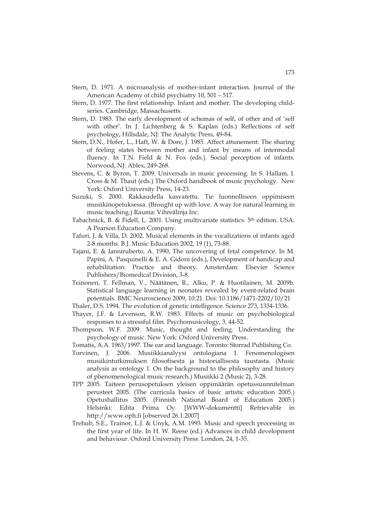- Stern, D. 1971. A microanalysis of mother-infant interaction. Journal of the American Academy of child psychiatry 10, 501 – 517.
- Stern, D. 1977. The first relationship. Infant and mother. The developing childseries. Cambridge, Massachusetts.
- Stern, D. 1983. The early development of schemas of self, of other and of 'self with other'. In J. Lichtenberg & S. Kaplan (eds.) Reflections of self psychology, Hillsdale, NJ: The Analytic Press, 49-84.
- Stern, D.N., Hofer, L., Haft, W. & Dore, J. 1985. Affect attunement: The sharing of feeling states between mother and infant by means of intermodal fluency. In T.N. Field & N. Fox (eds.). Social perception of infants. Norwood, NJ: Ablex, 249-268.
- Stevens, C. & Byron, T. 2009. Universals in music processing. In S. Hallam, I. Cross & M. Thaut (eds.) The Oxford handbook of music psychology. New York: Oxford University Press, 14-23.
- Suzuki, S. 2000. Rakkaudella kasvatettu. Tie luonnolliseen oppimiseen musiikinopetuksessa. (Brought up with love. A way for natural learning in music teaching.) Rauma: Vihreälinja Inc.
- Tabachnick, B. & Fidell, L. 2001. Using multivariate statistics. 5<sup>th</sup> edition. USA: A Pearson Education Company.
- Tafuri, J. & Villa, D. 2002. Musical elements in the vocalizations of infants aged 2-8 months. B.J. Music Education 2002, 19 (1), 73-88.
- Tajani, E. & Ianniruberto, A. 1990, The uncovering of fetal competence. In M. Papini, A. Pasquinelli & E. A. Gidoni (eds.), Development of handicap and rehabilitation: Practice and theory. Amsterdam: Elsevier Science Publishers/Biomedical Division, 3-8.
- Teinonen, T. Fellman, V., Näätänen, R., Alku, P. & Huotilainen, M. 2009b. Statistical language learning in neonates revealed by event-related brain potentials. BMC Neuroscience 2009, 10:21. Doi: 10.1186/1471-2202/10/21
- Thaler, D.S. 1994. The evolution of genetic intelligence. Science 273, 1334-1336.
- Thayer, J.F. & Levenson, R.W. 1983. Effects of music on psychobiological responses to a stressful film. Psychomusicology, 3*,* 44-52.
- Thompson, W.F. 2009. Music, thought and feeling. Understanding the psychology of music. New York: Oxford University Press.
- Tomatis, A.A. 1963/1997. The ear and language. Toronto: Storrad Publishing Co.
- Torvinen, J. 2006. Musiikkianalyysi ontologiana 1. Fenomenologisen musiikintutkimuksen filosofisesta ja historiallisesta taustasta. (Music analysis as ontology 1. On the background to the philosophy and history of phenomenological music research.) Musiikki 2 (Music 2), 3-28.
- TPP 2005. Taiteen perusopetuksen yleisen oppimäärän opetussuunnitelman perusteet 2005. (The curricula basics of basic artistic education 2005.) Opetushallitus 2005. (Finnish National Board of Education 2005.) Helsinki: Edita Prima Oy. [WWW-dokumentti] Retrievable in http://www.oph.fi [observed 26.1.2007]
- Trehub, S.E., Trainor, L.J. & Unyk, A.M. 1993. Music and speech processing in the first year of life. In H. W. Reese (ed.) Advances in child development and behaviour. Oxford University Press: London, 24, 1-35.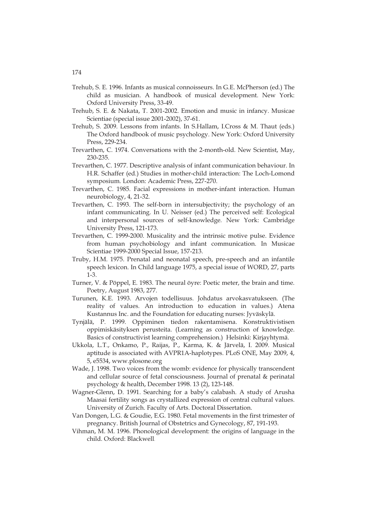- Trehub, S. E. 1996. Infants as musical connoisseurs. In G.E. McPherson (ed.) The child as musician. A handbook of musical development. New York: Oxford University Press, 33-49.
- Trehub, S. E. & Nakata, T. 2001-2002. Emotion and music in infancy. Musicae Scientiae (special issue 2001-2002), 37-61.
- Trehub, S. 2009. Lessons from infants. In S.Hallam, I.Cross & M. Thaut (eds.) The Oxford handbook of music psychology*.* New York: Oxford University Press, 229-234.
- Trevarthen, C. 1974. Conversations with the 2-month-old. New Scientist, May, 230-235.
- Trevarthen, C. 1977. Descriptive analysis of infant communication behaviour. In H.R. Schaffer (ed.) Studies in mother-child interaction: The Loch-Lomond symposium*.* London: Academic Press, 227-270.
- Trevarthen, C. 1985. Facial expressions in mother-infant interaction. Human neurobiology, 4, 21-32.
- Trevarthen, C. 1993. The self-born in intersubjectivity; the psychology of an infant communicating. In U. Neisser (ed.) The perceived self: Ecological and interpersonal sources of self-knowledge*.* New York: Cambridge University Press, 121-173.
- Trevarthen, C. 1999-2000. Musicality and the intrinsic motive pulse. Evidence from human psychobiology and infant communication. In Musicae Scientiae 1999-2000 Special Issue, 157-213.
- Truby, H.M. 1975. Prenatal and neonatal speech, pre-speech and an infantile speech lexicon. In Child language 1975, a special issue of WORD, 27, parts 1-3.
- Turner, V. & Pöppel, E. 1983. The neural öyre: Poetic meter, the brain and time. Poetry, August 1983, 277.
- Turunen, K.E. 1993. Arvojen todellisuus. Johdatus arvokasvatukseen. (The reality of values. An introduction to education in values.) Atena Kustannus Inc. and the Foundation for educating nurses: Jyväskylä.
- Tynjälä, P. 1999. Oppiminen tiedon rakentamisena. Konstruktivistisen oppimiskäsityksen perusteita. (Learning as construction of knowledge. Basics of constructivist learning comprehension.) Helsinki: Kirjayhtymä.
- Ukkola, L.T., Onkamo, P., Raijas, P., Karma, K. & Järvelä, I. 2009. Musical aptitude is associated with AVPR1A-haplotypes. PLoS ONE, May 2009, 4, 5, e5534, www.plosone.org
- Wade, J. 1998. Two voices from the womb: evidence for physically transcendent and cellular source of fetal consciousness. Journal of prenatal & perinatal psychology & health, December 1998. 13 (2), 123-148.
- Wagner-Glenn, D. 1991. Searching for a baby's calabash. A study of Arusha Maasai fertility songs as crystallized expression of central cultural values. University of Zurich. Faculty of Arts. Doctoral Dissertation.
- Van Dongen, L.G. & Goudie, E.G. 1980. Fetal movements in the first trimester of pregnancy. British Journal of Obstetrics and Gynecology, 87, 191-193.
- Vihman, M. M. 1996. Phonological development: the origins of language in the child. Oxford: Blackwell.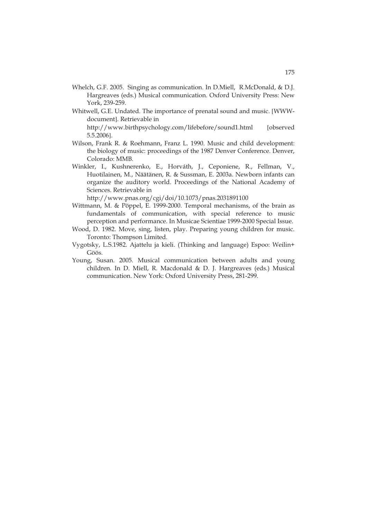- Whelch, G.F. 2005. Singing as communication. In D.Miell, R.McDonald, & D.J. Hargreaves (eds.) Musical communication. Oxford University Press: New York, 239-259.
- Whitwell, G.E. Undated. The importance of prenatal sound and music. [WWWdocument]. Retrievable in http://www.birthpsychology.com/lifebefore/sound1.html [observed 5.5.2006].
- Wilson, Frank R. & Roehmann, Franz L. 1990. Music and child development: the biology of music: proceedings of the 1987 Denver Conference*.* Denver, Colorado: MMB.
- Winkler, I., Kushnerenko, E., Horváth, J., Ceponiene, R., Fellman, V., Huotilainen, M., Näätänen, R. & Sussman, E. 2003a. Newborn infants can organize the auditory world. Proceedings of the National Academy of Sciences. Retrievable in

http://www.pnas.org/cgi/doi/10.1073/pnas.2031891100

- Wittmann, M. & Pöppel, E. 1999-2000. Temporal mechanisms, of the brain as fundamentals of communication, with special reference to music perception and performance. In Musicae Scientiae 1999-2000 Special Issue.
- Wood, D. 1982. Move, sing, listen, play. Preparing young children for music. Toronto: Thompson Limited.
- Vygotsky, L.S.1982. Ajattelu ja kieli. (Thinking and language) Espoo: Weilin+ Göös.
- Young, Susan. 2005. Musical communication between adults and young children*.* In D. Miell, R. Macdonald & D. J. Hargreaves (eds.) Musical communication. New York: Oxford University Press, 281-299.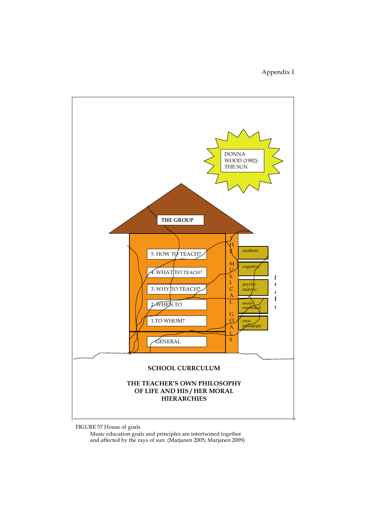## Appendix 1



FIGURE 57 House of goals

 Music education goals and principles are intertwined together and affected by the rays of sun. (Marjanen 2005; Marjanen 2009)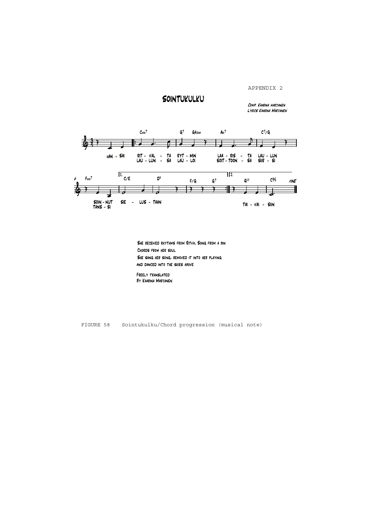APPENDIX 2

# **SOINTUKULKU**

LYRICS KAARINA MARTANEN COMP. KAARINA MARTANEN



SHE RECEIVED RHYTHMS FROM RITVA, SONG FROM A BIN CHORDS FROM HER SOUL SHE SANG HER SONG, REMOVED IT INTO HER PLAYING AND DANCED INTO THE SKIES ABOVE

Freely translated **BY KAARINA MARTANEN** 

FIGURE 58 Sointukulku/Chord progression (musical note)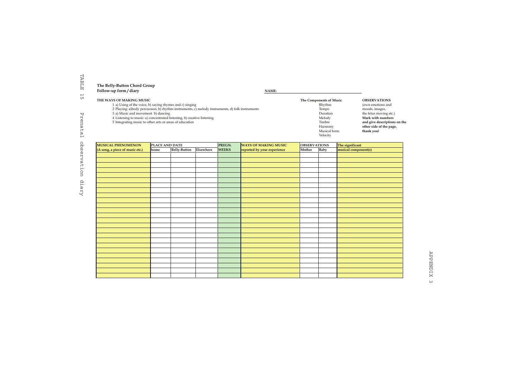| Follow-up form / diary<br>NAME:                                                                 |                         |                              |
|-------------------------------------------------------------------------------------------------|-------------------------|------------------------------|
| THE WAYS OF MAKING MUSIC                                                                        | The Components of Music | <b>OBSERVATIONS</b>          |
| 1 a) Using of the voice, b) saying rhymes and c) singing                                        | Rhythm                  | (own emotions and            |
| 2 Playing: a)body percussion, b) rhythm instruments, c) melody instruments, d) folk instruments | Tempo                   | moods, images,               |
| 3 a) Music and movement b) dancing                                                              | Duration                | the fetus moving etc.)       |
| 4 Listening to music: a) concentrated listening, b) creative listening                          | Melody                  | Mark with numbers            |
| 5 Integrating music to other arts or areas of education                                         | Timbre                  | and give descriptions on the |
|                                                                                                 | Harmony                 | other side of the page,      |
|                                                                                                 | Musical form            | thank you!                   |
|                                                                                                 | Velocity                |                              |

| Velocity<br>PLACE AND DATE<br>PREGN.<br><b>WAYS OF MAKING MUSIC</b><br><b>OBSERVATIONS</b><br>The significant<br>musical component(s)<br>Elsewhere<br>Baby<br><b>Belly-Button</b><br><b>WEEKS</b><br>reported by your experience<br>Mother<br>(A song, a piece of music etc.)<br>home |                           |  |  |  | Harmony<br>Musical form | other side of the page,<br>thank you! |
|---------------------------------------------------------------------------------------------------------------------------------------------------------------------------------------------------------------------------------------------------------------------------------------|---------------------------|--|--|--|-------------------------|---------------------------------------|
|                                                                                                                                                                                                                                                                                       |                           |  |  |  |                         |                                       |
|                                                                                                                                                                                                                                                                                       | <b>MUSICAL PHENOMENON</b> |  |  |  |                         |                                       |
|                                                                                                                                                                                                                                                                                       |                           |  |  |  |                         |                                       |
|                                                                                                                                                                                                                                                                                       |                           |  |  |  |                         |                                       |
|                                                                                                                                                                                                                                                                                       |                           |  |  |  |                         |                                       |
|                                                                                                                                                                                                                                                                                       |                           |  |  |  |                         |                                       |
|                                                                                                                                                                                                                                                                                       |                           |  |  |  |                         |                                       |
|                                                                                                                                                                                                                                                                                       |                           |  |  |  |                         |                                       |
|                                                                                                                                                                                                                                                                                       |                           |  |  |  |                         |                                       |
|                                                                                                                                                                                                                                                                                       |                           |  |  |  |                         |                                       |
|                                                                                                                                                                                                                                                                                       |                           |  |  |  |                         |                                       |
|                                                                                                                                                                                                                                                                                       |                           |  |  |  |                         |                                       |
|                                                                                                                                                                                                                                                                                       |                           |  |  |  |                         |                                       |
|                                                                                                                                                                                                                                                                                       |                           |  |  |  |                         |                                       |
|                                                                                                                                                                                                                                                                                       |                           |  |  |  |                         |                                       |
|                                                                                                                                                                                                                                                                                       |                           |  |  |  |                         |                                       |
|                                                                                                                                                                                                                                                                                       |                           |  |  |  |                         |                                       |
|                                                                                                                                                                                                                                                                                       |                           |  |  |  |                         |                                       |
|                                                                                                                                                                                                                                                                                       |                           |  |  |  |                         |                                       |
|                                                                                                                                                                                                                                                                                       |                           |  |  |  |                         |                                       |
|                                                                                                                                                                                                                                                                                       |                           |  |  |  |                         |                                       |
|                                                                                                                                                                                                                                                                                       |                           |  |  |  |                         |                                       |
|                                                                                                                                                                                                                                                                                       |                           |  |  |  |                         |                                       |
|                                                                                                                                                                                                                                                                                       |                           |  |  |  |                         |                                       |
|                                                                                                                                                                                                                                                                                       |                           |  |  |  |                         |                                       |
|                                                                                                                                                                                                                                                                                       |                           |  |  |  |                         |                                       |
|                                                                                                                                                                                                                                                                                       |                           |  |  |  |                         |                                       |
|                                                                                                                                                                                                                                                                                       |                           |  |  |  |                         |                                       |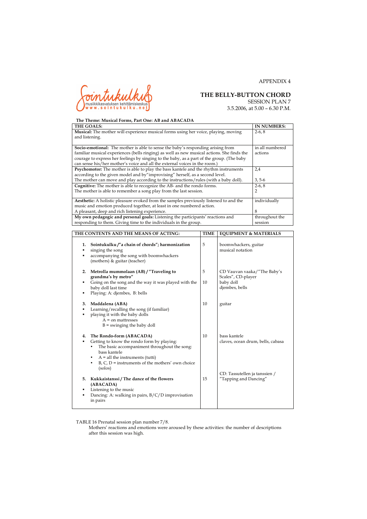

3.5.2006, at 5.00 – 6.30 P.M.

APPENDIX 4

| The Theme: Musical Forms, Part One: AB and ABACADA                                           |                                  |         |                    |  |  |  |  |  |
|----------------------------------------------------------------------------------------------|----------------------------------|---------|--------------------|--|--|--|--|--|
| THE GOALS:                                                                                   |                                  |         | <b>IN NUMBERS:</b> |  |  |  |  |  |
| <b>Musical:</b> The mother will experience musical forms using her voice, playing, moving    |                                  | $2-6.8$ |                    |  |  |  |  |  |
| and listening.                                                                               |                                  |         |                    |  |  |  |  |  |
|                                                                                              |                                  |         |                    |  |  |  |  |  |
| <b>Socio-emotional:</b> The mother is able to sense the baby's responding arising from       |                                  |         | in all numbered    |  |  |  |  |  |
| familiar musical experiences (bells ringing) as well as new musical actions. She finds the   |                                  |         | actions            |  |  |  |  |  |
| courage to express her feelings by singing to the baby, as a part of the group. (The baby    |                                  |         |                    |  |  |  |  |  |
| can sense his/her mother's voice and all the external voices in the room.)                   |                                  |         |                    |  |  |  |  |  |
| Psychomotor: The mother is able to play the bass kantele and the rhythm instruments          |                                  |         | 2.4                |  |  |  |  |  |
| according to the given model and by"improvising" herself, as a second level.                 |                                  |         |                    |  |  |  |  |  |
| The mother can move and play according to the instructions/rules (with a baby doll).         |                                  |         | $3, 5-6$           |  |  |  |  |  |
| Cognitive: The mother is able to recognize the AB- and the rondo forms.                      |                                  |         | $2-6, 8$           |  |  |  |  |  |
| The mother is able to remember a song play from the last session.                            |                                  |         | 2                  |  |  |  |  |  |
|                                                                                              |                                  |         |                    |  |  |  |  |  |
| <b>Aesthetic:</b> A holistic pleasure evoked from the samples previously listened to and the |                                  |         | individually       |  |  |  |  |  |
| music and emotion produced together, at least in one numbered action.                        |                                  |         |                    |  |  |  |  |  |
| A pleasant, deep and rich listening experience.                                              |                                  |         | 8                  |  |  |  |  |  |
| My own pedagogic and personal goals: Listening the participants' reactions and               |                                  |         | throughout the     |  |  |  |  |  |
| responding to them. Giving time to the individuals in the group.                             | session                          |         |                    |  |  |  |  |  |
|                                                                                              |                                  |         |                    |  |  |  |  |  |
| THE CONTENTS AND THE MEANS OF ACTING:                                                        | <b>EOUIPMENT &amp; MATERIALS</b> |         |                    |  |  |  |  |  |
|                                                                                              |                                  |         |                    |  |  |  |  |  |

| 1.<br>٠<br>٠ | Sointukulku /"a chain of chords"; harmonization<br>singing the song<br>accompanying the song with boomwhackers<br>(mothers) & guitar (teacher)                                                                                                         | 5       | boomwhackers, guitar<br>musical notation                                         |
|--------------|--------------------------------------------------------------------------------------------------------------------------------------------------------------------------------------------------------------------------------------------------------|---------|----------------------------------------------------------------------------------|
| 2.<br>٠      | Metrolla mummolaan (AB) / "Traveling to<br>grandma's by metro"<br>Going on the song and the way it was played with the<br>baby doll last time<br>Playing: A: djembes, B: bells                                                                         | 5<br>10 | CD Vauvan vaaka/"The Baby's<br>Scales", CD-player<br>baby doll<br>djembes, bells |
| 3.<br>٠      | Maddalena (ABA)<br>Learning/recalling the song (if familiar)<br>playing it with the baby dolls<br>$A =$ on mattresses<br>$B =$ swinging the baby doll                                                                                                  | 10      | guitar                                                                           |
| 4.           | The Rondo-form (ABACADA)<br>Getting to know the rondo form by playing:<br>The basic accompaniment throughout the song:<br>bass kantele<br>$A = all$ the instruments (tutti)<br>٠<br>$B, C, D$ = instruments of the mothers' own choice<br>٠<br>(solos) | 10      | bass kantele<br>claves, ocean drum, bells, cabasa                                |
| 5.<br>٠<br>٠ | Kukkaistanssi / The dance of the flowers<br>(ABACADA)<br>Listening to the music<br>Dancing: A: walking in pairs, $B/C/D$ improvisation<br>in pairs                                                                                                     | 15      | CD: Tassutellen ja tanssien /<br>"Tapping and Dancing"                           |

TABLE 16 Prenatal session plan number 7/8.

Mothers' reactions and emotions were aroused by these activities: the number of descriptions after this session was high.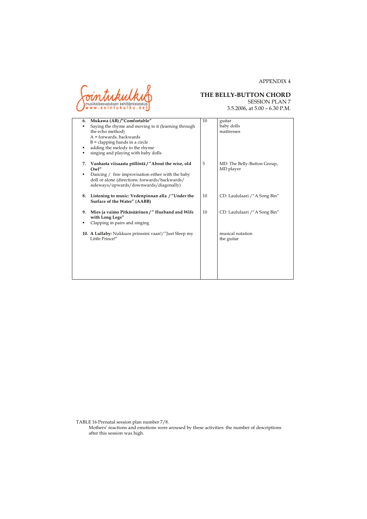

# **THE BELLY-BUTTON CHORD**<br>SESSION PLAN 7

APPENDIX 4

| 6. | Mukawa (AB) /"Comfortable"                                                                                                                    | 10 | guitar                                   |
|----|-----------------------------------------------------------------------------------------------------------------------------------------------|----|------------------------------------------|
| ٠  | Saying the rhyme and moving to it (learning through                                                                                           |    | baby dolls                               |
|    | the echo method)                                                                                                                              |    | mattresses                               |
|    | $A =$ forwards, backwards                                                                                                                     |    |                                          |
|    | $B =$ clapping hands in a circle                                                                                                              |    |                                          |
| ٠  | adding the melody to the rhyme                                                                                                                |    |                                          |
| ٠  | singing and playing with baby dolls                                                                                                           |    |                                          |
| 7. | Vanhasta viisaasta pöllöstä / "About the wise, old<br>Owl"                                                                                    | 5  | MD: The Belly-Button Group,<br>MD player |
| ٠  | Dancing / free improvisation either with the baby<br>doll or alone (directions: forwards/backwards/<br>sideways/upwards/downwards/diagonally) |    |                                          |
| 8. | Listening to music: Vedenpinnan alla /"Under the<br>Surface of the Water" (AABB)                                                              | 10 | CD: Laululaari / "A Song Bin"            |
| 9. | Mies ja vaimo Pitkäsäärinen / "Husband and Wife<br>with Long Legs"                                                                            | 10 | CD: Laululaari /"A Song Bin"             |
| ٠  | Clapping in pairs and singing                                                                                                                 |    |                                          |
|    | 10. A Lullaby: Nukkuos prinssini vaan!/"Just Sleep my<br>Little Prince!"                                                                      |    | musical notation<br>the guitar           |
|    |                                                                                                                                               |    |                                          |
|    |                                                                                                                                               |    |                                          |
|    |                                                                                                                                               |    |                                          |
|    |                                                                                                                                               |    |                                          |
|    |                                                                                                                                               |    |                                          |

TABLE 16 Prenatal session plan number 7/8.

Mothers' reactions and emotions were aroused by these activities: the number of descriptions after this session was high.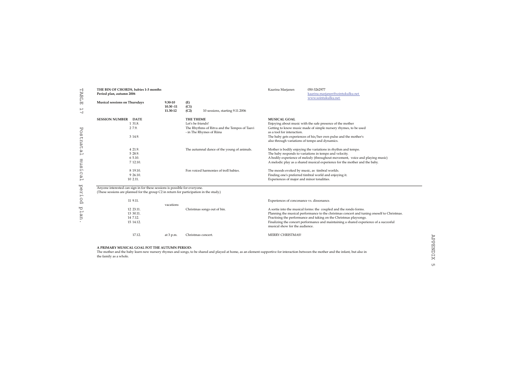| H<br>AB.                 | THE BIN OF CHORDS, babies 1-3 months<br>Period plan, autumn 2006                        |              |                                                                          | Kaarina Marjanen                                                                                                        | 050-3262977<br>kaarina.marjanen@sointukulku.net<br>www.sointukulku.net                     |  |  |  |
|--------------------------|-----------------------------------------------------------------------------------------|--------------|--------------------------------------------------------------------------|-------------------------------------------------------------------------------------------------------------------------|--------------------------------------------------------------------------------------------|--|--|--|
| Ė                        | Musical sessions on Thursdays                                                           | 9.30-10      | (E)                                                                      |                                                                                                                         |                                                                                            |  |  |  |
| $\overline{\phantom{0}}$ |                                                                                         | $10.30 - 11$ | (C1)                                                                     |                                                                                                                         |                                                                                            |  |  |  |
| $\overline{\phantom{0}}$ |                                                                                         | 11.30-12     | (C2)<br>10 sessions, starting 9.11.2006                                  |                                                                                                                         |                                                                                            |  |  |  |
|                          | <b>SESSION NUMBER</b><br><b>DATE</b>                                                    |              | THE THEME                                                                | <b>MUSICAL GOAL</b>                                                                                                     |                                                                                            |  |  |  |
|                          | 1 31.8.                                                                                 |              | Let's be friends!                                                        |                                                                                                                         | Enjoying about music with the safe presence of the mother                                  |  |  |  |
| ᄞ<br>Ō                   | 2 7.9.                                                                                  |              | The Rhythms of Ritva and the Tempos of Taavi<br>- in The Rhymes of Riina | as a tool for interaction.                                                                                              | Getting to know music made of simple nursery rhymes, to be used                            |  |  |  |
| ŢΩ                       | 3 14.9.                                                                                 |              |                                                                          |                                                                                                                         | The baby gets experiences of his/her own pulse and the mother's                            |  |  |  |
| Ęn<br>ğυ                 |                                                                                         |              |                                                                          | also through variations of tempo and dynamics.                                                                          |                                                                                            |  |  |  |
| $\uparrow$<br>ω          | 4 21.9.                                                                                 |              | The autumnal dance of the young of animals.                              |                                                                                                                         | Mother is bodily enjoying the variations in rhythm and tempo.                              |  |  |  |
| ٣                        | 5 28.9.                                                                                 |              |                                                                          |                                                                                                                         | The baby responds to variations in tempo and velocity.                                     |  |  |  |
|                          | 6 5.10.                                                                                 |              |                                                                          |                                                                                                                         | A bodily experience of melody (throughout movement, voice and playing music)               |  |  |  |
| mus                      | 7 12.10.                                                                                |              |                                                                          |                                                                                                                         | A melodic play as a shared musical experience for the mother and the baby.                 |  |  |  |
| $\mathsf{H}$             | 8 19.10.                                                                                |              | Fon voiced harmonies of troll babies.                                    | The moods evoked by music, as timbral worlds.                                                                           |                                                                                            |  |  |  |
| $\Omega$<br>ω            | 9 26.10.                                                                                |              |                                                                          |                                                                                                                         | Finding one's preferred timbral world and enjoying it.                                     |  |  |  |
| $\overline{ }$           | 10 2.11.                                                                                |              |                                                                          | Experiences of major and minor tonalities.                                                                              |                                                                                            |  |  |  |
| ₩<br>$\mathcal{D}$       | Anyone interested can sign in for these sessions is possible for everyone.              |              |                                                                          |                                                                                                                         |                                                                                            |  |  |  |
| H<br>μ.                  | (These sessions are planned for the group C2 in return for participation in the study.) |              |                                                                          |                                                                                                                         |                                                                                            |  |  |  |
| O                        | 11 9.11.                                                                                |              |                                                                          | Experiences of conconance vs. dissonance.                                                                               |                                                                                            |  |  |  |
| ρ                        |                                                                                         | vacations    |                                                                          |                                                                                                                         |                                                                                            |  |  |  |
| ₩                        | 12 23.11.                                                                               |              | Christmas songs out of bin.                                              |                                                                                                                         | A sortie into the musical forms: the coupled and the rondo forms.                          |  |  |  |
| $\vdash$                 | 13 30.11.                                                                               |              |                                                                          |                                                                                                                         | Planning the musical performance to the christmas concert and tuning oneself to Christmas. |  |  |  |
| Яn                       | 14 7.12.                                                                                |              |                                                                          |                                                                                                                         | Practising the performance and taking on the Christmas playsongs.                          |  |  |  |
|                          | 15 14.12.                                                                               |              |                                                                          | Finalizing the concert performance and maintaining a shared experience of a succesful<br>musical show for the audience. |                                                                                            |  |  |  |
|                          | 17.12.                                                                                  | at $3 p.m.$  | Christmas concert.                                                       | MERRY CHRISTMAS!                                                                                                        |                                                                                            |  |  |  |

**A PRIMARY MUSICAL GOAL FOT THE AUTUMN PERIOD:**

The mother and the baby learn new nursery rhymes and songs, to be shared and played at home, as an element supportive for interaction between the mother and the infant, but also in the family as a whole.

 $\frac{1}{\sqrt{1}}$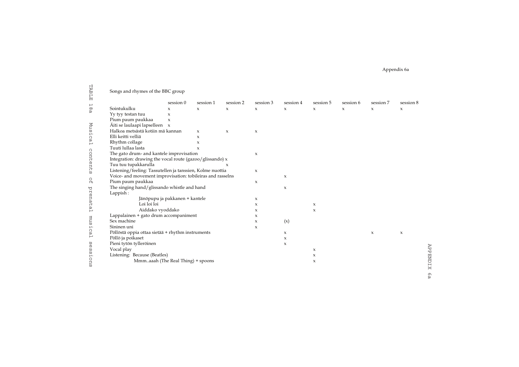Appendix 6a

| TABLE            | Songs and rhymes of the BBC group                          |                                |                     |                     |                           |                           |                           |             |                           |             |
|------------------|------------------------------------------------------------|--------------------------------|---------------------|---------------------|---------------------------|---------------------------|---------------------------|-------------|---------------------------|-------------|
| Н                |                                                            | session 0                      | session 1           | session 2           | session 3                 | session 4                 | session 5                 | session 6   | session 7                 | session 8   |
| ρ                | Sointukulku                                                | x                              | x                   | $\mathbf x$         | $\boldsymbol{\mathsf{x}}$ | $\mathbf x$               | $\boldsymbol{\mathsf{x}}$ | $\mathbf x$ | x                         | $\mathbf x$ |
|                  | Yy tyy testan tuu                                          | $\boldsymbol{\mathsf{x}}$      |                     |                     |                           |                           |                           |             |                           |             |
|                  | Pium paum paukkaa                                          | $\mathsf X$                    |                     |                     |                           |                           |                           |             |                           |             |
|                  | Äiti se laulaapi lapselleen x                              |                                |                     |                     |                           |                           |                           |             |                           |             |
| Musical          | Halkoa metsästä kotiin mä kannan                           |                                | x                   | $\boldsymbol{\chi}$ | $\boldsymbol{\mathsf{x}}$ |                           |                           |             |                           |             |
|                  | Elli keitti velliä                                         | $\mathbf{x}$                   |                     |                     |                           |                           |                           |             |                           |             |
|                  | Rhythm collage                                             |                                | x                   |                     |                           |                           |                           |             |                           |             |
|                  | Tuuti lullaa lasta                                         |                                | $\boldsymbol{\chi}$ |                     |                           |                           |                           |             |                           |             |
|                  | The gato drum- and kantele improvisation                   |                                |                     |                     | $\boldsymbol{\mathsf{x}}$ |                           |                           |             |                           |             |
|                  | Integration: drawing the vocal route (gazoo/glissando) x   |                                |                     |                     |                           |                           |                           |             |                           |             |
| content<br>Ω     | Tuu tuu tupakkarulla                                       |                                |                     | X                   |                           |                           |                           |             |                           |             |
|                  | Listening/feeling: Tassutellen ja tanssien, Kolme nuottia  |                                |                     |                     | $\mathsf X$               |                           |                           |             |                           |             |
|                  | Voice- and movement improvisation: tobileiras and rasselns |                                |                     |                     |                           | x                         |                           |             |                           |             |
| $\Omega_{\rm H}$ | Pium paum paukkaa                                          |                                |                     |                     | $\boldsymbol{\mathsf{x}}$ |                           |                           |             |                           |             |
| prenatal         | The singing hand/glissando whistle and hand<br>Lappish:    |                                |                     |                     |                           | $\boldsymbol{\mathsf{x}}$ |                           |             |                           |             |
|                  |                                                            | Jänöpupu ja pakkanen + kantele |                     |                     | $\boldsymbol{\mathsf{x}}$ |                           |                           |             |                           |             |
|                  | Loi loi loi                                                |                                |                     |                     | $\boldsymbol{\mathsf{x}}$ |                           | $\boldsymbol{\mathsf{x}}$ |             |                           |             |
|                  | Aiddako vyoddako                                           |                                |                     |                     | $\boldsymbol{\mathsf{x}}$ |                           | $\boldsymbol{\mathsf{x}}$ |             |                           |             |
|                  | Lappalainen + gato drum accompaniment                      |                                |                     |                     | $\boldsymbol{\mathsf{x}}$ |                           |                           |             |                           |             |
| mus              | Sex machine                                                |                                |                     |                     | $\mathsf X$               | (x)                       |                           |             |                           |             |
|                  | Sininen uni                                                |                                |                     |                     | $\boldsymbol{\mathsf{x}}$ |                           |                           |             |                           |             |
| iical            | Pöllöstä oppia ottaa sietää + rhythm instruments           |                                |                     |                     |                           | $\mathbf x$               |                           |             | $\boldsymbol{\mathsf{x}}$ | x           |
|                  | Pöllö ja poikaset                                          |                                |                     |                     |                           | x                         |                           |             |                           |             |
| S<br>O           | Pieni tytön tylleröinen                                    |                                |                     |                     |                           | $\mathsf X$               |                           |             |                           |             |
| Ω                | Vocal play                                                 |                                |                     |                     |                           |                           | $\boldsymbol{\mathsf{x}}$ |             |                           |             |
| Ω                | Listening: Because (Beatles)                               |                                |                     |                     |                           |                           | $\boldsymbol{\mathsf{x}}$ |             |                           |             |
| ions             | Mmmaaah (The Real Thing) + spoons                          |                                |                     |                     |                           |                           | $\boldsymbol{\mathsf{x}}$ |             |                           |             |

APPENDIX 6a APPENDIX 6a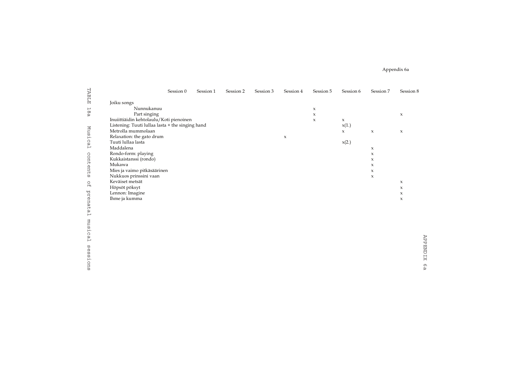Appendix 6a

| TABLE                    |                                                  | Session 0 | Session 1 | Session 2 | Session 3 | Session 4                 | Session 5 | Session 6 | Session 7   | Session 8                 |
|--------------------------|--------------------------------------------------|-----------|-----------|-----------|-----------|---------------------------|-----------|-----------|-------------|---------------------------|
|                          | Joiku songs                                      |           |           |           |           |                           |           |           |             |                           |
| $\overline{\phantom{0}}$ | Nunnukanuu                                       |           |           |           |           |                           | x         |           |             |                           |
| 88                       | Part singing                                     |           |           |           |           |                           | x         |           |             | x                         |
|                          | Inuiittiäidin kehtolaulu/Koti pienoinen          |           |           |           |           |                           | x         | x         |             |                           |
|                          | Listening: Tuuti lullaa lasta + the singing hand |           |           |           |           |                           |           | x(1.)     |             |                           |
|                          | Metrolla mummolaan                               |           |           |           |           |                           |           | x         | $\mathsf x$ | $\boldsymbol{\mathsf{x}}$ |
| Musi                     | Relaxation: the gato drum                        |           |           |           |           | $\boldsymbol{\mathsf{x}}$ |           |           |             |                           |
| cal                      | Tuuti lullaa lasta                               |           |           |           |           |                           |           | x(2.)     |             |                           |
|                          | Maddalena                                        |           |           |           |           |                           |           |           | x           |                           |
|                          | Rondo-form: playing                              |           |           |           |           |                           |           |           | x           |                           |
| content                  | Kukkaistanssi (rondo)                            |           |           |           |           |                           |           |           | x           |                           |
|                          | Mukawa                                           |           |           |           |           |                           |           |           | x           |                           |
|                          | Mies ja vaimo pitkäsäärinen                      |           |           |           |           |                           |           |           | x           |                           |
| ŢΩ                       | Nukkuos prinssini vaan                           |           |           |           |           |                           |           |           | x           |                           |
| O                        | Keväiset metsät                                  |           |           |           |           |                           |           |           |             | $\boldsymbol{\chi}$       |
| H                        | Höpsöt pöksyt                                    |           |           |           |           |                           |           |           |             | $\boldsymbol{\mathsf{x}}$ |
| prenat                   | Lennon: Imagine                                  |           |           |           |           |                           |           |           |             | $\boldsymbol{\mathsf{x}}$ |
|                          | Ihme ja kumma                                    |           |           |           |           |                           |           |           |             | $\boldsymbol{\chi}$       |
|                          |                                                  |           |           |           |           |                           |           |           |             |                           |
| ω                        |                                                  |           |           |           |           |                           |           |           |             |                           |
| $\overline{\phantom{0}}$ |                                                  |           |           |           |           |                           |           |           |             |                           |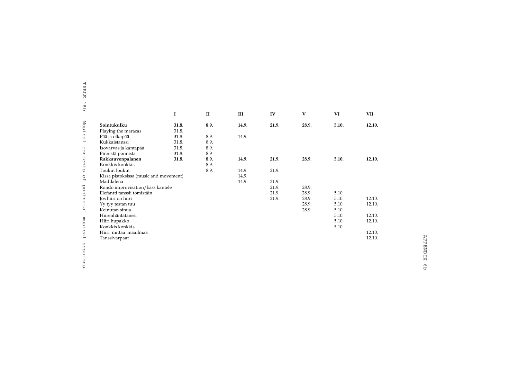| TABLE                         |                                                                                                                                                                                    |                                  |                             |                         |                                           |                                  |                                  |                                      |
|-------------------------------|------------------------------------------------------------------------------------------------------------------------------------------------------------------------------------|----------------------------------|-----------------------------|-------------------------|-------------------------------------------|----------------------------------|----------------------------------|--------------------------------------|
| 18 <sub>D</sub>               |                                                                                                                                                                                    | 1                                | $\mathbf{I}$                | Ш                       | IV                                        | $\mathbf{V}$                     | VI                               | <b>VII</b>                           |
| Musical                       | Sointukulku<br>Playing the maracas<br>Pää ja olkapää<br>Kukkaistanssi                                                                                                              | 31.8.<br>31.8.<br>31.8.<br>31.8. | 8.9.<br>8.9.<br>8.9.        | 14.9.<br>14.9.          | 21.9.                                     | 28.9.                            | 5.10.                            | 12.10.                               |
| contents                      | Isovarvas ja kantapää<br>Pinnistä ponnista<br>Rakkauvenpalanen<br>Konkkis konkkis                                                                                                  | 31.8.<br>31.8.<br>31.8.          | 8.9.<br>8.9<br>8.9.<br>8.9. | 14.9.                   | 21.9.                                     | 28.9.                            | 5.10.                            | 12.10.                               |
| $\Omega_{\rm H}$<br>postnatal | Toukut loukut<br>Kissa pistoksissa (music and movement)<br>Maddalena<br>Rondo improvisation/bass kantele<br>Elefantti tanssii tömistäin<br>Jos hiiri on hiiri<br>Yy tyy testan tuu |                                  | 8.9.                        | 14.9.<br>14.9.<br>14.9. | 21.9.<br>21.9.<br>21.9.<br>21.9.<br>21.9. | 28.9.<br>28.9.<br>28.9.<br>28.9. | 5.10.<br>5.10.<br>5.10.          | 12.10.<br>12.10.                     |
| musical                       | Keinutan sinua<br>Hiirenhäntätanssi<br>Hiiri hupakko<br>Konkkis konkkis<br>Hiiri mittaa maailmaa<br>Tanssivarpaat                                                                  |                                  |                             |                         |                                           | 28.9.                            | 5.10.<br>5.10.<br>5.10.<br>5.10. | 12.10.<br>12.10.<br>12.10.<br>12.10. |
| sasions                       |                                                                                                                                                                                    |                                  |                             |                         |                                           |                                  |                                  |                                      |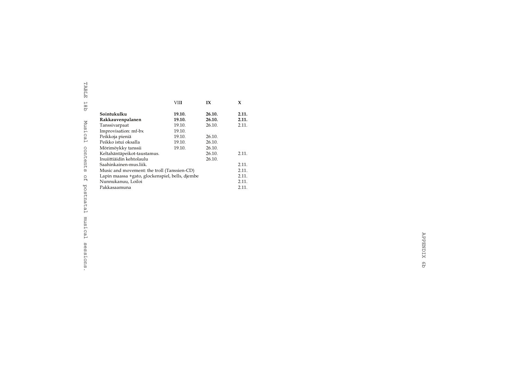|                                                 | VIII   | IX     | X     |  |  |
|-------------------------------------------------|--------|--------|-------|--|--|
| Sointukulku                                     | 19.10. | 26.10. | 2.11. |  |  |
| Rakkauvenpalanen                                | 19.10. | 26.10. | 2.11. |  |  |
| Tanssivarpaat                                   | 19.10. | 26.10. | 2.11. |  |  |
| Improvisation: mf-bx                            | 19.10. |        |       |  |  |
| Peikkoja pieniä                                 | 19.10. | 26.10. |       |  |  |
| Peikko istui oksalla                            | 19.10. | 26.10. |       |  |  |
| Mörimöykky tanssii                              | 19.10. | 26.10. |       |  |  |
| Keltahäntäpeikot-taustamus.                     |        | 26.10. | 2.11. |  |  |
| Inuiittiäidin kehtolaulu                        |        | 26.10. |       |  |  |
| Saahinkainen-mus.liik.                          |        |        | 2.11. |  |  |
| Music and movement: the troll (Tanssien-CD)     |        |        | 2.11. |  |  |
| Lapin maassa +gato, glockenspiel, bells, djembe |        |        |       |  |  |
| Nunnukanuu, Loiloi                              |        |        | 2.11. |  |  |
| Pakkasaamuna                                    |        |        | 2.11. |  |  |
|                                                 |        |        |       |  |  |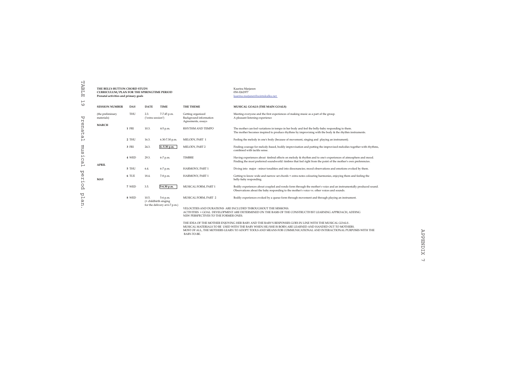| TABLE                               | THE BELLY-BUTTON CHORD STUDY<br>CURRICULUM / PLAN FOR THE SPIRINGTIME PERIOD<br>Prenatal activities and primary goals |                                             |                                          |                                                                    |                                                                                                                                                                                                                                 | Kaarina Marjanen<br>050-3262977<br>kaarina.marjanen@sointukulku.net                                                                                                                                           |  |  |  |  |
|-------------------------------------|-----------------------------------------------------------------------------------------------------------------------|---------------------------------------------|------------------------------------------|--------------------------------------------------------------------|---------------------------------------------------------------------------------------------------------------------------------------------------------------------------------------------------------------------------------|---------------------------------------------------------------------------------------------------------------------------------------------------------------------------------------------------------------|--|--|--|--|
| $\overline{\phantom{0}}$<br>$\circ$ | <b>SESSION NUMBER</b>                                                                                                 | DAY                                         | <b>DATE</b>                              | <b>TIME</b>                                                        | THE THEME                                                                                                                                                                                                                       | MUSICAL GOALS (THE MAIN GOALS)                                                                                                                                                                                |  |  |  |  |
| Ъr                                  | (the preliminary<br>materials)                                                                                        | THU                                         | 2.3.<br>7-7.45 p.m.<br>("extra session") |                                                                    | Getting organized<br>Background information<br>Agreements, essays                                                                                                                                                               | Meeting everyone and the first experiences of making music as a part of the group.<br>A pleasant listening experience                                                                                         |  |  |  |  |
| enat                                | <b>MARCH</b>                                                                                                          | 1 FRI                                       | 10.3.                                    | 4-5 p.m.                                                           | RHYTHM AND TEMPO                                                                                                                                                                                                                | The mother can feel variations in tempo in her body and feel the belly-baby responding to them.<br>The mother becomes inspired to produce rhythms by improvising with the body & the rhythm instruments.      |  |  |  |  |
| ω<br>Н                              |                                                                                                                       | 2 THU                                       | 16.3.                                    | 6.30-7.30 p.m.                                                     | MELODY, PART 1                                                                                                                                                                                                                  | Feeling the melody in one's body (because of movement, singing and playing an instrument).                                                                                                                    |  |  |  |  |
| mus<br>μ.<br>Ω<br>ρ                 |                                                                                                                       | 3 FRI                                       | 24.3.                                    | 4.-5.30 p.m.                                                       | MELODY, PART 2                                                                                                                                                                                                                  | Finding courage for melody-based, bodily improvisation and putting the improvised melodies together with rhythms,<br>combined with tactile sense.                                                             |  |  |  |  |
|                                     |                                                                                                                       | 4 WED<br>29.3.<br><b>TIMBRE</b><br>6-7 p.m. |                                          |                                                                    | Having experiences about timbral effects on melody & rhythm and to one's experiences of atmosphere and mood.<br>Finding the most preferred soundworld: timbres that feel right from the point of the mother's own preferencies. |                                                                                                                                                                                                               |  |  |  |  |
| ⊢                                   | <b>APRIL</b>                                                                                                          | 5 THU                                       | 6.4.                                     | 6-7 p.m.                                                           | HARMONY, PART 1                                                                                                                                                                                                                 | Diving into major - minor tonalities and into dissonancies; mood observations and emotions evoked by them.                                                                                                    |  |  |  |  |
| ₩<br>$\mathcal{D}$<br>Ë.            | MAY                                                                                                                   | 6 TUE                                       | 18.4.                                    | 7-8 p.m.                                                           | HARMONY, PART 1                                                                                                                                                                                                                 | Getting to know wide and narrow set chords + extra notes colouring harmonies, enjoying them and feeling the<br>belly-baby responding.                                                                         |  |  |  |  |
| <sub>2</sub>                        |                                                                                                                       | 7 WED                                       | 3.5.                                     | 5-6.30 p.m.                                                        | MUSICAL FORM, PART 1                                                                                                                                                                                                            | Bodily experiences about coupled and rondo form through the mother's voice and an instrumentally produced sound.<br>Observations about the baby responding to the mother's voice vs. other voices and sounds. |  |  |  |  |
| ₩<br>Н<br>дg                        |                                                                                                                       | 8 WED                                       | 10.5.                                    | 5-6 p.m.<br>(+ childbirth singing<br>for the delivery at 6-7 p.m.) | MUSICAL FORM, PART 2                                                                                                                                                                                                            | Bodily experiences evoked by a queue form through movement and through playing an instrument.                                                                                                                 |  |  |  |  |
|                                     |                                                                                                                       |                                             |                                          |                                                                    | NEW PERSPECTIVES TO THE FORMER ONES.                                                                                                                                                                                            | VELOCITIES AND DURATIONS ARE INCLUDED THROUGHOUT THE SESSIONS.<br>ACTIVITIES + GOAL DEVELOPMENT ARE DETERMINED ON THE BASIS OF THE CONSTRUCTIVIST LEARNING APPROACH, ADDING                                   |  |  |  |  |

THE IDEA OF THE MOTHER ENJOYING HER BABY AND THE BABY'S RESPONSES GOES IN LINE WITH THE MUSICAL GOALS .<br>MUSICAL MATERIALS TO BE USED WITH THE BABY WHEN HE/SHE IS BORN ARE LEARNED AND HANDED OUT TO MOTHERS.<br>MOST OF ALL, TH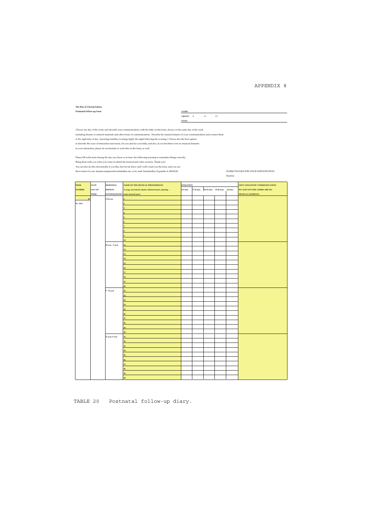### APPENDIX 8

### **The Bin of Chords-babies**  $\mathbf{Post}$  **Postnatal follow-up form**

**GROUP:** E C1 C2 **DATE:**

Choose one day of the week, and describe your communications with the baby on this form, always on the same day of the week including rhymes or musical materials and other forms of communications. Describe the musical features of your communications and connect them<br>to the right time of day (morning/midday/evening/night the night following the

Please fill in the form during the day you chose or at least the following morning to remember things correctly. Bring them with you when you come to attend the musical and video sessions. Thank you! You can also do this elecronically if you like; Just let me know and I will e-mail you the form, and you can then return it to me: kaarina.marjanen@sointukulku.net, or by mail: Sointukulku, Kypärätie 4, 40630 Jkl WARM THANKS FOR YOUR PARTICIPATION!

Kaarina

| <b>WEEK</b>   | <b>DATE</b> | MORNING/         | NAME OF THE MUSICAL PHENOMENON:                  | <b>DURATION</b> |  | ONLY LINGUISTIC COMMUNICATION           |  |                               |
|---------------|-------------|------------------|--------------------------------------------------|-----------------|--|-----------------------------------------|--|-------------------------------|
| <b>NUMBER</b> | DAY OF      | <b>MIDDAY</b>    | A song, movement, rhyme, listened music, playing | 0-5 min.        |  | 5-10 min. 10-15 min. 15-30 min. 30 min. |  | IN CASE YOU FEEL THERE ARE NO |
|               | <b>WEEK</b> |                  | EVENING/NIGHT some musical piece                 |                 |  |                                         |  | <b>MUSICAL ELEMENTS</b>       |
| 38            |             | 5-10 a.m.        | 1.                                               |                 |  |                                         |  |                               |
| 18. - 24.9.   |             |                  |                                                  |                 |  |                                         |  |                               |
|               |             |                  |                                                  |                 |  |                                         |  |                               |
|               |             |                  |                                                  |                 |  |                                         |  |                               |
|               |             |                  |                                                  |                 |  |                                         |  |                               |
|               |             |                  |                                                  |                 |  |                                         |  |                               |
|               |             |                  |                                                  |                 |  |                                         |  |                               |
|               |             |                  |                                                  |                 |  |                                         |  |                               |
|               |             |                  |                                                  |                 |  |                                         |  |                               |
|               |             |                  | 10.                                              |                 |  |                                         |  |                               |
|               |             | 10 a.m. - 5 p.m. | 11.                                              |                 |  |                                         |  |                               |
|               |             |                  | 12.                                              |                 |  |                                         |  |                               |
|               |             |                  | 13.                                              |                 |  |                                         |  |                               |
|               |             |                  | 14.                                              |                 |  |                                         |  |                               |
|               |             |                  | 15.                                              |                 |  |                                         |  |                               |
|               |             |                  | 16.                                              |                 |  |                                         |  |                               |
|               |             |                  | 17.                                              |                 |  |                                         |  |                               |
|               |             |                  | 18.                                              |                 |  |                                         |  |                               |
|               |             |                  | 19.                                              |                 |  |                                         |  |                               |
|               |             |                  | 20.                                              |                 |  |                                         |  |                               |
|               |             | 5 - 11 p.m.      | 21.                                              |                 |  |                                         |  |                               |
|               |             |                  | 22.                                              |                 |  |                                         |  |                               |
|               |             |                  | 23.                                              |                 |  |                                         |  |                               |
|               |             |                  | 24.                                              |                 |  |                                         |  |                               |
|               |             |                  | 25.                                              |                 |  |                                         |  |                               |
|               |             |                  | 26.                                              |                 |  |                                         |  |                               |
|               |             |                  | 27.                                              |                 |  |                                         |  |                               |
|               |             |                  | 28.                                              |                 |  |                                         |  |                               |
|               |             |                  | 29.                                              |                 |  |                                         |  |                               |
|               |             |                  | 30.                                              |                 |  |                                         |  |                               |
|               |             | 11 p.m.-5 a.m.   | 31.                                              |                 |  |                                         |  |                               |
|               |             |                  | 32.                                              |                 |  |                                         |  |                               |
|               |             |                  | 33.                                              |                 |  |                                         |  |                               |
|               |             |                  | 34.                                              |                 |  |                                         |  |                               |
|               |             |                  | 35.                                              |                 |  |                                         |  |                               |
|               |             |                  | 36.                                              |                 |  |                                         |  |                               |
|               |             |                  | 37.                                              |                 |  |                                         |  |                               |
|               |             |                  | 38.                                              |                 |  |                                         |  |                               |
|               |             |                  | 39.                                              |                 |  |                                         |  |                               |
|               |             |                  | 40.                                              |                 |  |                                         |  |                               |
|               |             |                  |                                                  |                 |  |                                         |  |                               |

TABLE 20 Postnatal follow-up diary.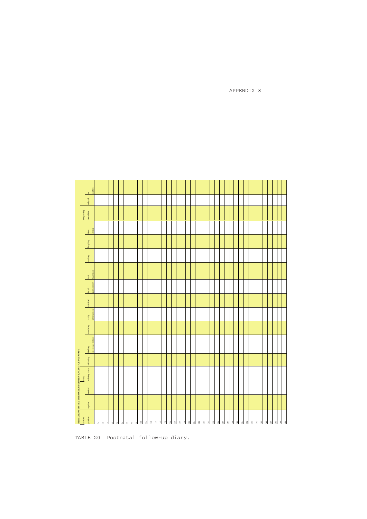

TABLE 20 Postnatal follow-up diary.

APPENDIX 8